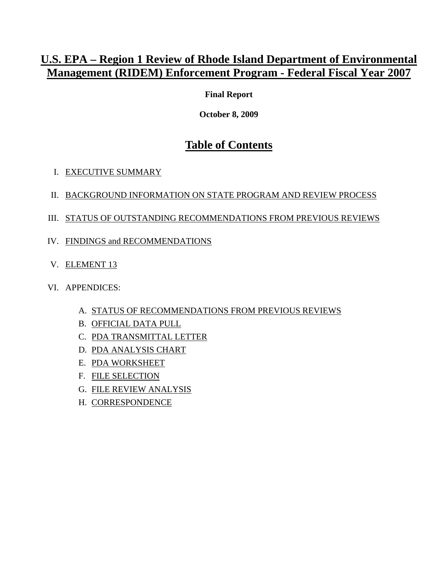## <span id="page-0-0"></span>**U.S. EPA – Region 1 Review of Rhode Island Department of Environmental Management (RIDEM) Enforcement Program - Federal Fiscal Year 2007**

**Final Report** 

**October 8, 2009** 

# **Table of Contents**

- I. [EXECUTIVE SUMMARY](#page-0-0)
- II. [BACKGROUND INFORMATION ON STATE PROGRAM AND REVIEW PROCESS](#page-0-0)
- III. [STATUS OF OUTSTANDING RECOMMENDATIONS FROM PREVIOUS REVIEWS](#page-0-0)
- IV. [FINDINGS and RECOMMENDATIONS](#page-0-0)
- V. [ELEMENT 13](#page-0-0)
- VI. APPENDICES:
	- A. [STATUS OF RECOMMENDATIONS FROM PREVIOUS REVIEWS](#page-0-0)
	- B. [OFFICIAL DATA PULL](#page-0-0)
	- C. PDA TRANSMITTAL LETTER
	- D. [PDA ANALYSIS CHART](#page-0-0)
	- E. [PDA WORKSHEET](#page-75-0)
	- F. [FILE SELECTION](#page-0-0)
	- G. [FILE REVIEW ANALYSIS](#page-0-0)
	- H. [CORRESPONDENCE](#page-0-0)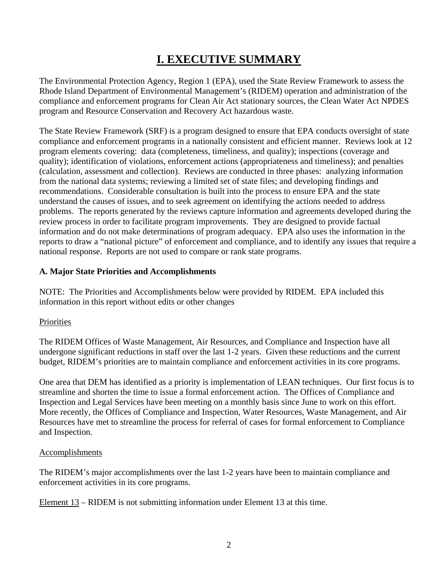# **I. EXECUTIVE SUMMARY**

The Environmental Protection Agency, Region 1 (EPA), used the State Review Framework to assess the Rhode Island Department of Environmental Management's (RIDEM) operation and administration of the compliance and enforcement programs for Clean Air Act stationary sources, the Clean Water Act NPDES program and Resource Conservation and Recovery Act hazardous waste.

The State Review Framework (SRF) is a program designed to ensure that EPA conducts oversight of state compliance and enforcement programs in a nationally consistent and efficient manner. Reviews look at 12 program elements covering: data (completeness, timeliness, and quality); inspections (coverage and quality); identification of violations, enforcement actions (appropriateness and timeliness); and penalties (calculation, assessment and collection). Reviews are conducted in three phases: analyzing information from the national data systems; reviewing a limited set of state files; and developing findings and recommendations. Considerable consultation is built into the process to ensure EPA and the state understand the causes of issues, and to seek agreement on identifying the actions needed to address problems. The reports generated by the reviews capture information and agreements developed during the review process in order to facilitate program improvements. They are designed to provide factual information and do not make determinations of program adequacy. EPA also uses the information in the reports to draw a "national picture" of enforcement and compliance, and to identify any issues that require a national response. Reports are not used to compare or rank state programs.

## **A. Major State Priorities and Accomplishments**

NOTE:The Priorities and Accomplishments below were provided by RIDEM. EPA included this information in this report without edits or other changes

## **Priorities**

The RIDEM Offices of Waste Management, Air Resources, and Compliance and Inspection have all undergone significant reductions in staff over the last 1-2 years. Given these reductions and the current budget, RIDEM's priorities are to maintain compliance and enforcement activities in its core programs.

One area that DEM has identified as a priority is implementation of LEAN techniques. Our first focus is to streamline and shorten the time to issue a formal enforcement action. The Offices of Compliance and Inspection and Legal Services have been meeting on a monthly basis since June to work on this effort. More recently, the Offices of Compliance and Inspection, Water Resources, Waste Management, and Air Resources have met to streamline the process for referral of cases for formal enforcement to Compliance and Inspection.

## Accomplishments

The RIDEM's major accomplishments over the last 1-2 years have been to maintain compliance and enforcement activities in its core programs.

Element 13 – RIDEM is not submitting information under Element 13 at this time.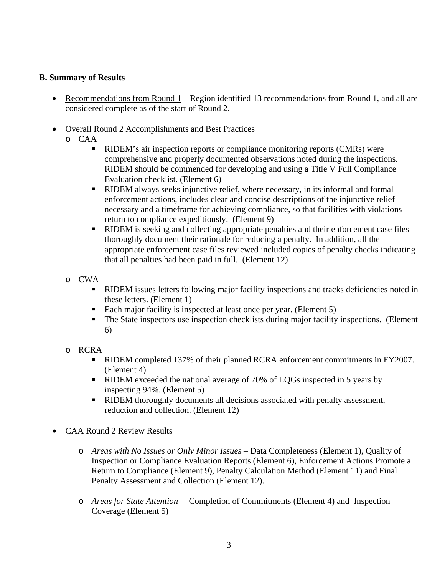## **B. Summary of Results**

- Recommendations from Round  $1 -$  Region identified 13 recommendations from Round 1, and all are considered complete as of the start of Round 2.
- Overall Round 2 Accomplishments and Best Practices
	- o CAA
		- RIDEM's air inspection reports or compliance monitoring reports (CMRs) were comprehensive and properly documented observations noted during the inspections. RIDEM should be commended for developing and using a Title V Full Compliance Evaluation checklist. (Element 6)
		- RIDEM always seeks injunctive relief, where necessary, in its informal and formal enforcement actions, includes clear and concise descriptions of the injunctive relief necessary and a timeframe for achieving compliance, so that facilities with violations return to compliance expeditiously. (Element 9)
		- RIDEM is seeking and collecting appropriate penalties and their enforcement case files thoroughly document their rationale for reducing a penalty. In addition, all the appropriate enforcement case files reviewed included copies of penalty checks indicating that all penalties had been paid in full. (Element 12)
	- o CWA
		- RIDEM issues letters following major facility inspections and tracks deficiencies noted in these letters. (Element 1)
		- Each major facility is inspected at least once per year. (Element 5)<br>■ The State inspectors use inspection checklists during major facility
		- The State inspectors use inspection checklists during major facility inspections. (Element 6)
	- o RCRA
		- RIDEM completed 137% of their planned RCRA enforcement commitments in FY2007. (Element 4)
		- RIDEM exceeded the national average of 70% of LQGs inspected in 5 years by inspecting 94%. (Element 5)
		- **RIDEM** thoroughly documents all decisions associated with penalty assessment, reduction and collection. (Element 12)
- CAA Round 2 Review Results
	- o *Areas with No Issues or Only Minor Issues* Data Completeness (Element 1), Quality of Inspection or Compliance Evaluation Reports (Element 6), Enforcement Actions Promote a Return to Compliance (Element 9), Penalty Calculation Method (Element 11) and Final Penalty Assessment and Collection (Element 12).
	- o *Areas for State Attention*  Completion of Commitments (Element 4) and Inspection Coverage (Element 5)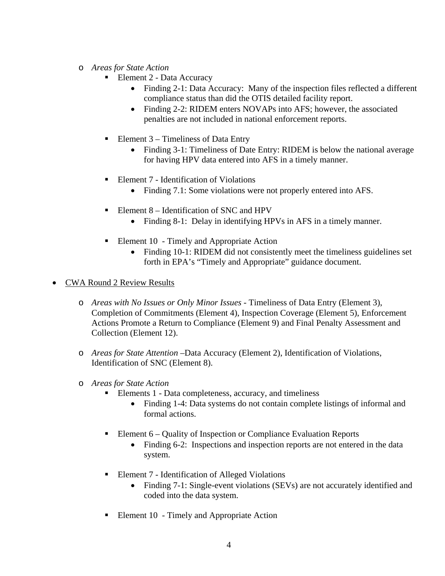- o *Areas for State Action* 
	- Element 2 Data Accuracy
		- Finding 2-1: Data Accuracy: Many of the inspection files reflected a different compliance status than did the OTIS detailed facility report.
		- Finding 2-2: RIDEM enters NOVAPs into AFS; however, the associated penalties are not included in national enforcement reports.
	- Element 3 Timeliness of Data Entry
		- Finding 3-1: Timeliness of Date Entry: RIDEM is below the national average for having HPV data entered into AFS in a timely manner.
	- Element 7 Identification of Violations
		- Finding 7.1: Some violations were not properly entered into AFS.
	- Element  $8$  Identification of SNC and HPV
		- Finding 8-1: Delay in identifying HPVs in AFS in a timely manner.
	- Element 10 Timely and Appropriate Action
		- Finding 10-1: RIDEM did not consistently meet the timeliness guidelines set forth in EPA's "Timely and Appropriate" guidance document.
- CWA Round 2 Review Results
	- o *Areas with No Issues or Only Minor Issues* Timeliness of Data Entry (Element 3), Completion of Commitments (Element 4), Inspection Coverage (Element 5), Enforcement Actions Promote a Return to Compliance (Element 9) and Final Penalty Assessment and Collection (Element 12).
	- o *Areas for State Attention* –Data Accuracy (Element 2), Identification of Violations, Identification of SNC (Element 8).
	- o *Areas for State Action* 
		- Elements 1 Data completeness, accuracy, and timeliness
			- Finding 1-4: Data systems do not contain complete listings of informal and formal actions.
		- Element 6 Quality of Inspection or Compliance Evaluation Reports
			- Finding 6-2: Inspections and inspection reports are not entered in the data system.
		- Element 7 Identification of Alleged Violations
			- Finding 7-1: Single-event violations (SEVs) are not accurately identified and coded into the data system.
		- Element 10 Timely and Appropriate Action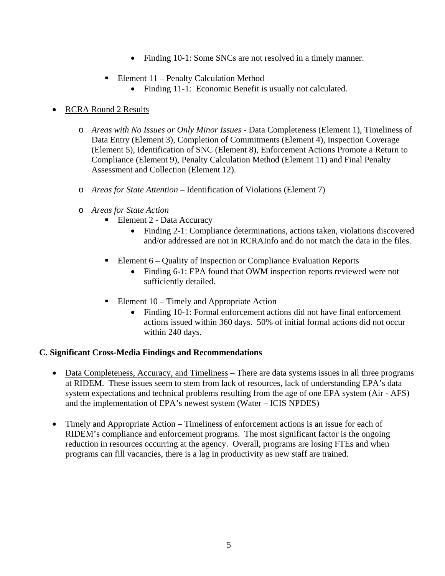- Finding 10-1: Some SNCs are not resolved in a timely manner.
- Element  $11$  Penalty Calculation Method
	- Finding 11-1: Economic Benefit is usually not calculated.

## • RCRA Round 2 Results

- o *Areas with No Issues or Only Minor Issues*  Data Completeness (Element 1), Timeliness of Data Entry (Element 3), Completion of Commitments (Element 4), Inspection Coverage (Element 5), Identification of SNC (Element 8), Enforcement Actions Promote a Return to Compliance (Element 9), Penalty Calculation Method (Element 11) and Final Penalty Assessment and Collection (Element 12).
- o *Areas for State Attention*  Identification of Violations (Element 7)
- o *Areas for State Action* 
	- Element 2 Data Accuracy
		- Finding 2-1: Compliance determinations, actions taken, violations discovered and/or addressed are not in RCRAInfo and do not match the data in the files.
	- Element 6 Quality of Inspection or Compliance Evaluation Reports
		- Finding 6-1: EPA found that OWM inspection reports reviewed were not sufficiently detailed.
	- Element  $10 -$  Timely and Appropriate Action
		- Finding 10-1: Formal enforcement actions did not have final enforcement actions issued within 360 days. 50% of initial formal actions did not occur within 240 days.

## **C. Significant Cross-Media Findings and Recommendations**

- Data Completeness, Accuracy, and Timeliness There are data systems issues in all three programs at RIDEM. These issues seem to stem from lack of resources, lack of understanding EPA's data system expectations and technical problems resulting from the age of one EPA system (Air - AFS) and the implementation of EPA's newest system (Water – ICIS NPDES)
- Timely and Appropriate Action Timeliness of enforcement actions is an issue for each of RIDEM's compliance and enforcement programs. The most significant factor is the ongoing reduction in resources occurring at the agency. Overall, programs are losing FTEs and when programs can fill vacancies, there is a lag in productivity as new staff are trained.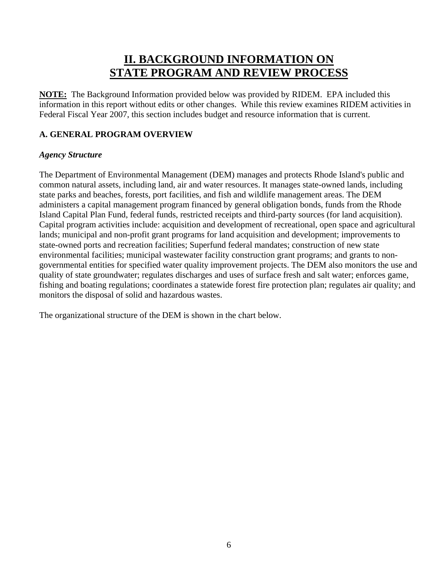## **II. BACKGROUND INFORMATION ON STATE PROGRAM AND REVIEW PROCESS**

**NOTE:** The Background Information provided below was provided by RIDEM. EPA included this information in this report without edits or other changes. While this review examines RIDEM activities in Federal Fiscal Year 2007, this section includes budget and resource information that is current.

## **A. GENERAL PROGRAM OVERVIEW**

## *Agency Structure*

The Department of Environmental Management (DEM) manages and protects Rhode Island's public and common natural assets, including land, air and water resources. It manages state-owned lands, including state parks and beaches, forests, port facilities, and fish and wildlife management areas. The DEM administers a capital management program financed by general obligation bonds, funds from the Rhode Island Capital Plan Fund, federal funds, restricted receipts and third-party sources (for land acquisition). Capital program activities include: acquisition and development of recreational, open space and agricultural lands; municipal and non-profit grant programs for land acquisition and development; improvements to state-owned ports and recreation facilities; Superfund federal mandates; construction of new state environmental facilities; municipal wastewater facility construction grant programs; and grants to nongovernmental entities for specified water quality improvement projects. The DEM also monitors the use and quality of state groundwater; regulates discharges and uses of surface fresh and salt water; enforces game, fishing and boating regulations; coordinates a statewide forest fire protection plan; regulates air quality; and monitors the disposal of solid and hazardous wastes.

The organizational structure of the DEM is shown in the chart below.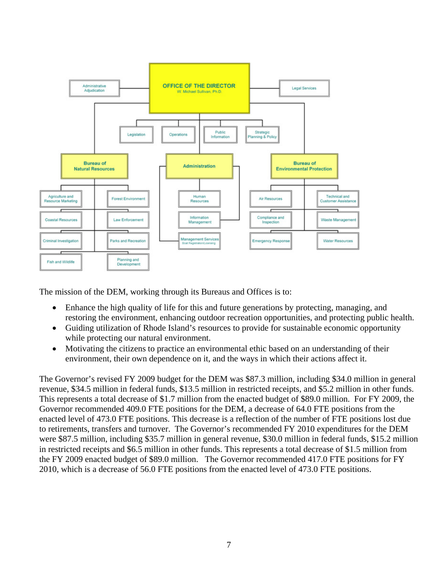

The mission of the DEM, working through its Bureaus and Offices is to:

- Enhance the high quality of life for this and future generations by protecting, managing, and restoring the environment, enhancing outdoor recreation opportunities, and protecting public health.
- Guiding utilization of Rhode Island's resources to provide for sustainable economic opportunity while protecting our natural environment.
- Motivating the citizens to practice an environmental ethic based on an understanding of their environment, their own dependence on it, and the ways in which their actions affect it.

The Governor's revised FY 2009 budget for the DEM was \$87.3 million, including \$34.0 million in general revenue, \$34.5 million in federal funds, \$13.5 million in restricted receipts, and \$5.2 million in other funds. This represents a total decrease of \$1.7 million from the enacted budget of \$89.0 million. For FY 2009, the Governor recommended 409.0 FTE positions for the DEM, a decrease of 64.0 FTE positions from the enacted level of 473.0 FTE positions. This decrease is a reflection of the number of FTE positions lost due to retirements, transfers and turnover.The Governor's recommended FY 2010 expenditures for the DEM were \$87.5 million, including \$35.7 million in general revenue, \$30.0 million in federal funds, \$15.2 million in restricted receipts and \$6.5 million in other funds. This represents a total decrease of \$1.5 million from the FY 2009 enacted budget of \$89.0 million. The Governor recommended 417.0 FTE positions for FY 2010, which is a decrease of 56.0 FTE positions from the enacted level of 473.0 FTE positions.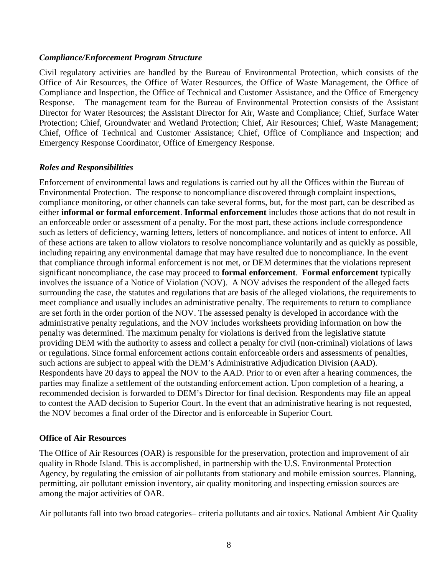#### *Compliance/Enforcement Program Structure*

Civil regulatory activities are handled by the Bureau of Environmental Protection, which consists of the Office of Air Resources, the Office of Water Resources, the Office of Waste Management, the Office of Compliance and Inspection, the Office of Technical and Customer Assistance, and the Office of Emergency Response. The management team for the Bureau of Environmental Protection consists of the Assistant Director for Water Resources; the Assistant Director for Air, Waste and Compliance; Chief, Surface Water Protection; Chief, Groundwater and Wetland Protection; Chief, Air Resources; Chief, Waste Management; Chief, Office of Technical and Customer Assistance; Chief, Office of Compliance and Inspection; and Emergency Response Coordinator, Office of Emergency Response.

## *Roles and Responsibilities*

Enforcement of environmental laws and regulations is carried out by all the Offices within the Bureau of Environmental Protection. The response to noncompliance discovered through complaint inspections, compliance monitoring, or other channels can take several forms, but, for the most part, can be described as either **informal or formal enforcement**. **Informal enforcement** includes those actions that do not result in an enforceable order or assessment of a penalty. For the most part, these actions include correspondence such as letters of deficiency, warning letters, letters of noncompliance. and notices of intent to enforce. All of these actions are taken to allow violators to resolve noncompliance voluntarily and as quickly as possible, including repairing any environmental damage that may have resulted due to noncompliance. In the event that compliance through informal enforcement is not met, or DEM determines that the violations represent significant noncompliance, the case may proceed to **formal enforcement**. **Formal enforcement** typically involves the issuance of a Notice of Violation (NOV). A NOV advises the respondent of the alleged facts surrounding the case, the statutes and regulations that are basis of the alleged violations, the requirements to meet compliance and usually includes an administrative penalty. The requirements to return to compliance are set forth in the order portion of the NOV. The assessed penalty is developed in accordance with the administrative penalty regulations, and the NOV includes worksheets providing information on how the penalty was determined. The maximum penalty for violations is derived from the legislative statute providing DEM with the authority to assess and collect a penalty for civil (non-criminal) violations of laws or regulations. Since formal enforcement actions contain enforceable orders and assessments of penalties, such actions are subject to appeal with the DEM's Administrative Adjudication Division (AAD). Respondents have 20 days to appeal the NOV to the AAD. Prior to or even after a hearing commences, the parties may finalize a settlement of the outstanding enforcement action. Upon completion of a hearing, a recommended decision is forwarded to DEM's Director for final decision. Respondents may file an appeal to contest the AAD decision to Superior Court. In the event that an administrative hearing is not requested, the NOV becomes a final order of the Director and is enforceable in Superior Court.

## **Office of Air Resources**

The Office of Air Resources (OAR) is responsible for the preservation, protection and improvement of air quality in Rhode Island. This is accomplished, in partnership with the U.S. Environmental Protection Agency, by regulating the emission of air pollutants from stationary and mobile emission sources. Planning, permitting, air pollutant emission inventory, air quality monitoring and inspecting emission sources are among the major activities of OAR.

Air pollutants fall into two broad categories– criteria pollutants and air toxics. National Ambient Air Quality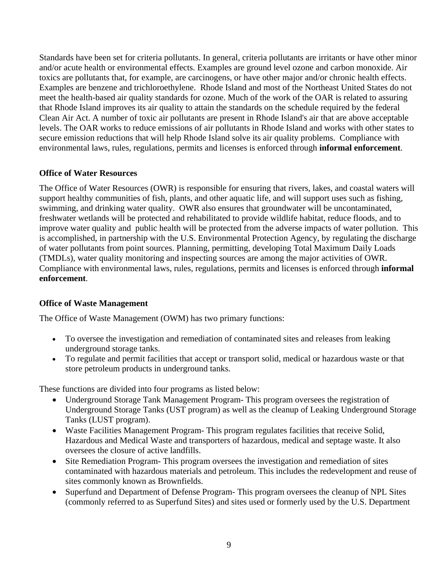Standards have been set for criteria pollutants. In general, criteria pollutants are irritants or have other minor and/or acute health or environmental effects. Examples are ground level ozone and carbon monoxide. Air toxics are pollutants that, for example, are carcinogens, or have other major and/or chronic health effects. Examples are benzene and trichloroethylene. Rhode Island and most of the Northeast United States do not meet the health-based air quality standards for ozone. Much of the work of the OAR is related to assuring that Rhode Island improves its air quality to attain the standards on the schedule required by the federal Clean Air Act. A number of toxic air pollutants are present in Rhode Island's air that are above acceptable levels. The OAR works to reduce emissions of air pollutants in Rhode Island and works with other states to secure emission reductions that will help Rhode Island solve its air quality problems. Compliance with environmental laws, rules, regulations, permits and licenses is enforced through **informal enforcement**.

#### **Office of Water Resources**

The Office of Water Resources (OWR) is responsible for ensuring that rivers, lakes, and coastal waters will support healthy communities of fish, plants, and other aquatic life, and will support uses such as fishing, swimming, and drinking water quality. OWR also ensures that groundwater will be uncontaminated, freshwater wetlands will be protected and rehabilitated to provide wildlife habitat, reduce floods, and to improve water quality and public health will be protected from the adverse impacts of water pollution. This is accomplished, in partnership with the U.S. Environmental Protection Agency, by regulating the discharge of water pollutants from point sources. Planning, permitting, developing Total Maximum Daily Loads (TMDLs), water quality monitoring and inspecting sources are among the major activities of OWR. Compliance with environmental laws, rules, regulations, permits and licenses is enforced through **informal enforcement**.

#### **Office of Waste Management**

The Office of Waste Management (OWM) has two primary functions:

- To oversee the investigation and remediation of contaminated sites and releases from leaking underground storage tanks.
- To regulate and permit facilities that accept or transport solid, medical or hazardous waste or that store petroleum products in underground tanks.

These functions are divided into four programs as listed below:

- Underground Storage Tank Management Program-This program oversees the registration of Underground Storage Tanks (UST program) as well as the cleanup of Leaking Underground Storage Tanks (LUST program).
- Waste Facilities Management Program-This program regulates facilities that receive Solid, Hazardous and Medical Waste and transporters of hazardous, medical and septage waste. It also oversees the closure of active landfills.
- Site Remediation Program-This program oversees the investigation and remediation of sites contaminated with hazardous materials and petroleum. This includes the redevelopment and reuse of sites commonly known as Brownfields.
- Superfund and Department of Defense Program- This program oversees the cleanup of NPL Sites (commonly referred to as Superfund Sites) and sites used or formerly used by the U.S. Department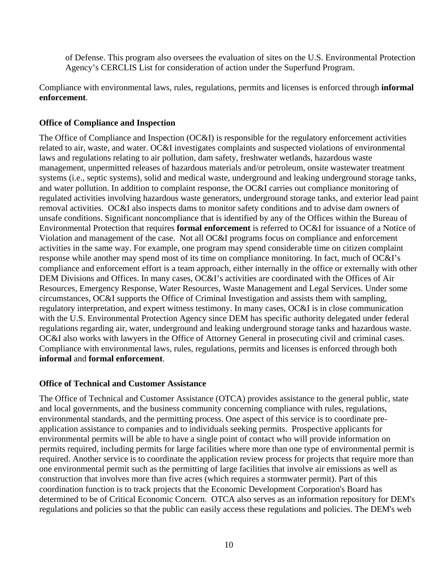of Defense. This program also oversees the evaluation of sites on the U.S. Environmental Protection Agency's CERCLIS List for consideration of action under the Superfund Program.

Compliance with environmental laws, rules, regulations, permits and licenses is enforced through **informal enforcement**.

### **Office of Compliance and Inspection**

The Office of Compliance and Inspection (OC&I) is responsible for the regulatory enforcement activities related to air, waste, and water. OC&I investigates complaints and suspected violations of environmental laws and regulations relating to air pollution, dam safety, freshwater wetlands, hazardous waste management, unpermitted releases of hazardous materials and/or petroleum, onsite wastewater treatment systems (i.e., septic systems), solid and medical waste, underground and leaking underground storage tanks, and water pollution. In addition to complaint response, the OC&I carries out compliance monitoring of regulated activities involving hazardous waste generators, underground storage tanks, and exterior lead paint removal activities. OC&I also inspects dams to monitor safety conditions and to advise dam owners of unsafe conditions. Significant noncompliance that is identified by any of the Offices within the Bureau of Environmental Protection that requires **formal enforcement** is referred to OC&I for issuance of a Notice of Violation and management of the case. Not all OC&I programs focus on compliance and enforcement activities in the same way. For example, one program may spend considerable time on citizen complaint response while another may spend most of its time on compliance monitoring. In fact, much of OC&I's compliance and enforcement effort is a team approach, either internally in the office or externally with other DEM Divisions and Offices. In many cases, OC&I's activities are coordinated with the Offices of Air Resources, Emergency Response, Water Resources, Waste Management and Legal Services. Under some circumstances, OC&I supports the Office of Criminal Investigation and assists them with sampling, regulatory interpretation, and expert witness testimony. In many cases, OC&I is in close communication with the U.S. Environmental Protection Agency since DEM has specific authority delegated under federal regulations regarding air, water, underground and leaking underground storage tanks and hazardous waste. OC&I also works with lawyers in the Office of Attorney General in prosecuting civil and criminal cases. Compliance with environmental laws, rules, regulations, permits and licenses is enforced through both **informal** and **formal enforcement**.

## **Office of Technical and Customer Assistance**

The Office of Technical and Customer Assistance (OTCA) provides assistance to the general public, state and local governments, and the business community concerning compliance with rules, regulations, environmental standards, and the permitting process. One aspect of this service is to coordinate preapplication assistance to companies and to individuals seeking permits. Prospective applicants for environmental permits will be able to have a single point of contact who will provide information on permits required, including permits for large facilities where more than one type of environmental permit is required. Another service is to coordinate the application review process for projects that require more than one environmental permit such as the permitting of large facilities that involve air emissions as well as construction that involves more than five acres (which requires a stormwater permit). Part of this coordination function is to track projects that the Economic Development Corporation's Board has determined to be of Critical Economic Concern. OTCA also serves as an information repository for DEM's regulations and policies so that the public can easily access these regulations and policies. The DEM's web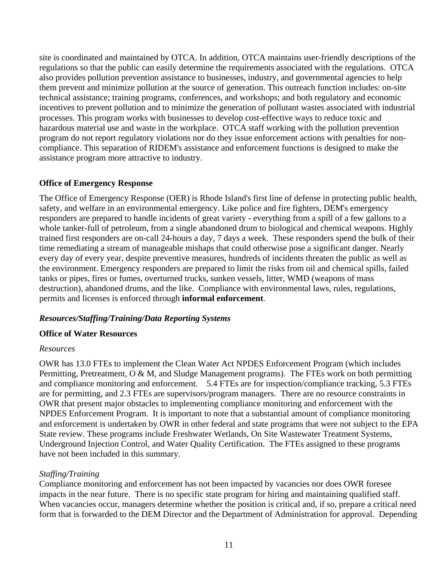site is coordinated and maintained by OTCA. In addition, OTCA maintains user-friendly descriptions of the regulations so that the public can easily determine the requirements associated with the regulations. OTCA also provides pollution prevention assistance to businesses, industry, and governmental agencies to help them prevent and minimize pollution at the source of generation. This outreach function includes: on-site technical assistance; training programs, conferences, and workshops; and both regulatory and economic incentives to prevent pollution and to minimize the generation of pollutant wastes associated with industrial processes. This program works with businesses to develop cost-effective ways to reduce toxic and hazardous material use and waste in the workplace. OTCA staff working with the pollution prevention program do not report regulatory violations nor do they issue enforcement actions with penalties for noncompliance. This separation of RIDEM's assistance and enforcement functions is designed to make the assistance program more attractive to industry.

## **Office of Emergency Response**

The Office of Emergency Response (OER) is Rhode Island's first line of defense in protecting public health, safety, and welfare in an environmental emergency. Like police and fire fighters, DEM's emergency responders are prepared to handle incidents of great variety - everything from a spill of a few gallons to a whole tanker-full of petroleum, from a single abandoned drum to biological and chemical weapons. Highly trained first responders are on-call 24-hours a day, 7 days a week. These responders spend the bulk of their time remediating a stream of manageable mishaps that could otherwise pose a significant danger. Nearly every day of every year, despite preventive measures, hundreds of incidents threaten the public as well as the environment. Emergency responders are prepared to limit the risks from oil and chemical spills, failed tanks or pipes, fires or fumes, overturned trucks, sunken vessels, litter, WMD (weapons of mass destruction), abandoned drums, and the like. Compliance with environmental laws, rules, regulations, permits and licenses is enforced through **informal enforcement**.

## *Resources/Staffing/Training/Data Reporting Systems*

## **Office of Water Resources**

#### *Resources*

OWR has 13.0 FTEs to implement the Clean Water Act NPDES Enforcement Program (which includes Permitting, Pretreatment, O & M, and Sludge Management programs). The FTEs work on both permitting and compliance monitoring and enforcement. 5.4 FTEs are for inspection/compliance tracking, 5.3 FTEs are for permitting, and 2.3 FTEs are supervisors/program managers. There are no resource constraints in OWR that present major obstacles to implementing compliance monitoring and enforcement with the NPDES Enforcement Program. It is important to note that a substantial amount of compliance monitoring and enforcement is undertaken by OWR in other federal and state programs that were not subject to the EPA State review. These programs include Freshwater Wetlands, On Site Wastewater Treatment Systems, Underground Injection Control, and Water Quality Certification. The FTEs assigned to these programs have not been included in this summary.

## *Staffing/Training*

Compliance monitoring and enforcement has not been impacted by vacancies nor does OWR foresee impacts in the near future. There is no specific state program for hiring and maintaining qualified staff. When vacancies occur, managers determine whether the position is critical and, if so, prepare a critical need form that is forwarded to the DEM Director and the Department of Administration for approval. Depending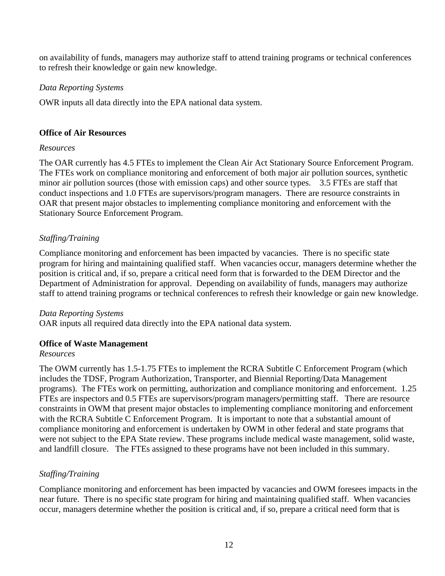on availability of funds, managers may authorize staff to attend training programs or technical conferences to refresh their knowledge or gain new knowledge.

#### *Data Reporting Systems*

OWR inputs all data directly into the EPA national data system.

#### **Office of Air Resources**

#### *Resources*

The OAR currently has 4.5 FTEs to implement the Clean Air Act Stationary Source Enforcement Program. The FTEs work on compliance monitoring and enforcement of both major air pollution sources, synthetic minor air pollution sources (those with emission caps) and other source types. 3.5 FTEs are staff that conduct inspections and 1.0 FTEs are supervisors/program managers. There are resource constraints in OAR that present major obstacles to implementing compliance monitoring and enforcement with the Stationary Source Enforcement Program.

## *Staffing/Training*

Compliance monitoring and enforcement has been impacted by vacancies. There is no specific state program for hiring and maintaining qualified staff. When vacancies occur, managers determine whether the position is critical and, if so, prepare a critical need form that is forwarded to the DEM Director and the Department of Administration for approval. Depending on availability of funds, managers may authorize staff to attend training programs or technical conferences to refresh their knowledge or gain new knowledge.

#### *Data Reporting Systems*

OAR inputs all required data directly into the EPA national data system.

## **Office of Waste Management**

#### *Resources*

The OWM currently has 1.5-1.75 FTEs to implement the RCRA Subtitle C Enforcement Program (which includes the TDSF, Program Authorization, Transporter, and Biennial Reporting/Data Management programs). The FTEs work on permitting, authorization and compliance monitoring and enforcement. 1.25 FTEs are inspectors and 0.5 FTEs are supervisors/program managers/permitting staff. There are resource constraints in OWM that present major obstacles to implementing compliance monitoring and enforcement with the RCRA Subtitle C Enforcement Program. It is important to note that a substantial amount of compliance monitoring and enforcement is undertaken by OWM in other federal and state programs that were not subject to the EPA State review. These programs include medical waste management, solid waste, and landfill closure. The FTEs assigned to these programs have not been included in this summary.

## *Staffing/Training*

Compliance monitoring and enforcement has been impacted by vacancies and OWM foresees impacts in the near future. There is no specific state program for hiring and maintaining qualified staff. When vacancies occur, managers determine whether the position is critical and, if so, prepare a critical need form that is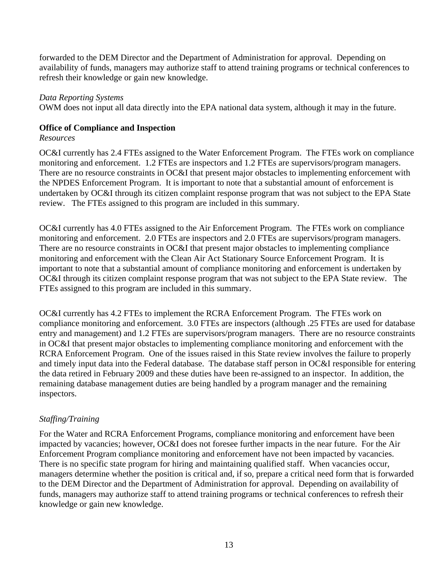forwarded to the DEM Director and the Department of Administration for approval. Depending on availability of funds, managers may authorize staff to attend training programs or technical conferences to refresh their knowledge or gain new knowledge.

#### *Data Reporting Systems*

OWM does not input all data directly into the EPA national data system, although it may in the future.

#### **Office of Compliance and Inspection**

#### *Resources*

OC&I currently has 2.4 FTEs assigned to the Water Enforcement Program. The FTEs work on compliance monitoring and enforcement. 1.2 FTEs are inspectors and 1.2 FTEs are supervisors/program managers. There are no resource constraints in OC&I that present major obstacles to implementing enforcement with the NPDES Enforcement Program. It is important to note that a substantial amount of enforcement is undertaken by OC&I through its citizen complaint response program that was not subject to the EPA State review. The FTEs assigned to this program are included in this summary.

OC&I currently has 4.0 FTEs assigned to the Air Enforcement Program. The FTEs work on compliance monitoring and enforcement. 2.0 FTEs are inspectors and 2.0 FTEs are supervisors/program managers. There are no resource constraints in OC&I that present major obstacles to implementing compliance monitoring and enforcement with the Clean Air Act Stationary Source Enforcement Program. It is important to note that a substantial amount of compliance monitoring and enforcement is undertaken by OC&I through its citizen complaint response program that was not subject to the EPA State review. The FTEs assigned to this program are included in this summary.

OC&I currently has 4.2 FTEs to implement the RCRA Enforcement Program. The FTEs work on compliance monitoring and enforcement. 3.0 FTEs are inspectors (although .25 FTEs are used for database entry and management) and 1.2 FTEs are supervisors/program managers. There are no resource constraints in OC&I that present major obstacles to implementing compliance monitoring and enforcement with the RCRA Enforcement Program. One of the issues raised in this State review involves the failure to properly and timely input data into the Federal database. The database staff person in OC&I responsible for entering the data retired in February 2009 and these duties have been re-assigned to an inspector. In addition, the remaining database management duties are being handled by a program manager and the remaining inspectors.

## *Staffing/Training*

For the Water and RCRA Enforcement Programs, compliance monitoring and enforcement have been impacted by vacancies; however, OC&I does not foresee further impacts in the near future. For the Air Enforcement Program compliance monitoring and enforcement have not been impacted by vacancies. There is no specific state program for hiring and maintaining qualified staff. When vacancies occur, managers determine whether the position is critical and, if so, prepare a critical need form that is forwarded to the DEM Director and the Department of Administration for approval. Depending on availability of funds, managers may authorize staff to attend training programs or technical conferences to refresh their knowledge or gain new knowledge.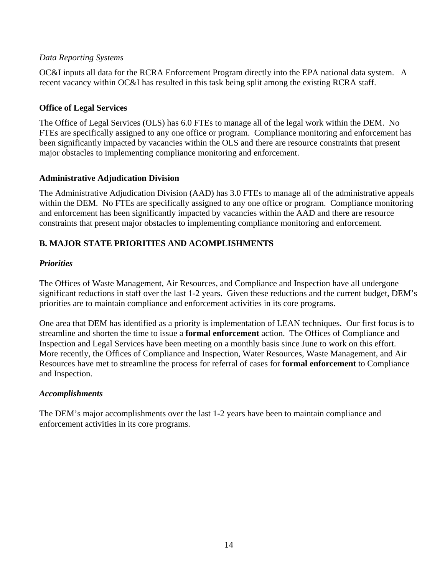## *Data Reporting Systems*

OC&I inputs all data for the RCRA Enforcement Program directly into the EPA national data system. A recent vacancy within OC&I has resulted in this task being split among the existing RCRA staff.

## **Office of Legal Services**

The Office of Legal Services (OLS) has 6.0 FTEs to manage all of the legal work within the DEM. No FTEs are specifically assigned to any one office or program. Compliance monitoring and enforcement has been significantly impacted by vacancies within the OLS and there are resource constraints that present major obstacles to implementing compliance monitoring and enforcement.

## **Administrative Adjudication Division**

The Administrative Adjudication Division (AAD) has 3.0 FTEs to manage all of the administrative appeals within the DEM. No FTEs are specifically assigned to any one office or program. Compliance monitoring and enforcement has been significantly impacted by vacancies within the AAD and there are resource constraints that present major obstacles to implementing compliance monitoring and enforcement.

## **B. MAJOR STATE PRIORITIES AND ACOMPLISHMENTS**

## *Priorities*

The Offices of Waste Management, Air Resources, and Compliance and Inspection have all undergone significant reductions in staff over the last 1-2 years. Given these reductions and the current budget, DEM's priorities are to maintain compliance and enforcement activities in its core programs.

One area that DEM has identified as a priority is implementation of LEAN techniques. Our first focus is to streamline and shorten the time to issue a **formal enforcement** action. The Offices of Compliance and Inspection and Legal Services have been meeting on a monthly basis since June to work on this effort. More recently, the Offices of Compliance and Inspection, Water Resources, Waste Management, and Air Resources have met to streamline the process for referral of cases for **formal enforcement** to Compliance and Inspection.

## *Accomplishments*

The DEM's major accomplishments over the last 1-2 years have been to maintain compliance and enforcement activities in its core programs.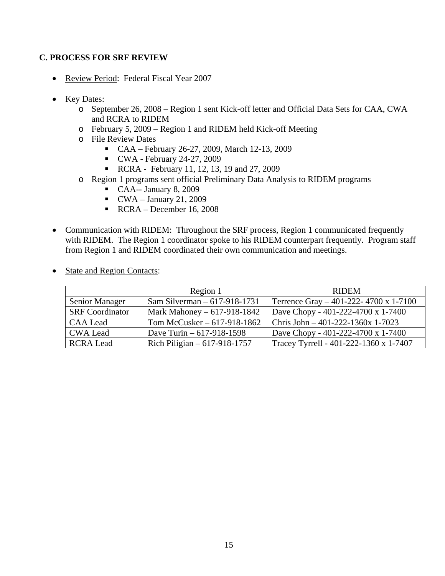### **C. PROCESS FOR SRF REVIEW**

- Review Period: Federal Fiscal Year 2007
- Key Dates:
	- o September 26, 2008 Region 1 sent Kick-off letter and Official Data Sets for CAA, CWA and RCRA to RIDEM
	- o February 5, 2009 Region 1 and RIDEM held Kick-off Meeting
	- o File Review Dates
		- CAA February 26-27, 2009, March 12-13, 2009
		- $\bullet$  CWA February 24-27, 2009
		- **RCRA** February 11, 12, 13, 19 and 27, 2009
	- o Region 1 programs sent official Preliminary Data Analysis to RIDEM programs
		- $\blacksquare$  CAA-- January 8, 2009
		- $\bullet$  CWA January 21, 2009
		- $\textsf{RCRA}$  December 16, 2008
- Communication with RIDEM: Throughout the SRF process, Region 1 communicated frequently with RIDEM. The Region 1 coordinator spoke to his RIDEM counterpart frequently. Program staff from Region 1 and RIDEM coordinated their own communication and meetings.

|                        | Region 1                      | <b>RIDEM</b>                             |
|------------------------|-------------------------------|------------------------------------------|
| Senior Manager         | Sam Silverman $-617-918-1731$ | Terrence Gray $-$ 401-222- 4700 x 1-7100 |
| <b>SRF</b> Coordinator | Mark Mahoney – 617-918-1842   | Dave Chopy - 401-222-4700 x 1-7400       |
| <b>CAA Lead</b>        | Tom McCusker $-617-918-1862$  | Chris John $-401-222-1360x$ 1-7023       |
| <b>CWA Lead</b>        | Dave Turin $-617-918-1598$    | Dave Chopy - 401-222-4700 x 1-7400       |
| <b>RCRA Lead</b>       | Rich Piligian $-617-918-1757$ | Tracey Tyrrell - 401-222-1360 x 1-7407   |

• State and Region Contacts: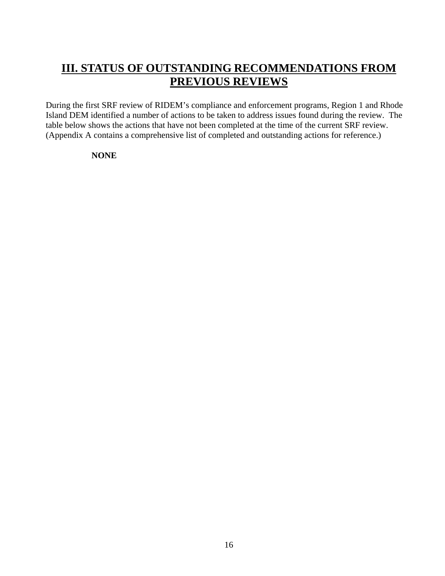# **III. STATUS OF OUTSTANDING RECOMMENDATIONS FROM PREVIOUS REVIEWS**

During the first SRF review of RIDEM's compliance and enforcement programs, Region 1 and Rhode Island DEM identified a number of actions to be taken to address issues found during the review. The table below shows the actions that have not been completed at the time of the current SRF review. (Appendix A contains a comprehensive list of completed and outstanding actions for reference.)

#### **NONE**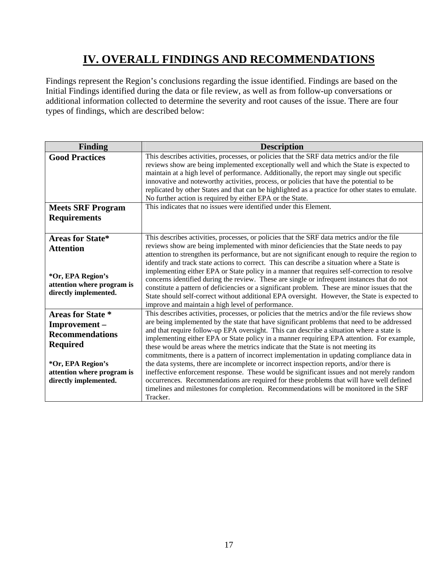# **IV. OVERALL FINDINGS AND RECOMMENDATIONS**

Findings represent the Region's conclusions regarding the issue identified. Findings are based on the Initial Findings identified during the data or file review, as well as from follow-up conversations or additional information collected to determine the severity and root causes of the issue. There are four types of findings, which are described below:

| Finding                                                                                                                                                           | <b>Description</b>                                                                                                                                                                                                                                                                                                                                                                                                                                                                                                                                                                                                                                                                                                                                                                                                                                                                                                                                                  |
|-------------------------------------------------------------------------------------------------------------------------------------------------------------------|---------------------------------------------------------------------------------------------------------------------------------------------------------------------------------------------------------------------------------------------------------------------------------------------------------------------------------------------------------------------------------------------------------------------------------------------------------------------------------------------------------------------------------------------------------------------------------------------------------------------------------------------------------------------------------------------------------------------------------------------------------------------------------------------------------------------------------------------------------------------------------------------------------------------------------------------------------------------|
| <b>Good Practices</b>                                                                                                                                             | This describes activities, processes, or policies that the SRF data metrics and/or the file<br>reviews show are being implemented exceptionally well and which the State is expected to<br>maintain at a high level of performance. Additionally, the report may single out specific<br>innovative and noteworthy activities, process, or policies that have the potential to be<br>replicated by other States and that can be highlighted as a practice for other states to emulate.<br>No further action is required by either EPA or the State.                                                                                                                                                                                                                                                                                                                                                                                                                  |
| <b>Meets SRF Program</b><br><b>Requirements</b>                                                                                                                   | This indicates that no issues were identified under this Element.                                                                                                                                                                                                                                                                                                                                                                                                                                                                                                                                                                                                                                                                                                                                                                                                                                                                                                   |
| <b>Areas for State*</b><br><b>Attention</b><br>*Or, EPA Region's<br>attention where program is<br>directly implemented.                                           | This describes activities, processes, or policies that the SRF data metrics and/or the file<br>reviews show are being implemented with minor deficiencies that the State needs to pay<br>attention to strengthen its performance, but are not significant enough to require the region to<br>identify and track state actions to correct. This can describe a situation where a State is<br>implementing either EPA or State policy in a manner that requires self-correction to resolve<br>concerns identified during the review. These are single or infrequent instances that do not<br>constitute a pattern of deficiencies or a significant problem. These are minor issues that the<br>State should self-correct without additional EPA oversight. However, the State is expected to<br>improve and maintain a high level of performance.                                                                                                                     |
| <b>Areas for State *</b><br>Improvement-<br><b>Recommendations</b><br><b>Required</b><br>*Or, EPA Region's<br>attention where program is<br>directly implemented. | This describes activities, processes, or policies that the metrics and/or the file reviews show<br>are being implemented by the state that have significant problems that need to be addressed<br>and that require follow-up EPA oversight. This can describe a situation where a state is<br>implementing either EPA or State policy in a manner requiring EPA attention. For example,<br>these would be areas where the metrics indicate that the State is not meeting its<br>commitments, there is a pattern of incorrect implementation in updating compliance data in<br>the data systems, there are incomplete or incorrect inspection reports, and/or there is<br>ineffective enforcement response. These would be significant issues and not merely random<br>occurrences. Recommendations are required for these problems that will have well defined<br>timelines and milestones for completion. Recommendations will be monitored in the SRF<br>Tracker. |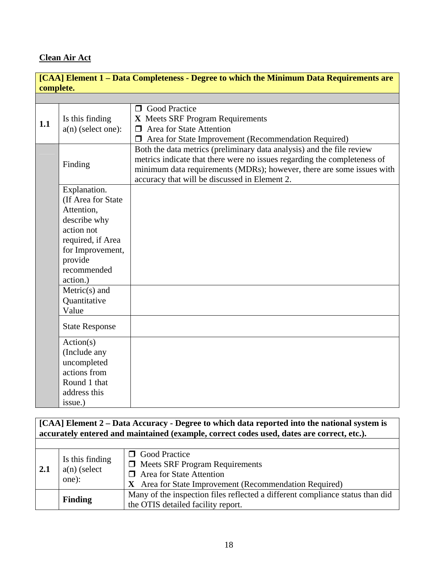## **Clean Air Act**

| [CAA] Element 1 – Data Completeness - Degree to which the Minimum Data Requirements are |                                                                                                                                                                                                   |                                                                                                                                                                                                                                                                             |  |
|-----------------------------------------------------------------------------------------|---------------------------------------------------------------------------------------------------------------------------------------------------------------------------------------------------|-----------------------------------------------------------------------------------------------------------------------------------------------------------------------------------------------------------------------------------------------------------------------------|--|
|                                                                                         | complete.                                                                                                                                                                                         |                                                                                                                                                                                                                                                                             |  |
|                                                                                         |                                                                                                                                                                                                   |                                                                                                                                                                                                                                                                             |  |
| 1.1                                                                                     | Is this finding<br>$a(n)$ (select one):                                                                                                                                                           | <b>Good Practice</b><br>$\Box$<br>X Meets SRF Program Requirements<br>$\Box$ Area for State Attention<br>Area for State Improvement (Recommendation Required)<br>$\Box$                                                                                                     |  |
|                                                                                         | Finding                                                                                                                                                                                           | Both the data metrics (preliminary data analysis) and the file review<br>metrics indicate that there were no issues regarding the completeness of<br>minimum data requirements (MDRs); however, there are some issues with<br>accuracy that will be discussed in Element 2. |  |
|                                                                                         | Explanation.<br>(If Area for State)<br>Attention,<br>describe why<br>action not<br>required, if Area<br>for Improvement,<br>provide<br>recommended<br>action.)<br>$Metric(s)$ and<br>Quantitative |                                                                                                                                                                                                                                                                             |  |
|                                                                                         | Value<br><b>State Response</b>                                                                                                                                                                    |                                                                                                                                                                                                                                                                             |  |
|                                                                                         | Action(s)<br>(Include any<br>uncompleted<br>actions from<br>Round 1 that<br>address this<br>issue.)                                                                                               |                                                                                                                                                                                                                                                                             |  |

**[CAA] Element 2 – Data Accuracy - Degree to which data reported into the national system is accurately entered and maintained (example, correct codes used, dates are correct, etc.).**

| $\sqrt{2.1}$ | Is this finding<br>$a(n)$ (select<br>one): | <b>O</b> Good Practice<br>$\Box$ Meets SRF Program Requirements<br>$\Box$ Area for State Attention<br>X Area for State Improvement (Recommendation Required) |
|--------------|--------------------------------------------|--------------------------------------------------------------------------------------------------------------------------------------------------------------|
|              | <b>Finding</b>                             | Many of the inspection files reflected a different compliance status than did<br>the OTIS detailed facility report.                                          |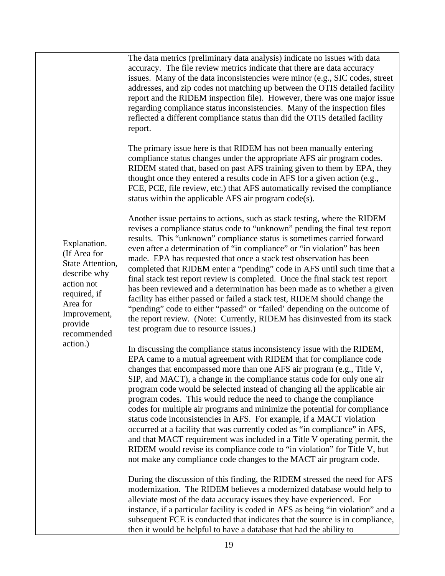|                                                                                                                                                      | The data metrics (preliminary data analysis) indicate no issues with data<br>accuracy. The file review metrics indicate that there are data accuracy<br>issues. Many of the data inconsistencies were minor (e.g., SIC codes, street<br>addresses, and zip codes not matching up between the OTIS detailed facility<br>report and the RIDEM inspection file). However, there was one major issue<br>regarding compliance status inconsistencies. Many of the inspection files<br>reflected a different compliance status than did the OTIS detailed facility<br>report.                                                                                                                                                                                                                                                                                                                                                  |
|------------------------------------------------------------------------------------------------------------------------------------------------------|--------------------------------------------------------------------------------------------------------------------------------------------------------------------------------------------------------------------------------------------------------------------------------------------------------------------------------------------------------------------------------------------------------------------------------------------------------------------------------------------------------------------------------------------------------------------------------------------------------------------------------------------------------------------------------------------------------------------------------------------------------------------------------------------------------------------------------------------------------------------------------------------------------------------------|
|                                                                                                                                                      | The primary issue here is that RIDEM has not been manually entering<br>compliance status changes under the appropriate AFS air program codes.<br>RIDEM stated that, based on past AFS training given to them by EPA, they<br>thought once they entered a results code in AFS for a given action (e.g.,<br>FCE, PCE, file review, etc.) that AFS automatically revised the compliance<br>status within the applicable AFS air program code(s).                                                                                                                                                                                                                                                                                                                                                                                                                                                                            |
| Explanation.<br>(If Area for<br>State Attention,<br>describe why<br>action not<br>required, if<br>Area for<br>Improvement,<br>provide<br>recommended | Another issue pertains to actions, such as stack testing, where the RIDEM<br>revises a compliance status code to "unknown" pending the final test report<br>results. This "unknown" compliance status is sometimes carried forward<br>even after a determination of "in compliance" or "in violation" has been<br>made. EPA has requested that once a stack test observation has been<br>completed that RIDEM enter a "pending" code in AFS until such time that a<br>final stack test report review is completed. Once the final stack test report<br>has been reviewed and a determination has been made as to whether a given<br>facility has either passed or failed a stack test, RIDEM should change the<br>"pending" code to either "passed" or "failed" depending on the outcome of<br>the report review. (Note: Currently, RIDEM has disinvested from its stack<br>test program due to resource issues.)        |
| action.)                                                                                                                                             | In discussing the compliance status inconsistency issue with the RIDEM,<br>EPA came to a mutual agreement with RIDEM that for compliance code<br>changes that encompassed more than one AFS air program (e.g., Title V,<br>SIP, and MACT), a change in the compliance status code for only one air<br>program code would be selected instead of changing all the applicable air<br>program codes. This would reduce the need to change the compliance<br>codes for multiple air programs and minimize the potential for compliance<br>status code inconsistencies in AFS. For example, if a MACT violation<br>occurred at a facility that was currently coded as "in compliance" in AFS,<br>and that MACT requirement was included in a Title V operating permit, the<br>RIDEM would revise its compliance code to "in violation" for Title V, but<br>not make any compliance code changes to the MACT air program code. |
|                                                                                                                                                      | During the discussion of this finding, the RIDEM stressed the need for AFS<br>modernization. The RIDEM believes a modernized database would help to<br>alleviate most of the data accuracy issues they have experienced. For<br>instance, if a particular facility is coded in AFS as being "in violation" and a<br>subsequent FCE is conducted that indicates that the source is in compliance,<br>then it would be helpful to have a database that had the ability to                                                                                                                                                                                                                                                                                                                                                                                                                                                  |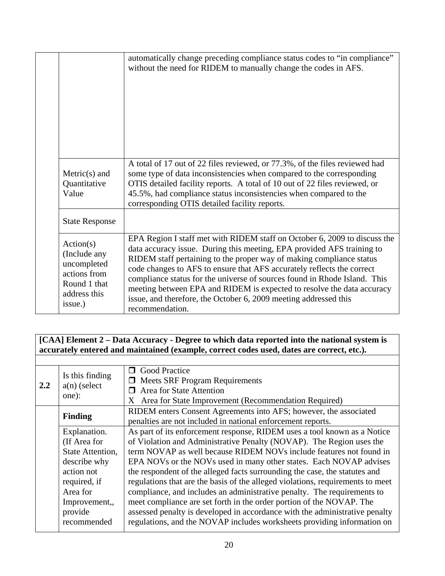|                                                                                                     | automatically change preceding compliance status codes to "in compliance"<br>without the need for RIDEM to manually change the codes in AFS.                                                                                                                                                                                                                                                                                                                                                                                                        |
|-----------------------------------------------------------------------------------------------------|-----------------------------------------------------------------------------------------------------------------------------------------------------------------------------------------------------------------------------------------------------------------------------------------------------------------------------------------------------------------------------------------------------------------------------------------------------------------------------------------------------------------------------------------------------|
| $Metric(s)$ and<br>Quantitative<br>Value                                                            | A total of 17 out of 22 files reviewed, or 77.3%, of the files reviewed had<br>some type of data inconsistencies when compared to the corresponding<br>OTIS detailed facility reports. A total of 10 out of 22 files reviewed, or<br>45.5%, had compliance status inconsistencies when compared to the<br>corresponding OTIS detailed facility reports.                                                                                                                                                                                             |
| <b>State Response</b>                                                                               |                                                                                                                                                                                                                                                                                                                                                                                                                                                                                                                                                     |
| Action(s)<br>(Include any<br>uncompleted<br>actions from<br>Round 1 that<br>address this<br>issue.) | EPA Region I staff met with RIDEM staff on October 6, 2009 to discuss the<br>data accuracy issue. During this meeting, EPA provided AFS training to<br>RIDEM staff pertaining to the proper way of making compliance status<br>code changes to AFS to ensure that AFS accurately reflects the correct<br>compliance status for the universe of sources found in Rhode Island. This<br>meeting between EPA and RIDEM is expected to resolve the data accuracy<br>issue, and therefore, the October 6, 2009 meeting addressed this<br>recommendation. |

**[CAA] Element 2 – Data Accuracy - Degree to which data reported into the national system is accurately entered and maintained (example, correct codes used, dates are correct, etc.).**

| $2.2^{\circ}$ | Is this finding<br>$a(n)$ (select<br>one): | <b>Solution</b> Good Practice<br><b>Meets SRF Program Requirements</b><br>$\Box$<br>Area for State Attention<br>$\Box$<br>X Area for State Improvement (Recommendation Required) |
|---------------|--------------------------------------------|----------------------------------------------------------------------------------------------------------------------------------------------------------------------------------|
|               | <b>Finding</b>                             | RIDEM enters Consent Agreements into AFS; however, the associated<br>penalties are not included in national enforcement reports.                                                 |
|               | Explanation.                               | As part of its enforcement response, RIDEM uses a tool known as a Notice                                                                                                         |
|               | (If Area for                               | of Violation and Administrative Penalty (NOVAP). The Region uses the                                                                                                             |
|               | State Attention,                           | term NOVAP as well because RIDEM NOVs include features not found in                                                                                                              |
|               | describe why                               | EPA NOVs or the NOVs used in many other states. Each NOVAP advises                                                                                                               |
|               | action not                                 | the respondent of the alleged facts surrounding the case, the statutes and                                                                                                       |
|               | required, if                               | regulations that are the basis of the alleged violations, requirements to meet                                                                                                   |
|               | Area for                                   | compliance, and includes an administrative penalty. The requirements to                                                                                                          |
|               | Improvement,,                              | meet compliance are set forth in the order portion of the NOVAP. The                                                                                                             |
|               | provide                                    | assessed penalty is developed in accordance with the administrative penalty                                                                                                      |
|               | recommended                                | regulations, and the NOVAP includes worksheets providing information on                                                                                                          |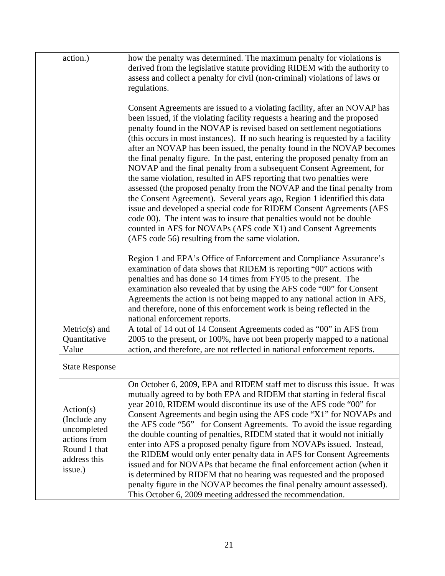| action.)                                                                                            | how the penalty was determined. The maximum penalty for violations is<br>derived from the legislative statute providing RIDEM with the authority to<br>assess and collect a penalty for civil (non-criminal) violations of laws or<br>regulations.                                                                                                                                                                                                                                                                                                                                                                                                                                                                                                                                                                                                                                                                                                                                                                                                            |
|-----------------------------------------------------------------------------------------------------|---------------------------------------------------------------------------------------------------------------------------------------------------------------------------------------------------------------------------------------------------------------------------------------------------------------------------------------------------------------------------------------------------------------------------------------------------------------------------------------------------------------------------------------------------------------------------------------------------------------------------------------------------------------------------------------------------------------------------------------------------------------------------------------------------------------------------------------------------------------------------------------------------------------------------------------------------------------------------------------------------------------------------------------------------------------|
|                                                                                                     | Consent Agreements are issued to a violating facility, after an NOVAP has<br>been issued, if the violating facility requests a hearing and the proposed<br>penalty found in the NOVAP is revised based on settlement negotiations<br>(this occurs in most instances). If no such hearing is requested by a facility<br>after an NOVAP has been issued, the penalty found in the NOVAP becomes<br>the final penalty figure. In the past, entering the proposed penalty from an<br>NOVAP and the final penalty from a subsequent Consent Agreement, for<br>the same violation, resulted in AFS reporting that two penalties were<br>assessed (the proposed penalty from the NOVAP and the final penalty from<br>the Consent Agreement). Several years ago, Region 1 identified this data<br>issue and developed a special code for RIDEM Consent Agreements (AFS<br>code 00). The intent was to insure that penalties would not be double<br>counted in AFS for NOVAPs (AFS code X1) and Consent Agreements<br>(AFS code 56) resulting from the same violation. |
|                                                                                                     | Region 1 and EPA's Office of Enforcement and Compliance Assurance's<br>examination of data shows that RIDEM is reporting "00" actions with<br>penalties and has done so 14 times from FY05 to the present. The<br>examination also revealed that by using the AFS code "00" for Consent<br>Agreements the action is not being mapped to any national action in AFS,<br>and therefore, none of this enforcement work is being reflected in the<br>national enforcement reports.                                                                                                                                                                                                                                                                                                                                                                                                                                                                                                                                                                                |
| $Metric(s)$ and<br>Quantitative<br>Value                                                            | A total of 14 out of 14 Consent Agreements coded as "00" in AFS from<br>2005 to the present, or 100%, have not been properly mapped to a national<br>action, and therefore, are not reflected in national enforcement reports.                                                                                                                                                                                                                                                                                                                                                                                                                                                                                                                                                                                                                                                                                                                                                                                                                                |
| <b>State Response</b>                                                                               |                                                                                                                                                                                                                                                                                                                                                                                                                                                                                                                                                                                                                                                                                                                                                                                                                                                                                                                                                                                                                                                               |
| Action(s)<br>(Include any<br>uncompleted<br>actions from<br>Round 1 that<br>address this<br>issue.) | On October 6, 2009, EPA and RIDEM staff met to discuss this issue. It was<br>mutually agreed to by both EPA and RIDEM that starting in federal fiscal<br>year 2010, RIDEM would discontinue its use of the AFS code "00" for<br>Consent Agreements and begin using the AFS code "X1" for NOVAPs and<br>the AFS code "56" for Consent Agreements. To avoid the issue regarding<br>the double counting of penalties, RIDEM stated that it would not initially<br>enter into AFS a proposed penalty figure from NOVAPs issued. Instead,<br>the RIDEM would only enter penalty data in AFS for Consent Agreements<br>issued and for NOVAPs that became the final enforcement action (when it<br>is determined by RIDEM that no hearing was requested and the proposed<br>penalty figure in the NOVAP becomes the final penalty amount assessed).<br>This October 6, 2009 meeting addressed the recommendation.                                                                                                                                                    |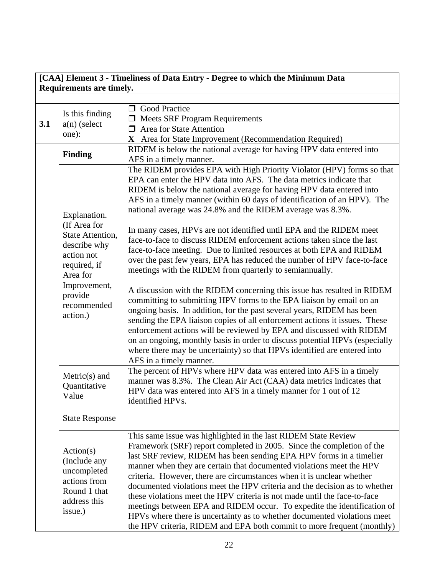## **[CAA] Element 3 - Timeliness of Data Entry - Degree to which the Minimum Data Requirements are timely.**

| 3.1 | Is this finding<br>$a(n)$ (select<br>one):                                                          | <b>O</b> Good Practice<br>$\Box$ Meets SRF Program Requirements<br>$\Box$ Area for State Attention<br>X Area for State Improvement (Recommendation Required)                                                                                                                                                                                                                                                                                                                                                                                                                                                                                                                                                                                                |
|-----|-----------------------------------------------------------------------------------------------------|-------------------------------------------------------------------------------------------------------------------------------------------------------------------------------------------------------------------------------------------------------------------------------------------------------------------------------------------------------------------------------------------------------------------------------------------------------------------------------------------------------------------------------------------------------------------------------------------------------------------------------------------------------------------------------------------------------------------------------------------------------------|
|     | <b>Finding</b>                                                                                      | RIDEM is below the national average for having HPV data entered into<br>AFS in a timely manner.                                                                                                                                                                                                                                                                                                                                                                                                                                                                                                                                                                                                                                                             |
|     | Explanation.                                                                                        | The RIDEM provides EPA with High Priority Violator (HPV) forms so that<br>EPA can enter the HPV data into AFS. The data metrics indicate that<br>RIDEM is below the national average for having HPV data entered into<br>AFS in a timely manner (within 60 days of identification of an HPV). The<br>national average was 24.8% and the RIDEM average was 8.3%.                                                                                                                                                                                                                                                                                                                                                                                             |
|     | (If Area for<br>State Attention,<br>describe why<br>action not<br>required, if<br>Area for          | In many cases, HPVs are not identified until EPA and the RIDEM meet<br>face-to-face to discuss RIDEM enforcement actions taken since the last<br>face-to-face meeting. Due to limited resources at both EPA and RIDEM<br>over the past few years, EPA has reduced the number of HPV face-to-face<br>meetings with the RIDEM from quarterly to semiannually.                                                                                                                                                                                                                                                                                                                                                                                                 |
|     | Improvement,<br>provide<br>recommended<br>action.)                                                  | A discussion with the RIDEM concerning this issue has resulted in RIDEM<br>committing to submitting HPV forms to the EPA liaison by email on an<br>ongoing basis. In addition, for the past several years, RIDEM has been<br>sending the EPA liaison copies of all enforcement actions it issues. These<br>enforcement actions will be reviewed by EPA and discussed with RIDEM<br>on an ongoing, monthly basis in order to discuss potential HPVs (especially<br>where there may be uncertainty) so that HPVs identified are entered into<br>AFS in a timely manner.                                                                                                                                                                                       |
|     | $Metric(s)$ and<br>Quantitative<br>Value                                                            | The percent of HPVs where HPV data was entered into AFS in a timely<br>manner was 8.3%. The Clean Air Act (CAA) data metrics indicates that<br>HPV data was entered into AFS in a timely manner for 1 out of 12<br>identified HPVs.                                                                                                                                                                                                                                                                                                                                                                                                                                                                                                                         |
|     | <b>State Response</b>                                                                               |                                                                                                                                                                                                                                                                                                                                                                                                                                                                                                                                                                                                                                                                                                                                                             |
|     | Action(s)<br>(Include any<br>uncompleted<br>actions from<br>Round 1 that<br>address this<br>issue.) | This same issue was highlighted in the last RIDEM State Review<br>Framework (SRF) report completed in 2005. Since the completion of the<br>last SRF review, RIDEM has been sending EPA HPV forms in a timelier<br>manner when they are certain that documented violations meet the HPV<br>criteria. However, there are circumstances when it is unclear whether<br>documented violations meet the HPV criteria and the decision as to whether<br>these violations meet the HPV criteria is not made until the face-to-face<br>meetings between EPA and RIDEM occur. To expedite the identification of<br>HPVs where there is uncertainty as to whether documented violations meet<br>the HPV criteria, RIDEM and EPA both commit to more frequent (monthly) |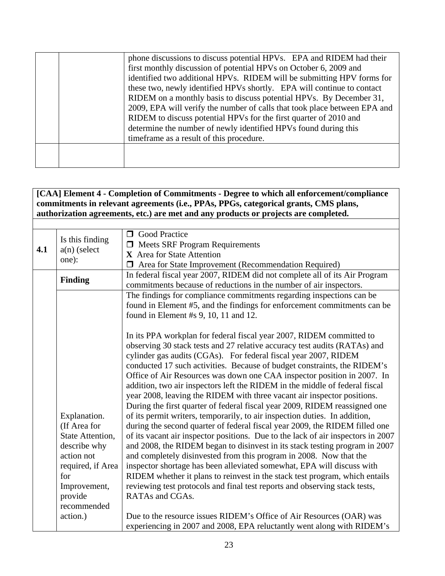|  | phone discussions to discuss potential HPVs. EPA and RIDEM had their<br>first monthly discussion of potential HPVs on October 6, 2009 and<br>identified two additional HPVs. RIDEM will be submitting HPV forms for<br>these two, newly identified HPVs shortly. EPA will continue to contact<br>RIDEM on a monthly basis to discuss potential HPVs. By December 31,<br>2009, EPA will verify the number of calls that took place between EPA and<br>RIDEM to discuss potential HPVs for the first quarter of 2010 and<br>determine the number of newly identified HPVs found during this<br>timeframe as a result of this procedure. |
|--|---------------------------------------------------------------------------------------------------------------------------------------------------------------------------------------------------------------------------------------------------------------------------------------------------------------------------------------------------------------------------------------------------------------------------------------------------------------------------------------------------------------------------------------------------------------------------------------------------------------------------------------|
|  |                                                                                                                                                                                                                                                                                                                                                                                                                                                                                                                                                                                                                                       |

## **[CAA] Element 4 - Completion of Commitments - Degree to which all enforcement/compliance commitments in relevant agreements (i.e., PPAs, PPGs, categorical grants, CMS plans, authorization agreements, etc.) are met and any products or projects are completed.**

| 4.1 | Is this finding<br>$a(n)$ (select<br>one):                                                                                                           | <b>O</b> Good Practice<br>$\Box$ Meets SRF Program Requirements<br>X Area for State Attention<br>Area for State Improvement (Recommendation Required)                                                                                                                                                                                                                                                                                                                                                                                                                                                                                                                                                                                      |
|-----|------------------------------------------------------------------------------------------------------------------------------------------------------|--------------------------------------------------------------------------------------------------------------------------------------------------------------------------------------------------------------------------------------------------------------------------------------------------------------------------------------------------------------------------------------------------------------------------------------------------------------------------------------------------------------------------------------------------------------------------------------------------------------------------------------------------------------------------------------------------------------------------------------------|
|     | <b>Finding</b>                                                                                                                                       | In federal fiscal year 2007, RIDEM did not complete all of its Air Program<br>commitments because of reductions in the number of air inspectors.                                                                                                                                                                                                                                                                                                                                                                                                                                                                                                                                                                                           |
|     |                                                                                                                                                      | The findings for compliance commitments regarding inspections can be<br>found in Element #5, and the findings for enforcement commitments can be<br>found in Element #s 9, 10, 11 and 12.                                                                                                                                                                                                                                                                                                                                                                                                                                                                                                                                                  |
|     |                                                                                                                                                      | In its PPA workplan for federal fiscal year 2007, RIDEM committed to<br>observing 30 stack tests and 27 relative accuracy test audits (RATAs) and<br>cylinder gas audits (CGAs). For federal fiscal year 2007, RIDEM<br>conducted 17 such activities. Because of budget constraints, the RIDEM's<br>Office of Air Resources was down one CAA inspector position in 2007. In<br>addition, two air inspectors left the RIDEM in the middle of federal fiscal<br>year 2008, leaving the RIDEM with three vacant air inspector positions.                                                                                                                                                                                                      |
|     | Explanation.<br>(If Area for<br>State Attention,<br>describe why<br>action not<br>required, if Area<br>for<br>Improvement,<br>provide<br>recommended | During the first quarter of federal fiscal year 2009, RIDEM reassigned one<br>of its permit writers, temporarily, to air inspection duties. In addition,<br>during the second quarter of federal fiscal year 2009, the RIDEM filled one<br>of its vacant air inspector positions. Due to the lack of air inspectors in 2007<br>and 2008, the RIDEM began to disinvest in its stack testing program in 2007<br>and completely disinvested from this program in 2008. Now that the<br>inspector shortage has been alleviated somewhat, EPA will discuss with<br>RIDEM whether it plans to reinvest in the stack test program, which entails<br>reviewing test protocols and final test reports and observing stack tests,<br>RATAs and CGAs. |
|     | action.)                                                                                                                                             | Due to the resource issues RIDEM's Office of Air Resources (OAR) was<br>experiencing in 2007 and 2008, EPA reluctantly went along with RIDEM's                                                                                                                                                                                                                                                                                                                                                                                                                                                                                                                                                                                             |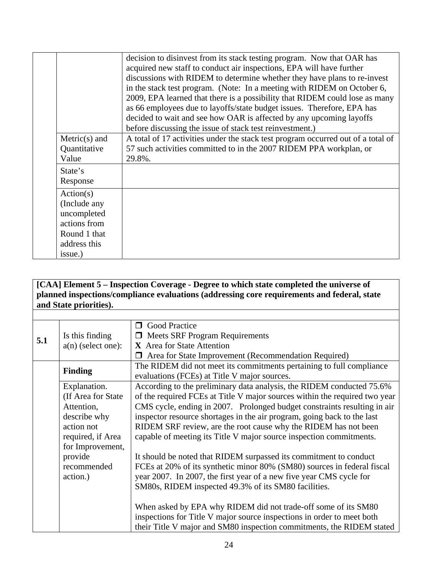|                                                                                          | decision to disinvest from its stack testing program. Now that OAR has<br>acquired new staff to conduct air inspections, EPA will have further<br>discussions with RIDEM to determine whether they have plans to re-invest<br>in the stack test program. (Note: In a meeting with RIDEM on October 6,<br>2009, EPA learned that there is a possibility that RIDEM could lose as many<br>as 66 employees due to layoffs/state budget issues. Therefore, EPA has<br>decided to wait and see how OAR is affected by any upcoming layoffs |
|------------------------------------------------------------------------------------------|---------------------------------------------------------------------------------------------------------------------------------------------------------------------------------------------------------------------------------------------------------------------------------------------------------------------------------------------------------------------------------------------------------------------------------------------------------------------------------------------------------------------------------------|
|                                                                                          | before discussing the issue of stack test reinvestment.)                                                                                                                                                                                                                                                                                                                                                                                                                                                                              |
| $Metric(s)$ and<br>Quantitative<br>Value                                                 | A total of 17 activities under the stack test program occurred out of a total of<br>57 such activities committed to in the 2007 RIDEM PPA workplan, or<br>29.8%.                                                                                                                                                                                                                                                                                                                                                                      |
| State's<br>Response                                                                      |                                                                                                                                                                                                                                                                                                                                                                                                                                                                                                                                       |
| Action(s)<br>(Include any<br>uncompleted<br>actions from<br>Round 1 that<br>address this |                                                                                                                                                                                                                                                                                                                                                                                                                                                                                                                                       |
| issue.)                                                                                  |                                                                                                                                                                                                                                                                                                                                                                                                                                                                                                                                       |

## **[CAA] Element 5 – Inspection Coverage - Degree to which state completed the universe of planned inspections/compliance evaluations (addressing core requirements and federal, state and State priorities).**

| 5.1 | Is this finding<br>$a(n)$ (select one):                                                                                  | <b>O</b> Good Practice<br>$\Box$ Meets SRF Program Requirements<br>X Area for State Attention                                                                                                                                                                                                                                                                                                                                                        |
|-----|--------------------------------------------------------------------------------------------------------------------------|------------------------------------------------------------------------------------------------------------------------------------------------------------------------------------------------------------------------------------------------------------------------------------------------------------------------------------------------------------------------------------------------------------------------------------------------------|
|     |                                                                                                                          | Area for State Improvement (Recommendation Required)                                                                                                                                                                                                                                                                                                                                                                                                 |
|     | <b>Finding</b>                                                                                                           | The RIDEM did not meet its commitments pertaining to full compliance<br>evaluations (FCEs) at Title V major sources.                                                                                                                                                                                                                                                                                                                                 |
|     | Explanation.<br>(If Area for State)<br>Attention,<br>describe why<br>action not<br>required, if Area<br>for Improvement, | According to the preliminary data analysis, the RIDEM conducted 75.6%<br>of the required FCEs at Title V major sources within the required two year<br>CMS cycle, ending in 2007. Prolonged budget constraints resulting in air<br>inspector resource shortages in the air program, going back to the last<br>RIDEM SRF review, are the root cause why the RIDEM has not been<br>capable of meeting its Title V major source inspection commitments. |
|     | provide<br>recommended<br>action.)                                                                                       | It should be noted that RIDEM surpassed its commitment to conduct<br>FCEs at 20% of its synthetic minor 80% (SM80) sources in federal fiscal<br>year 2007. In 2007, the first year of a new five year CMS cycle for<br>SM80s, RIDEM inspected 49.3% of its SM80 facilities.<br>When asked by EPA why RIDEM did not trade-off some of its SM80<br>inspections for Title V major source inspections in order to meet both                              |
|     |                                                                                                                          | their Title V major and SM80 inspection commitments, the RIDEM stated                                                                                                                                                                                                                                                                                                                                                                                |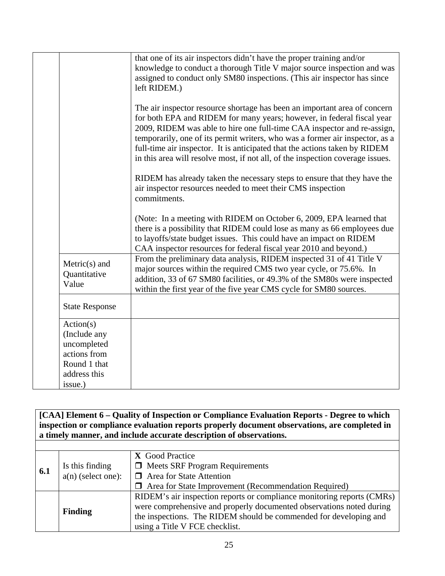|                                                                                                     | that one of its air inspectors didn't have the proper training and/or<br>knowledge to conduct a thorough Title V major source inspection and was<br>assigned to conduct only SM80 inspections. (This air inspector has since<br>left RIDEM.)                                                                                                                                                                                                                                   |
|-----------------------------------------------------------------------------------------------------|--------------------------------------------------------------------------------------------------------------------------------------------------------------------------------------------------------------------------------------------------------------------------------------------------------------------------------------------------------------------------------------------------------------------------------------------------------------------------------|
|                                                                                                     | The air inspector resource shortage has been an important area of concern<br>for both EPA and RIDEM for many years; however, in federal fiscal year<br>2009, RIDEM was able to hire one full-time CAA inspector and re-assign,<br>temporarily, one of its permit writers, who was a former air inspector, as a<br>full-time air inspector. It is anticipated that the actions taken by RIDEM<br>in this area will resolve most, if not all, of the inspection coverage issues. |
|                                                                                                     | RIDEM has already taken the necessary steps to ensure that they have the<br>air inspector resources needed to meet their CMS inspection<br>commitments.                                                                                                                                                                                                                                                                                                                        |
|                                                                                                     | (Note: In a meeting with RIDEM on October 6, 2009, EPA learned that<br>there is a possibility that RIDEM could lose as many as 66 employees due<br>to layoffs/state budget issues. This could have an impact on RIDEM<br>CAA inspector resources for federal fiscal year 2010 and beyond.)                                                                                                                                                                                     |
| $Metric(s)$ and<br>Quantitative<br>Value                                                            | From the preliminary data analysis, RIDEM inspected 31 of 41 Title V<br>major sources within the required CMS two year cycle, or 75.6%. In<br>addition, 33 of 67 SM80 facilities, or 49.3% of the SM80s were inspected<br>within the first year of the five year CMS cycle for SM80 sources.                                                                                                                                                                                   |
| <b>State Response</b>                                                                               |                                                                                                                                                                                                                                                                                                                                                                                                                                                                                |
| Action(s)<br>(Include any<br>uncompleted<br>actions from<br>Round 1 that<br>address this<br>issue.) |                                                                                                                                                                                                                                                                                                                                                                                                                                                                                |

**[CAA] Element 6 – Quality of Inspection or Compliance Evaluation Reports - Degree to which inspection or compliance evaluation reports properly document observations, are completed in a timely manner, and include accurate description of observations.**

|     |                      | X Good Practice                                                        |
|-----|----------------------|------------------------------------------------------------------------|
|     | Is this finding      | $\Box$ Meets SRF Program Requirements                                  |
| 6.1 | $a(n)$ (select one): | $\Box$ Area for State Attention                                        |
|     |                      | $\Box$ Area for State Improvement (Recommendation Required)            |
|     |                      | RIDEM's air inspection reports or compliance monitoring reports (CMRs) |
|     | <b>Finding</b>       | were comprehensive and properly documented observations noted during   |
|     |                      | the inspections. The RIDEM should be commended for developing and      |
|     |                      | using a Title V FCE checklist.                                         |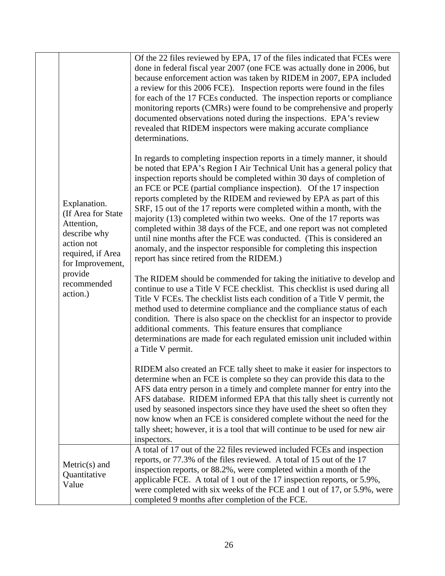|  | Explanation.<br>(If Area for State<br>Attention,<br>describe why<br>action not<br>required, if Area<br>for Improvement,<br>provide<br>recommended<br>action.) | Of the 22 files reviewed by EPA, 17 of the files indicated that FCEs were<br>done in federal fiscal year 2007 (one FCE was actually done in 2006, but<br>because enforcement action was taken by RIDEM in 2007, EPA included<br>a review for this 2006 FCE). Inspection reports were found in the files<br>for each of the 17 FCEs conducted. The inspection reports or compliance<br>monitoring reports (CMRs) were found to be comprehensive and properly<br>documented observations noted during the inspections. EPA's review<br>revealed that RIDEM inspectors were making accurate compliance<br>determinations.                                                                                                                                                                                |
|--|---------------------------------------------------------------------------------------------------------------------------------------------------------------|-------------------------------------------------------------------------------------------------------------------------------------------------------------------------------------------------------------------------------------------------------------------------------------------------------------------------------------------------------------------------------------------------------------------------------------------------------------------------------------------------------------------------------------------------------------------------------------------------------------------------------------------------------------------------------------------------------------------------------------------------------------------------------------------------------|
|  |                                                                                                                                                               | In regards to completing inspection reports in a timely manner, it should<br>be noted that EPA's Region I Air Technical Unit has a general policy that<br>inspection reports should be completed within 30 days of completion of<br>an FCE or PCE (partial compliance inspection). Of the 17 inspection<br>reports completed by the RIDEM and reviewed by EPA as part of this<br>SRF, 15 out of the 17 reports were completed within a month, with the<br>majority (13) completed within two weeks. One of the 17 reports was<br>completed within 38 days of the FCE, and one report was not completed<br>until nine months after the FCE was conducted. (This is considered an<br>anomaly, and the inspector responsible for completing this inspection<br>report has since retired from the RIDEM.) |
|  |                                                                                                                                                               | The RIDEM should be commended for taking the initiative to develop and<br>continue to use a Title V FCE checklist. This checklist is used during all<br>Title V FCEs. The checklist lists each condition of a Title V permit, the<br>method used to determine compliance and the compliance status of each<br>condition. There is also space on the checklist for an inspector to provide<br>additional comments. This feature ensures that compliance<br>determinations are made for each regulated emission unit included within<br>a Title V permit.                                                                                                                                                                                                                                               |
|  |                                                                                                                                                               | RIDEM also created an FCE tally sheet to make it easier for inspectors to<br>determine when an FCE is complete so they can provide this data to the<br>AFS data entry person in a timely and complete manner for entry into the<br>AFS database. RIDEM informed EPA that this tally sheet is currently not<br>used by seasoned inspectors since they have used the sheet so often they<br>now know when an FCE is considered complete without the need for the<br>tally sheet; however, it is a tool that will continue to be used for new air<br>inspectors.                                                                                                                                                                                                                                         |
|  | $Metric(s)$ and<br>Quantitative<br>Value                                                                                                                      | A total of 17 out of the 22 files reviewed included FCEs and inspection<br>reports, or 77.3% of the files reviewed. A total of 15 out of the 17<br>inspection reports, or 88.2%, were completed within a month of the<br>applicable FCE. A total of 1 out of the 17 inspection reports, or 5.9%,<br>were completed with six weeks of the FCE and 1 out of 17, or 5.9%, were<br>completed 9 months after completion of the FCE.                                                                                                                                                                                                                                                                                                                                                                        |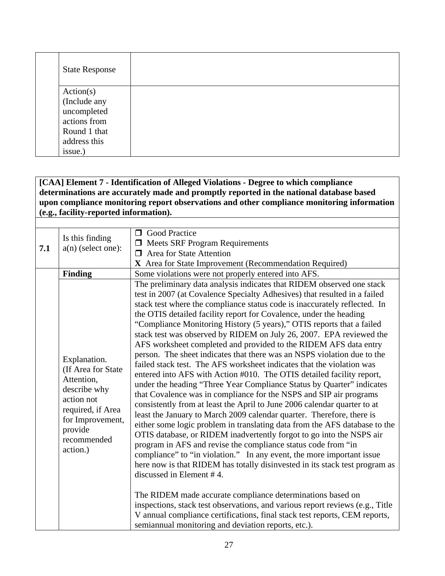| <b>State Response</b> |  |  |  |
|-----------------------|--|--|--|
| Action(s)             |  |  |  |
| (Include any          |  |  |  |
| uncompleted           |  |  |  |
| actions from          |  |  |  |
| Round 1 that          |  |  |  |
| address this          |  |  |  |
| issue.)               |  |  |  |

## **[CAA] Element 7 - Identification of Alleged Violations - Degree to which compliance determinations are accurately made and promptly reported in the national database based upon compliance monitoring report observations and other compliance monitoring information (e.g., facility-reported information).**

| 7.1 | Is this finding<br>$a(n)$ (select one):                                                                   | <b>O</b> Good Practice<br>$\Box$ Meets SRF Program Requirements<br>Area for State Attention<br>$\Box$<br>X Area for State Improvement (Recommendation Required)                                                                                                                                                                                                                                                                                                                                                                                                                                                                                                                                                                                                                                                                                                                                                        |
|-----|-----------------------------------------------------------------------------------------------------------|------------------------------------------------------------------------------------------------------------------------------------------------------------------------------------------------------------------------------------------------------------------------------------------------------------------------------------------------------------------------------------------------------------------------------------------------------------------------------------------------------------------------------------------------------------------------------------------------------------------------------------------------------------------------------------------------------------------------------------------------------------------------------------------------------------------------------------------------------------------------------------------------------------------------|
|     | <b>Finding</b><br>Explanation.<br>(If Area for State<br>Attention,                                        | Some violations were not properly entered into AFS.<br>The preliminary data analysis indicates that RIDEM observed one stack<br>test in 2007 (at Covalence Specialty Adhesives) that resulted in a failed<br>stack test where the compliance status code is inaccurately reflected. In<br>the OTIS detailed facility report for Covalence, under the heading<br>"Compliance Monitoring History (5 years)," OTIS reports that a failed<br>stack test was observed by RIDEM on July 26, 2007. EPA reviewed the<br>AFS worksheet completed and provided to the RIDEM AFS data entry<br>person. The sheet indicates that there was an NSPS violation due to the<br>failed stack test. The AFS worksheet indicates that the violation was<br>entered into AFS with Action #010. The OTIS detailed facility report,<br>under the heading "Three Year Compliance Status by Quarter" indicates                                 |
|     | describe why<br>action not<br>required, if Area<br>for Improvement,<br>provide<br>recommended<br>action.) | that Covalence was in compliance for the NSPS and SIP air programs<br>consistently from at least the April to June 2006 calendar quarter to at<br>least the January to March 2009 calendar quarter. Therefore, there is<br>either some logic problem in translating data from the AFS database to the<br>OTIS database, or RIDEM inadvertently forgot to go into the NSPS air<br>program in AFS and revise the compliance status code from "in<br>compliance" to "in violation." In any event, the more important issue<br>here now is that RIDEM has totally disinvested in its stack test program as<br>discussed in Element #4.<br>The RIDEM made accurate compliance determinations based on<br>inspections, stack test observations, and various report reviews (e.g., Title<br>V annual compliance certifications, final stack test reports, CEM reports,<br>semiannual monitoring and deviation reports, etc.). |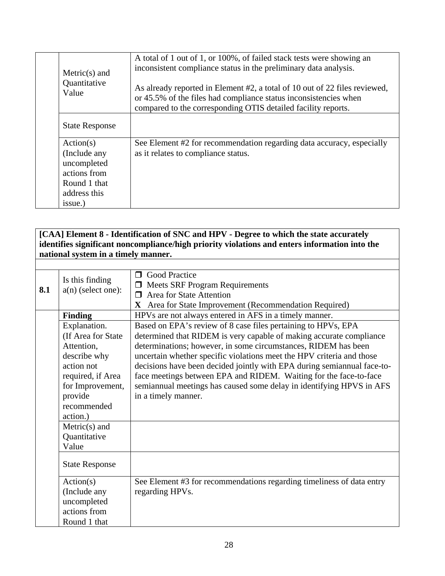| $Metric(s)$ and<br>Quantitative<br>Value | A total of 1 out of 1, or 100%, of failed stack tests were showing an<br>inconsistent compliance status in the preliminary data analysis.<br>As already reported in Element #2, a total of 10 out of 22 files reviewed,<br>or 45.5% of the files had compliance status inconsistencies when<br>compared to the corresponding OTIS detailed facility reports. |
|------------------------------------------|--------------------------------------------------------------------------------------------------------------------------------------------------------------------------------------------------------------------------------------------------------------------------------------------------------------------------------------------------------------|
| <b>State Response</b>                    |                                                                                                                                                                                                                                                                                                                                                              |
| Action(s)                                | See Element #2 for recommendation regarding data accuracy, especially                                                                                                                                                                                                                                                                                        |
| (Include any                             | as it relates to compliance status.                                                                                                                                                                                                                                                                                                                          |
| uncompleted                              |                                                                                                                                                                                                                                                                                                                                                              |
| actions from                             |                                                                                                                                                                                                                                                                                                                                                              |
| Round 1 that                             |                                                                                                                                                                                                                                                                                                                                                              |
| address this                             |                                                                                                                                                                                                                                                                                                                                                              |
| issue.)                                  |                                                                                                                                                                                                                                                                                                                                                              |

**[CAA] Element 8 - Identification of SNC and HPV - Degree to which the state accurately identifies significant noncompliance/high priority violations and enters information into the national system in a timely manner.**

| 8.1 | Is this finding<br>$a(n)$ (select one): | <b>Good Practice</b><br>⊓<br><b>Meets SRF Program Requirements</b><br>$\Box$<br>Area for State Attention<br>$\Box$<br>X Area for State Improvement (Recommendation Required) |
|-----|-----------------------------------------|------------------------------------------------------------------------------------------------------------------------------------------------------------------------------|
|     | <b>Finding</b>                          | HPVs are not always entered in AFS in a timely manner.                                                                                                                       |
|     | Explanation.                            | Based on EPA's review of 8 case files pertaining to HPVs, EPA                                                                                                                |
|     | (If Area for State                      | determined that RIDEM is very capable of making accurate compliance                                                                                                          |
|     | Attention,                              | determinations; however, in some circumstances, RIDEM has been                                                                                                               |
|     | describe why                            | uncertain whether specific violations meet the HPV criteria and those                                                                                                        |
|     | action not                              | decisions have been decided jointly with EPA during semiannual face-to-                                                                                                      |
|     | required, if Area                       | face meetings between EPA and RIDEM. Waiting for the face-to-face                                                                                                            |
|     | for Improvement,                        | semiannual meetings has caused some delay in identifying HPVS in AFS                                                                                                         |
|     | provide                                 | in a timely manner.                                                                                                                                                          |
|     | recommended                             |                                                                                                                                                                              |
|     | action.)                                |                                                                                                                                                                              |
|     | $Metric(s)$ and<br>Quantitative         |                                                                                                                                                                              |
|     | Value                                   |                                                                                                                                                                              |
|     |                                         |                                                                                                                                                                              |
|     | <b>State Response</b>                   |                                                                                                                                                                              |
|     | Action(s)                               | See Element #3 for recommendations regarding timeliness of data entry                                                                                                        |
|     | (Include any                            | regarding HPVs.                                                                                                                                                              |
|     | uncompleted                             |                                                                                                                                                                              |
|     | actions from                            |                                                                                                                                                                              |
|     | Round 1 that                            |                                                                                                                                                                              |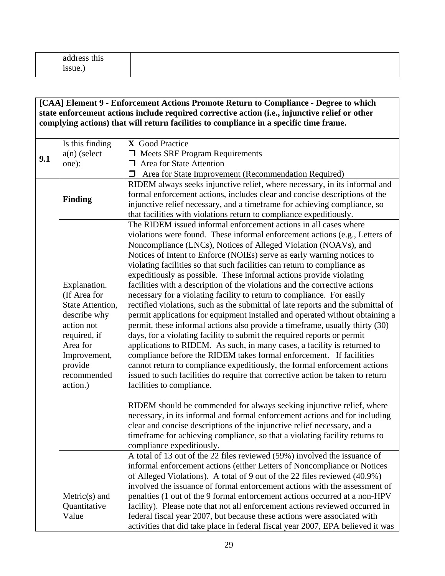|  | this<br>address<br>$\bullet$<br>1ssue.) |  |
|--|-----------------------------------------|--|
|--|-----------------------------------------|--|

## **[CAA] Element 9 - Enforcement Actions Promote Return to Compliance - Degree to which state enforcement actions include required corrective action (i.e., injunctive relief or other complying actions) that will return facilities to compliance in a specific time frame.**

|     | Is this finding<br>$a(n)$ (select                                                                                                                                | X Good Practice<br>$\Box$ Meets SRF Program Requirements                                                                                                                                                                                                                                                                                                                                                                                                                                                                                                                                                                                                                                                                                                                                                                                                                                                                                                                                                                                                                                                                                                                                                                                                                              |
|-----|------------------------------------------------------------------------------------------------------------------------------------------------------------------|---------------------------------------------------------------------------------------------------------------------------------------------------------------------------------------------------------------------------------------------------------------------------------------------------------------------------------------------------------------------------------------------------------------------------------------------------------------------------------------------------------------------------------------------------------------------------------------------------------------------------------------------------------------------------------------------------------------------------------------------------------------------------------------------------------------------------------------------------------------------------------------------------------------------------------------------------------------------------------------------------------------------------------------------------------------------------------------------------------------------------------------------------------------------------------------------------------------------------------------------------------------------------------------|
| 9.1 | one):                                                                                                                                                            | $\Box$ Area for State Attention                                                                                                                                                                                                                                                                                                                                                                                                                                                                                                                                                                                                                                                                                                                                                                                                                                                                                                                                                                                                                                                                                                                                                                                                                                                       |
|     |                                                                                                                                                                  | Area for State Improvement (Recommendation Required)                                                                                                                                                                                                                                                                                                                                                                                                                                                                                                                                                                                                                                                                                                                                                                                                                                                                                                                                                                                                                                                                                                                                                                                                                                  |
|     |                                                                                                                                                                  | RIDEM always seeks injunctive relief, where necessary, in its informal and                                                                                                                                                                                                                                                                                                                                                                                                                                                                                                                                                                                                                                                                                                                                                                                                                                                                                                                                                                                                                                                                                                                                                                                                            |
|     | <b>Finding</b>                                                                                                                                                   | formal enforcement actions, includes clear and concise descriptions of the<br>injunctive relief necessary, and a timeframe for achieving compliance, so<br>that facilities with violations return to compliance expeditiously.                                                                                                                                                                                                                                                                                                                                                                                                                                                                                                                                                                                                                                                                                                                                                                                                                                                                                                                                                                                                                                                        |
|     | Explanation.<br>(If Area for<br>State Attention,<br>describe why<br>action not<br>required, if<br>Area for<br>Improvement,<br>provide<br>recommended<br>action.) | The RIDEM issued informal enforcement actions in all cases where<br>violations were found. These informal enforcement actions (e.g., Letters of<br>Noncompliance (LNCs), Notices of Alleged Violation (NOAVs), and<br>Notices of Intent to Enforce (NOIEs) serve as early warning notices to<br>violating facilities so that such facilities can return to compliance as<br>expeditiously as possible. These informal actions provide violating<br>facilities with a description of the violations and the corrective actions<br>necessary for a violating facility to return to compliance. For easily<br>rectified violations, such as the submittal of late reports and the submittal of<br>permit applications for equipment installed and operated without obtaining a<br>permit, these informal actions also provide a timeframe, usually thirty (30)<br>days, for a violating facility to submit the required reports or permit<br>applications to RIDEM. As such, in many cases, a facility is returned to<br>compliance before the RIDEM takes formal enforcement. If facilities<br>cannot return to compliance expeditiously, the formal enforcement actions<br>issued to such facilities do require that corrective action be taken to return<br>facilities to compliance. |
|     |                                                                                                                                                                  | RIDEM should be commended for always seeking injunctive relief, where<br>necessary, in its informal and formal enforcement actions and for including<br>clear and concise descriptions of the injunctive relief necessary, and a<br>timeframe for achieving compliance, so that a violating facility returns to<br>compliance expeditiously.                                                                                                                                                                                                                                                                                                                                                                                                                                                                                                                                                                                                                                                                                                                                                                                                                                                                                                                                          |
|     |                                                                                                                                                                  | A total of 13 out of the 22 files reviewed (59%) involved the issuance of<br>informal enforcement actions (either Letters of Noncompliance or Notices<br>of Alleged Violations). A total of 9 out of the 22 files reviewed (40.9%)<br>involved the issuance of formal enforcement actions with the assessment of                                                                                                                                                                                                                                                                                                                                                                                                                                                                                                                                                                                                                                                                                                                                                                                                                                                                                                                                                                      |
|     | $Metric(s)$ and                                                                                                                                                  | penalties (1 out of the 9 formal enforcement actions occurred at a non-HPV                                                                                                                                                                                                                                                                                                                                                                                                                                                                                                                                                                                                                                                                                                                                                                                                                                                                                                                                                                                                                                                                                                                                                                                                            |
|     | Quantitative                                                                                                                                                     | facility). Please note that not all enforcement actions reviewed occurred in                                                                                                                                                                                                                                                                                                                                                                                                                                                                                                                                                                                                                                                                                                                                                                                                                                                                                                                                                                                                                                                                                                                                                                                                          |
|     | Value                                                                                                                                                            | federal fiscal year 2007, but because these actions were associated with<br>activities that did take place in federal fiscal year 2007, EPA believed it was                                                                                                                                                                                                                                                                                                                                                                                                                                                                                                                                                                                                                                                                                                                                                                                                                                                                                                                                                                                                                                                                                                                           |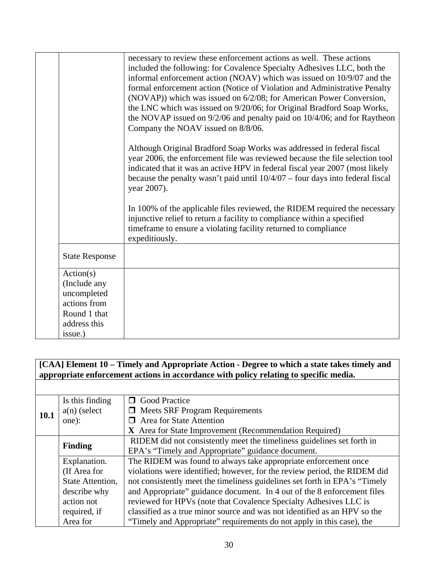|                                          | necessary to review these enforcement actions as well. These actions<br>included the following: for Covalence Specialty Adhesives LLC, both the<br>informal enforcement action (NOAV) which was issued on 10/9/07 and the<br>formal enforcement action (Notice of Violation and Administrative Penalty                                  |
|------------------------------------------|-----------------------------------------------------------------------------------------------------------------------------------------------------------------------------------------------------------------------------------------------------------------------------------------------------------------------------------------|
|                                          | (NOVAP)) which was issued on 6/2/08; for American Power Conversion,<br>the LNC which was issued on 9/20/06; for Original Bradford Soap Works,                                                                                                                                                                                           |
|                                          | the NOVAP issued on 9/2/06 and penalty paid on 10/4/06; and for Raytheon<br>Company the NOAV issued on 8/8/06.                                                                                                                                                                                                                          |
|                                          | Although Original Bradford Soap Works was addressed in federal fiscal<br>year 2006, the enforcement file was reviewed because the file selection tool<br>indicated that it was an active HPV in federal fiscal year 2007 (most likely<br>because the penalty wasn't paid until $10/4/07$ – four days into federal fiscal<br>year 2007). |
|                                          | In 100% of the applicable files reviewed, the RIDEM required the necessary<br>injunctive relief to return a facility to compliance within a specified<br>timeframe to ensure a violating facility returned to compliance<br>expeditiously.                                                                                              |
| <b>State Response</b>                    |                                                                                                                                                                                                                                                                                                                                         |
| Action(s)<br>(Include any<br>uncompleted |                                                                                                                                                                                                                                                                                                                                         |
| actions from<br>Round 1 that             |                                                                                                                                                                                                                                                                                                                                         |
| address this<br>issue.)                  |                                                                                                                                                                                                                                                                                                                                         |

## **[CAA] Element 10 – Timely and Appropriate Action - Degree to which a state takes timely and appropriate enforcement actions in accordance with policy relating to specific media.**

|             | Is this finding  | <b>O</b> Good Practice                                                     |
|-------------|------------------|----------------------------------------------------------------------------|
| <b>10.1</b> | $a(n)$ (select   | $\Box$ Meets SRF Program Requirements                                      |
|             | one):            | $\Box$ Area for State Attention                                            |
|             |                  | X Area for State Improvement (Recommendation Required)                     |
|             |                  | RIDEM did not consistently meet the timeliness guidelines set forth in     |
|             | <b>Finding</b>   | EPA's "Timely and Appropriate" guidance document.                          |
|             | Explanation.     | The RIDEM was found to always take appropriate enforcement once            |
|             | (If Area for     | violations were identified; however, for the review period, the RIDEM did  |
|             | State Attention, | not consistently meet the timeliness guidelines set forth in EPA's "Timely |
|             | describe why     | and Appropriate" guidance document. In 4 out of the 8 enforcement files    |
|             | action not       | reviewed for HPVs (note that Covalence Specialty Adhesives LLC is          |
|             | required, if     | classified as a true minor source and was not identified as an HPV so the  |
|             | Area for         | "Timely and Appropriate" requirements do not apply in this case), the      |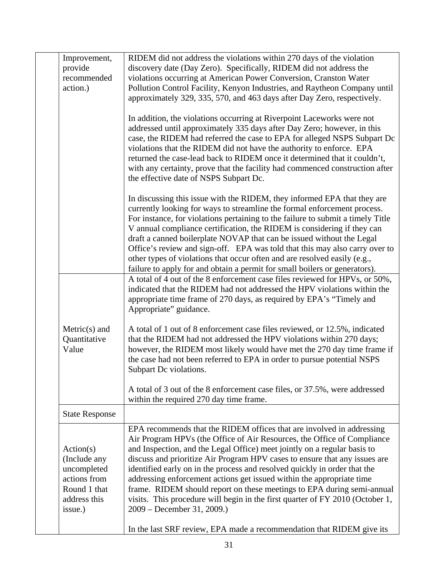|  | Improvement,<br>provide<br>recommended<br>action.)                                                  | RIDEM did not address the violations within 270 days of the violation<br>discovery date (Day Zero). Specifically, RIDEM did not address the<br>violations occurring at American Power Conversion, Cranston Water<br>Pollution Control Facility, Kenyon Industries, and Raytheon Company until<br>approximately 329, 335, 570, and 463 days after Day Zero, respectively.                                                                                                                                                                                                                                                                                  |
|--|-----------------------------------------------------------------------------------------------------|-----------------------------------------------------------------------------------------------------------------------------------------------------------------------------------------------------------------------------------------------------------------------------------------------------------------------------------------------------------------------------------------------------------------------------------------------------------------------------------------------------------------------------------------------------------------------------------------------------------------------------------------------------------|
|  |                                                                                                     | In addition, the violations occurring at Riverpoint Laceworks were not<br>addressed until approximately 335 days after Day Zero; however, in this<br>case, the RIDEM had referred the case to EPA for alleged NSPS Subpart Dc<br>violations that the RIDEM did not have the authority to enforce. EPA<br>returned the case-lead back to RIDEM once it determined that it couldn't,<br>with any certainty, prove that the facility had commenced construction after<br>the effective date of NSPS Subpart Dc.                                                                                                                                              |
|  |                                                                                                     | In discussing this issue with the RIDEM, they informed EPA that they are<br>currently looking for ways to streamline the formal enforcement process.<br>For instance, for violations pertaining to the failure to submit a timely Title<br>V annual compliance certification, the RIDEM is considering if they can<br>draft a canned boilerplate NOVAP that can be issued without the Legal<br>Office's review and sign-off. EPA was told that this may also carry over to<br>other types of violations that occur often and are resolved easily (e.g.,<br>failure to apply for and obtain a permit for small boilers or generators).                     |
|  |                                                                                                     | A total of 4 out of the 8 enforcement case files reviewed for HPVs, or 50%,<br>indicated that the RIDEM had not addressed the HPV violations within the<br>appropriate time frame of 270 days, as required by EPA's "Timely and<br>Appropriate" guidance.                                                                                                                                                                                                                                                                                                                                                                                                 |
|  | $Metric(s)$ and<br>Quantitative<br>Value                                                            | A total of 1 out of 8 enforcement case files reviewed, or 12.5%, indicated<br>that the RIDEM had not addressed the HPV violations within 270 days;<br>however, the RIDEM most likely would have met the 270 day time frame if<br>the case had not been referred to EPA in order to pursue potential NSPS<br>Subpart Dc violations.                                                                                                                                                                                                                                                                                                                        |
|  |                                                                                                     | A total of 3 out of the 8 enforcement case files, or 37.5%, were addressed<br>within the required 270 day time frame.                                                                                                                                                                                                                                                                                                                                                                                                                                                                                                                                     |
|  | <b>State Response</b>                                                                               |                                                                                                                                                                                                                                                                                                                                                                                                                                                                                                                                                                                                                                                           |
|  | Action(s)<br>(Include any<br>uncompleted<br>actions from<br>Round 1 that<br>address this<br>issue.) | EPA recommends that the RIDEM offices that are involved in addressing<br>Air Program HPVs (the Office of Air Resources, the Office of Compliance<br>and Inspection, and the Legal Office) meet jointly on a regular basis to<br>discuss and prioritize Air Program HPV cases to ensure that any issues are<br>identified early on in the process and resolved quickly in order that the<br>addressing enforcement actions get issued within the appropriate time<br>frame. RIDEM should report on these meetings to EPA during semi-annual<br>visits. This procedure will begin in the first quarter of FY 2010 (October 1,<br>2009 – December 31, 2009.) |
|  |                                                                                                     | In the last SRF review, EPA made a recommendation that RIDEM give its                                                                                                                                                                                                                                                                                                                                                                                                                                                                                                                                                                                     |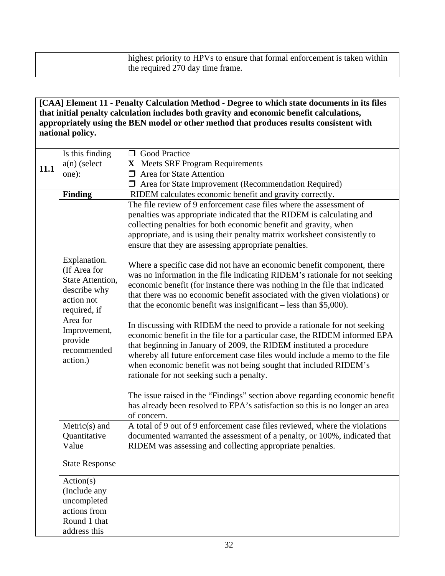|  | highest priority to HPVs to ensure that formal enforcement is taken within<br>the required 270 day time frame. |
|--|----------------------------------------------------------------------------------------------------------------|
|  |                                                                                                                |

## **[CAA] Element 11 - Penalty Calculation Method - Degree to which state documents in its files that initial penalty calculation includes both gravity and economic benefit calculations, appropriately using the BEN model or other method that produces results consistent with national policy.**

| 11.1 | Is this finding<br>$a(n)$ (select<br>one):                                                     | <b>O</b> Good Practice<br>X Meets SRF Program Requirements<br>$\Box$ Area for State Attention                                                                                                                                                                                                                                                                                                                                |
|------|------------------------------------------------------------------------------------------------|------------------------------------------------------------------------------------------------------------------------------------------------------------------------------------------------------------------------------------------------------------------------------------------------------------------------------------------------------------------------------------------------------------------------------|
|      |                                                                                                | T Area for State Improvement (Recommendation Required)                                                                                                                                                                                                                                                                                                                                                                       |
|      | <b>Finding</b>                                                                                 | RIDEM calculates economic benefit and gravity correctly.                                                                                                                                                                                                                                                                                                                                                                     |
|      |                                                                                                | The file review of 9 enforcement case files where the assessment of<br>penalties was appropriate indicated that the RIDEM is calculating and<br>collecting penalties for both economic benefit and gravity, when<br>appropriate, and is using their penalty matrix worksheet consistently to<br>ensure that they are assessing appropriate penalties.                                                                        |
|      | Explanation.<br>(If Area for<br>State Attention,<br>describe why<br>action not<br>required, if | Where a specific case did not have an economic benefit component, there<br>was no information in the file indicating RIDEM's rationale for not seeking<br>economic benefit (for instance there was nothing in the file that indicated<br>that there was no economic benefit associated with the given violations) or<br>that the economic benefit was insignificant - less than \$5,000).                                    |
|      | Area for<br>Improvement,<br>provide<br>recommended<br>action.)                                 | In discussing with RIDEM the need to provide a rationale for not seeking<br>economic benefit in the file for a particular case, the RIDEM informed EPA<br>that beginning in January of 2009, the RIDEM instituted a procedure<br>whereby all future enforcement case files would include a memo to the file<br>when economic benefit was not being sought that included RIDEM's<br>rationale for not seeking such a penalty. |
|      |                                                                                                | The issue raised in the "Findings" section above regarding economic benefit<br>has already been resolved to EPA's satisfaction so this is no longer an area<br>of concern.                                                                                                                                                                                                                                                   |
|      | $Metric(s)$ and<br>Quantitative<br>Value                                                       | A total of 9 out of 9 enforcement case files reviewed, where the violations<br>documented warranted the assessment of a penalty, or 100%, indicated that<br>RIDEM was assessing and collecting appropriate penalties.                                                                                                                                                                                                        |
|      | <b>State Response</b>                                                                          |                                                                                                                                                                                                                                                                                                                                                                                                                              |
|      | Action(s)<br>(Include any<br>uncompleted<br>actions from<br>Round 1 that                       |                                                                                                                                                                                                                                                                                                                                                                                                                              |
|      | address this                                                                                   |                                                                                                                                                                                                                                                                                                                                                                                                                              |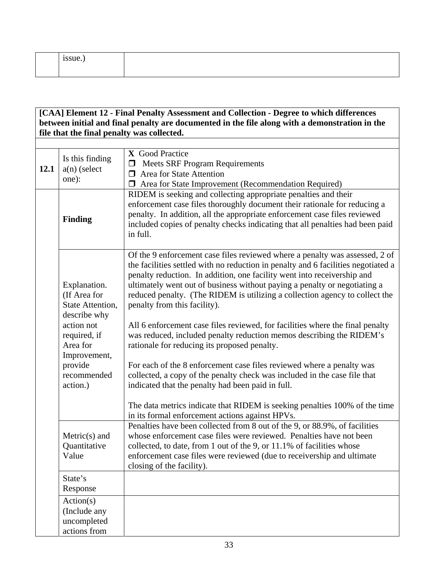| $\bullet$<br>issue. |  |
|---------------------|--|
|                     |  |

## **[CAA] Element 12 - Final Penalty Assessment and Collection - Degree to which differences between initial and final penalty are documented in the file along with a demonstration in the file that the final penalty was collected.**

| 12.1 | Is this finding<br>$a(n)$ (select<br>one):                       | X Good Practice<br><b>Meets SRF Program Requirements</b><br>$\Box$<br>$\Box$ Area for State Attention<br><b>I</b> Area for State Improvement (Recommendation Required)                                                                                                                                                                                                                                                                  |
|------|------------------------------------------------------------------|-----------------------------------------------------------------------------------------------------------------------------------------------------------------------------------------------------------------------------------------------------------------------------------------------------------------------------------------------------------------------------------------------------------------------------------------|
|      | <b>Finding</b>                                                   | RIDEM is seeking and collecting appropriate penalties and their<br>enforcement case files thoroughly document their rationale for reducing a<br>penalty. In addition, all the appropriate enforcement case files reviewed<br>included copies of penalty checks indicating that all penalties had been paid<br>in full.                                                                                                                  |
|      | Explanation.<br>(If Area for<br>State Attention,<br>describe why | Of the 9 enforcement case files reviewed where a penalty was assessed, 2 of<br>the facilities settled with no reduction in penalty and 6 facilities negotiated a<br>penalty reduction. In addition, one facility went into receivership and<br>ultimately went out of business without paying a penalty or negotiating a<br>reduced penalty. (The RIDEM is utilizing a collection agency to collect the<br>penalty from this facility). |
|      | action not<br>required, if<br>Area for<br>Improvement,           | All 6 enforcement case files reviewed, for facilities where the final penalty<br>was reduced, included penalty reduction memos describing the RIDEM's<br>rationale for reducing its proposed penalty.                                                                                                                                                                                                                                   |
|      | provide<br>recommended<br>action.)                               | For each of the 8 enforcement case files reviewed where a penalty was<br>collected, a copy of the penalty check was included in the case file that<br>indicated that the penalty had been paid in full.                                                                                                                                                                                                                                 |
|      |                                                                  | The data metrics indicate that RIDEM is seeking penalties 100% of the time<br>in its formal enforcement actions against HPVs.                                                                                                                                                                                                                                                                                                           |
|      | $Metric(s)$ and<br>Quantitative<br>Value                         | Penalties have been collected from 8 out of the 9, or 88.9%, of facilities<br>whose enforcement case files were reviewed. Penalties have not been<br>collected, to date, from 1 out of the 9, or 11.1% of facilities whose<br>enforcement case files were reviewed (due to receivership and ultimate<br>closing of the facility).                                                                                                       |
|      | State's<br>Response                                              |                                                                                                                                                                                                                                                                                                                                                                                                                                         |
|      | Action(s)<br>(Include any<br>uncompleted<br>actions from         |                                                                                                                                                                                                                                                                                                                                                                                                                                         |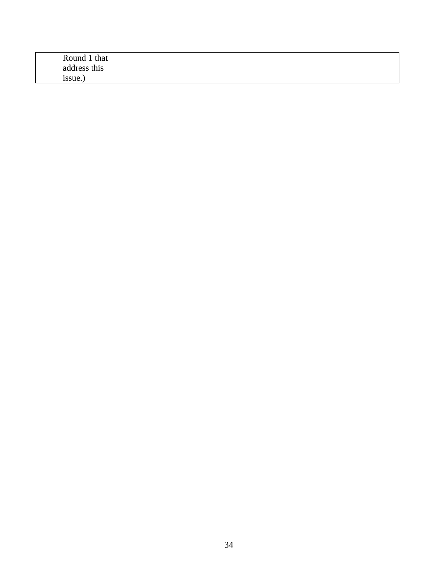| Round 1 that |
|--------------|
| address this |
|              |
| issue.)      |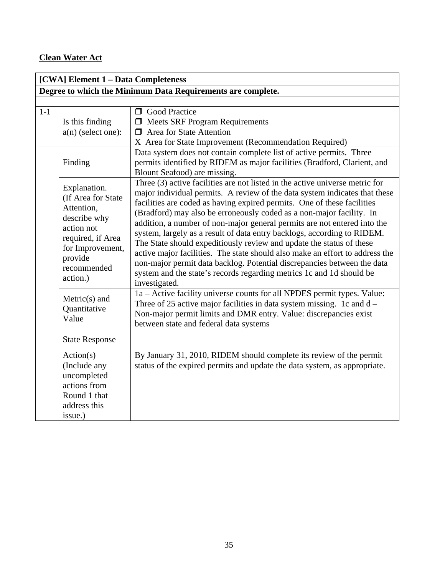## **Clean Water Act**

|       | [CWA] Element 1 - Data Completeness                                                                                                                           |                                                                                                                                                                                                                                                                                                                                                                                                                                                                                                                                                                                                                                                                                                                                                                                                  |  |
|-------|---------------------------------------------------------------------------------------------------------------------------------------------------------------|--------------------------------------------------------------------------------------------------------------------------------------------------------------------------------------------------------------------------------------------------------------------------------------------------------------------------------------------------------------------------------------------------------------------------------------------------------------------------------------------------------------------------------------------------------------------------------------------------------------------------------------------------------------------------------------------------------------------------------------------------------------------------------------------------|--|
|       | Degree to which the Minimum Data Requirements are complete.                                                                                                   |                                                                                                                                                                                                                                                                                                                                                                                                                                                                                                                                                                                                                                                                                                                                                                                                  |  |
|       |                                                                                                                                                               |                                                                                                                                                                                                                                                                                                                                                                                                                                                                                                                                                                                                                                                                                                                                                                                                  |  |
| $1-1$ | Is this finding<br>$a(n)$ (select one):                                                                                                                       | <b>O</b> Good Practice<br>$\Box$ Meets SRF Program Requirements<br>$\Box$ Area for State Attention<br>X Area for State Improvement (Recommendation Required)                                                                                                                                                                                                                                                                                                                                                                                                                                                                                                                                                                                                                                     |  |
|       | Finding                                                                                                                                                       | Data system does not contain complete list of active permits. Three<br>permits identified by RIDEM as major facilities (Bradford, Clarient, and<br>Blount Seafood) are missing.                                                                                                                                                                                                                                                                                                                                                                                                                                                                                                                                                                                                                  |  |
|       | Explanation.<br>(If Area for State<br>Attention,<br>describe why<br>action not<br>required, if Area<br>for Improvement,<br>provide<br>recommended<br>action.) | Three (3) active facilities are not listed in the active universe metric for<br>major individual permits. A review of the data system indicates that these<br>facilities are coded as having expired permits. One of these facilities<br>(Bradford) may also be erroneously coded as a non-major facility. In<br>addition, a number of non-major general permits are not entered into the<br>system, largely as a result of data entry backlogs, according to RIDEM.<br>The State should expeditiously review and update the status of these<br>active major facilities. The state should also make an effort to address the<br>non-major permit data backlog. Potential discrepancies between the data<br>system and the state's records regarding metrics 1c and 1d should be<br>investigated. |  |
|       | $Metric(s)$ and<br>Quantitative<br>Value                                                                                                                      | 1a – Active facility universe counts for all NPDES permit types. Value:<br>Three of 25 active major facilities in data system missing. 1c and $d -$<br>Non-major permit limits and DMR entry. Value: discrepancies exist<br>between state and federal data systems                                                                                                                                                                                                                                                                                                                                                                                                                                                                                                                               |  |
|       | <b>State Response</b>                                                                                                                                         |                                                                                                                                                                                                                                                                                                                                                                                                                                                                                                                                                                                                                                                                                                                                                                                                  |  |
|       | Action(s)<br>(Include any<br>uncompleted<br>actions from<br>Round 1 that<br>address this<br>issue.)                                                           | By January 31, 2010, RIDEM should complete its review of the permit<br>status of the expired permits and update the data system, as appropriate.                                                                                                                                                                                                                                                                                                                                                                                                                                                                                                                                                                                                                                                 |  |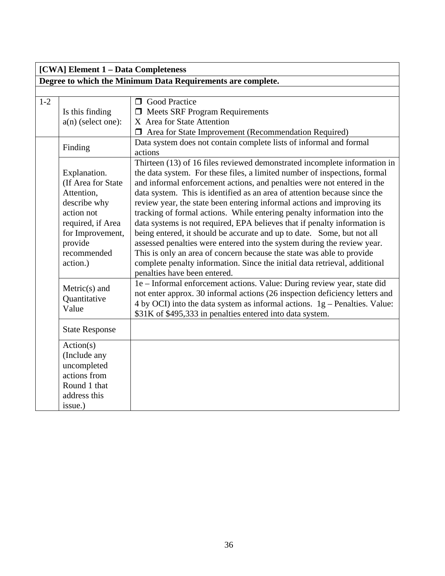|       | [CWA] Element 1 - Data Completeness                                                                                                                           |                                                                                                                                                                                                                                                                                                                                                                                                                                                                                                                                                                                                                                                                                                                                                                                                                                                                                               |  |
|-------|---------------------------------------------------------------------------------------------------------------------------------------------------------------|-----------------------------------------------------------------------------------------------------------------------------------------------------------------------------------------------------------------------------------------------------------------------------------------------------------------------------------------------------------------------------------------------------------------------------------------------------------------------------------------------------------------------------------------------------------------------------------------------------------------------------------------------------------------------------------------------------------------------------------------------------------------------------------------------------------------------------------------------------------------------------------------------|--|
|       | Degree to which the Minimum Data Requirements are complete.                                                                                                   |                                                                                                                                                                                                                                                                                                                                                                                                                                                                                                                                                                                                                                                                                                                                                                                                                                                                                               |  |
|       |                                                                                                                                                               |                                                                                                                                                                                                                                                                                                                                                                                                                                                                                                                                                                                                                                                                                                                                                                                                                                                                                               |  |
| $1-2$ | Is this finding<br>$a(n)$ (select one):                                                                                                                       | <b>O</b> Good Practice<br><b>I</b> Meets SRF Program Requirements<br>X Area for State Attention<br>□ Area for State Improvement (Recommendation Required)                                                                                                                                                                                                                                                                                                                                                                                                                                                                                                                                                                                                                                                                                                                                     |  |
|       | Finding                                                                                                                                                       | Data system does not contain complete lists of informal and formal<br>actions                                                                                                                                                                                                                                                                                                                                                                                                                                                                                                                                                                                                                                                                                                                                                                                                                 |  |
|       | Explanation.<br>(If Area for State<br>Attention,<br>describe why<br>action not<br>required, if Area<br>for Improvement,<br>provide<br>recommended<br>action.) | Thirteen (13) of 16 files reviewed demonstrated incomplete information in<br>the data system. For these files, a limited number of inspections, formal<br>and informal enforcement actions, and penalties were not entered in the<br>data system. This is identified as an area of attention because since the<br>review year, the state been entering informal actions and improving its<br>tracking of formal actions. While entering penalty information into the<br>data systems is not required, EPA believes that if penalty information is<br>being entered, it should be accurate and up to date. Some, but not all<br>assessed penalties were entered into the system during the review year.<br>This is only an area of concern because the state was able to provide<br>complete penalty information. Since the initial data retrieval, additional<br>penalties have been entered. |  |
|       | $Metric(s)$ and<br>Quantitative<br>Value                                                                                                                      | 1e - Informal enforcement actions. Value: During review year, state did<br>not enter approx. 30 informal actions (26 inspection deficiency letters and<br>4 by OCI) into the data system as informal actions. $1g$ – Penalties. Value:<br>\$31K of \$495,333 in penalties entered into data system.                                                                                                                                                                                                                                                                                                                                                                                                                                                                                                                                                                                           |  |
|       | <b>State Response</b>                                                                                                                                         |                                                                                                                                                                                                                                                                                                                                                                                                                                                                                                                                                                                                                                                                                                                                                                                                                                                                                               |  |
|       | Action(s)<br>(Include any<br>uncompleted<br>actions from<br>Round 1 that<br>address this<br>issue.)                                                           |                                                                                                                                                                                                                                                                                                                                                                                                                                                                                                                                                                                                                                                                                                                                                                                                                                                                                               |  |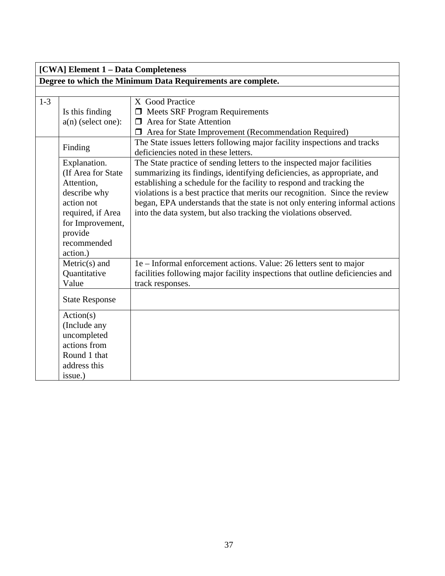| [CWA] Element 1 - Data Completeness |                                                                                                                                                               |                                                                                                                                                                                                                                                                                                                                                                                                                                                              |  |  |  |
|-------------------------------------|---------------------------------------------------------------------------------------------------------------------------------------------------------------|--------------------------------------------------------------------------------------------------------------------------------------------------------------------------------------------------------------------------------------------------------------------------------------------------------------------------------------------------------------------------------------------------------------------------------------------------------------|--|--|--|
|                                     | Degree to which the Minimum Data Requirements are complete.                                                                                                   |                                                                                                                                                                                                                                                                                                                                                                                                                                                              |  |  |  |
|                                     |                                                                                                                                                               |                                                                                                                                                                                                                                                                                                                                                                                                                                                              |  |  |  |
| $1 - 3$                             | Is this finding                                                                                                                                               | X Good Practice<br><b>I</b> Meets SRF Program Requirements                                                                                                                                                                                                                                                                                                                                                                                                   |  |  |  |
|                                     | $a(n)$ (select one):                                                                                                                                          | <b>I</b> Area for State Attention                                                                                                                                                                                                                                                                                                                                                                                                                            |  |  |  |
|                                     |                                                                                                                                                               | Area for State Improvement (Recommendation Required)                                                                                                                                                                                                                                                                                                                                                                                                         |  |  |  |
|                                     | Finding                                                                                                                                                       | The State issues letters following major facility inspections and tracks<br>deficiencies noted in these letters.                                                                                                                                                                                                                                                                                                                                             |  |  |  |
|                                     | Explanation.<br>(If Area for State<br>Attention,<br>describe why<br>action not<br>required, if Area<br>for Improvement,<br>provide<br>recommended<br>action.) | The State practice of sending letters to the inspected major facilities<br>summarizing its findings, identifying deficiencies, as appropriate, and<br>establishing a schedule for the facility to respond and tracking the<br>violations is a best practice that merits our recognition. Since the review<br>began, EPA understands that the state is not only entering informal actions<br>into the data system, but also tracking the violations observed. |  |  |  |
|                                     | $Metric(s)$ and<br>Quantitative<br>Value                                                                                                                      | 1e – Informal enforcement actions. Value: 26 letters sent to major<br>facilities following major facility inspections that outline deficiencies and<br>track responses.                                                                                                                                                                                                                                                                                      |  |  |  |
|                                     | <b>State Response</b>                                                                                                                                         |                                                                                                                                                                                                                                                                                                                                                                                                                                                              |  |  |  |
|                                     | Action(s)<br>(Include any<br>uncompleted<br>actions from<br>Round 1 that<br>address this                                                                      |                                                                                                                                                                                                                                                                                                                                                                                                                                                              |  |  |  |
|                                     | issue.)                                                                                                                                                       |                                                                                                                                                                                                                                                                                                                                                                                                                                                              |  |  |  |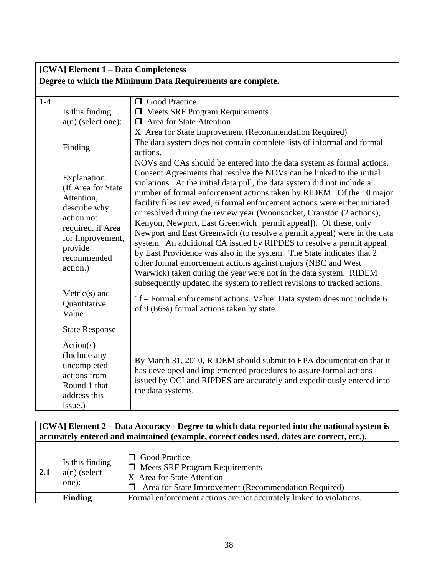|       | [CWA] Element 1 - Data Completeness                                                                                                                           |                                                                                                                                                                                                                                                                                                                                                                                                                                                                                                                                                                                                                                                                                                                                                                                                                                                                                                                                                                               |  |  |  |
|-------|---------------------------------------------------------------------------------------------------------------------------------------------------------------|-------------------------------------------------------------------------------------------------------------------------------------------------------------------------------------------------------------------------------------------------------------------------------------------------------------------------------------------------------------------------------------------------------------------------------------------------------------------------------------------------------------------------------------------------------------------------------------------------------------------------------------------------------------------------------------------------------------------------------------------------------------------------------------------------------------------------------------------------------------------------------------------------------------------------------------------------------------------------------|--|--|--|
|       | Degree to which the Minimum Data Requirements are complete.                                                                                                   |                                                                                                                                                                                                                                                                                                                                                                                                                                                                                                                                                                                                                                                                                                                                                                                                                                                                                                                                                                               |  |  |  |
|       |                                                                                                                                                               |                                                                                                                                                                                                                                                                                                                                                                                                                                                                                                                                                                                                                                                                                                                                                                                                                                                                                                                                                                               |  |  |  |
| $1-4$ | Is this finding<br>$a(n)$ (select one):                                                                                                                       | <b>O</b> Good Practice<br><b>I</b> Meets SRF Program Requirements<br>$\Box$ Area for State Attention<br>X Area for State Improvement (Recommendation Required)                                                                                                                                                                                                                                                                                                                                                                                                                                                                                                                                                                                                                                                                                                                                                                                                                |  |  |  |
|       | Finding                                                                                                                                                       | The data system does not contain complete lists of informal and formal<br>actions.                                                                                                                                                                                                                                                                                                                                                                                                                                                                                                                                                                                                                                                                                                                                                                                                                                                                                            |  |  |  |
|       | Explanation.<br>(If Area for State<br>Attention,<br>describe why<br>action not<br>required, if Area<br>for Improvement,<br>provide<br>recommended<br>action.) | NOVs and CAs should be entered into the data system as formal actions.<br>Consent Agreements that resolve the NOVs can be linked to the initial<br>violations. At the initial data pull, the data system did not include a<br>number of formal enforcement actions taken by RIDEM. Of the 10 major<br>facility files reviewed, 6 formal enforcement actions were either initiated<br>or resolved during the review year (Woonsocket, Cranston (2 actions),<br>Kenyon, Newport, East Greenwich [permit appeal]). Of these, only<br>Newport and East Greenwich (to resolve a permit appeal) were in the data<br>system. An additional CA issued by RIPDES to resolve a permit appeal<br>by East Providence was also in the system. The State indicates that 2<br>other formal enforcement actions against majors (NBC and West<br>Warwick) taken during the year were not in the data system. RIDEM<br>subsequently updated the system to reflect revisions to tracked actions. |  |  |  |
|       | $Metric(s)$ and<br>Quantitative<br>Value                                                                                                                      | 1f – Formal enforcement actions. Value: Data system does not include 6<br>of 9 (66%) formal actions taken by state.                                                                                                                                                                                                                                                                                                                                                                                                                                                                                                                                                                                                                                                                                                                                                                                                                                                           |  |  |  |
|       | <b>State Response</b>                                                                                                                                         |                                                                                                                                                                                                                                                                                                                                                                                                                                                                                                                                                                                                                                                                                                                                                                                                                                                                                                                                                                               |  |  |  |
|       | Action(s)<br>(Include any<br>uncompleted<br>actions from<br>Round 1 that<br>address this<br>issue.)                                                           | By March 31, 2010, RIDEM should submit to EPA documentation that it<br>has developed and implemented procedures to assure formal actions<br>issued by OCI and RIPDES are accurately and expeditiously entered into<br>the data systems.                                                                                                                                                                                                                                                                                                                                                                                                                                                                                                                                                                                                                                                                                                                                       |  |  |  |

#### **[CWA] Element 2 – Data Accuracy - Degree to which data reported into the national system is accurately entered and maintained (example, correct codes used, dates are correct, etc.).**

| $\sqrt{2.1}$ | Is this finding<br>$a(n)$ (select<br>one): | <b>O</b> Good Practice<br>$\Box$ Meets SRF Program Requirements<br>X Area for State Attention<br>Area for State Improvement (Recommendation Required)<br>$\mathbf{L}$ |
|--------------|--------------------------------------------|-----------------------------------------------------------------------------------------------------------------------------------------------------------------------|
|              | <b>Finding</b>                             | Formal enforcement actions are not accurately linked to violations.                                                                                                   |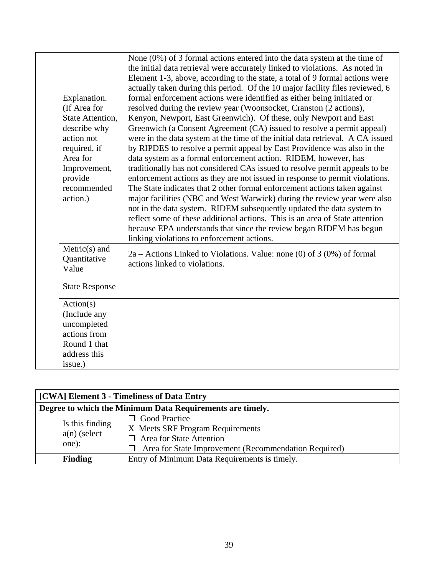| Explanation.<br>(If Area for<br><b>State Attention,</b><br>describe why<br>action not<br>required, if<br>Area for<br>Improvement,<br>provide<br>recommended<br>action.) | None $(0\%)$ of 3 formal actions entered into the data system at the time of<br>the initial data retrieval were accurately linked to violations. As noted in<br>Element 1-3, above, according to the state, a total of 9 formal actions were<br>actually taken during this period. Of the 10 major facility files reviewed, 6<br>formal enforcement actions were identified as either being initiated or<br>resolved during the review year (Woonsocket, Cranston (2 actions),<br>Kenyon, Newport, East Greenwich). Of these, only Newport and East<br>Greenwich (a Consent Agreement (CA) issued to resolve a permit appeal)<br>were in the data system at the time of the initial data retrieval. A CA issued<br>by RIPDES to resolve a permit appeal by East Providence was also in the<br>data system as a formal enforcement action. RIDEM, however, has<br>traditionally has not considered CAs issued to resolve permit appeals to be<br>enforcement actions as they are not issued in response to permit violations.<br>The State indicates that 2 other formal enforcement actions taken against<br>major facilities (NBC and West Warwick) during the review year were also<br>not in the data system. RIDEM subsequently updated the data system to<br>reflect some of these additional actions. This is an area of State attention<br>because EPA understands that since the review began RIDEM has begun<br>linking violations to enforcement actions. |
|-------------------------------------------------------------------------------------------------------------------------------------------------------------------------|---------------------------------------------------------------------------------------------------------------------------------------------------------------------------------------------------------------------------------------------------------------------------------------------------------------------------------------------------------------------------------------------------------------------------------------------------------------------------------------------------------------------------------------------------------------------------------------------------------------------------------------------------------------------------------------------------------------------------------------------------------------------------------------------------------------------------------------------------------------------------------------------------------------------------------------------------------------------------------------------------------------------------------------------------------------------------------------------------------------------------------------------------------------------------------------------------------------------------------------------------------------------------------------------------------------------------------------------------------------------------------------------------------------------------------------------------------------------|
| $Metric(s)$ and<br>Quantitative<br>Value                                                                                                                                | $2a -$ Actions Linked to Violations. Value: none (0) of 3 (0%) of formal<br>actions linked to violations.                                                                                                                                                                                                                                                                                                                                                                                                                                                                                                                                                                                                                                                                                                                                                                                                                                                                                                                                                                                                                                                                                                                                                                                                                                                                                                                                                           |
| <b>State Response</b>                                                                                                                                                   |                                                                                                                                                                                                                                                                                                                                                                                                                                                                                                                                                                                                                                                                                                                                                                                                                                                                                                                                                                                                                                                                                                                                                                                                                                                                                                                                                                                                                                                                     |
| Action(s)<br>(Include any<br>uncompleted<br>actions from<br>Round 1 that<br>address this<br>issue.)                                                                     |                                                                                                                                                                                                                                                                                                                                                                                                                                                                                                                                                                                                                                                                                                                                                                                                                                                                                                                                                                                                                                                                                                                                                                                                                                                                                                                                                                                                                                                                     |

| [CWA] Element 3 - Timeliness of Data Entry                                                                                                                                                          |                                               |  |
|-----------------------------------------------------------------------------------------------------------------------------------------------------------------------------------------------------|-----------------------------------------------|--|
| Degree to which the Minimum Data Requirements are timely.                                                                                                                                           |                                               |  |
| <b>O</b> Good Practice<br>Is this finding<br>X Meets SRF Program Requirements<br>$a(n)$ (select<br>$\Box$ Area for State Attention<br>one):<br>Area for State Improvement (Recommendation Required) |                                               |  |
| <b>Finding</b>                                                                                                                                                                                      | Entry of Minimum Data Requirements is timely. |  |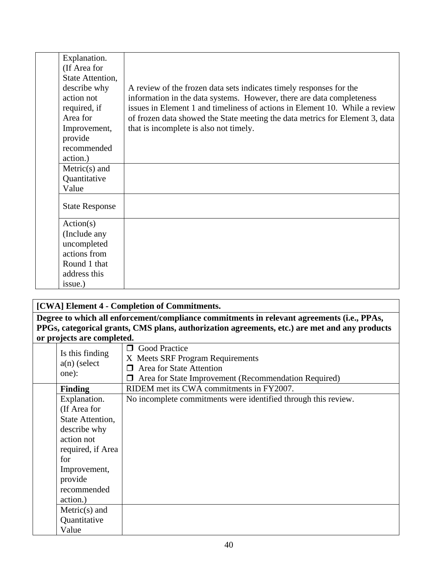| Explanation.<br>(If Area for<br>State Attention,<br>describe why<br>action not<br>required, if<br>Area for<br>Improvement,<br>provide<br>recommended | A review of the frozen data sets indicates timely responses for the<br>information in the data systems. However, there are data completeness<br>issues in Element 1 and timeliness of actions in Element 10. While a review<br>of frozen data showed the State meeting the data metrics for Element 3, data<br>that is incomplete is also not timely. |
|------------------------------------------------------------------------------------------------------------------------------------------------------|-------------------------------------------------------------------------------------------------------------------------------------------------------------------------------------------------------------------------------------------------------------------------------------------------------------------------------------------------------|
| action.)                                                                                                                                             |                                                                                                                                                                                                                                                                                                                                                       |
| $Metric(s)$ and                                                                                                                                      |                                                                                                                                                                                                                                                                                                                                                       |
| Quantitative                                                                                                                                         |                                                                                                                                                                                                                                                                                                                                                       |
| Value                                                                                                                                                |                                                                                                                                                                                                                                                                                                                                                       |
| <b>State Response</b>                                                                                                                                |                                                                                                                                                                                                                                                                                                                                                       |
| Action(s)                                                                                                                                            |                                                                                                                                                                                                                                                                                                                                                       |
| (Include any                                                                                                                                         |                                                                                                                                                                                                                                                                                                                                                       |
| uncompleted                                                                                                                                          |                                                                                                                                                                                                                                                                                                                                                       |
| actions from                                                                                                                                         |                                                                                                                                                                                                                                                                                                                                                       |
| Round 1 that                                                                                                                                         |                                                                                                                                                                                                                                                                                                                                                       |
| address this                                                                                                                                         |                                                                                                                                                                                                                                                                                                                                                       |
| issue.)                                                                                                                                              |                                                                                                                                                                                                                                                                                                                                                       |

| [CWA] Element 4 - Completion of Commitments.                                               |                                                                                               |  |  |
|--------------------------------------------------------------------------------------------|-----------------------------------------------------------------------------------------------|--|--|
| Degree to which all enforcement/compliance commitments in relevant agreements (i.e., PPAs, |                                                                                               |  |  |
|                                                                                            | PPGs, categorical grants, CMS plans, authorization agreements, etc.) are met and any products |  |  |
| or projects are completed.                                                                 |                                                                                               |  |  |
| Is this finding                                                                            | <b>O</b> Good Practice                                                                        |  |  |
|                                                                                            | X Meets SRF Program Requirements                                                              |  |  |
| $a(n)$ (select<br>one):                                                                    | Area for State Attention                                                                      |  |  |
|                                                                                            | Area for State Improvement (Recommendation Required)                                          |  |  |
| <b>Finding</b>                                                                             | RIDEM met its CWA commitments in FY2007.                                                      |  |  |
| Explanation.                                                                               | No incomplete commitments were identified through this review.                                |  |  |
| (If Area for                                                                               |                                                                                               |  |  |
| State Attention,                                                                           |                                                                                               |  |  |
| describe why                                                                               |                                                                                               |  |  |
| action not                                                                                 |                                                                                               |  |  |
| required, if Area                                                                          |                                                                                               |  |  |
| for                                                                                        |                                                                                               |  |  |
| Improvement,                                                                               |                                                                                               |  |  |
| provide                                                                                    |                                                                                               |  |  |
| recommended                                                                                |                                                                                               |  |  |
| action.)                                                                                   |                                                                                               |  |  |
| $Metric(s)$ and                                                                            |                                                                                               |  |  |
| Quantitative                                                                               |                                                                                               |  |  |
| Value                                                                                      |                                                                                               |  |  |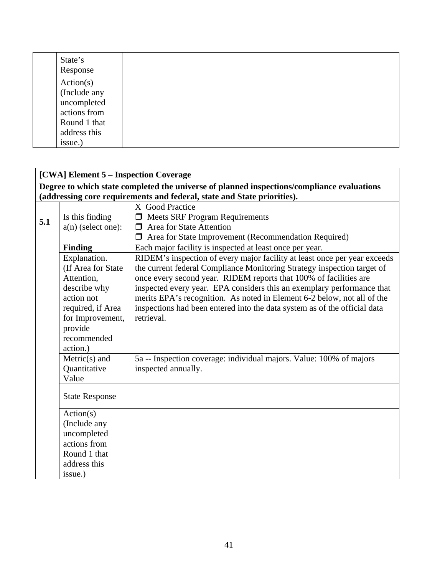| State's<br>Response |  |  |  |
|---------------------|--|--|--|
| Action(s)           |  |  |  |
| (Include any        |  |  |  |
| uncompleted         |  |  |  |
| actions from        |  |  |  |
| Round 1 that        |  |  |  |
| address this        |  |  |  |
| issue.)             |  |  |  |

|     | [CWA] Element 5 - Inspection Coverage                                                      |                                                                           |  |  |  |
|-----|--------------------------------------------------------------------------------------------|---------------------------------------------------------------------------|--|--|--|
|     | Degree to which state completed the universe of planned inspections/compliance evaluations |                                                                           |  |  |  |
|     |                                                                                            | (addressing core requirements and federal, state and State priorities).   |  |  |  |
|     |                                                                                            | X Good Practice                                                           |  |  |  |
| 5.1 | Is this finding                                                                            | <b>I</b> Meets SRF Program Requirements                                   |  |  |  |
|     | $a(n)$ (select one):                                                                       | $\Box$ Area for State Attention                                           |  |  |  |
|     |                                                                                            | <b>I</b> Area for State Improvement (Recommendation Required)             |  |  |  |
|     | <b>Finding</b>                                                                             | Each major facility is inspected at least once per year.                  |  |  |  |
|     | Explanation.                                                                               | RIDEM's inspection of every major facility at least once per year exceeds |  |  |  |
|     | (If Area for State                                                                         | the current federal Compliance Monitoring Strategy inspection target of   |  |  |  |
|     | Attention,                                                                                 | once every second year. RIDEM reports that 100% of facilities are         |  |  |  |
|     | describe why                                                                               | inspected every year. EPA considers this an exemplary performance that    |  |  |  |
|     | action not                                                                                 | merits EPA's recognition. As noted in Element 6-2 below, not all of the   |  |  |  |
|     | required, if Area                                                                          | inspections had been entered into the data system as of the official data |  |  |  |
|     | for Improvement,                                                                           | retrieval.                                                                |  |  |  |
|     | provide                                                                                    |                                                                           |  |  |  |
|     | recommended                                                                                |                                                                           |  |  |  |
|     | action.)                                                                                   |                                                                           |  |  |  |
|     | $Metric(s)$ and                                                                            | 5a -- Inspection coverage: individual majors. Value: 100% of majors       |  |  |  |
|     | Quantitative                                                                               | inspected annually.                                                       |  |  |  |
|     | Value                                                                                      |                                                                           |  |  |  |
|     | <b>State Response</b>                                                                      |                                                                           |  |  |  |
|     | Action(s)                                                                                  |                                                                           |  |  |  |
|     | (Include any                                                                               |                                                                           |  |  |  |
|     | uncompleted                                                                                |                                                                           |  |  |  |
|     | actions from                                                                               |                                                                           |  |  |  |
|     | Round 1 that                                                                               |                                                                           |  |  |  |
|     | address this                                                                               |                                                                           |  |  |  |
|     | issue.)                                                                                    |                                                                           |  |  |  |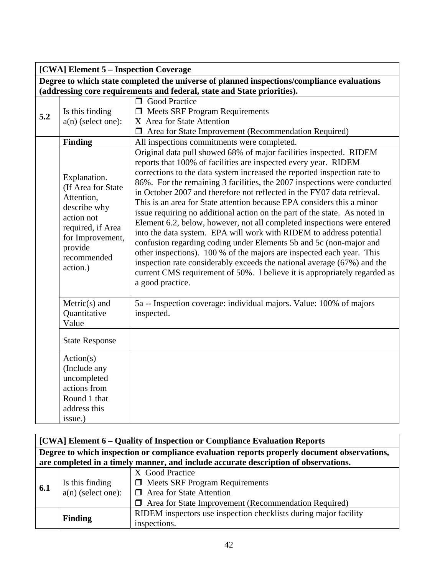|     | [CWA] Element 5 - Inspection Coverage                                                                                                                         |                                                                                                                                                                                                                                                                                                                                                                                                                                                                                                                                                                                                                                                                                                                                                                                                                                                                                                                                                                                                               |  |  |  |
|-----|---------------------------------------------------------------------------------------------------------------------------------------------------------------|---------------------------------------------------------------------------------------------------------------------------------------------------------------------------------------------------------------------------------------------------------------------------------------------------------------------------------------------------------------------------------------------------------------------------------------------------------------------------------------------------------------------------------------------------------------------------------------------------------------------------------------------------------------------------------------------------------------------------------------------------------------------------------------------------------------------------------------------------------------------------------------------------------------------------------------------------------------------------------------------------------------|--|--|--|
|     | Degree to which state completed the universe of planned inspections/compliance evaluations                                                                    |                                                                                                                                                                                                                                                                                                                                                                                                                                                                                                                                                                                                                                                                                                                                                                                                                                                                                                                                                                                                               |  |  |  |
|     |                                                                                                                                                               | (addressing core requirements and federal, state and State priorities).                                                                                                                                                                                                                                                                                                                                                                                                                                                                                                                                                                                                                                                                                                                                                                                                                                                                                                                                       |  |  |  |
|     |                                                                                                                                                               | <b>O</b> Good Practice                                                                                                                                                                                                                                                                                                                                                                                                                                                                                                                                                                                                                                                                                                                                                                                                                                                                                                                                                                                        |  |  |  |
| 5.2 | Is this finding                                                                                                                                               | $\Box$ Meets SRF Program Requirements                                                                                                                                                                                                                                                                                                                                                                                                                                                                                                                                                                                                                                                                                                                                                                                                                                                                                                                                                                         |  |  |  |
|     | $a(n)$ (select one):                                                                                                                                          | X Area for State Attention                                                                                                                                                                                                                                                                                                                                                                                                                                                                                                                                                                                                                                                                                                                                                                                                                                                                                                                                                                                    |  |  |  |
|     |                                                                                                                                                               | $\Box$ Area for State Improvement (Recommendation Required)                                                                                                                                                                                                                                                                                                                                                                                                                                                                                                                                                                                                                                                                                                                                                                                                                                                                                                                                                   |  |  |  |
|     | <b>Finding</b>                                                                                                                                                | All inspections commitments were completed.                                                                                                                                                                                                                                                                                                                                                                                                                                                                                                                                                                                                                                                                                                                                                                                                                                                                                                                                                                   |  |  |  |
|     | Explanation.<br>(If Area for State<br>Attention,<br>describe why<br>action not<br>required, if Area<br>for Improvement,<br>provide<br>recommended<br>action.) | Original data pull showed 68% of major facilities inspected. RIDEM<br>reports that 100% of facilities are inspected every year. RIDEM<br>corrections to the data system increased the reported inspection rate to<br>86%. For the remaining 3 facilities, the 2007 inspections were conducted<br>in October 2007 and therefore not reflected in the FY07 data retrieval.<br>This is an area for State attention because EPA considers this a minor<br>issue requiring no additional action on the part of the state. As noted in<br>Element 6.2, below, however, not all completed inspections were entered<br>into the data system. EPA will work with RIDEM to address potential<br>confusion regarding coding under Elements 5b and 5c (non-major and<br>other inspections). 100 % of the majors are inspected each year. This<br>inspection rate considerably exceeds the national average (67%) and the<br>current CMS requirement of 50%. I believe it is appropriately regarded as<br>a good practice. |  |  |  |
|     | Metric(s) and<br>Quantitative<br>Value                                                                                                                        | 5a -- Inspection coverage: individual majors. Value: 100% of majors<br>inspected.                                                                                                                                                                                                                                                                                                                                                                                                                                                                                                                                                                                                                                                                                                                                                                                                                                                                                                                             |  |  |  |
|     | <b>State Response</b>                                                                                                                                         |                                                                                                                                                                                                                                                                                                                                                                                                                                                                                                                                                                                                                                                                                                                                                                                                                                                                                                                                                                                                               |  |  |  |
|     | Action(s)                                                                                                                                                     |                                                                                                                                                                                                                                                                                                                                                                                                                                                                                                                                                                                                                                                                                                                                                                                                                                                                                                                                                                                                               |  |  |  |
|     | (Include any                                                                                                                                                  |                                                                                                                                                                                                                                                                                                                                                                                                                                                                                                                                                                                                                                                                                                                                                                                                                                                                                                                                                                                                               |  |  |  |
|     | uncompleted                                                                                                                                                   |                                                                                                                                                                                                                                                                                                                                                                                                                                                                                                                                                                                                                                                                                                                                                                                                                                                                                                                                                                                                               |  |  |  |
|     | actions from                                                                                                                                                  |                                                                                                                                                                                                                                                                                                                                                                                                                                                                                                                                                                                                                                                                                                                                                                                                                                                                                                                                                                                                               |  |  |  |
|     |                                                                                                                                                               |                                                                                                                                                                                                                                                                                                                                                                                                                                                                                                                                                                                                                                                                                                                                                                                                                                                                                                                                                                                                               |  |  |  |
|     |                                                                                                                                                               |                                                                                                                                                                                                                                                                                                                                                                                                                                                                                                                                                                                                                                                                                                                                                                                                                                                                                                                                                                                                               |  |  |  |
|     | Round 1 that<br>address this<br>issue.)                                                                                                                       |                                                                                                                                                                                                                                                                                                                                                                                                                                                                                                                                                                                                                                                                                                                                                                                                                                                                                                                                                                                                               |  |  |  |

|     | [CWA] Element 6 – Quality of Inspection or Compliance Evaluation Reports                    |                                                                  |  |  |
|-----|---------------------------------------------------------------------------------------------|------------------------------------------------------------------|--|--|
|     | Degree to which inspection or compliance evaluation reports properly document observations, |                                                                  |  |  |
|     | are completed in a timely manner, and include accurate description of observations.         |                                                                  |  |  |
|     |                                                                                             | X Good Practice                                                  |  |  |
| 6.1 | Is this finding                                                                             | $\Box$ Meets SRF Program Requirements                            |  |  |
|     | $a(n)$ (select one):                                                                        | $\Box$ Area for State Attention                                  |  |  |
|     |                                                                                             | $\Box$ Area for State Improvement (Recommendation Required)      |  |  |
|     | <b>Finding</b>                                                                              | RIDEM inspectors use inspection checklists during major facility |  |  |
|     |                                                                                             | inspections.                                                     |  |  |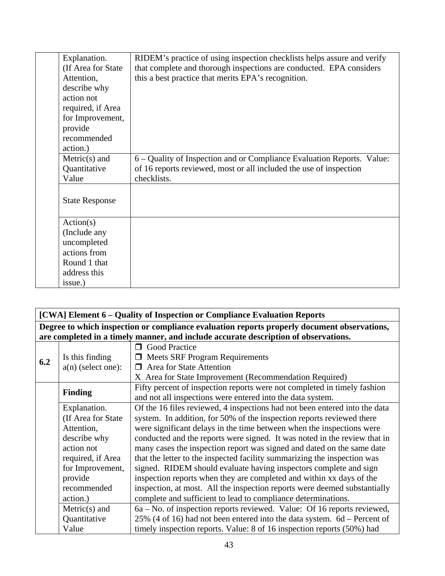| Explanation.          | RIDEM's practice of using inspection checklists helps assure and verify |
|-----------------------|-------------------------------------------------------------------------|
| (If Area for State)   | that complete and thorough inspections are conducted. EPA considers     |
| Attention,            | this a best practice that merits EPA's recognition.                     |
| describe why          |                                                                         |
| action not            |                                                                         |
| required, if Area     |                                                                         |
| for Improvement,      |                                                                         |
| provide               |                                                                         |
| recommended           |                                                                         |
| action.)              |                                                                         |
| $Metric(s)$ and       | 6 – Quality of Inspection and or Compliance Evaluation Reports. Value:  |
| Quantitative          | of 16 reports reviewed, most or all included the use of inspection      |
| Value                 | checklists.                                                             |
|                       |                                                                         |
| <b>State Response</b> |                                                                         |
|                       |                                                                         |
| Action(s)             |                                                                         |
| (Include any          |                                                                         |
| uncompleted           |                                                                         |
| actions from          |                                                                         |
| Round 1 that          |                                                                         |
| address this          |                                                                         |
| issue.)               |                                                                         |

| [CWA] Element 6 - Quality of Inspection or Compliance Evaluation Reports                    |                      |                                                                                     |
|---------------------------------------------------------------------------------------------|----------------------|-------------------------------------------------------------------------------------|
| Degree to which inspection or compliance evaluation reports properly document observations, |                      |                                                                                     |
|                                                                                             |                      | are completed in a timely manner, and include accurate description of observations. |
|                                                                                             |                      | <b>Good Practice</b><br>⊓                                                           |
| 6.2                                                                                         | Is this finding      | $\Box$ Meets SRF Program Requirements                                               |
|                                                                                             | $a(n)$ (select one): | Area for State Attention<br>П                                                       |
|                                                                                             |                      | X Area for State Improvement (Recommendation Required)                              |
|                                                                                             | <b>Finding</b>       | Fifty percent of inspection reports were not completed in timely fashion            |
|                                                                                             |                      | and not all inspections were entered into the data system.                          |
|                                                                                             | Explanation.         | Of the 16 files reviewed, 4 inspections had not been entered into the data          |
|                                                                                             | (If Area for State)  | system. In addition, for 50% of the inspection reports reviewed there               |
|                                                                                             | Attention,           | were significant delays in the time between when the inspections were               |
|                                                                                             | describe why         | conducted and the reports were signed. It was noted in the review that in           |
|                                                                                             | action not           | many cases the inspection report was signed and dated on the same date              |
|                                                                                             | required, if Area    | that the letter to the inspected facility summarizing the inspection was            |
|                                                                                             | for Improvement,     | signed. RIDEM should evaluate having inspectors complete and sign                   |
|                                                                                             | provide              | inspection reports when they are completed and within xx days of the                |
|                                                                                             | recommended          | inspection, at most. All the inspection reports were deemed substantially           |
|                                                                                             | action.)             | complete and sufficient to lead to compliance determinations.                       |
|                                                                                             | $Metric(s)$ and      | 6a – No. of inspection reports reviewed. Value: Of 16 reports reviewed,             |
|                                                                                             | Quantitative         | $25\%$ (4 of 16) had not been entered into the data system. 6d – Percent of         |
|                                                                                             | Value                | timely inspection reports. Value: 8 of 16 inspection reports (50%) had              |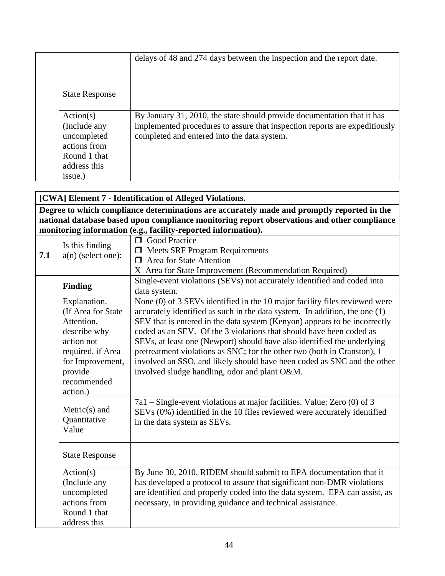|                                                                                          | delays of 48 and 274 days between the inspection and the report date.                                                                                                                                |
|------------------------------------------------------------------------------------------|------------------------------------------------------------------------------------------------------------------------------------------------------------------------------------------------------|
| <b>State Response</b>                                                                    |                                                                                                                                                                                                      |
| Action(s)<br>(Include any<br>uncompleted<br>actions from<br>Round 1 that<br>address this | By January 31, 2010, the state should provide documentation that it has<br>implemented procedures to assure that inspection reports are expeditiously<br>completed and entered into the data system. |
| issue.)                                                                                  |                                                                                                                                                                                                      |

### **[CWA] Element 7 - Identification of Alleged Violations.**

**Degree to which compliance determinations are accurately made and promptly reported in the national database based upon compliance monitoring report observations and other compliance monitoring information (e.g., facility-reported information).** 

| 7.1 | Is this finding<br>$a(n)$ (select one):                                                                                                                       | <b>O</b> Good Practice<br>$\Box$ Meets SRF Program Requirements<br>$\Box$ Area for State Attention<br>X Area for State Improvement (Recommendation Required)                                                                                                                                                                                                                                                                                                                                                                                                                                   |
|-----|---------------------------------------------------------------------------------------------------------------------------------------------------------------|------------------------------------------------------------------------------------------------------------------------------------------------------------------------------------------------------------------------------------------------------------------------------------------------------------------------------------------------------------------------------------------------------------------------------------------------------------------------------------------------------------------------------------------------------------------------------------------------|
|     | <b>Finding</b>                                                                                                                                                | Single-event violations (SEVs) not accurately identified and coded into<br>data system.                                                                                                                                                                                                                                                                                                                                                                                                                                                                                                        |
|     | Explanation.<br>(If Area for State<br>Attention,<br>describe why<br>action not<br>required, if Area<br>for Improvement,<br>provide<br>recommended<br>action.) | None (0) of 3 SEVs identified in the 10 major facility files reviewed were<br>accurately identified as such in the data system. In addition, the one (1)<br>SEV that is entered in the data system (Kenyon) appears to be incorrectly<br>coded as an SEV. Of the 3 violations that should have been coded as<br>SEVs, at least one (Newport) should have also identified the underlying<br>pretreatment violations as SNC; for the other two (both in Cranston), 1<br>involved an SSO, and likely should have been coded as SNC and the other<br>involved sludge handling, odor and plant O&M. |
|     | $Metric(s)$ and<br>Quantitative<br>Value                                                                                                                      | 7a1 – Single-event violations at major facilities. Value: Zero (0) of 3<br>SEVs (0%) identified in the 10 files reviewed were accurately identified<br>in the data system as SEVs.                                                                                                                                                                                                                                                                                                                                                                                                             |
|     | <b>State Response</b>                                                                                                                                         |                                                                                                                                                                                                                                                                                                                                                                                                                                                                                                                                                                                                |
|     | Action(s)<br>(Include any<br>uncompleted<br>actions from<br>Round 1 that<br>address this                                                                      | By June 30, 2010, RIDEM should submit to EPA documentation that it<br>has developed a protocol to assure that significant non-DMR violations<br>are identified and properly coded into the data system. EPA can assist, as<br>necessary, in providing guidance and technical assistance.                                                                                                                                                                                                                                                                                                       |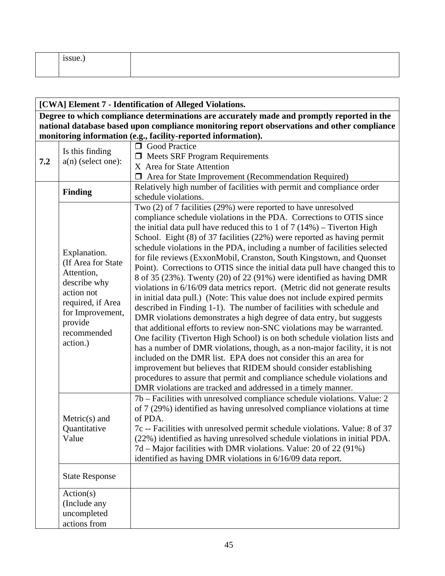| 100112<br>ssue. |  |
|-----------------|--|
|                 |  |

#### **[CWA] Element 7 - Identification of Alleged Violations.**

**Degree to which compliance determinations are accurately made and promptly reported in the national database based upon compliance monitoring report observations and other compliance monitoring information (e.g., facility-reported information).** 

|     |                                                                                           | <b>O</b> Good Practice                                                                                                                                                                                                                                                                                                                                                                                                                                                                                                                                                                                                                                                                                                                                |
|-----|-------------------------------------------------------------------------------------------|-------------------------------------------------------------------------------------------------------------------------------------------------------------------------------------------------------------------------------------------------------------------------------------------------------------------------------------------------------------------------------------------------------------------------------------------------------------------------------------------------------------------------------------------------------------------------------------------------------------------------------------------------------------------------------------------------------------------------------------------------------|
| 7.2 | Is this finding<br>$a(n)$ (select one):                                                   | <b>I</b> Meets SRF Program Requirements                                                                                                                                                                                                                                                                                                                                                                                                                                                                                                                                                                                                                                                                                                               |
|     |                                                                                           | X Area for State Attention                                                                                                                                                                                                                                                                                                                                                                                                                                                                                                                                                                                                                                                                                                                            |
|     |                                                                                           | □ Area for State Improvement (Recommendation Required)                                                                                                                                                                                                                                                                                                                                                                                                                                                                                                                                                                                                                                                                                                |
|     |                                                                                           | Relatively high number of facilities with permit and compliance order                                                                                                                                                                                                                                                                                                                                                                                                                                                                                                                                                                                                                                                                                 |
|     | <b>Finding</b>                                                                            | schedule violations.                                                                                                                                                                                                                                                                                                                                                                                                                                                                                                                                                                                                                                                                                                                                  |
|     | Explanation.<br>(If Area for State<br>Attention,<br>describe why                          | Two (2) of 7 facilities (29%) were reported to have unresolved<br>compliance schedule violations in the PDA. Corrections to OTIS since<br>the initial data pull have reduced this to 1 of $7(14%)$ – Tiverton High<br>School. Eight (8) of 37 facilities (22%) were reported as having permit<br>schedule violations in the PDA, including a number of facilities selected<br>for file reviews (ExxonMobil, Cranston, South Kingstown, and Quonset<br>Point). Corrections to OTIS since the initial data pull have changed this to<br>8 of 35 (23%). Twenty (20) of 22 (91%) were identified as having DMR<br>violations in 6/16/09 data metrics report. (Metric did not generate results                                                             |
|     | action not<br>required, if Area<br>for Improvement,<br>provide<br>recommended<br>action.) | in initial data pull.) (Note: This value does not include expired permits<br>described in Finding 1-1). The number of facilities with schedule and<br>DMR violations demonstrates a high degree of data entry, but suggests<br>that additional efforts to review non-SNC violations may be warranted.<br>One facility (Tiverton High School) is on both schedule violation lists and<br>has a number of DMR violations, though, as a non-major facility, it is not<br>included on the DMR list. EPA does not consider this an area for<br>improvement but believes that RIDEM should consider establishing<br>procedures to assure that permit and compliance schedule violations and<br>DMR violations are tracked and addressed in a timely manner. |
|     | $Metric(s)$ and<br>Quantitative<br>Value                                                  | 7b – Facilities with unresolved compliance schedule violations. Value: 2<br>of 7 (29%) identified as having unresolved compliance violations at time<br>of PDA.<br>7c -- Facilities with unresolved permit schedule violations. Value: 8 of 37<br>(22%) identified as having unresolved schedule violations in initial PDA.<br>7d – Major facilities with DMR violations. Value: 20 of 22 (91%)<br>identified as having DMR violations in 6/16/09 data report.                                                                                                                                                                                                                                                                                        |
|     | <b>State Response</b>                                                                     |                                                                                                                                                                                                                                                                                                                                                                                                                                                                                                                                                                                                                                                                                                                                                       |
|     | Action(s)<br>(Include any<br>uncompleted<br>actions from                                  |                                                                                                                                                                                                                                                                                                                                                                                                                                                                                                                                                                                                                                                                                                                                                       |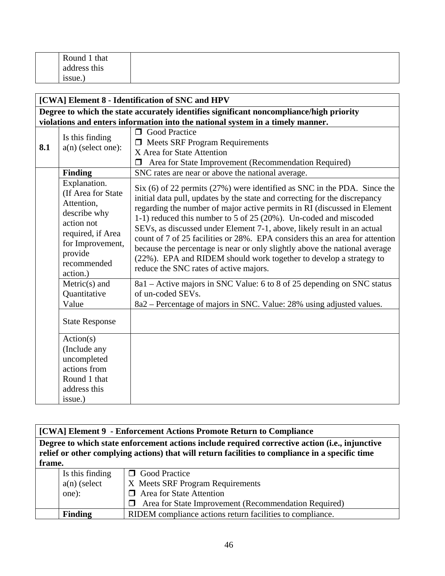| Round 1 that |  |
|--------------|--|
| address this |  |
| ssue.        |  |

|     | [CWA] Element 8 - Identification of SNC and HPV                                                                                                               |                                                                                                                                                                                                                                                                                                                                                                                                                                                                                                                                                                                                                                                                   |  |
|-----|---------------------------------------------------------------------------------------------------------------------------------------------------------------|-------------------------------------------------------------------------------------------------------------------------------------------------------------------------------------------------------------------------------------------------------------------------------------------------------------------------------------------------------------------------------------------------------------------------------------------------------------------------------------------------------------------------------------------------------------------------------------------------------------------------------------------------------------------|--|
|     | Degree to which the state accurately identifies significant noncompliance/high priority                                                                       |                                                                                                                                                                                                                                                                                                                                                                                                                                                                                                                                                                                                                                                                   |  |
|     |                                                                                                                                                               | violations and enters information into the national system in a timely manner.                                                                                                                                                                                                                                                                                                                                                                                                                                                                                                                                                                                    |  |
| 8.1 | Is this finding<br>$a(n)$ (select one):                                                                                                                       | <b>O</b> Good Practice<br>$\Box$ Meets SRF Program Requirements<br>X Area for State Attention<br>Area for State Improvement (Recommendation Required)<br>◘                                                                                                                                                                                                                                                                                                                                                                                                                                                                                                        |  |
|     | <b>Finding</b>                                                                                                                                                | SNC rates are near or above the national average.                                                                                                                                                                                                                                                                                                                                                                                                                                                                                                                                                                                                                 |  |
|     | Explanation.<br>(If Area for State<br>Attention,<br>describe why<br>action not<br>required, if Area<br>for Improvement,<br>provide<br>recommended<br>action.) | $Six (6) of 22 permits (27%) were identified as SNC in the PDA. Since the$<br>initial data pull, updates by the state and correcting for the discrepancy<br>regarding the number of major active permits in RI (discussed in Element<br>1-1) reduced this number to 5 of 25 (20%). Un-coded and miscoded<br>SEVs, as discussed under Element 7-1, above, likely result in an actual<br>count of 7 of 25 facilities or 28%. EPA considers this an area for attention<br>because the percentage is near or only slightly above the national average<br>(22%). EPA and RIDEM should work together to develop a strategy to<br>reduce the SNC rates of active majors. |  |
|     | Metric(s) and<br>Quantitative<br>Value                                                                                                                        | 8a1 – Active majors in SNC Value: 6 to 8 of 25 depending on SNC status<br>of un-coded SEVs.<br>8a2 – Percentage of majors in SNC. Value: 28% using adjusted values.                                                                                                                                                                                                                                                                                                                                                                                                                                                                                               |  |
|     | <b>State Response</b>                                                                                                                                         |                                                                                                                                                                                                                                                                                                                                                                                                                                                                                                                                                                                                                                                                   |  |
|     | Action(s)<br>(Include any<br>uncompleted<br>actions from<br>Round 1 that<br>address this                                                                      |                                                                                                                                                                                                                                                                                                                                                                                                                                                                                                                                                                                                                                                                   |  |
|     | issue.)                                                                                                                                                       |                                                                                                                                                                                                                                                                                                                                                                                                                                                                                                                                                                                                                                                                   |  |

**[CWA] Element 9 - Enforcement Actions Promote Return to Compliance**

**Degree to which state enforcement actions include required corrective action (i.e., injunctive relief or other complying actions) that will return facilities to compliance in a specific time frame.** 

| Is this finding | <b>Solution</b> Good Practice                               |
|-----------------|-------------------------------------------------------------|
| $a(n)$ (select  | X Meets SRF Program Requirements                            |
| one):           | <b>I</b> Area for State Attention                           |
|                 | $\Box$ Area for State Improvement (Recommendation Required) |
| <b>Finding</b>  | RIDEM compliance actions return facilities to compliance.   |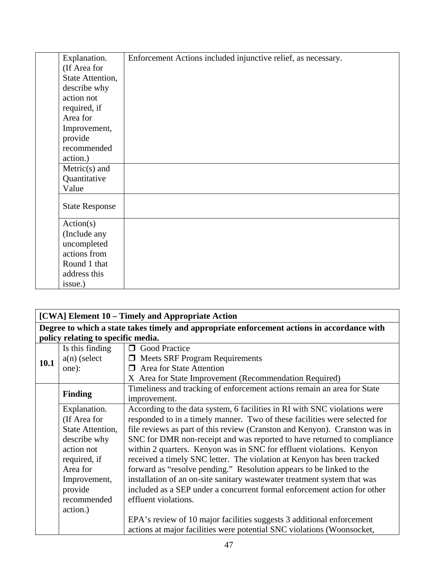| Explanation.          | Enforcement Actions included injunctive relief, as necessary. |
|-----------------------|---------------------------------------------------------------|
| (If Area for          |                                                               |
| State Attention,      |                                                               |
| describe why          |                                                               |
| action not            |                                                               |
| required, if          |                                                               |
| Area for              |                                                               |
| Improvement,          |                                                               |
| provide               |                                                               |
| recommended           |                                                               |
| action.)              |                                                               |
| $Metric(s)$ and       |                                                               |
| Quantitative          |                                                               |
| Value                 |                                                               |
| <b>State Response</b> |                                                               |
| Action(s)             |                                                               |
| (Include any          |                                                               |
| uncompleted           |                                                               |
| actions from          |                                                               |
| Round 1 that          |                                                               |
| address this          |                                                               |
| issue.)               |                                                               |

| [CWA] Element 10 – Timely and Appropriate Action |                                                                                             |                                                                            |  |
|--------------------------------------------------|---------------------------------------------------------------------------------------------|----------------------------------------------------------------------------|--|
|                                                  | Degree to which a state takes timely and appropriate enforcement actions in accordance with |                                                                            |  |
|                                                  | policy relating to specific media.                                                          |                                                                            |  |
|                                                  | Is this finding                                                                             | <b>O</b> Good Practice                                                     |  |
| <b>10.1</b>                                      | $a(n)$ (select                                                                              | $\Box$ Meets SRF Program Requirements                                      |  |
|                                                  | one):                                                                                       | $\Box$ Area for State Attention                                            |  |
|                                                  |                                                                                             | X Area for State Improvement (Recommendation Required)                     |  |
|                                                  | <b>Finding</b>                                                                              | Timeliness and tracking of enforcement actions remain an area for State    |  |
|                                                  |                                                                                             | improvement.                                                               |  |
|                                                  | Explanation.                                                                                | According to the data system, 6 facilities in RI with SNC violations were  |  |
|                                                  | (If Area for                                                                                | responded to in a timely manner. Two of these facilities were selected for |  |
|                                                  | State Attention,                                                                            | file reviews as part of this review (Cranston and Kenyon). Cranston was in |  |
|                                                  | describe why                                                                                | SNC for DMR non-receipt and was reported to have returned to compliance    |  |
|                                                  | action not                                                                                  | within 2 quarters. Kenyon was in SNC for effluent violations. Kenyon       |  |
|                                                  | required, if                                                                                | received a timely SNC letter. The violation at Kenyon has been tracked     |  |
|                                                  | Area for                                                                                    | forward as "resolve pending." Resolution appears to be linked to the       |  |
|                                                  | Improvement,                                                                                | installation of an on-site sanitary wastewater treatment system that was   |  |
|                                                  | provide                                                                                     | included as a SEP under a concurrent formal enforcement action for other   |  |
|                                                  | recommended                                                                                 | effluent violations.                                                       |  |
|                                                  | action.)                                                                                    |                                                                            |  |
|                                                  |                                                                                             | EPA's review of 10 major facilities suggests 3 additional enforcement      |  |
|                                                  |                                                                                             | actions at major facilities were potential SNC violations (Woonsocket,     |  |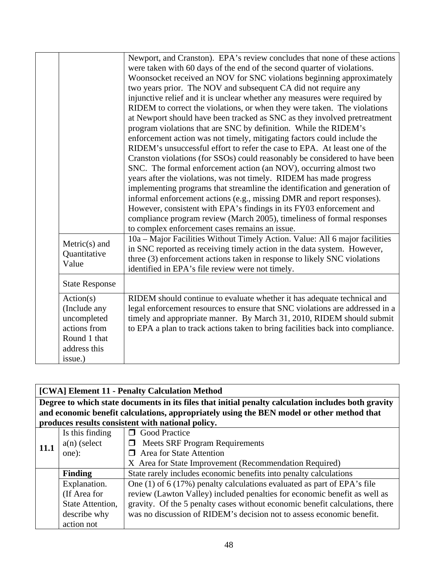|                       | Newport, and Cranston). EPA's review concludes that none of these actions      |
|-----------------------|--------------------------------------------------------------------------------|
|                       | were taken with 60 days of the end of the second quarter of violations.        |
|                       | Woonsocket received an NOV for SNC violations beginning approximately          |
|                       | two years prior. The NOV and subsequent CA did not require any                 |
|                       | injunctive relief and it is unclear whether any measures were required by      |
|                       | RIDEM to correct the violations, or when they were taken. The violations       |
|                       | at Newport should have been tracked as SNC as they involved pretreatment       |
|                       | program violations that are SNC by definition. While the RIDEM's               |
|                       | enforcement action was not timely, mitigating factors could include the        |
|                       | RIDEM's unsuccessful effort to refer the case to EPA. At least one of the      |
|                       | Cranston violations (for SSOs) could reasonably be considered to have been     |
|                       | SNC. The formal enforcement action (an NOV), occurring almost two              |
|                       | years after the violations, was not timely. RIDEM has made progress            |
|                       | implementing programs that streamline the identification and generation of     |
|                       | informal enforcement actions (e.g., missing DMR and report responses).         |
|                       | However, consistent with EPA's findings in its FY03 enforcement and            |
|                       | compliance program review (March 2005), timeliness of formal responses         |
|                       | to complex enforcement cases remains an issue.                                 |
|                       | 10a – Major Facilities Without Timely Action. Value: All 6 major facilities    |
| $Metric(s)$ and       | in SNC reported as receiving timely action in the data system. However,        |
| Quantitative          | three (3) enforcement actions taken in response to likely SNC violations       |
| Value                 | identified in EPA's file review were not timely.                               |
|                       |                                                                                |
| <b>State Response</b> |                                                                                |
| Action(s)             | RIDEM should continue to evaluate whether it has adequate technical and        |
| (Include any          | legal enforcement resources to ensure that SNC violations are addressed in a   |
| uncompleted           | timely and appropriate manner. By March 31, 2010, RIDEM should submit          |
| actions from          | to EPA a plan to track actions taken to bring facilities back into compliance. |
| Round 1 that          |                                                                                |
| address this          |                                                                                |
| issue.)               |                                                                                |
|                       |                                                                                |

| [CWA] Element 11 - Penalty Calculation Method |                  |                                                                                                     |
|-----------------------------------------------|------------------|-----------------------------------------------------------------------------------------------------|
|                                               |                  | Degree to which state documents in its files that initial penalty calculation includes both gravity |
|                                               |                  | and economic benefit calculations, appropriately using the BEN model or other method that           |
|                                               |                  | produces results consistent with national policy.                                                   |
|                                               | Is this finding  | <b>O</b> Good Practice                                                                              |
| 11.1                                          | $a(n)$ (select   | <b>Meets SRF Program Requirements</b><br>$\Box$                                                     |
|                                               | one):            | $\Box$ Area for State Attention                                                                     |
|                                               |                  | X Area for State Improvement (Recommendation Required)                                              |
|                                               | <b>Finding</b>   | State rarely includes economic benefits into penalty calculations                                   |
|                                               | Explanation.     | One $(1)$ of 6 (17%) penalty calculations evaluated as part of EPA's file                           |
|                                               | (If Area for     | review (Lawton Valley) included penalties for economic benefit as well as                           |
|                                               | State Attention, | gravity. Of the 5 penalty cases without economic benefit calculations, there                        |
|                                               | describe why     | was no discussion of RIDEM's decision not to assess economic benefit.                               |
|                                               | action not       |                                                                                                     |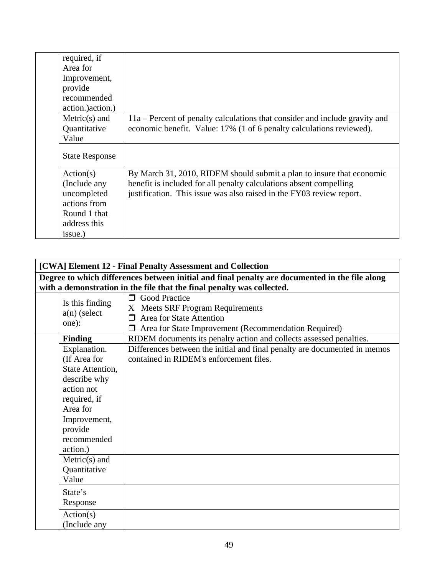| required, if          |                                                                             |
|-----------------------|-----------------------------------------------------------------------------|
| Area for              |                                                                             |
| Improvement,          |                                                                             |
| provide               |                                                                             |
| recommended           |                                                                             |
| action.) action.)     |                                                                             |
| $Metric(s)$ and       | 11a – Percent of penalty calculations that consider and include gravity and |
| Quantitative          | economic benefit. Value: 17% (1 of 6 penalty calculations reviewed).        |
| Value                 |                                                                             |
| <b>State Response</b> |                                                                             |
| Action(s)             | By March 31, 2010, RIDEM should submit a plan to insure that economic       |
| (Include any          | benefit is included for all penalty calculations absent compelling          |
| uncompleted           | justification. This issue was also raised in the FY03 review report.        |
| actions from          |                                                                             |
| Round 1 that          |                                                                             |
| address this          |                                                                             |
| issue.)               |                                                                             |

| [CWA] Element 12 - Final Penalty Assessment and Collection                                                                                                       |                                                                                                                                                                 |  |  |
|------------------------------------------------------------------------------------------------------------------------------------------------------------------|-----------------------------------------------------------------------------------------------------------------------------------------------------------------|--|--|
| Degree to which differences between initial and final penalty are documented in the file along                                                                   |                                                                                                                                                                 |  |  |
|                                                                                                                                                                  | with a demonstration in the file that the final penalty was collected.                                                                                          |  |  |
| Is this finding<br>$a(n)$ (select<br>one):                                                                                                                       | <b>O</b> Good Practice<br>X Meets SRF Program Requirements<br>Area for State Attention<br>$\Box$<br>$\Box$ Area for State Improvement (Recommendation Required) |  |  |
| <b>Finding</b>                                                                                                                                                   | RIDEM documents its penalty action and collects assessed penalties.                                                                                             |  |  |
| Explanation.<br>(If Area for<br>State Attention,<br>describe why<br>action not<br>required, if<br>Area for<br>Improvement,<br>provide<br>recommended<br>action.) | Differences between the initial and final penalty are documented in memos<br>contained in RIDEM's enforcement files.                                            |  |  |
| $Metric(s)$ and<br>Quantitative<br>Value                                                                                                                         |                                                                                                                                                                 |  |  |
| State's<br>Response                                                                                                                                              |                                                                                                                                                                 |  |  |
| Action(s)<br>(Include any                                                                                                                                        |                                                                                                                                                                 |  |  |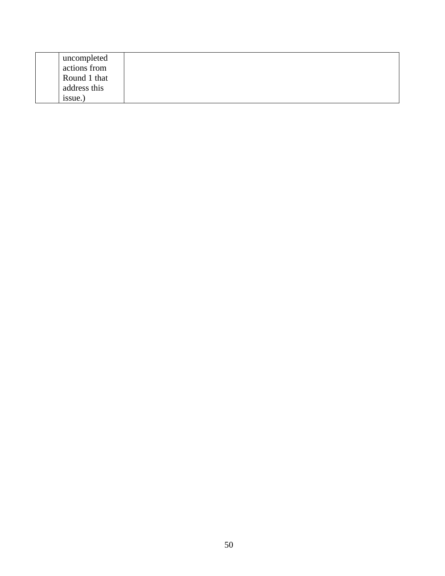| uncompleted  |  |
|--------------|--|
| actions from |  |
| Round 1 that |  |
| address this |  |
| issue.       |  |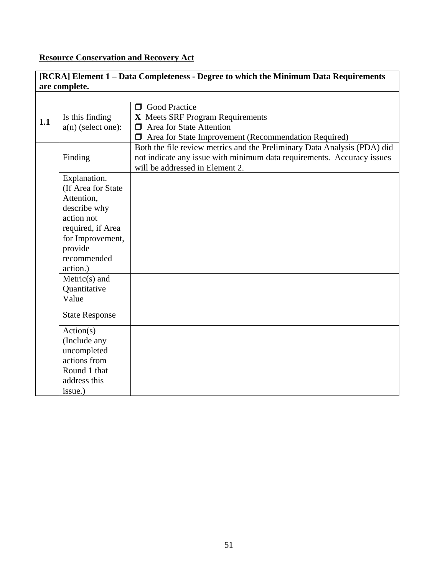## **Resource Conservation and Recovery Act**

|     | are complete.                   | [RCRA] Element 1 – Data Completeness - Degree to which the Minimum Data Requirements                                                                                                  |
|-----|---------------------------------|---------------------------------------------------------------------------------------------------------------------------------------------------------------------------------------|
|     |                                 |                                                                                                                                                                                       |
|     | Is this finding                 | <b>O</b> Good Practice<br>X Meets SRF Program Requirements                                                                                                                            |
| 1.1 | $a(n)$ (select one):            | $\Box$ Area for State Attention                                                                                                                                                       |
|     |                                 | Area for State Improvement (Recommendation Required)                                                                                                                                  |
|     | Finding                         | Both the file review metrics and the Preliminary Data Analysis (PDA) did<br>not indicate any issue with minimum data requirements. Accuracy issues<br>will be addressed in Element 2. |
|     | Explanation.                    |                                                                                                                                                                                       |
|     | (If Area for State              |                                                                                                                                                                                       |
|     | Attention,                      |                                                                                                                                                                                       |
|     | describe why                    |                                                                                                                                                                                       |
|     | action not<br>required, if Area |                                                                                                                                                                                       |
|     | for Improvement,                |                                                                                                                                                                                       |
|     | provide                         |                                                                                                                                                                                       |
|     | recommended                     |                                                                                                                                                                                       |
|     | action.)                        |                                                                                                                                                                                       |
|     | $Metric(s)$ and                 |                                                                                                                                                                                       |
|     | Quantitative                    |                                                                                                                                                                                       |
|     | Value                           |                                                                                                                                                                                       |
|     | <b>State Response</b>           |                                                                                                                                                                                       |
|     | Action(s)                       |                                                                                                                                                                                       |
|     | (Include any                    |                                                                                                                                                                                       |
|     | uncompleted                     |                                                                                                                                                                                       |
|     | actions from                    |                                                                                                                                                                                       |
|     | Round 1 that<br>address this    |                                                                                                                                                                                       |
|     | issue.)                         |                                                                                                                                                                                       |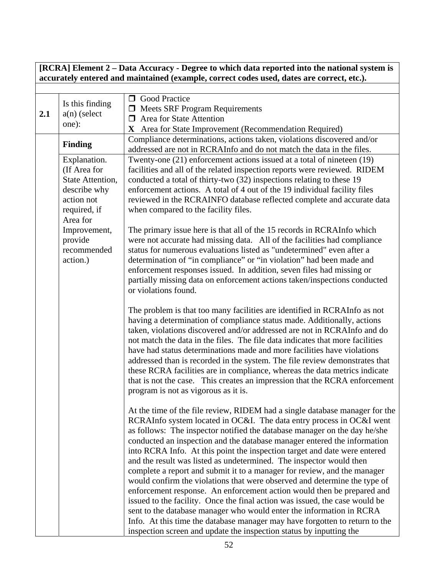#### **[RCRA] Element 2 – Data Accuracy - Degree to which data reported into the national system is accurately entered and maintained (example, correct codes used, dates are correct, etc.).**

| 2.1 | Is this finding<br>$a(n)$ (select<br>one):                                                                 | <b>O</b> Good Practice<br>$\Box$ Meets SRF Program Requirements<br>$\Box$ Area for State Attention<br>X Area for State Improvement (Recommendation Required)                                                                                                                                                                                                                                                                                                                                                                                                                                                                                                                                                                                                                                                                                                                                                                                                                                                     |
|-----|------------------------------------------------------------------------------------------------------------|------------------------------------------------------------------------------------------------------------------------------------------------------------------------------------------------------------------------------------------------------------------------------------------------------------------------------------------------------------------------------------------------------------------------------------------------------------------------------------------------------------------------------------------------------------------------------------------------------------------------------------------------------------------------------------------------------------------------------------------------------------------------------------------------------------------------------------------------------------------------------------------------------------------------------------------------------------------------------------------------------------------|
|     | <b>Finding</b>                                                                                             | Compliance determinations, actions taken, violations discovered and/or<br>addressed are not in RCRAInfo and do not match the data in the files.                                                                                                                                                                                                                                                                                                                                                                                                                                                                                                                                                                                                                                                                                                                                                                                                                                                                  |
|     | Explanation.<br>(If Area for<br>State Attention,<br>describe why<br>action not<br>required, if<br>Area for | Twenty-one (21) enforcement actions issued at a total of nineteen (19)<br>facilities and all of the related inspection reports were reviewed. RIDEM<br>conducted a total of thirty-two (32) inspections relating to these 19<br>enforcement actions. A total of 4 out of the 19 individual facility files<br>reviewed in the RCRAINFO database reflected complete and accurate data<br>when compared to the facility files.                                                                                                                                                                                                                                                                                                                                                                                                                                                                                                                                                                                      |
|     | Improvement,<br>provide<br>recommended<br>action.)                                                         | The primary issue here is that all of the 15 records in RCRAInfo which<br>were not accurate had missing data. All of the facilities had compliance<br>status for numerous evaluations listed as "undetermined" even after a<br>determination of "in compliance" or "in violation" had been made and<br>enforcement responses issued. In addition, seven files had missing or<br>partially missing data on enforcement actions taken/inspections conducted<br>or violations found.                                                                                                                                                                                                                                                                                                                                                                                                                                                                                                                                |
|     |                                                                                                            | The problem is that too many facilities are identified in RCRAInfo as not<br>having a determination of compliance status made. Additionally, actions<br>taken, violations discovered and/or addressed are not in RCRAInfo and do<br>not match the data in the files. The file data indicates that more facilities<br>have had status determinations made and more facilities have violations<br>addressed than is recorded in the system. The file review demonstrates that<br>these RCRA facilities are in compliance, whereas the data metrics indicate<br>that is not the case. This creates an impression that the RCRA enforcement<br>program is not as vigorous as it is.                                                                                                                                                                                                                                                                                                                                  |
|     |                                                                                                            | At the time of the file review, RIDEM had a single database manager for the<br>RCRAInfo system located in OC&I. The data entry process in OC&I went<br>as follows: The inspector notified the database manager on the day he/she<br>conducted an inspection and the database manager entered the information<br>into RCRA Info. At this point the inspection target and date were entered<br>and the result was listed as undetermined. The inspector would then<br>complete a report and submit it to a manager for review, and the manager<br>would confirm the violations that were observed and determine the type of<br>enforcement response. An enforcement action would then be prepared and<br>issued to the facility. Once the final action was issued, the case would be<br>sent to the database manager who would enter the information in RCRA<br>Info. At this time the database manager may have forgotten to return to the<br>inspection screen and update the inspection status by inputting the |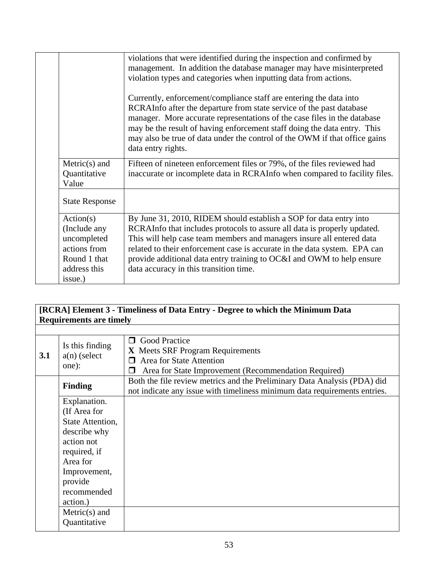|                                          | violations that were identified during the inspection and confirmed by<br>management. In addition the database manager may have misinterpreted<br>violation types and categories when inputting data from actions.<br>Currently, enforcement/compliance staff are entering the data into<br>RCRAInfo after the departure from state service of the past database<br>manager. More accurate representations of the case files in the database<br>may be the result of having enforcement staff doing the data entry. This<br>may also be true of data under the control of the OWM if that office gains |
|------------------------------------------|--------------------------------------------------------------------------------------------------------------------------------------------------------------------------------------------------------------------------------------------------------------------------------------------------------------------------------------------------------------------------------------------------------------------------------------------------------------------------------------------------------------------------------------------------------------------------------------------------------|
|                                          | data entry rights.                                                                                                                                                                                                                                                                                                                                                                                                                                                                                                                                                                                     |
| $Metric(s)$ and<br>Quantitative<br>Value | Fifteen of nineteen enforcement files or 79%, of the files reviewed had<br>inaccurate or incomplete data in RCRAInfo when compared to facility files.                                                                                                                                                                                                                                                                                                                                                                                                                                                  |
| <b>State Response</b>                    |                                                                                                                                                                                                                                                                                                                                                                                                                                                                                                                                                                                                        |
| Action(s)                                | By June 31, 2010, RIDEM should establish a SOP for data entry into                                                                                                                                                                                                                                                                                                                                                                                                                                                                                                                                     |
| (Include any                             | RCRAInfo that includes protocols to assure all data is properly updated.                                                                                                                                                                                                                                                                                                                                                                                                                                                                                                                               |
| uncompleted                              | This will help case team members and managers insure all entered data                                                                                                                                                                                                                                                                                                                                                                                                                                                                                                                                  |
| actions from                             | related to their enforcement case is accurate in the data system. EPA can                                                                                                                                                                                                                                                                                                                                                                                                                                                                                                                              |
| Round 1 that                             | provide additional data entry training to OC&I and OWM to help ensure                                                                                                                                                                                                                                                                                                                                                                                                                                                                                                                                  |
| address this                             | data accuracy in this transition time.                                                                                                                                                                                                                                                                                                                                                                                                                                                                                                                                                                 |
| issue.)                                  |                                                                                                                                                                                                                                                                                                                                                                                                                                                                                                                                                                                                        |

## **[RCRA] Element 3 - Timeliness of Data Entry - Degree to which the Minimum Data Requirements are timely**

| 3.1 | Is this finding<br>$a(n)$ (select<br>one): | <b>O</b> Good Practice<br>X Meets SRF Program Requirements<br>Area for State Attention<br>Area for State Improvement (Recommendation Required)        |
|-----|--------------------------------------------|-------------------------------------------------------------------------------------------------------------------------------------------------------|
|     | <b>Finding</b>                             | Both the file review metrics and the Preliminary Data Analysis (PDA) did<br>not indicate any issue with timeliness minimum data requirements entries. |
|     | Explanation.                               |                                                                                                                                                       |
|     | (If Area for                               |                                                                                                                                                       |
|     | State Attention,                           |                                                                                                                                                       |
|     | describe why                               |                                                                                                                                                       |
|     | action not                                 |                                                                                                                                                       |
|     | required, if                               |                                                                                                                                                       |
|     | Area for                                   |                                                                                                                                                       |
|     | Improvement,                               |                                                                                                                                                       |
|     | provide                                    |                                                                                                                                                       |
|     | recommended                                |                                                                                                                                                       |
|     | action.)                                   |                                                                                                                                                       |
|     | $Metric(s)$ and                            |                                                                                                                                                       |
|     | Quantitative                               |                                                                                                                                                       |
|     |                                            |                                                                                                                                                       |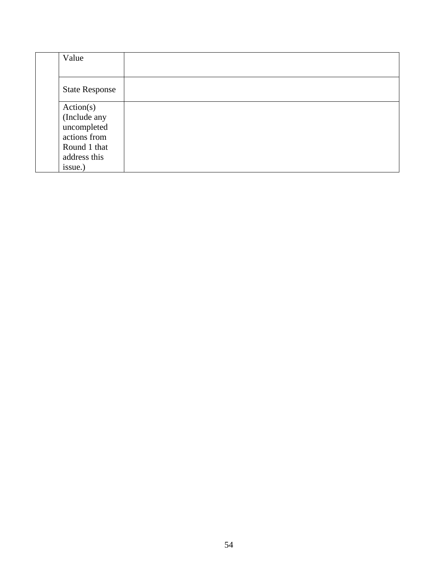| Value                 |  |  |
|-----------------------|--|--|
|                       |  |  |
| <b>State Response</b> |  |  |
| Action(s)             |  |  |
| (Include any          |  |  |
| uncompleted           |  |  |
| actions from          |  |  |
| Round 1 that          |  |  |
| address this          |  |  |
| issue.)               |  |  |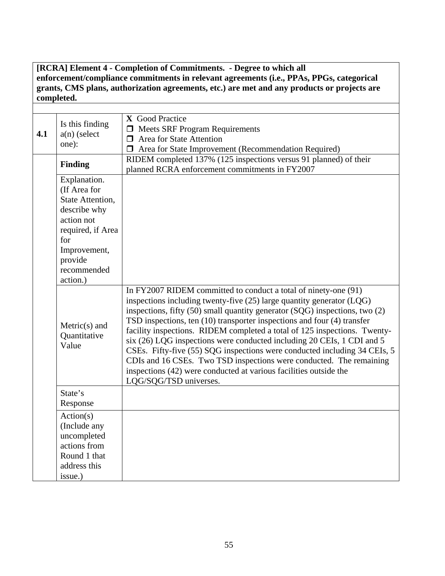**[RCRA] Element 4 - Completion of Commitments. - Degree to which all enforcement/compliance commitments in relevant agreements (i.e., PPAs, PPGs, categorical grants, CMS plans, authorization agreements, etc.) are met and any products or projects are completed.**

| 4.1 | Is this finding<br>$a(n)$ (select<br>one):                                                                                                           | X Good Practice<br>$\Box$ Meets SRF Program Requirements<br>$\Box$ Area for State Attention<br>$\Box$ Area for State Improvement (Recommendation Required)                                                                                                                                                                                                                                                                                                                                                                                                                                                                                                                                                             |
|-----|------------------------------------------------------------------------------------------------------------------------------------------------------|------------------------------------------------------------------------------------------------------------------------------------------------------------------------------------------------------------------------------------------------------------------------------------------------------------------------------------------------------------------------------------------------------------------------------------------------------------------------------------------------------------------------------------------------------------------------------------------------------------------------------------------------------------------------------------------------------------------------|
|     | Finding                                                                                                                                              | RIDEM completed 137% (125 inspections versus 91 planned) of their<br>planned RCRA enforcement commitments in FY2007                                                                                                                                                                                                                                                                                                                                                                                                                                                                                                                                                                                                    |
|     | Explanation.<br>(If Area for<br>State Attention,<br>describe why<br>action not<br>required, if Area<br>for<br>Improvement,<br>provide<br>recommended |                                                                                                                                                                                                                                                                                                                                                                                                                                                                                                                                                                                                                                                                                                                        |
|     | action.)                                                                                                                                             |                                                                                                                                                                                                                                                                                                                                                                                                                                                                                                                                                                                                                                                                                                                        |
|     | $Metric(s)$ and<br>Quantitative<br>Value                                                                                                             | In FY2007 RIDEM committed to conduct a total of ninety-one (91)<br>inspections including twenty-five $(25)$ large quantity generator $(LQG)$<br>inspections, fifty $(50)$ small quantity generator $(SQG)$ inspections, two $(2)$<br>TSD inspections, ten (10) transporter inspections and four (4) transfer<br>facility inspections. RIDEM completed a total of 125 inspections. Twenty-<br>six (26) LQG inspections were conducted including 20 CEIs, 1 CDI and 5<br>CSEs. Fifty-five (55) SQG inspections were conducted including 34 CEIs, 5<br>CDIs and 16 CSEs. Two TSD inspections were conducted. The remaining<br>inspections (42) were conducted at various facilities outside the<br>LQG/SQG/TSD universes. |
|     | State's<br>Response                                                                                                                                  |                                                                                                                                                                                                                                                                                                                                                                                                                                                                                                                                                                                                                                                                                                                        |
|     | Action(s)<br>(Include any<br>uncompleted<br>actions from<br>Round 1 that<br>address this<br>issue.)                                                  |                                                                                                                                                                                                                                                                                                                                                                                                                                                                                                                                                                                                                                                                                                                        |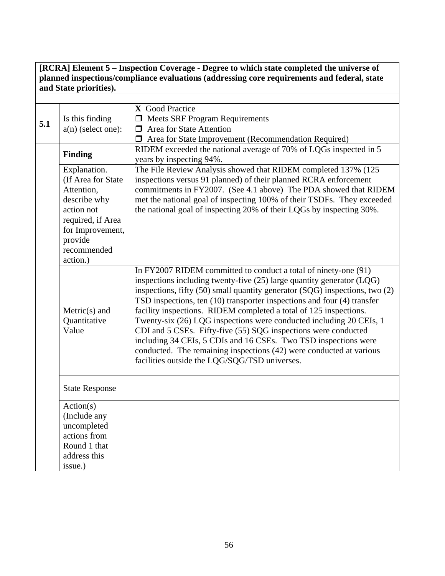**[RCRA] Element 5 – Inspection Coverage - Degree to which state completed the universe of planned inspections/compliance evaluations (addressing core requirements and federal, state and State priorities).**

| 5.1 | Is this finding<br>$a(n)$ (select one):                                                                                                                        | X Good Practice<br>$\Box$ Meets SRF Program Requirements<br>$\Box$ Area for State Attention<br>□ Area for State Improvement (Recommendation Required)                                                                                                                                                                                                                                                                                                                                                                                                                                                                                                                                                             |
|-----|----------------------------------------------------------------------------------------------------------------------------------------------------------------|-------------------------------------------------------------------------------------------------------------------------------------------------------------------------------------------------------------------------------------------------------------------------------------------------------------------------------------------------------------------------------------------------------------------------------------------------------------------------------------------------------------------------------------------------------------------------------------------------------------------------------------------------------------------------------------------------------------------|
|     | Finding                                                                                                                                                        | RIDEM exceeded the national average of 70% of LQGs inspected in 5<br>years by inspecting 94%.                                                                                                                                                                                                                                                                                                                                                                                                                                                                                                                                                                                                                     |
|     | Explanation.<br>(If Area for State)<br>Attention,<br>describe why<br>action not<br>required, if Area<br>for Improvement,<br>provide<br>recommended<br>action.) | The File Review Analysis showed that RIDEM completed 137% (125<br>inspections versus 91 planned) of their planned RCRA enforcement<br>commitments in FY2007. (See 4.1 above) The PDA showed that RIDEM<br>met the national goal of inspecting 100% of their TSDFs. They exceeded<br>the national goal of inspecting 20% of their LQGs by inspecting 30%.                                                                                                                                                                                                                                                                                                                                                          |
|     | $Metric(s)$ and<br>Quantitative<br>Value                                                                                                                       | In FY2007 RIDEM committed to conduct a total of ninety-one (91)<br>inspections including twenty-five (25) large quantity generator (LQG)<br>inspections, fifty $(50)$ small quantity generator $(SQG)$ inspections, two $(2)$<br>TSD inspections, ten (10) transporter inspections and four (4) transfer<br>facility inspections. RIDEM completed a total of 125 inspections.<br>Twenty-six (26) LQG inspections were conducted including 20 CEIs, 1<br>CDI and 5 CSEs. Fifty-five (55) SQG inspections were conducted<br>including 34 CEIs, 5 CDIs and 16 CSEs. Two TSD inspections were<br>conducted. The remaining inspections (42) were conducted at various<br>facilities outside the LQG/SQG/TSD universes. |
|     | <b>State Response</b>                                                                                                                                          |                                                                                                                                                                                                                                                                                                                                                                                                                                                                                                                                                                                                                                                                                                                   |
|     | Action(s)<br>(Include any<br>uncompleted<br>actions from<br>Round 1 that<br>address this<br>issue.)                                                            |                                                                                                                                                                                                                                                                                                                                                                                                                                                                                                                                                                                                                                                                                                                   |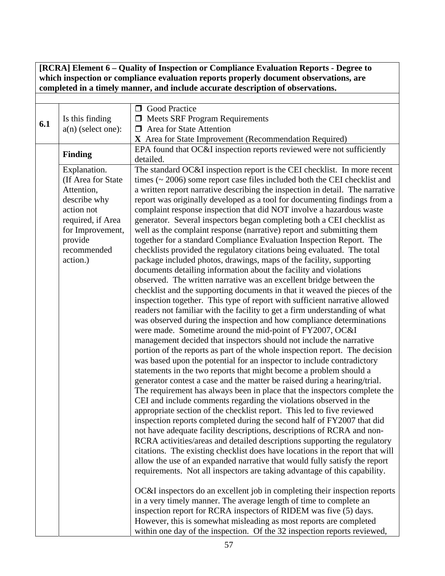**[RCRA] Element 6 – Quality of Inspection or Compliance Evaluation Reports - Degree to which inspection or compliance evaluation reports properly document observations, are completed in a timely manner, and include accurate description of observations.**

| 6.1 | Is this finding<br>$a(n)$ (select one):                                                                                                                       | <b>Sood Practice</b><br><b>I</b> Meets SRF Program Requirements<br>$\Box$ Area for State Attention<br>X Area for State Improvement (Recommendation Required)                                                                                                                                                                                                                                                                                                                                                                                                                                                                                                                                                                                                                                                                                                                                                                                                                                                                                                                                                                                                                                                                                                                                                                                                                                                                                                                                                                                                                                                                                                                                                                                                                                                                                                                                                                                                                                                                                                                                                                                                                                                                                                                                                                                                                                                                                                                                                                                                                                                                                                                                                                                                                   |
|-----|---------------------------------------------------------------------------------------------------------------------------------------------------------------|--------------------------------------------------------------------------------------------------------------------------------------------------------------------------------------------------------------------------------------------------------------------------------------------------------------------------------------------------------------------------------------------------------------------------------------------------------------------------------------------------------------------------------------------------------------------------------------------------------------------------------------------------------------------------------------------------------------------------------------------------------------------------------------------------------------------------------------------------------------------------------------------------------------------------------------------------------------------------------------------------------------------------------------------------------------------------------------------------------------------------------------------------------------------------------------------------------------------------------------------------------------------------------------------------------------------------------------------------------------------------------------------------------------------------------------------------------------------------------------------------------------------------------------------------------------------------------------------------------------------------------------------------------------------------------------------------------------------------------------------------------------------------------------------------------------------------------------------------------------------------------------------------------------------------------------------------------------------------------------------------------------------------------------------------------------------------------------------------------------------------------------------------------------------------------------------------------------------------------------------------------------------------------------------------------------------------------------------------------------------------------------------------------------------------------------------------------------------------------------------------------------------------------------------------------------------------------------------------------------------------------------------------------------------------------------------------------------------------------------------------------------------------------|
|     | <b>Finding</b>                                                                                                                                                | EPA found that OC&I inspection reports reviewed were not sufficiently<br>detailed.                                                                                                                                                                                                                                                                                                                                                                                                                                                                                                                                                                                                                                                                                                                                                                                                                                                                                                                                                                                                                                                                                                                                                                                                                                                                                                                                                                                                                                                                                                                                                                                                                                                                                                                                                                                                                                                                                                                                                                                                                                                                                                                                                                                                                                                                                                                                                                                                                                                                                                                                                                                                                                                                                             |
|     | Explanation.<br>(If Area for State<br>Attention,<br>describe why<br>action not<br>required, if Area<br>for Improvement,<br>provide<br>recommended<br>action.) | The standard OC&I inspection report is the CEI checklist. In more recent<br>times $(\sim 2006)$ some report case files included both the CEI checklist and<br>a written report narrative describing the inspection in detail. The narrative<br>report was originally developed as a tool for documenting findings from a<br>complaint response inspection that did NOT involve a hazardous waste<br>generator. Several inspectors began completing both a CEI checklist as<br>well as the complaint response (narrative) report and submitting them<br>together for a standard Compliance Evaluation Inspection Report. The<br>checklists provided the regulatory citations being evaluated. The total<br>package included photos, drawings, maps of the facility, supporting<br>documents detailing information about the facility and violations<br>observed. The written narrative was an excellent bridge between the<br>checklist and the supporting documents in that it weaved the pieces of the<br>inspection together. This type of report with sufficient narrative allowed<br>readers not familiar with the facility to get a firm understanding of what<br>was observed during the inspection and how compliance determinations<br>were made. Sometime around the mid-point of FY2007, OC&I<br>management decided that inspectors should not include the narrative<br>portion of the reports as part of the whole inspection report. The decision<br>was based upon the potential for an inspector to include contradictory<br>statements in the two reports that might become a problem should a<br>generator contest a case and the matter be raised during a hearing/trial.<br>The requirement has always been in place that the inspectors complete the<br>CEI and include comments regarding the violations observed in the<br>appropriate section of the checklist report. This led to five reviewed<br>inspection reports completed during the second half of FY2007 that did<br>not have adequate facility descriptions, descriptions of RCRA and non-<br>RCRA activities/areas and detailed descriptions supporting the regulatory<br>citations. The existing checklist does have locations in the report that will<br>allow the use of an expanded narrative that would fully satisfy the report<br>requirements. Not all inspectors are taking advantage of this capability.<br>OC&I inspectors do an excellent job in completing their inspection reports<br>in a very timely manner. The average length of time to complete an<br>inspection report for RCRA inspectors of RIDEM was five (5) days.<br>However, this is somewhat misleading as most reports are completed<br>within one day of the inspection. Of the 32 inspection reports reviewed, |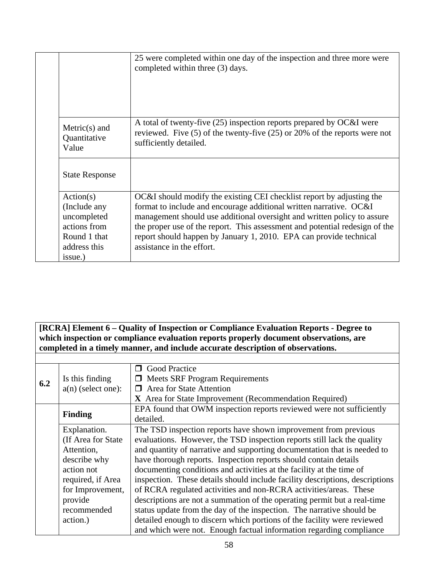|                                                                                                     | 25 were completed within one day of the inspection and three more were<br>completed within three (3) days.                                                                                                                                                                                                                                                                                               |
|-----------------------------------------------------------------------------------------------------|----------------------------------------------------------------------------------------------------------------------------------------------------------------------------------------------------------------------------------------------------------------------------------------------------------------------------------------------------------------------------------------------------------|
| $Metric(s)$ and<br>Quantitative<br>Value                                                            | A total of twenty-five (25) inspection reports prepared by OC&I were<br>reviewed. Five $(5)$ of the twenty-five $(25)$ or $20\%$ of the reports were not<br>sufficiently detailed.                                                                                                                                                                                                                       |
| <b>State Response</b>                                                                               |                                                                                                                                                                                                                                                                                                                                                                                                          |
| Action(s)<br>(Include any<br>uncompleted<br>actions from<br>Round 1 that<br>address this<br>issue.) | OC&I should modify the existing CEI checklist report by adjusting the<br>format to include and encourage additional written narrative. OC&I<br>management should use additional oversight and written policy to assure<br>the proper use of the report. This assessment and potential redesign of the<br>report should happen by January 1, 2010. EPA can provide technical<br>assistance in the effort. |

#### **[RCRA] Element 6 – Quality of Inspection or Compliance Evaluation Reports - Degree to**  which inspection or compliance evaluation reports properly document observations, are **completed in a timely manner, and include accurate description of observations.**

| 6.2 | Is this finding      | <b>S</b> Good Practice<br>$\Box$ Meets SRF Program Requirements              |  |  |
|-----|----------------------|------------------------------------------------------------------------------|--|--|
|     | $a(n)$ (select one): | <b>Area for State Attention</b><br>⊓                                         |  |  |
|     |                      | X Area for State Improvement (Recommendation Required)                       |  |  |
|     | <b>Finding</b>       | EPA found that OWM inspection reports reviewed were not sufficiently         |  |  |
|     |                      | detailed.                                                                    |  |  |
|     | Explanation.         | The TSD inspection reports have shown improvement from previous              |  |  |
|     | (If Area for State)  | evaluations. However, the TSD inspection reports still lack the quality      |  |  |
|     | Attention,           | and quantity of narrative and supporting documentation that is needed to     |  |  |
|     | describe why         | have thorough reports. Inspection reports should contain details             |  |  |
|     | action not           | documenting conditions and activities at the facility at the time of         |  |  |
|     | required, if Area    | inspection. These details should include facility descriptions, descriptions |  |  |
|     | for Improvement,     | of RCRA regulated activities and non-RCRA activities/areas. These            |  |  |
|     | provide              | descriptions are not a summation of the operating permit but a real-time     |  |  |
|     | recommended          | status update from the day of the inspection. The narrative should be        |  |  |
|     | action.)             | detailed enough to discern which portions of the facility were reviewed      |  |  |
|     |                      | and which were not. Enough factual information regarding compliance          |  |  |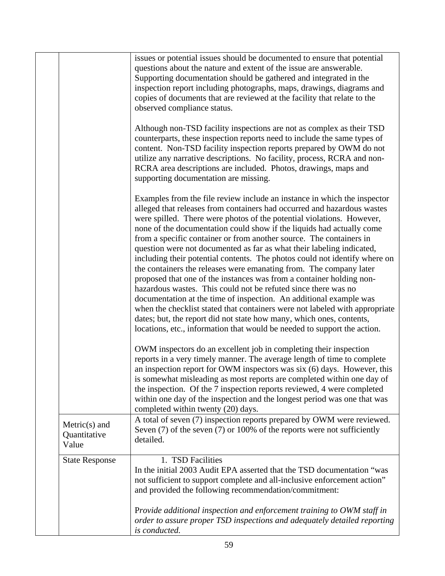|                                          | issues or potential issues should be documented to ensure that potential<br>questions about the nature and extent of the issue are answerable.<br>Supporting documentation should be gathered and integrated in the<br>inspection report including photographs, maps, drawings, diagrams and<br>copies of documents that are reviewed at the facility that relate to the<br>observed compliance status.                                                                                                                                                                                                                                                                                                                                                                                                                                                                                                                                                                                                                                                      |
|------------------------------------------|--------------------------------------------------------------------------------------------------------------------------------------------------------------------------------------------------------------------------------------------------------------------------------------------------------------------------------------------------------------------------------------------------------------------------------------------------------------------------------------------------------------------------------------------------------------------------------------------------------------------------------------------------------------------------------------------------------------------------------------------------------------------------------------------------------------------------------------------------------------------------------------------------------------------------------------------------------------------------------------------------------------------------------------------------------------|
|                                          | Although non-TSD facility inspections are not as complex as their TSD<br>counterparts, these inspection reports need to include the same types of<br>content. Non-TSD facility inspection reports prepared by OWM do not<br>utilize any narrative descriptions. No facility, process, RCRA and non-<br>RCRA area descriptions are included. Photos, drawings, maps and<br>supporting documentation are missing.                                                                                                                                                                                                                                                                                                                                                                                                                                                                                                                                                                                                                                              |
|                                          | Examples from the file review include an instance in which the inspector<br>alleged that releases from containers had occurred and hazardous wastes<br>were spilled. There were photos of the potential violations. However,<br>none of the documentation could show if the liquids had actually come<br>from a specific container or from another source. The containers in<br>question were not documented as far as what their labeling indicated,<br>including their potential contents. The photos could not identify where on<br>the containers the releases were emanating from. The company later<br>proposed that one of the instances was from a container holding non-<br>hazardous wastes. This could not be refuted since there was no<br>documentation at the time of inspection. An additional example was<br>when the checklist stated that containers were not labeled with appropriate<br>dates; but, the report did not state how many, which ones, contents,<br>locations, etc., information that would be needed to support the action. |
|                                          | OWM inspectors do an excellent job in completing their inspection<br>reports in a very timely manner. The average length of time to complete<br>an inspection report for OWM inspectors was six (6) days. However, this<br>is somewhat misleading as most reports are completed within one day of<br>the inspection. Of the 7 inspection reports reviewed, 4 were completed<br>within one day of the inspection and the longest period was one that was<br>completed within twenty (20) days.                                                                                                                                                                                                                                                                                                                                                                                                                                                                                                                                                                |
| $Metric(s)$ and<br>Quantitative<br>Value | A total of seven (7) inspection reports prepared by OWM were reviewed.<br>Seven $(7)$ of the seven $(7)$ or 100% of the reports were not sufficiently<br>detailed.                                                                                                                                                                                                                                                                                                                                                                                                                                                                                                                                                                                                                                                                                                                                                                                                                                                                                           |
| <b>State Response</b>                    | 1. TSD Facilities<br>In the initial 2003 Audit EPA asserted that the TSD documentation "was<br>not sufficient to support complete and all-inclusive enforcement action"<br>and provided the following recommendation/commitment:                                                                                                                                                                                                                                                                                                                                                                                                                                                                                                                                                                                                                                                                                                                                                                                                                             |
|                                          | Provide additional inspection and enforcement training to OWM staff in<br>order to assure proper TSD inspections and adequately detailed reporting<br>is conducted.                                                                                                                                                                                                                                                                                                                                                                                                                                                                                                                                                                                                                                                                                                                                                                                                                                                                                          |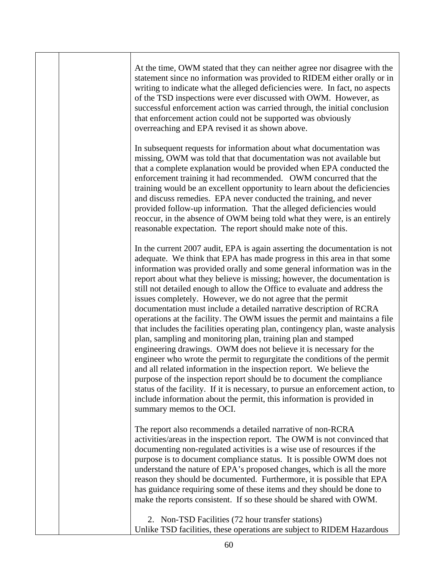| At the time, OWM stated that they can neither agree nor disagree with the<br>statement since no information was provided to RIDEM either orally or in<br>writing to indicate what the alleged deficiencies were. In fact, no aspects<br>of the TSD inspections were ever discussed with OWM. However, as<br>successful enforcement action was carried through, the initial conclusion<br>that enforcement action could not be supported was obviously<br>overreaching and EPA revised it as shown above.                                                                                                                                                                                                                                                                                                                                                                                                                                                                                                                                                                                                                                                                                                                                                     |
|--------------------------------------------------------------------------------------------------------------------------------------------------------------------------------------------------------------------------------------------------------------------------------------------------------------------------------------------------------------------------------------------------------------------------------------------------------------------------------------------------------------------------------------------------------------------------------------------------------------------------------------------------------------------------------------------------------------------------------------------------------------------------------------------------------------------------------------------------------------------------------------------------------------------------------------------------------------------------------------------------------------------------------------------------------------------------------------------------------------------------------------------------------------------------------------------------------------------------------------------------------------|
| In subsequent requests for information about what documentation was<br>missing, OWM was told that that documentation was not available but<br>that a complete explanation would be provided when EPA conducted the<br>enforcement training it had recommended. OWM concurred that the<br>training would be an excellent opportunity to learn about the deficiencies<br>and discuss remedies. EPA never conducted the training, and never<br>provided follow-up information. That the alleged deficiencies would<br>reoccur, in the absence of OWM being told what they were, is an entirely<br>reasonable expectation. The report should make note of this.                                                                                                                                                                                                                                                                                                                                                                                                                                                                                                                                                                                                  |
| In the current 2007 audit, EPA is again asserting the documentation is not<br>adequate. We think that EPA has made progress in this area in that some<br>information was provided orally and some general information was in the<br>report about what they believe is missing; however, the documentation is<br>still not detailed enough to allow the Office to evaluate and address the<br>issues completely. However, we do not agree that the permit<br>documentation must include a detailed narrative description of RCRA<br>operations at the facility. The OWM issues the permit and maintains a file<br>that includes the facilities operating plan, contingency plan, waste analysis<br>plan, sampling and monitoring plan, training plan and stamped<br>engineering drawings. OWM does not believe it is necessary for the<br>engineer who wrote the permit to regurgitate the conditions of the permit<br>and all related information in the inspection report. We believe the<br>purpose of the inspection report should be to document the compliance<br>status of the facility. If it is necessary, to pursue an enforcement action, to<br>include information about the permit, this information is provided in<br>summary memos to the OCI. |
| The report also recommends a detailed narrative of non-RCRA<br>activities/areas in the inspection report. The OWM is not convinced that<br>documenting non-regulated activities is a wise use of resources if the<br>purpose is to document compliance status. It is possible OWM does not<br>understand the nature of EPA's proposed changes, which is all the more<br>reason they should be documented. Furthermore, it is possible that EPA<br>has guidance requiring some of these items and they should be done to<br>make the reports consistent. If so these should be shared with OWM.                                                                                                                                                                                                                                                                                                                                                                                                                                                                                                                                                                                                                                                               |
| 2. Non-TSD Facilities (72 hour transfer stations)<br>Unlike TSD facilities, these operations are subject to RIDEM Hazardous                                                                                                                                                                                                                                                                                                                                                                                                                                                                                                                                                                                                                                                                                                                                                                                                                                                                                                                                                                                                                                                                                                                                  |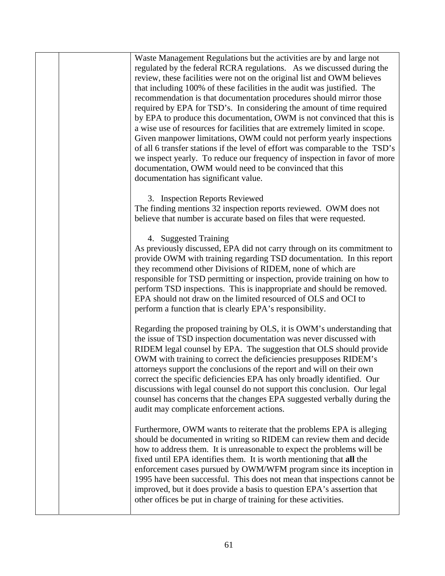| Waste Management Regulations but the activities are by and large not<br>regulated by the federal RCRA regulations. As we discussed during the<br>review, these facilities were not on the original list and OWM believes<br>that including 100% of these facilities in the audit was justified. The<br>recommendation is that documentation procedures should mirror those<br>required by EPA for TSD's. In considering the amount of time required<br>by EPA to produce this documentation, OWM is not convinced that this is<br>a wise use of resources for facilities that are extremely limited in scope.<br>Given manpower limitations, OWM could not perform yearly inspections<br>of all 6 transfer stations if the level of effort was comparable to the TSD's<br>we inspect yearly. To reduce our frequency of inspection in favor of more<br>documentation, OWM would need to be convinced that this<br>documentation has significant value. |
|--------------------------------------------------------------------------------------------------------------------------------------------------------------------------------------------------------------------------------------------------------------------------------------------------------------------------------------------------------------------------------------------------------------------------------------------------------------------------------------------------------------------------------------------------------------------------------------------------------------------------------------------------------------------------------------------------------------------------------------------------------------------------------------------------------------------------------------------------------------------------------------------------------------------------------------------------------|
| 3. Inspection Reports Reviewed<br>The finding mentions 32 inspection reports reviewed. OWM does not<br>believe that number is accurate based on files that were requested.                                                                                                                                                                                                                                                                                                                                                                                                                                                                                                                                                                                                                                                                                                                                                                             |
| 4. Suggested Training<br>As previously discussed, EPA did not carry through on its commitment to<br>provide OWM with training regarding TSD documentation. In this report<br>they recommend other Divisions of RIDEM, none of which are<br>responsible for TSD permitting or inspection, provide training on how to<br>perform TSD inspections. This is inappropriate and should be removed.<br>EPA should not draw on the limited resourced of OLS and OCI to<br>perform a function that is clearly EPA's responsibility.                                                                                                                                                                                                                                                                                                                                                                                                                             |
| Regarding the proposed training by OLS, it is OWM's understanding that<br>the issue of TSD inspection documentation was never discussed with<br>RIDEM legal counsel by EPA. The suggestion that OLS should provide<br>OWM with training to correct the deficiencies presupposes RIDEM's<br>attorneys support the conclusions of the report and will on their own<br>correct the specific deficiencies EPA has only broadly identified. Our<br>discussions with legal counsel do not support this conclusion. Our legal<br>counsel has concerns that the changes EPA suggested verbally during the<br>audit may complicate enforcement actions.                                                                                                                                                                                                                                                                                                         |
| Furthermore, OWM wants to reiterate that the problems EPA is alleging<br>should be documented in writing so RIDEM can review them and decide<br>how to address them. It is unreasonable to expect the problems will be<br>fixed until EPA identifies them. It is worth mentioning that all the<br>enforcement cases pursued by OWM/WFM program since its inception in<br>1995 have been successful. This does not mean that inspections cannot be<br>improved, but it does provide a basis to question EPA's assertion that<br>other offices be put in charge of training for these activities.                                                                                                                                                                                                                                                                                                                                                        |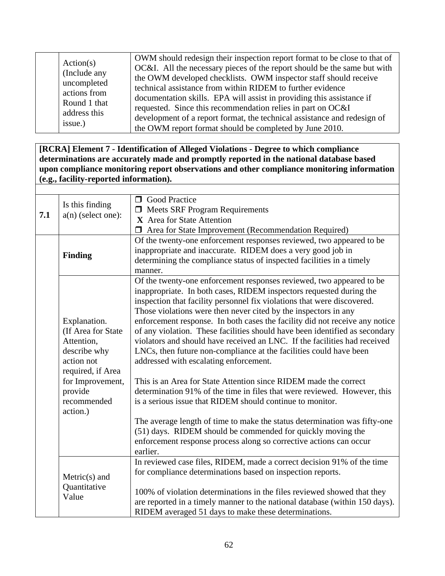| Action(s)<br>(Include any<br>uncompleted<br>actions from<br>Round 1 that<br>address this<br>issue.) | OWM should redesign their inspection report format to be close to that of<br>OC&I. All the necessary pieces of the report should be the same but with<br>the OWM developed checklists. OWM inspector staff should receive<br>technical assistance from within RIDEM to further evidence<br>documentation skills. EPA will assist in providing this assistance if<br>requested. Since this recommendation relies in part on OC&I<br>development of a report format, the technical assistance and redesign of<br>the OWM report format should be completed by June 2010. |
|-----------------------------------------------------------------------------------------------------|------------------------------------------------------------------------------------------------------------------------------------------------------------------------------------------------------------------------------------------------------------------------------------------------------------------------------------------------------------------------------------------------------------------------------------------------------------------------------------------------------------------------------------------------------------------------|
|-----------------------------------------------------------------------------------------------------|------------------------------------------------------------------------------------------------------------------------------------------------------------------------------------------------------------------------------------------------------------------------------------------------------------------------------------------------------------------------------------------------------------------------------------------------------------------------------------------------------------------------------------------------------------------------|

**[RCRA] Element 7 - Identification of Alleged Violations - Degree to which compliance determinations are accurately made and promptly reported in the national database based upon compliance monitoring report observations and other compliance monitoring information (e.g., facility-reported information).**

| 7.1 | Is this finding<br>$a(n)$ (select one):                                                                                                                        | <b>O</b> Good Practice<br>$\Box$ Meets SRF Program Requirements<br>X Area for State Attention<br><b>I</b> Area for State Improvement (Recommendation Required)                                                                                                                                                                                                                                                                                                                                                                                                                                                                                                                                                                                                                                                                                                                                                                                                                                                                                                                                  |
|-----|----------------------------------------------------------------------------------------------------------------------------------------------------------------|-------------------------------------------------------------------------------------------------------------------------------------------------------------------------------------------------------------------------------------------------------------------------------------------------------------------------------------------------------------------------------------------------------------------------------------------------------------------------------------------------------------------------------------------------------------------------------------------------------------------------------------------------------------------------------------------------------------------------------------------------------------------------------------------------------------------------------------------------------------------------------------------------------------------------------------------------------------------------------------------------------------------------------------------------------------------------------------------------|
|     | <b>Finding</b>                                                                                                                                                 | Of the twenty-one enforcement responses reviewed, two appeared to be<br>inappropriate and inaccurate. RIDEM does a very good job in<br>determining the compliance status of inspected facilities in a timely<br>manner.                                                                                                                                                                                                                                                                                                                                                                                                                                                                                                                                                                                                                                                                                                                                                                                                                                                                         |
|     | Explanation.<br>(If Area for State)<br>Attention,<br>describe why<br>action not<br>required, if Area<br>for Improvement,<br>provide<br>recommended<br>action.) | Of the twenty-one enforcement responses reviewed, two appeared to be<br>inappropriate. In both cases, RIDEM inspectors requested during the<br>inspection that facility personnel fix violations that were discovered.<br>Those violations were then never cited by the inspectors in any<br>enforcement response. In both cases the facility did not receive any notice<br>of any violation. These facilities should have been identified as secondary<br>violators and should have received an LNC. If the facilities had received<br>LNCs, then future non-compliance at the facilities could have been<br>addressed with escalating enforcement.<br>This is an Area for State Attention since RIDEM made the correct<br>determination 91% of the time in files that were reviewed. However, this<br>is a serious issue that RIDEM should continue to monitor.<br>The average length of time to make the status determination was fifty-one<br>(51) days. RIDEM should be commended for quickly moving the<br>enforcement response process along so corrective actions can occur<br>earlier. |
|     | $Metric(s)$ and<br>Quantitative<br>Value                                                                                                                       | In reviewed case files, RIDEM, made a correct decision 91% of the time<br>for compliance determinations based on inspection reports.<br>100% of violation determinations in the files reviewed showed that they<br>are reported in a timely manner to the national database (within 150 days).<br>RIDEM averaged 51 days to make these determinations.                                                                                                                                                                                                                                                                                                                                                                                                                                                                                                                                                                                                                                                                                                                                          |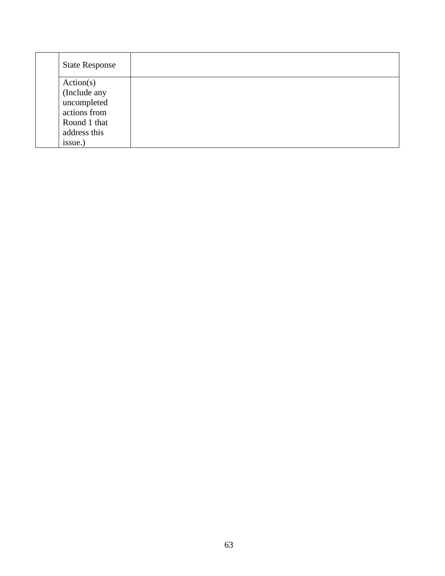| <b>State Response</b> |  |  |  |
|-----------------------|--|--|--|
| Action(s)             |  |  |  |
| (Include any          |  |  |  |
| uncompleted           |  |  |  |
| actions from          |  |  |  |
| Round 1 that          |  |  |  |
| address this          |  |  |  |
| issue.)               |  |  |  |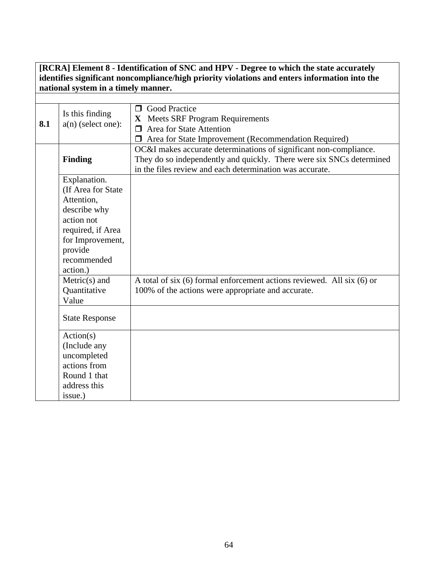**[RCRA] Element 8 - Identification of SNC and HPV - Degree to which the state accurately identifies significant noncompliance/high priority violations and enters information into the national system in a timely manner.**

| 8.1 | Is this finding<br>$a(n)$ (select one):                                                                                                                       | <b>O</b> Good Practice<br>X Meets SRF Program Requirements<br>$\Box$ Area for State Attention<br>Area for State Improvement (Recommendation Required)                                                 |  |  |
|-----|---------------------------------------------------------------------------------------------------------------------------------------------------------------|-------------------------------------------------------------------------------------------------------------------------------------------------------------------------------------------------------|--|--|
|     | <b>Finding</b>                                                                                                                                                | OC&I makes accurate determinations of significant non-compliance.<br>They do so independently and quickly. There were six SNCs determined<br>in the files review and each determination was accurate. |  |  |
|     | Explanation.<br>(If Area for State<br>Attention,<br>describe why<br>action not<br>required, if Area<br>for Improvement,<br>provide<br>recommended<br>action.) |                                                                                                                                                                                                       |  |  |
|     | $Metric(s)$ and<br>Quantitative<br>Value                                                                                                                      | A total of six $(6)$ formal enforcement actions reviewed. All six $(6)$ or<br>100% of the actions were appropriate and accurate.                                                                      |  |  |
|     | <b>State Response</b>                                                                                                                                         |                                                                                                                                                                                                       |  |  |
|     | Action(s)<br>(Include any<br>uncompleted<br>actions from<br>Round 1 that<br>address this<br>issue.)                                                           |                                                                                                                                                                                                       |  |  |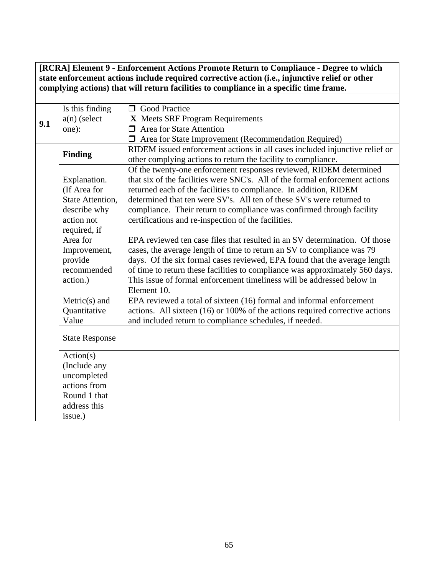#### **[RCRA] Element 9 - Enforcement Actions Promote Return to Compliance - Degree to which state enforcement actions include required corrective action (i.e., injunctive relief or other complying actions) that will return facilities to compliance in a specific time frame.**

|     | Is this finding       | <b>O</b> Good Practice                                                       |
|-----|-----------------------|------------------------------------------------------------------------------|
| 9.1 | $a(n)$ (select        | X Meets SRF Program Requirements                                             |
|     | one):                 | $\Box$ Area for State Attention                                              |
|     |                       | <b>I</b> Area for State Improvement (Recommendation Required)                |
|     | <b>Finding</b>        | RIDEM issued enforcement actions in all cases included injunctive relief or  |
|     |                       | other complying actions to return the facility to compliance.                |
|     |                       | Of the twenty-one enforcement responses reviewed, RIDEM determined           |
|     | Explanation.          | that six of the facilities were SNC's. All of the formal enforcement actions |
|     | (If Area for          | returned each of the facilities to compliance. In addition, RIDEM            |
|     | State Attention,      | determined that ten were SV's. All ten of these SV's were returned to        |
|     | describe why          | compliance. Their return to compliance was confirmed through facility        |
|     | action not            | certifications and re-inspection of the facilities.                          |
|     | required, if          |                                                                              |
|     | Area for              | EPA reviewed ten case files that resulted in an SV determination. Of those   |
|     | Improvement,          | cases, the average length of time to return an SV to compliance was 79       |
|     | provide               | days. Of the six formal cases reviewed, EPA found that the average length    |
|     | recommended           | of time to return these facilities to compliance was approximately 560 days. |
|     | action.)              | This issue of formal enforcement timeliness will be addressed below in       |
|     |                       | Element 10.                                                                  |
|     | $Metric(s)$ and       | EPA reviewed a total of sixteen (16) formal and informal enforcement         |
|     | Quantitative          | actions. All sixteen (16) or 100% of the actions required corrective actions |
|     | Value                 | and included return to compliance schedules, if needed.                      |
|     |                       |                                                                              |
|     | <b>State Response</b> |                                                                              |
|     | Action(s)             |                                                                              |
|     | (Include any          |                                                                              |
|     | uncompleted           |                                                                              |
|     | actions from          |                                                                              |
|     | Round 1 that          |                                                                              |
|     | address this          |                                                                              |
|     | issue.)               |                                                                              |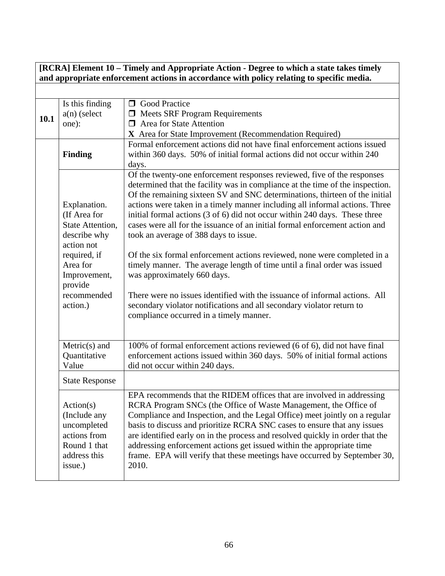# **[RCRA] Element 10 – Timely and Appropriate Action - Degree to which a state takes timely and appropriate enforcement actions in accordance with policy relating to specific media.**

|      | Is this finding       | <b>O</b> Good Practice                                                        |
|------|-----------------------|-------------------------------------------------------------------------------|
| 10.1 | $a(n)$ (select        | $\Box$ Meets SRF Program Requirements                                         |
|      | one):                 | $\Box$ Area for State Attention                                               |
|      |                       | X Area for State Improvement (Recommendation Required)                        |
|      |                       | Formal enforcement actions did not have final enforcement actions issued      |
|      | <b>Finding</b>        | within 360 days. 50% of initial formal actions did not occur within 240       |
|      |                       | days.                                                                         |
|      |                       | Of the twenty-one enforcement responses reviewed, five of the responses       |
|      |                       | determined that the facility was in compliance at the time of the inspection. |
|      |                       | Of the remaining sixteen SV and SNC determinations, thirteen of the initial   |
|      | Explanation.          | actions were taken in a timely manner including all informal actions. Three   |
|      | (If Area for          | initial formal actions (3 of 6) did not occur within 240 days. These three    |
|      | State Attention,      | cases were all for the issuance of an initial formal enforcement action and   |
|      | describe why          | took an average of 388 days to issue.                                         |
|      | action not            |                                                                               |
|      | required, if          | Of the six formal enforcement actions reviewed, none were completed in a      |
|      | Area for              | timely manner. The average length of time until a final order was issued      |
|      | Improvement,          | was approximately 660 days.                                                   |
|      | provide               |                                                                               |
|      | recommended           | There were no issues identified with the issuance of informal actions. All    |
|      | action.)              | secondary violator notifications and all secondary violator return to         |
|      |                       | compliance occurred in a timely manner.                                       |
|      |                       |                                                                               |
|      |                       |                                                                               |
|      | $Metric(s)$ and       | 100% of formal enforcement actions reviewed (6 of 6), did not have final      |
|      | Quantitative          | enforcement actions issued within 360 days. 50% of initial formal actions     |
|      | Value                 | did not occur within 240 days.                                                |
|      | <b>State Response</b> |                                                                               |
|      |                       | EPA recommends that the RIDEM offices that are involved in addressing         |
|      | Action(s)             | RCRA Program SNCs (the Office of Waste Management, the Office of              |
|      | (Include any          | Compliance and Inspection, and the Legal Office) meet jointly on a regular    |
|      | uncompleted           | basis to discuss and prioritize RCRA SNC cases to ensure that any issues      |
|      | actions from          | are identified early on in the process and resolved quickly in order that the |
|      | Round 1 that          | addressing enforcement actions get issued within the appropriate time         |
|      | address this          | frame. EPA will verify that these meetings have occurred by September 30,     |
|      | issue.)               | 2010.                                                                         |
|      |                       |                                                                               |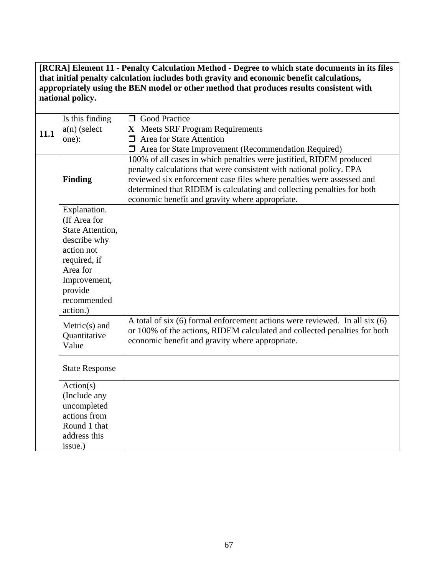**[RCRA] Element 11 - Penalty Calculation Method - Degree to which state documents in its files that initial penalty calculation includes both gravity and economic benefit calculations, appropriately using the BEN model or other method that produces results consistent with national policy.** 

| Is this finding<br><b>O</b> Good Practice<br>$a(n)$ (select<br>X Meets SRF Program Requirements<br>11.1<br>$\Box$ Area for State Attention<br>one): |                                          |                                                                                                                                                                                                                                                                                                                                                  |
|-----------------------------------------------------------------------------------------------------------------------------------------------------|------------------------------------------|--------------------------------------------------------------------------------------------------------------------------------------------------------------------------------------------------------------------------------------------------------------------------------------------------------------------------------------------------|
|                                                                                                                                                     |                                          | $\Box$ Area for State Improvement (Recommendation Required)                                                                                                                                                                                                                                                                                      |
|                                                                                                                                                     | Finding                                  | 100% of all cases in which penalties were justified, RIDEM produced<br>penalty calculations that were consistent with national policy. EPA<br>reviewed six enforcement case files where penalties were assessed and<br>determined that RIDEM is calculating and collecting penalties for both<br>economic benefit and gravity where appropriate. |
|                                                                                                                                                     | Explanation.                             |                                                                                                                                                                                                                                                                                                                                                  |
|                                                                                                                                                     | (If Area for                             |                                                                                                                                                                                                                                                                                                                                                  |
|                                                                                                                                                     | <b>State Attention,</b><br>describe why  |                                                                                                                                                                                                                                                                                                                                                  |
|                                                                                                                                                     | action not                               |                                                                                                                                                                                                                                                                                                                                                  |
|                                                                                                                                                     | required, if                             |                                                                                                                                                                                                                                                                                                                                                  |
|                                                                                                                                                     | Area for                                 |                                                                                                                                                                                                                                                                                                                                                  |
|                                                                                                                                                     | Improvement,<br>provide<br>recommended   |                                                                                                                                                                                                                                                                                                                                                  |
|                                                                                                                                                     | action.)                                 |                                                                                                                                                                                                                                                                                                                                                  |
|                                                                                                                                                     | $Metric(s)$ and<br>Quantitative<br>Value | A total of six $(6)$ formal enforcement actions were reviewed. In all six $(6)$<br>or 100% of the actions, RIDEM calculated and collected penalties for both<br>economic benefit and gravity where appropriate.                                                                                                                                  |
|                                                                                                                                                     | <b>State Response</b>                    |                                                                                                                                                                                                                                                                                                                                                  |
|                                                                                                                                                     | Action(s)                                |                                                                                                                                                                                                                                                                                                                                                  |
|                                                                                                                                                     | (Include any                             |                                                                                                                                                                                                                                                                                                                                                  |
|                                                                                                                                                     | uncompleted                              |                                                                                                                                                                                                                                                                                                                                                  |
|                                                                                                                                                     | actions from<br>Round 1 that             |                                                                                                                                                                                                                                                                                                                                                  |
|                                                                                                                                                     | address this                             |                                                                                                                                                                                                                                                                                                                                                  |
|                                                                                                                                                     | issue.)                                  |                                                                                                                                                                                                                                                                                                                                                  |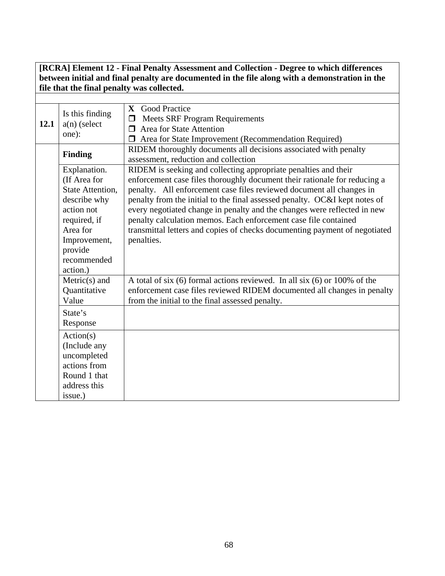#### **[RCRA] Element 12 - Final Penalty Assessment and Collection - Degree to which differences between initial and final penalty are documented in the file along with a demonstration in the file that the final penalty was collected.**

| 12.1 | Is this finding<br>$a(n)$ (select<br>one):                                                                                                                       | X Good Practice<br><b>Meets SRF Program Requirements</b><br>$\Box$<br>Area for State Attention<br>⊓<br>$\Box$ Area for State Improvement (Recommendation Required)                                                                                                                                                                                                                                                                                                                                                                            |
|------|------------------------------------------------------------------------------------------------------------------------------------------------------------------|-----------------------------------------------------------------------------------------------------------------------------------------------------------------------------------------------------------------------------------------------------------------------------------------------------------------------------------------------------------------------------------------------------------------------------------------------------------------------------------------------------------------------------------------------|
|      | <b>Finding</b>                                                                                                                                                   | RIDEM thoroughly documents all decisions associated with penalty<br>assessment, reduction and collection                                                                                                                                                                                                                                                                                                                                                                                                                                      |
|      | Explanation.<br>(If Area for<br>State Attention,<br>describe why<br>action not<br>required, if<br>Area for<br>Improvement,<br>provide<br>recommended<br>action.) | RIDEM is seeking and collecting appropriate penalties and their<br>enforcement case files thoroughly document their rationale for reducing a<br>penalty. All enforcement case files reviewed document all changes in<br>penalty from the initial to the final assessed penalty. OC&I kept notes of<br>every negotiated change in penalty and the changes were reflected in new<br>penalty calculation memos. Each enforcement case file contained<br>transmittal letters and copies of checks documenting payment of negotiated<br>penalties. |
|      | $Metric(s)$ and<br>Quantitative<br>Value                                                                                                                         | A total of six $(6)$ formal actions reviewed. In all six $(6)$ or 100% of the<br>enforcement case files reviewed RIDEM documented all changes in penalty<br>from the initial to the final assessed penalty.                                                                                                                                                                                                                                                                                                                                   |
|      | State's<br>Response                                                                                                                                              |                                                                                                                                                                                                                                                                                                                                                                                                                                                                                                                                               |
|      | Action(s)<br>(Include any<br>uncompleted<br>actions from<br>Round 1 that<br>address this<br>issue.)                                                              |                                                                                                                                                                                                                                                                                                                                                                                                                                                                                                                                               |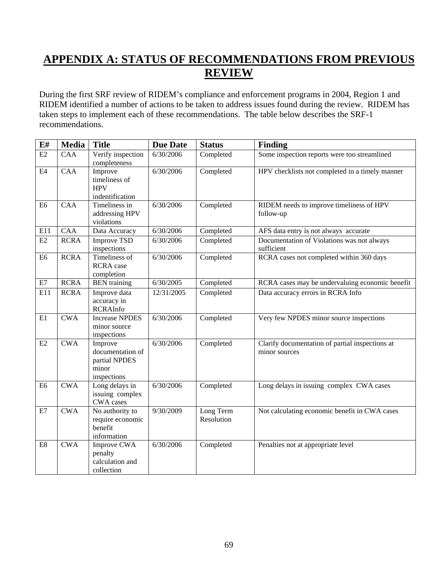# **APPENDIX A: STATUS OF RECOMMENDATIONS FROM PREVIOUS REVIEW**

During the first SRF review of RIDEM's compliance and enforcement programs in 2004, Region 1 and RIDEM identified a number of actions to be taken to address issues found during the review. RIDEM has taken steps to implement each of these recommendations. The table below describes the SRF-1 recommendations.

| E#             | Media       | <b>Title</b>                                                         | <b>Due Date</b> | <b>Status</b>           | <b>Finding</b>                                                   |
|----------------|-------------|----------------------------------------------------------------------|-----------------|-------------------------|------------------------------------------------------------------|
| E2             | CAA         | Verify inspection<br>completeness                                    | 6/30/2006       | Completed               | Some inspection reports were too streamlined                     |
| $\mathrm{E}4$  | <b>CAA</b>  | Improve<br>timeliness of<br><b>HPV</b><br>indentification            | 6/30/2006       | Completed               | HPV checklists not completed in a timely manner                  |
| E <sub>6</sub> | <b>CAA</b>  | Timeliness in<br>addressing HPV<br>violations                        | 6/30/2006       | Completed               | RIDEM needs to improve timeliness of HPV<br>follow-up            |
| E11            | <b>CAA</b>  | Data Accuracy                                                        | 6/30/2006       | Completed               | AFS data entry is not always accurate                            |
| E2             | <b>RCRA</b> | <b>Improve TSD</b><br>inspections                                    | 6/30/2006       | Completed               | Documentation of Violations was not always<br>sufficient         |
| E <sub>6</sub> | <b>RCRA</b> | <b>Timeliness of</b><br><b>RCRA</b> case<br>completion               | 6/30/2006       | Completed               | RCRA cases not completed within 360 days                         |
| E7             | <b>RCRA</b> | <b>BEN</b> training                                                  | 6/30/2005       | Completed               | RCRA cases may be undervaluing economic benefit                  |
| E11            | <b>RCRA</b> | Improve data<br>accuracy in<br><b>RCRAInfo</b>                       | 12/31/2005      | Completed               | Data accuracy errors in RCRA Info                                |
| E1             | <b>CWA</b>  | <b>Increase NPDES</b><br>minor source<br>inspections                 | 6/30/2006       | Completed               | Very few NPDES minor source inspections                          |
| E2             | <b>CWA</b>  | Improve<br>documentation of<br>partial NPDES<br>minor<br>inspections | 6/30/2006       | Completed               | Clarify documentation of partial inspections at<br>minor sources |
| E <sub>6</sub> | <b>CWA</b>  | Long delays in<br>issuing complex<br>CWA cases                       | 6/30/2006       | Completed               | Long delays in issuing complex CWA cases                         |
| E7             | <b>CWA</b>  | No authority to<br>require economic<br>benefit<br>information        | 9/30/2009       | Long Term<br>Resolution | Not calculating economic benefit in CWA cases                    |
| E8             | <b>CWA</b>  | Improve CWA<br>penalty<br>calculation and<br>collection              | 6/30/2006       | Completed               | Penalties not at appropriate level                               |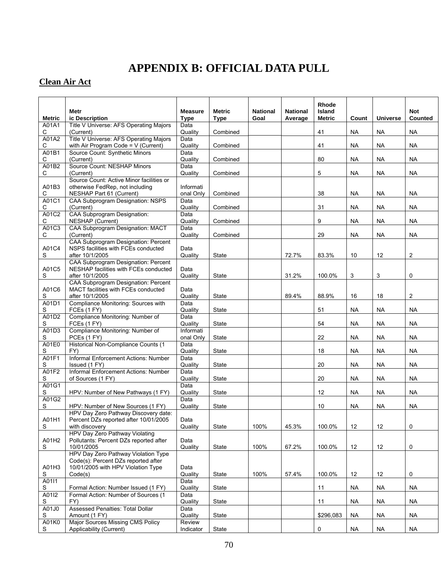# **APPENDIX B: OFFICIAL DATA PULL**

# **Clean Air Act**

|                        |                                                                               |                               |                              |                         |                            | Rhode                          |           |                 |                              |
|------------------------|-------------------------------------------------------------------------------|-------------------------------|------------------------------|-------------------------|----------------------------|--------------------------------|-----------|-----------------|------------------------------|
| <b>Metric</b>          | Metr<br>ic Description                                                        | <b>Measure</b><br><b>Type</b> | <b>Metric</b><br><b>Type</b> | <b>National</b><br>Goal | <b>National</b><br>Average | <b>Island</b><br><b>Metric</b> | Count     | <b>Universe</b> | <b>Not</b><br><b>Counted</b> |
| A01A1                  | Title V Universe: AFS Operating Majors                                        | Data                          |                              |                         |                            |                                |           |                 |                              |
| С<br>A01A2             | (Current)<br>Title V Universe: AFS Operating Majors                           | Quality<br>Data               | Combined                     |                         |                            | 41                             | <b>NA</b> | <b>NA</b>       | <b>NA</b>                    |
| С                      | with Air Program Code = V (Current)                                           | Quality                       | Combined                     |                         |                            | 41                             | <b>NA</b> | <b>NA</b>       | <b>NA</b>                    |
| A01B1                  | Source Count: Synthetic Minors                                                | Data                          |                              |                         |                            |                                |           |                 |                              |
| С<br>A01B2             | (Current)<br>Source Count: NESHAP Minors                                      | Quality<br>Data               | Combined                     |                         |                            | 80                             | <b>NA</b> | <b>NA</b>       | <b>NA</b>                    |
| С                      | (Current)                                                                     | Quality                       | Combined                     |                         |                            | 5                              | <b>NA</b> | <b>NA</b>       | <b>NA</b>                    |
| A01B3                  | Source Count: Active Minor facilities or<br>otherwise FedRep, not including   | Informati                     |                              |                         |                            |                                |           |                 |                              |
| С                      | NESHAP Part 61 (Current)                                                      | onal Only                     | Combined                     |                         |                            | 38                             | <b>NA</b> | <b>NA</b>       | <b>NA</b>                    |
| A01C1                  | CAA Subprogram Designation: NSPS                                              | Data                          |                              |                         |                            |                                |           |                 |                              |
| С<br>A01C2             | (Current)<br><b>CAA Subprogram Designation:</b>                               | Quality<br>Data               | Combined                     |                         |                            | 31                             | <b>NA</b> | NA              | <b>NA</b>                    |
| С                      | NESHAP (Current)                                                              | Quality                       | Combined                     |                         |                            | 9                              | <b>NA</b> | <b>NA</b>       | <b>NA</b>                    |
| A01C3<br>С             | CAA Subprogram Designation: MACT<br>(Current)                                 | Data<br>Quality               | Combined                     |                         |                            | 29                             | <b>NA</b> | <b>NA</b>       | <b>NA</b>                    |
|                        | CAA Subprogram Designation: Percent                                           |                               |                              |                         |                            |                                |           |                 |                              |
| A01C4                  | NSPS facilities with FCEs conducted                                           | Data                          |                              |                         |                            |                                |           |                 |                              |
| S                      | after 10/1/2005<br>CAA Subprogram Designation: Percent                        | Quality                       | State                        |                         | 72.7%                      | 83.3%                          | 10        | 12              | 2                            |
| A01C5                  | NESHAP facilities with FCEs conducted                                         | Data                          |                              |                         |                            |                                |           |                 |                              |
| S                      | after 10/1/2005<br>CAA Subprogram Designation: Percent                        | Quality                       | State                        |                         | 31.2%                      | 100.0%                         | 3         | 3               | $\mathbf 0$                  |
| A01C6                  | MACT facilities with FCEs conducted                                           | Data                          |                              |                         |                            |                                |           |                 |                              |
| S                      | after 10/1/2005                                                               | Quality                       | State                        |                         | 89.4%                      | 88.9%                          | 16        | 18              | $\overline{2}$               |
| A01D1<br>S             | Compliance Monitoring: Sources with<br>FCEs (1 FY)                            | Data<br>Quality               | State                        |                         |                            | 51                             | <b>NA</b> | <b>NA</b>       | <b>NA</b>                    |
| A01D2                  | Compliance Monitoring: Number of                                              | Data                          |                              |                         |                            |                                |           |                 |                              |
| S<br>A01D3             | FCEs (1 FY)<br>Compliance Monitoring: Number of                               | Quality<br>Informati          | <b>State</b>                 |                         |                            | 54                             | <b>NA</b> | <b>NA</b>       | <b>NA</b>                    |
| S                      | PCEs (1 FY)                                                                   | onal Only                     | State                        |                         |                            | 22                             | <b>NA</b> | NA              | <b>NA</b>                    |
| A01E0<br>S             | Historical Non-Compliance Counts (1<br>FY)                                    | Data<br>Quality               | State                        |                         |                            | 18                             | <b>NA</b> | <b>NA</b>       | <b>NA</b>                    |
| A01F1                  | Informal Enforcement Actions: Number                                          | Data                          |                              |                         |                            |                                |           |                 |                              |
| S<br>A01F2             | Issued (1 FY)<br>Informal Enforcement Actions: Number                         | Quality<br>Data               | State                        |                         |                            | 20                             | <b>NA</b> | NA              | <b>NA</b>                    |
| S                      | of Sources (1 FY)                                                             | Quality                       | State                        |                         |                            | 20                             | <b>NA</b> | <b>NA</b>       | <b>NA</b>                    |
| A01G1                  |                                                                               | Data                          |                              |                         |                            |                                |           |                 |                              |
| S<br>A01G2             | HPV: Number of New Pathways (1 FY)                                            | Quality<br>Data               | State                        |                         |                            | 12                             | <b>NA</b> | <b>NA</b>       | <b>NA</b>                    |
| S                      | HPV: Number of New Sources (1 FY)                                             | Quality                       | <b>State</b>                 |                         |                            | 10                             | <b>NA</b> | NA              | <b>NA</b>                    |
| A01H1                  | HPV Day Zero Pathway Discovery date:<br>Percent DZs reported after 10/01/2005 | Data                          |                              |                         |                            |                                |           |                 |                              |
| S                      | with discovery                                                                | Quality                       | State                        | 100%                    | 45.3%                      | 100.0%                         | 12        | 12              | 0                            |
|                        | HPV Day Zero Pathway Violating                                                |                               |                              |                         |                            |                                |           |                 |                              |
| A01H2<br>${\mathsf S}$ | Pollutants: Percent DZs reported after<br>10/01/2005                          | Data<br>Quality               | State                        | 100%                    | 67.2%                      | 100.0%                         | 12        | 12              | 0                            |
|                        | HPV Day Zero Pathway Violation Type                                           |                               |                              |                         |                            |                                |           |                 |                              |
| A01H3                  | Code(s): Percent DZs reported after<br>10/01/2005 with HPV Violation Type     | Data                          |                              |                         |                            |                                |           |                 |                              |
| S                      | Code(s)                                                                       | Quality                       | State                        | 100%                    | 57.4%                      | 100.0%                         | 12        | 12              | 0                            |
| A01I1                  |                                                                               | Data                          |                              |                         |                            |                                |           |                 |                              |
| S<br>A01I2             | Formal Action: Number Issued (1 FY)<br>Formal Action: Number of Sources (1    | Quality<br>Data               | State                        |                         |                            | 11                             | <b>NA</b> | <b>NA</b>       | NA                           |
| S                      | FY)                                                                           | Quality                       | State                        |                         |                            | 11                             | <b>NA</b> | <b>NA</b>       | <b>NA</b>                    |
| A01J0<br>S             | Assessed Penalties: Total Dollar<br>Amount (1 FY)                             | Data<br>Quality               | State                        |                         |                            | \$296,083                      | <b>NA</b> | <b>NA</b>       | <b>NA</b>                    |
| A01K0                  | <b>Major Sources Missing CMS Policy</b>                                       | Review                        |                              |                         |                            |                                |           |                 |                              |
| $\mathsf S$            | Applicability (Current)                                                       | Indicator                     | State                        |                         |                            | 0                              | <b>NA</b> | <b>NA</b>       | <b>NA</b>                    |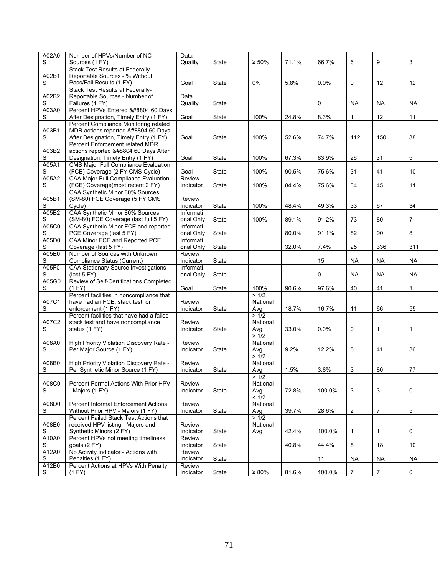| A02A0<br>S  | Number of HPVs/Number of NC<br>Sources (1 FY)                                   | Data<br>Quality        | State        | $\geq 50\%$     | 71.1% | 66.7%  | 6              | 9              | 3                   |
|-------------|---------------------------------------------------------------------------------|------------------------|--------------|-----------------|-------|--------|----------------|----------------|---------------------|
|             | Stack Test Results at Federally-                                                |                        |              |                 |       |        |                |                |                     |
| A02B1       | Reportable Sources - % Without                                                  |                        |              |                 |       |        |                |                |                     |
| S           | Pass/Fail Results (1 FY)                                                        | Goal                   | State        | 0%              | 5.8%  | 0.0%   | 0              | 12             | 12                  |
|             | Stack Test Results at Federally-                                                |                        |              |                 |       |        |                |                |                     |
| A02B2       | Reportable Sources - Number of                                                  | Data                   |              |                 |       |        |                |                |                     |
| S           | Failures (1 FY)                                                                 | Quality                | <b>State</b> |                 |       | 0      | <b>NA</b>      | <b>NA</b>      | NA                  |
| A03A0       | Percent HPVs Entered ≤ 60 Days                                                  |                        |              |                 |       |        |                |                |                     |
| S           | After Designation, Timely Entry (1 FY)<br>Percent Compliance Monitoring related | Goal                   | State        | 100%            | 24.8% | 8.3%   | 1              | 12             | 11                  |
| A03B1       | MDR actions reported ≤ 60 Days                                                  |                        |              |                 |       |        |                |                |                     |
| S           | After Designation, Timely Entry (1 FY)                                          | Goal                   | State        | 100%            | 52.6% | 74.7%  | 112            | 150            | 38                  |
|             | Percent Enforcement related MDR                                                 |                        |              |                 |       |        |                |                |                     |
| A03B2       | actions reported ≤ 60 Days After                                                |                        |              |                 |       |        |                |                |                     |
| S           | Designation, Timely Entry (1 FY)                                                | Goal                   | State        | 100%            | 67.3% | 83.9%  | 26             | 31             | 5                   |
| A05A1       | CMS Major Full Compliance Evaluation                                            |                        |              |                 |       |        |                |                |                     |
| S           | (FCE) Coverage (2 FY CMS Cycle)                                                 | Goal                   | <b>State</b> | 100%            | 90.5% | 75.6%  | 31             | 41             | 10                  |
| A05A2       | CAA Major Full Compliance Evaluation                                            | Review                 |              |                 |       |        |                |                |                     |
| S           | (FCE) Coverage(most recent 2 FY)<br>CAA Synthetic Minor 80% Sources             | Indicator              | <b>State</b> | 100%            | 84.4% | 75.6%  | 34             | 45             | 11                  |
| A05B1       | (SM-80) FCE Coverage (5 FY CMS                                                  | Review                 |              |                 |       |        |                |                |                     |
| S           | Cycle)                                                                          | Indicator              | State        | 100%            | 48.4% | 49.3%  | 33             | 67             | 34                  |
| A05B2       | CAA Synthetic Minor 80% Sources                                                 | Informati              |              |                 |       |        |                |                |                     |
| S           | (SM-80) FCE Coverage (last full 5 FY)                                           | onal Only              | <b>State</b> | 100%            | 89.1% | 91.2%  | 73             | 80             | $\overline{7}$      |
| A05C0       | CAA Synthetic Minor FCE and reported                                            | Informati              |              |                 |       |        |                |                |                     |
| S           | PCE Coverage (last 5 FY)                                                        | onal Only              | State        |                 | 80.0% | 91.1%  | 82             | 90             | 8                   |
| A05D0       | CAA Minor FCE and Reported PCE                                                  | Informati              |              |                 |       |        |                |                |                     |
| S           | Coverage (last 5 FY)                                                            | onal Only              | <b>State</b> |                 | 32.0% | 7.4%   | 25             | 336            | 311                 |
| A05E0       | Number of Sources with Unknown                                                  | Review                 |              |                 |       |        |                |                |                     |
| S<br>A05F0  | Compliance Status (Current)<br>CAA Stationary Source Investigations             | Indicator<br>Informati | <b>State</b> |                 |       | 15     | <b>NA</b>      | <b>NA</b>      | <b>NA</b>           |
| S           | (last $5 FY$ )                                                                  | onal Only              | State        |                 |       | 0      | <b>NA</b>      | <b>NA</b>      | <b>NA</b>           |
| A05G0       | Review of Self-Certifications Completed                                         |                        |              |                 |       |        |                |                |                     |
| S           | (1 FY)                                                                          | Goal                   | <b>State</b> | 100%            | 90.6% | 97.6%  | 40             | 41             | 1                   |
|             | Percent facilities in noncompliance that                                        |                        |              | > 1/2           |       |        |                |                |                     |
| A07C1       | have had an FCE, stack test, or                                                 | Review                 |              | National        |       |        |                |                |                     |
| S           | enforcement (1 FY)                                                              | Indicator              | State        | Avg             | 18.7% | 16.7%  | 11             | 66             | 55                  |
|             | Percent facilities that have had a failed                                       |                        |              | > 1/2           |       |        |                |                |                     |
| A07C2<br>S  | stack test and have noncompliance<br>status (1 FY)                              | Review<br>Indicator    | <b>State</b> | National<br>Avg | 33.0% | 0.0%   | 0              | 1              | 1                   |
|             |                                                                                 |                        |              | >1/2            |       |        |                |                |                     |
| A08A0       | High Priority Violation Discovery Rate -                                        | Review                 |              | National        |       |        |                |                |                     |
| S           | Per Major Source (1 FY)                                                         | Indicator              | <b>State</b> | Avg             | 9.2%  | 12.2%  | 5              | 41             | 36                  |
|             |                                                                                 |                        |              | >1/2            |       |        |                |                |                     |
| A08B0       | High Priority Violation Discovery Rate -                                        | Review                 |              | National        |       |        |                |                |                     |
| S           | Per Synthetic Minor Source (1 FY)                                               | Indicator              | State        | Avg             | 1.5%  | 3.8%   | 3              | 80             | 77                  |
|             |                                                                                 |                        |              | > 1/2           |       |        |                |                |                     |
| A08C0<br>S  | Percent Formal Actions With Prior HPV<br>- Majors (1 FY)                        | Review<br>Indicator    | State        | National<br>Avg | 72.8% | 100.0% | 3              | 3              | 0                   |
|             |                                                                                 |                        |              | < 1/2           |       |        |                |                |                     |
| A08D0       | <b>Percent Informal Enforcement Actions</b>                                     | Review                 |              | National        |       |        |                |                |                     |
| S           | Without Prior HPV - Majors (1 FY)                                               | Indicator              | State        | Avg             | 39.7% | 28.6%  | $\overline{c}$ | $\overline{7}$ | 5                   |
|             | Percent Failed Stack Test Actions that                                          |                        |              | > 1/2           |       |        |                |                |                     |
| A08E0       | received HPV listing - Majors and                                               | Review                 |              | National        |       |        |                |                |                     |
| S           | Synthetic Minors (2 FY)                                                         | Indicator              | State        | Avg             | 42.4% | 100.0% | $\mathbf{1}$   | 1              | 0                   |
| A10A0       | Percent HPVs not meeting timeliness                                             | Review                 |              |                 |       |        |                |                |                     |
| S<br>A12A0  | goals $(2 FY)$<br>No Activity Indicator - Actions with                          | Indicator              | State        |                 | 40.8% | 44.4%  | 8              | 18             | 10                  |
| S           | Penalties (1 FY)                                                                | Review<br>Indicator    | State        |                 |       | 11     | <b>NA</b>      | <b>NA</b>      | <b>NA</b>           |
| A12B0       | Percent Actions at HPVs With Penalty                                            | Review                 |              |                 |       |        |                |                |                     |
| $\mathsf S$ | (1 FY)                                                                          | Indicator              | State        | $\geq 80\%$     | 81.6% | 100.0% | $\overline{7}$ | $\overline{7}$ | $\mathsf{O}\xspace$ |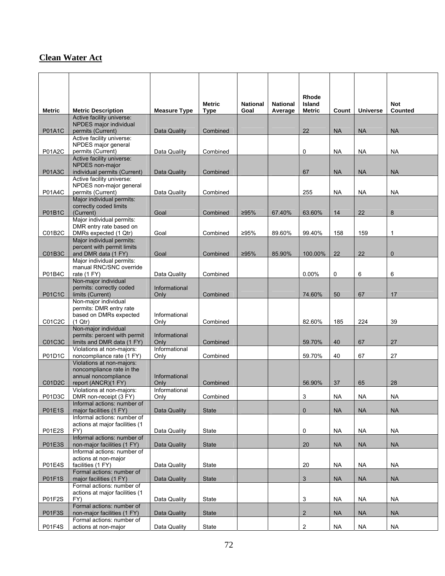## **Clean Water Act**

|                     |                                                             |                       |                              |                         |                            | <b>Rhode</b>                   |           |                 |                       |
|---------------------|-------------------------------------------------------------|-----------------------|------------------------------|-------------------------|----------------------------|--------------------------------|-----------|-----------------|-----------------------|
| <b>Metric</b>       | <b>Metric Description</b>                                   | <b>Measure Type</b>   | <b>Metric</b><br><b>Type</b> | <b>National</b><br>Goal | <b>National</b><br>Average | <b>Island</b><br><b>Metric</b> | Count     | <b>Universe</b> | <b>Not</b><br>Counted |
|                     | Active facility universe:<br>NPDES major individual         |                       |                              |                         |                            |                                |           |                 |                       |
| <b>P01A1C</b>       | permits (Current)                                           | Data Quality          | Combined                     |                         |                            | 22                             | <b>NA</b> | <b>NA</b>       | <b>NA</b>             |
|                     | Active facility universe:<br>NPDES major general            |                       |                              |                         |                            |                                |           |                 |                       |
| P01A2C              | permits (Current)                                           | Data Quality          | Combined                     |                         |                            | 0                              | <b>NA</b> | <b>NA</b>       | <b>NA</b>             |
|                     | Active facility universe:<br>NPDES non-major                |                       |                              |                         |                            |                                |           |                 |                       |
| <b>P01A3C</b>       | individual permits (Current)                                | Data Quality          | Combined                     |                         |                            | 67                             | <b>NA</b> | <b>NA</b>       | <b>NA</b>             |
|                     | Active facility universe:<br>NPDES non-major general        |                       |                              |                         |                            |                                |           |                 |                       |
| P01A4C              | permits (Current)                                           | Data Quality          | Combined                     |                         |                            | 255                            | <b>NA</b> | <b>NA</b>       | <b>NA</b>             |
|                     | Major individual permits:<br>correctly coded limits         |                       |                              |                         |                            |                                |           |                 |                       |
| <b>P01B1C</b>       | (Current)                                                   | Goal                  | Combined                     | ≥95%                    | 67.40%                     | 63.60%                         | 14        | 22              | 8                     |
|                     | Major individual permits:<br>DMR entry rate based on        |                       |                              |                         |                            |                                |           |                 |                       |
| C01B2C              | DMRs expected (1 Qtr)                                       | Goal                  | Combined                     | ≥95%                    | 89.60%                     | 99.40%                         | 158       | 159             | $\mathbf{1}$          |
|                     | Major individual permits:<br>percent with permit limits     |                       |                              |                         |                            |                                |           |                 |                       |
| C01B3C              | and DMR data (1 FY)                                         | Goal                  | Combined                     | ≥95%                    | 85.90%                     | 100.00%                        | 22        | 22              | $\mathbf 0$           |
|                     | Major individual permits:<br>manual RNC/SNC override        |                       |                              |                         |                            |                                |           |                 |                       |
| P01B4C              | rate (1 FY)                                                 | Data Quality          | Combined                     |                         |                            | 0.00%                          | 0         | 6               | 6                     |
|                     | Non-major individual<br>permits: correctly coded            | Informational         |                              |                         |                            |                                |           |                 |                       |
| P01C1C              | limits (Current)                                            | Only                  | Combined                     |                         |                            | 74.60%                         | 50        | 67              | 17                    |
|                     | Non-major individual<br>permits: DMR entry rate             |                       |                              |                         |                            |                                |           |                 |                       |
|                     | based on DMRs expected                                      | Informational         |                              |                         |                            |                                |           |                 |                       |
| C01C2C              | (1 Qtr)<br>Non-major individual                             | Only                  | Combined                     |                         |                            | 82.60%                         | 185       | 224             | 39                    |
|                     | permits: percent with permit                                | Informational         |                              |                         |                            |                                |           |                 |                       |
| <b>C01C3C</b>       | limits and DMR data (1 FY)<br>Violations at non-majors:     | Only<br>Informational | Combined                     |                         |                            | 59.70%                         | 40        | 67              | 27                    |
| P01D1C              | noncompliance rate (1 FY)                                   | Only                  | Combined                     |                         |                            | 59.70%                         | 40        | 67              | 27                    |
|                     | Violations at non-majors:<br>noncompliance rate in the      |                       |                              |                         |                            |                                |           |                 |                       |
|                     | annual noncompliance                                        | Informational         |                              |                         |                            |                                |           |                 |                       |
| C01D <sub>2</sub> C | report (ANCR)(1 FY)<br>Violations at non-majors:            | Only<br>Informational | Combined                     |                         |                            | 56.90%                         | 37        | 65              | 28                    |
| P01D3C              | DMR non-receipt (3 FY)                                      | Only                  | Combined                     |                         |                            | 3                              | <b>NA</b> | NA              | NА                    |
| <b>P01E1S</b>       | Informal actions: number of<br>major facilities (1 FY)      | <b>Data Quality</b>   | <b>State</b>                 |                         |                            | 0                              | <b>NA</b> | <b>NA</b>       | <b>NA</b>             |
|                     | Informal actions: number of                                 |                       |                              |                         |                            |                                |           |                 |                       |
| <b>P01E2S</b>       | actions at major facilities (1<br>FY)                       | Data Quality          | State                        |                         |                            | 0                              | <b>NA</b> | <b>NA</b>       | <b>NA</b>             |
|                     | Informal actions: number of                                 |                       |                              |                         |                            |                                |           |                 |                       |
| <b>P01E3S</b>       | non-major facilities (1 FY)<br>Informal actions: number of  | Data Quality          | <b>State</b>                 |                         |                            | 20                             | <b>NA</b> | <b>NA</b>       | <b>NA</b>             |
|                     | actions at non-major                                        |                       |                              |                         |                            |                                |           |                 |                       |
| <b>P01E4S</b>       | facilities (1 FY)<br>Formal actions: number of              | Data Quality          | State                        |                         |                            | 20                             | <b>NA</b> | <b>NA</b>       | <b>NA</b>             |
| <b>P01F1S</b>       | major facilities (1 FY)                                     | Data Quality          | <b>State</b>                 |                         |                            | 3                              | <b>NA</b> | <b>NA</b>       | <b>NA</b>             |
|                     | Formal actions: number of<br>actions at major facilities (1 |                       |                              |                         |                            |                                |           |                 |                       |
| <b>P01F2S</b>       | FY)                                                         | Data Quality          | State                        |                         |                            | 3                              | <b>NA</b> | <b>NA</b>       | <b>NA</b>             |
| <b>P01F3S</b>       | Formal actions: number of<br>non-major facilities (1 FY)    | Data Quality          | <b>State</b>                 |                         |                            | $\overline{2}$                 | <b>NA</b> | <b>NA</b>       | <b>NA</b>             |
|                     | Formal actions: number of                                   |                       |                              |                         |                            |                                |           |                 |                       |
| <b>P01F4S</b>       | actions at non-major                                        | Data Quality          | State                        |                         |                            | 2                              | <b>NA</b> | <b>NA</b>       | <b>NA</b>             |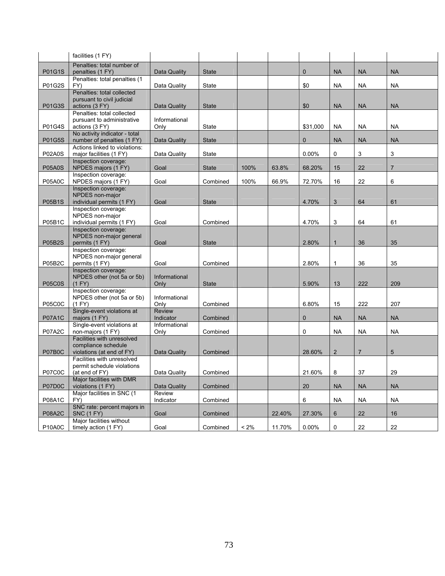|                                  | facilities (1 FY)                                        |                       |              |         |        |             |                |                |                |
|----------------------------------|----------------------------------------------------------|-----------------------|--------------|---------|--------|-------------|----------------|----------------|----------------|
|                                  | Penalties: total number of                               |                       |              |         |        |             |                |                |                |
| P01G1S                           | penalties (1 FY)<br>Penalties: total penalties (1)       | Data Quality          | <b>State</b> |         |        | $\mathbf 0$ | <b>NA</b>      | <b>NA</b>      | <b>NA</b>      |
| P01G2S                           | FY)                                                      | Data Quality          | State        |         |        | \$0         | <b>NA</b>      | <b>NA</b>      | <b>NA</b>      |
|                                  | Penalties: total collected                               |                       |              |         |        |             |                |                |                |
|                                  | pursuant to civil judicial                               |                       |              |         |        |             |                |                |                |
| P01G3S                           | actions (3 FY)                                           | Data Quality          | <b>State</b> |         |        | \$0         | <b>NA</b>      | <b>NA</b>      | <b>NA</b>      |
|                                  | Penalties: total collected<br>pursuant to administrative | Informational         |              |         |        |             |                |                |                |
| P01G4S                           | actions (3 FY)                                           | Only                  | State        |         |        | \$31,000    | NA             | <b>NA</b>      | <b>NA</b>      |
|                                  | No activity indicator - total                            |                       |              |         |        |             |                |                |                |
| P01G5S                           | number of penalties (1 FY)                               | Data Quality          | <b>State</b> |         |        | $\Omega$    | <b>NA</b>      | <b>NA</b>      | <b>NA</b>      |
|                                  | Actions linked to violations:<br>major facilities (1 FY) |                       |              |         |        |             | 0              |                |                |
| <b>P02A0S</b>                    | Inspection coverage:                                     | Data Quality          | State        |         |        | $0.00\%$    |                | 3              | 3              |
| <b>P05A0S</b>                    | NPDES majors (1 FY)                                      | Goal                  | <b>State</b> | 100%    | 63.8%  | 68.20%      | 15             | 22             | $\overline{7}$ |
|                                  | Inspection coverage:                                     |                       |              |         |        |             |                |                |                |
| <b>P05A0C</b>                    | NPDES majors (1 FY)                                      | Goal                  | Combined     | 100%    | 66.9%  | 72.70%      | 16             | 22             | 6              |
|                                  | Inspection coverage:<br>NPDES non-major                  |                       |              |         |        |             |                |                |                |
| <b>P05B1S</b>                    | individual permits (1 FY)                                | Goal                  | <b>State</b> |         |        | 4.70%       | 3              | 64             | 61             |
|                                  | Inspection coverage:                                     |                       |              |         |        |             |                |                |                |
|                                  | NPDES non-major                                          |                       |              |         |        |             |                |                |                |
| <b>P05B1C</b>                    | individual permits (1 FY)                                | Goal                  | Combined     |         |        | 4.70%       | 3              | 64             | 61             |
|                                  | Inspection coverage:<br>NPDES non-major general          |                       |              |         |        |             |                |                |                |
| <b>P05B2S</b>                    | permits (1 FY)                                           | Goal                  | <b>State</b> |         |        | 2.80%       | $\mathbf{1}$   | 36             | 35             |
|                                  | Inspection coverage:                                     |                       |              |         |        |             |                |                |                |
|                                  | NPDES non-major general                                  |                       |              |         |        |             |                |                |                |
| P05B2C                           | permits (1 FY)                                           | Goal                  | Combined     |         |        | 2.80%       | 1              | 36             | 35             |
|                                  | Inspection coverage:<br>NPDES other (not 5a or 5b)       | Informational         |              |         |        |             |                |                |                |
| <b>P05C0S</b>                    | (1 FY)                                                   | Only                  | <b>State</b> |         |        | 5.90%       | 13             | 222            | 209            |
|                                  | Inspection coverage:                                     |                       |              |         |        |             |                |                |                |
|                                  | NPDES other (not 5a or 5b)                               | Informational         |              |         |        |             |                |                |                |
| <b>P05C0C</b>                    | (1 FY)<br>Single-event violations at                     | Only<br><b>Review</b> | Combined     |         |        | 6.80%       | 15             | 222            | 207            |
| <b>P07A1C</b>                    | majors (1 FY)                                            | Indicator             | Combined     |         |        | $\Omega$    | <b>NA</b>      | <b>NA</b>      | <b>NA</b>      |
|                                  | Single-event violations at                               | Informational         |              |         |        |             |                |                |                |
| <b>P07A2C</b>                    | non-majors (1 FY)                                        | Only                  | Combined     |         |        | 0           | <b>NA</b>      | <b>NA</b>      | <b>NA</b>      |
|                                  | Facilities with unresolved                               |                       |              |         |        |             |                |                |                |
| P07B0C                           | compliance schedule<br>violations (at end of FY)         | Data Quality          | Combined     |         |        | 28.60%      | $\overline{2}$ | $\overline{7}$ | 5              |
|                                  | Facilities with unresolved                               |                       |              |         |        |             |                |                |                |
|                                  | permit schedule violations                               |                       |              |         |        |             |                |                |                |
| <b>P07C0C</b>                    | (at end of FY)                                           | Data Quality          | Combined     |         |        | 21.60%      | 8              | 37             | 29             |
| P07D0C                           | Major facilities with DMR<br>violations (1 FY)           | Data Quality          | Combined     |         |        | 20          | <b>NA</b>      | <b>NA</b>      | <b>NA</b>      |
|                                  | Major facilities in SNC (1                               | Review                |              |         |        |             |                |                |                |
| P08A1C                           | FY)                                                      | Indicator             | Combined     |         |        | 6           | <b>NA</b>      | <b>NA</b>      | <b>NA</b>      |
|                                  | SNC rate: percent majors in                              |                       |              |         |        |             |                |                |                |
| <b>P08A2C</b>                    | <b>SNC (1 FY)</b>                                        | Goal                  | Combined     |         | 22.40% | 27.30%      | 6              | 22             | 16             |
| P <sub>10</sub> A <sub>0</sub> C | Major facilities without<br>timely action (1 FY)         | Goal                  | Combined     | $< 2\%$ | 11.70% | 0.00%       | 0              | 22             | 22             |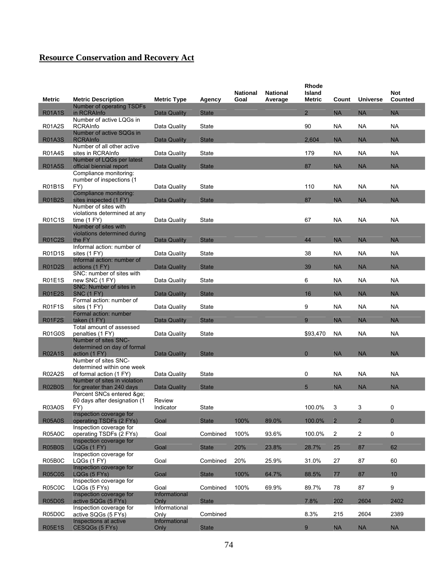| <b>Metric</b> | <b>Metric Description</b>                                                             | <b>Metric Type</b>    | Agency       | National<br>Goal | <b>National</b><br>Average | <b>Rhode</b><br>Island<br><b>Metric</b> | Count          | <b>Universe</b> | <b>Not</b><br>Counted |
|---------------|---------------------------------------------------------------------------------------|-----------------------|--------------|------------------|----------------------------|-----------------------------------------|----------------|-----------------|-----------------------|
| <b>R01A1S</b> | Number of operating TSDFs<br>in RCRAInfo                                              | Data Quality          | <b>State</b> |                  |                            | $\overline{2}$                          | <b>NA</b>      | <b>NA</b>       | <b>NA</b>             |
| <b>R01A2S</b> | Number of active LQGs in<br><b>RCRAInfo</b>                                           | Data Quality          | State        |                  |                            | 90                                      | <b>NA</b>      | <b>NA</b>       | <b>NA</b>             |
| <b>R01A3S</b> | Number of active SQGs in<br><b>RCRAInfo</b>                                           | Data Quality          | <b>State</b> |                  |                            | 2,604                                   | <b>NA</b>      | <b>NA</b>       | <b>NA</b>             |
| <b>R01A4S</b> | Number of all other active<br>sites in RCRAInfo                                       | Data Quality          | State        |                  |                            | 179                                     | <b>NA</b>      | NA              | <b>NA</b>             |
| <b>R01A5S</b> | Number of LQGs per latest<br>official biennial report                                 | Data Quality          | <b>State</b> |                  |                            | 87                                      | <b>NA</b>      | <b>NA</b>       | <b>NA</b>             |
| R01B1S        | Compliance monitoring:<br>number of inspections (1<br>FY)                             | Data Quality          | State        |                  |                            | 110                                     | <b>NA</b>      | <b>NA</b>       | NA                    |
| <b>R01B2S</b> | Compliance monitoring:<br>sites inspected (1 FY)                                      | Data Quality          | <b>State</b> |                  |                            | 87                                      | <b>NA</b>      | <b>NA</b>       | <b>NA</b>             |
|               | Number of sites with<br>violations determined at any                                  |                       |              |                  |                            |                                         |                |                 |                       |
| R01C1S        | time $(1 FY)$<br>Number of sites with                                                 | Data Quality          | State        |                  |                            | 67                                      | <b>NA</b>      | <b>NA</b>       | <b>NA</b>             |
| <b>R01C2S</b> | violations determined during<br>the FY                                                | Data Quality          | <b>State</b> |                  |                            | 44                                      | <b>NA</b>      | <b>NA</b>       | <b>NA</b>             |
| R01D1S        | Informal action: number of<br>sites (1 FY)                                            | Data Quality          | State        |                  |                            | 38                                      | <b>NA</b>      | NA              | <b>NA</b>             |
| <b>R01D2S</b> | Informal action: number of<br>actions (1 FY)                                          | Data Quality          | <b>State</b> |                  |                            | 39                                      | <b>NA</b>      | <b>NA</b>       | <b>NA</b>             |
| R01E1S        | SNC: number of sites with<br>new SNC (1 FY)                                           | Data Quality          | <b>State</b> |                  |                            | 6                                       | <b>NA</b>      | <b>NA</b>       | <b>NA</b>             |
| <b>R01E2S</b> | SNC: Number of sites in<br><b>SNC (1 FY)</b>                                          | Data Quality          | <b>State</b> |                  |                            | 16                                      | <b>NA</b>      | <b>NA</b>       | <b>NA</b>             |
| <b>R01F1S</b> | Formal action: number of<br>sites (1 FY)                                              | Data Quality          | State        |                  |                            | 9                                       | <b>NA</b>      | <b>NA</b>       | <b>NA</b>             |
| <b>R01F2S</b> | Formal action: number<br>taken (1 FY)                                                 | <b>Data Quality</b>   | <b>State</b> |                  |                            | 9                                       | <b>NA</b>      | <b>NA</b>       | <b>NA</b>             |
| R01G0S        | Total amount of assessed<br>penalties (1 FY)                                          | Data Quality          | State        |                  |                            | \$93,470                                | <b>NA</b>      | <b>NA</b>       | <b>NA</b>             |
|               | Number of sites SNC-<br>determined on day of formal                                   |                       |              |                  |                            | $\Omega$                                |                |                 |                       |
| <b>R02A1S</b> | action (1 FY)<br>Number of sites SNC-                                                 | Data Quality          | <b>State</b> |                  |                            |                                         | <b>NA</b>      | <b>NA</b>       | <b>NA</b>             |
| R02A2S        | determined within one week<br>of formal action (1 FY)<br>Number of sites in violation | Data Quality          | State        |                  |                            | 0                                       | <b>NA</b>      | <b>NA</b>       | <b>NA</b>             |
| <b>R02B0S</b> | for greater than 240 days<br>Percent SNCs entered ≥                                   | Data Quality          | <b>State</b> |                  |                            | $5\overline{)}$                         | <b>NA</b>      | <b>NA</b>       | <b>NA</b>             |
| <b>R03A0S</b> | 60 days after designation (1<br>FY)                                                   | Review<br>Indicator   | <b>State</b> |                  |                            | 100.0%                                  | 3              | 3               | 0                     |
| <b>R05A0S</b> | Inspection coverage for<br>operating TSDFs (2 FYs)                                    | Goal                  | <b>State</b> | 100%             | 89.0%                      | 100.0%                                  | $\overline{2}$ | $\overline{2}$  | $\mathbf{0}$          |
| <b>R05A0C</b> | Inspection coverage for<br>operating TSDFs (2 FYs)                                    | Goal                  | Combined     | 100%             | 93.6%                      | 100.0%                                  | $\overline{c}$ | $\overline{c}$  | $\mathbf 0$           |
| <b>R05B0S</b> | Inspection coverage for<br>LQGs (1 FY)                                                | Goal                  | <b>State</b> | 20%              | 23.8%                      | 28.7%                                   | 25             | 87              | 62                    |
| R05B0C        | Inspection coverage for<br>LQGs (1 FY)                                                | Goal                  | Combined     | 20%              | 25.9%                      | 31.0%                                   | 27             | 87              | 60                    |
| <b>R05C0S</b> | Inspection coverage for<br>LQGs (5 FYs)                                               | Goal                  | <b>State</b> | 100%             | 64.7%                      | 88.5%                                   | 77             | 87              | 10                    |
| <b>R05C0C</b> | Inspection coverage for<br>LQGs (5 FYs)                                               | Goal                  | Combined     | 100%             | 69.9%                      | 89.7%                                   | 78             | 87              | $\boldsymbol{9}$      |
| <b>R05D0S</b> | Inspection coverage for<br>active SQGs (5 FYs)                                        | Informational<br>Only | <b>State</b> |                  |                            | 7.8%                                    | 202            | 2604            | 2402                  |
| R05D0C        | Inspection coverage for<br>active SQGs (5 FYs)                                        | Informational<br>Only | Combined     |                  |                            | 8.3%                                    | 215            | 2604            | 2389                  |
| <b>R05E1S</b> | Inspections at active<br>CESQGs (5 FYs)                                               | Informational<br>Only | <b>State</b> |                  |                            | 9                                       | <b>NA</b>      | <b>NA</b>       | <b>NA</b>             |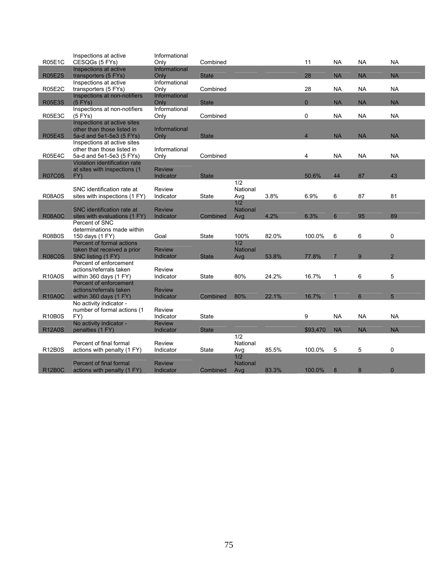|               | Inspections at active                                     | Informational |              |                 |       |                |                 |           |                |  |
|---------------|-----------------------------------------------------------|---------------|--------------|-----------------|-------|----------------|-----------------|-----------|----------------|--|
| <b>R05E1C</b> | CESQGs (5 FYs)                                            | Only          | Combined     |                 |       | 11             | <b>NA</b>       | <b>NA</b> | <b>NA</b>      |  |
|               | Inspections at active                                     | Informational |              |                 |       |                |                 |           |                |  |
| <b>R05E2S</b> | transporters (5 FYs)                                      | Only          | <b>State</b> |                 |       | 28             | <b>NA</b>       | <b>NA</b> | <b>NA</b>      |  |
|               | Inspections at active                                     | Informational |              |                 |       |                |                 |           |                |  |
| <b>R05E2C</b> | transporters (5 FYs)                                      | Only          | Combined     |                 |       | 28             | <b>NA</b>       | <b>NA</b> | <b>NA</b>      |  |
|               | Inspections at non-notifiers                              | Informational |              |                 |       |                |                 |           |                |  |
| <b>R05E3S</b> | $(5$ FYs)                                                 | Only          | <b>State</b> |                 |       | $\Omega$       | <b>NA</b>       | <b>NA</b> | <b>NA</b>      |  |
|               | Inspections at non-notifiers                              | Informational |              |                 |       |                |                 |           |                |  |
| <b>R05E3C</b> | $(5$ FYs)                                                 | Only          | Combined     |                 |       | $\Omega$       | <b>NA</b>       | <b>NA</b> | <b>NA</b>      |  |
|               | Inspections at active sites                               |               |              |                 |       |                |                 |           |                |  |
|               | other than those listed in                                | Informational |              |                 |       |                |                 |           |                |  |
| <b>R05E4S</b> | 5a-d and 5e1-5e3 (5 FYs)                                  | Only          | <b>State</b> |                 |       | $\overline{4}$ | <b>NA</b>       | <b>NA</b> | <b>NA</b>      |  |
|               | Inspections at active sites                               | Informational |              |                 |       |                |                 |           |                |  |
| <b>R05E4C</b> | other than those listed in                                |               |              |                 |       | 4              | <b>NA</b>       | <b>NA</b> | <b>NA</b>      |  |
|               | 5a-d and 5e1-5e3 (5 FYs)<br>Violation identification rate | Only          | Combined     |                 |       |                |                 |           |                |  |
|               | at sites with inspections (1                              | <b>Review</b> |              |                 |       |                |                 |           |                |  |
| <b>R07C0S</b> | FY)                                                       | Indicator     | <b>State</b> |                 |       | 50.6%          | 44              | 87        | 43             |  |
|               |                                                           |               |              | 1/2             |       |                |                 |           |                |  |
|               | SNC identification rate at                                | Review        |              | National        |       |                |                 |           |                |  |
| <b>R08A0S</b> | sites with inspections (1 FY)                             | Indicator     | <b>State</b> | Avg             | 3.8%  | 6.9%           | 6               | 87        | 81             |  |
|               |                                                           |               |              | 1/2             |       |                |                 |           |                |  |
|               | SNC identification rate at                                | <b>Review</b> |              | National        |       |                |                 |           |                |  |
| <b>R08A0C</b> | sites with evaluations (1 FY)                             | Indicator     | Combined     | Avg             | 4.2%  | 6.3%           | $6\phantom{1}6$ | 95        | 89             |  |
|               | Percent of SNC                                            |               |              |                 |       |                |                 |           |                |  |
|               | determinations made within                                |               |              |                 |       |                |                 |           |                |  |
| <b>R08B0S</b> | 150 days (1 FY)                                           | Goal          | <b>State</b> | 100%            | 82.0% | 100.0%         | 6               | 6         | $\mathbf 0$    |  |
|               | Percent of formal actions                                 |               |              | 1/2             |       |                |                 |           |                |  |
|               | taken that received a prior                               | <b>Review</b> |              | <b>National</b> |       |                |                 |           |                |  |
| <b>R08C0S</b> | SNC listing (1 FY)                                        | Indicator     | <b>State</b> | Avg             | 53.8% | 77.8%          | $\overline{7}$  | 9         | $\overline{2}$ |  |
|               | Percent of enforcement                                    |               |              |                 |       |                |                 |           |                |  |
|               | actions/referrals taken                                   | Review        |              |                 |       |                |                 |           |                |  |
| <b>R10A0S</b> | within 360 days (1 FY)                                    | Indicator     | <b>State</b> | 80%             | 24.2% | 16.7%          | $\mathbf{1}$    | 6         | 5              |  |
|               | Percent of enforcement                                    |               |              |                 |       |                |                 |           |                |  |
|               | actions/referrals taken                                   | <b>Review</b> |              |                 |       |                |                 |           |                |  |
| <b>R10A0C</b> | within 360 days (1 FY)                                    | Indicator     | Combined     | 80%             | 22.1% | 16.7%          |                 | 6         | 5              |  |
|               | No activity indicator -                                   |               |              |                 |       |                |                 |           |                |  |
|               | number of formal actions (1                               | Review        |              |                 |       |                |                 |           |                |  |
| <b>R10B0S</b> | FY)                                                       | Indicator     | <b>State</b> |                 |       | 9              | <b>NA</b>       | <b>NA</b> | <b>NA</b>      |  |
|               | No activity indicator -                                   | <b>Review</b> |              |                 |       |                |                 |           |                |  |
| <b>R12A0S</b> | penalties (1 FY)                                          | Indicator     | <b>State</b> |                 |       | \$93.470       | <b>NA</b>       | <b>NA</b> | <b>NA</b>      |  |
|               |                                                           |               |              | 1/2             |       |                |                 |           |                |  |
|               | Percent of final formal                                   | Review        |              | National        |       |                |                 |           |                |  |
| <b>R12B0S</b> | actions with penalty (1 FY)                               | Indicator     | <b>State</b> | Avg             | 85.5% | 100.0%         | 5               | 5         | 0              |  |
|               |                                                           |               |              | 1/2             |       |                |                 |           |                |  |
|               | <b>Percent of final formal</b>                            | <b>Review</b> |              | National        |       |                |                 |           |                |  |
| <b>R12B0C</b> | actions with penalty (1 FY)                               | Indicator     | Combined     | Avg             | 83.3% | 100.0%         | 8               | 8         | $\mathbf{0}$   |  |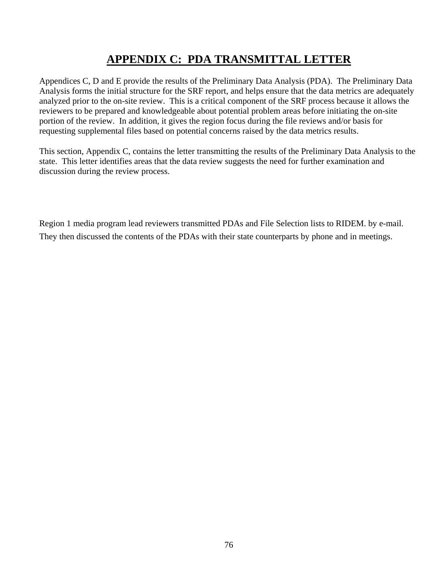# **APPENDIX C: PDA TRANSMITTAL LETTER**

Appendices C, D and E provide the results of the Preliminary Data Analysis (PDA). The Preliminary Data Analysis forms the initial structure for the SRF report, and helps ensure that the data metrics are adequately analyzed prior to the on-site review. This is a critical component of the SRF process because it allows the reviewers to be prepared and knowledgeable about potential problem areas before initiating the on-site portion of the review. In addition, it gives the region focus during the file reviews and/or basis for requesting supplemental files based on potential concerns raised by the data metrics results.

This section, Appendix C, contains the letter transmitting the results of the Preliminary Data Analysis to the state. This letter identifies areas that the data review suggests the need for further examination and discussion during the review process.

Region 1 media program lead reviewers transmitted PDAs and File Selection lists to RIDEM. by e-mail. They then discussed the contents of the PDAs with their state counterparts by phone and in meetings.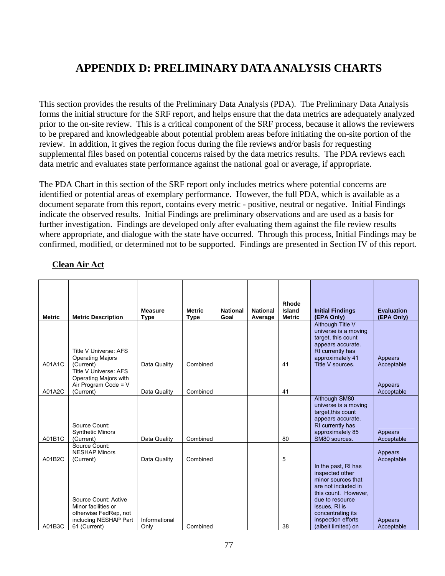# **APPENDIX D: PRELIMINARY DATA ANALYSIS CHARTS**

This section provides the results of the Preliminary Data Analysis (PDA). The Preliminary Data Analysis forms the initial structure for the SRF report, and helps ensure that the data metrics are adequately analyzed prior to the on-site review. This is a critical component of the SRF process, because it allows the reviewers to be prepared and knowledgeable about potential problem areas before initiating the on-site portion of the review. In addition, it gives the region focus during the file reviews and/or basis for requesting supplemental files based on potential concerns raised by the data metrics results. The PDA reviews each data metric and evaluates state performance against the national goal or average, if appropriate.

The PDA Chart in this section of the SRF report only includes metrics where potential concerns are identified or potential areas of exemplary performance. However, the full PDA, which is available as a document separate from this report, contains every metric - positive, neutral or negative. Initial Findings indicate the observed results. Initial Findings are preliminary observations and are used as a basis for further investigation. Findings are developed only after evaluating them against the file review results where appropriate, and dialogue with the state have occurred. Through this process, Initial Findings may be confirmed, modified, or determined not to be supported. Findings are presented in Section IV of this report.

| <b>Metric</b> | <b>Metric Description</b>                                                                                     | <b>Measure</b><br><b>Type</b> | <b>Metric</b><br><b>Type</b> | <b>National</b><br>Goal | <b>National</b><br>Average | Rhode<br>Island<br><b>Metric</b> | <b>Initial Findings</b><br>(EPA Only)                                                                                                                                                                             | <b>Evaluation</b><br>(EPA Only) |
|---------------|---------------------------------------------------------------------------------------------------------------|-------------------------------|------------------------------|-------------------------|----------------------------|----------------------------------|-------------------------------------------------------------------------------------------------------------------------------------------------------------------------------------------------------------------|---------------------------------|
| A01A1C        | Title V Universe: AFS<br><b>Operating Majors</b><br>(Current)                                                 | Data Quality                  | Combined                     |                         |                            | 41                               | Although Title V<br>universe is a moving<br>target, this count<br>appears accurate.<br>RI currently has<br>approximately 41<br>Title V sources.                                                                   | Appears<br>Acceptable           |
| A01A2C        | Title V Universe: AFS<br>Operating Majors with<br>Air Program Code = V<br>(Current)                           | Data Quality                  | Combined                     |                         |                            | 41                               |                                                                                                                                                                                                                   | Appears<br>Acceptable           |
| A01B1C        | Source Count:<br><b>Synthetic Minors</b><br>(Current)                                                         | Data Quality                  | Combined                     |                         |                            | 80                               | Although SM80<br>universe is a moving<br>target, this count<br>appears accurate.<br>RI currently has<br>approximately 85<br>SM80 sources.                                                                         | Appears<br>Acceptable           |
| A01B2C        | Source Count:<br><b>NESHAP Minors</b><br>(Current)                                                            | Data Quality                  | Combined                     |                         |                            | 5                                |                                                                                                                                                                                                                   | Appears<br>Acceptable           |
| A01B3C        | Source Count: Active<br>Minor facilities or<br>otherwise FedRep, not<br>including NESHAP Part<br>61 (Current) | Informational<br>Only         | Combined                     |                         |                            | 38                               | In the past, RI has<br>inspected other<br>minor sources that<br>are not included in<br>this count. However,<br>due to resource<br>issues, RI is<br>concentrating its<br>inspection efforts<br>(albeit limited) on | Appears<br>Acceptable           |

#### **Clean Air Act**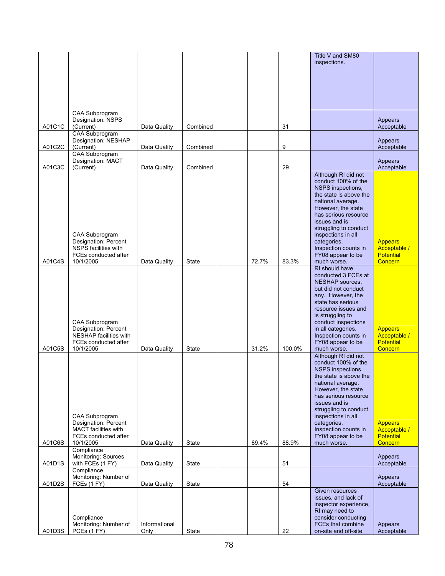|        |                                              |               |          |       |        | Title V and SM80<br>inspections.             |                                  |
|--------|----------------------------------------------|---------------|----------|-------|--------|----------------------------------------------|----------------------------------|
|        |                                              |               |          |       |        |                                              |                                  |
|        |                                              |               |          |       |        |                                              |                                  |
|        |                                              |               |          |       |        |                                              |                                  |
|        |                                              |               |          |       |        |                                              |                                  |
|        | CAA Subprogram                               |               |          |       |        |                                              |                                  |
|        | Designation: NSPS                            |               |          |       |        |                                              | Appears                          |
| A01C1C | (Current)<br><b>CAA Subprogram</b>           | Data Quality  | Combined |       | 31     |                                              | Acceptable                       |
|        | Designation: NESHAP                          |               |          |       |        |                                              | Appears                          |
| A01C2C | (Current)                                    | Data Quality  | Combined |       | 9      |                                              | Acceptable                       |
|        | <b>CAA Subprogram</b><br>Designation: MACT   |               |          |       |        |                                              | Appears                          |
| A01C3C | (Current)                                    | Data Quality  | Combined |       | 29     |                                              | Acceptable                       |
|        |                                              |               |          |       |        | Although RI did not<br>conduct 100% of the   |                                  |
|        |                                              |               |          |       |        | NSPS inspections,                            |                                  |
|        |                                              |               |          |       |        | the state is above the<br>national average.  |                                  |
|        |                                              |               |          |       |        | However, the state                           |                                  |
|        |                                              |               |          |       |        | has serious resource<br>issues and is        |                                  |
|        |                                              |               |          |       |        | struggling to conduct                        |                                  |
|        | CAA Subprogram<br>Designation: Percent       |               |          |       |        | inspections in all<br>categories.            | Appears                          |
|        | NSPS facilities with                         |               |          |       |        | Inspection counts in                         | Acceptable /                     |
|        | FCEs conducted after                         |               |          |       | 83.3%  | FY08 appear to be                            | <b>Potential</b>                 |
| A01C4S | 10/1/2005                                    | Data Quality  | State    | 72.7% |        | much worse.<br>RI should have                | Concern                          |
|        |                                              |               |          |       |        | conducted 3 FCEs at                          |                                  |
|        |                                              |               |          |       |        | NESHAP sources,<br>but did not conduct       |                                  |
|        |                                              |               |          |       |        | any. However, the                            |                                  |
|        |                                              |               |          |       |        | state has serious<br>resource issues and     |                                  |
|        |                                              |               |          |       |        | is struggling to                             |                                  |
|        | CAA Subprogram<br>Designation: Percent       |               |          |       |        | conduct inspections<br>in all categories.    | <b>Appears</b>                   |
|        | NESHAP facilities with                       |               |          |       |        | Inspection counts in                         | Acceptable /                     |
|        | FCEs conducted after<br>10/1/2005            |               |          | 31.2% |        | FY08 appear to be                            | <b>Potential</b>                 |
| A01C5S |                                              | Data Quality  | State    |       | 100.0% | much worse.<br>Although RI did not           | Concern                          |
|        |                                              |               |          |       |        | conduct 100% of the                          |                                  |
|        |                                              |               |          |       |        | NSPS inspections,<br>the state is above the  |                                  |
|        |                                              |               |          |       |        | national average.                            |                                  |
|        |                                              |               |          |       |        | However, the state<br>has serious resource   |                                  |
|        |                                              |               |          |       |        | issues and is                                |                                  |
|        | CAA Subprogram                               |               |          |       |        | struggling to conduct<br>inspections in all  |                                  |
|        | Designation: Percent                         |               |          |       |        | categories.                                  | <b>Appears</b>                   |
|        | MACT facilities with<br>FCEs conducted after |               |          |       |        | Inspection counts in<br>FY08 appear to be    | Acceptable /<br><b>Potential</b> |
| A01C6S | 10/1/2005                                    | Data Quality  | State    | 89.4% | 88.9%  | much worse.                                  | Concern                          |
|        | Compliance<br>Monitoring: Sources            |               |          |       |        |                                              | Appears                          |
| A01D1S | with FCEs (1 FY)                             | Data Quality  | State    |       | 51     |                                              | Acceptable                       |
|        | Compliance                                   |               |          |       |        |                                              |                                  |
| A01D2S | Monitoring: Number of<br>FCEs (1 FY)         | Data Quality  | State    |       | 54     |                                              | Appears<br>Acceptable            |
|        |                                              |               |          |       |        | Given resources                              |                                  |
|        |                                              |               |          |       |        | issues, and lack of<br>inspector experience, |                                  |
|        |                                              |               |          |       |        | RI may need to                               |                                  |
|        | Compliance<br>Monitoring: Number of          | Informational |          |       |        | consider conducting<br>FCEs that combine     | Appears                          |
| A01D3S | PCEs (1 FY)                                  | Only          | State    |       | 22     | on-site and off-site                         | Acceptable                       |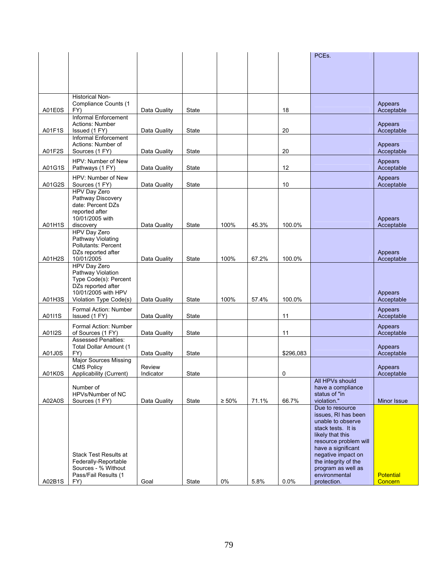|        |                                                      |                     |              |             |       |           | PCEs.                                      |                       |
|--------|------------------------------------------------------|---------------------|--------------|-------------|-------|-----------|--------------------------------------------|-----------------------|
|        |                                                      |                     |              |             |       |           |                                            |                       |
|        |                                                      |                     |              |             |       |           |                                            |                       |
|        |                                                      |                     |              |             |       |           |                                            |                       |
|        |                                                      |                     |              |             |       |           |                                            |                       |
|        | <b>Historical Non-</b><br>Compliance Counts (1       |                     |              |             |       |           |                                            | Appears               |
| A01E0S | FY)                                                  | Data Quality        | State        |             |       | 18        |                                            | Acceptable            |
|        | Informal Enforcement                                 |                     |              |             |       |           |                                            |                       |
|        | Actions: Number                                      |                     |              |             |       |           |                                            | Appears               |
| A01F1S | Issued (1 FY)<br>Informal Enforcement                | Data Quality        | State        |             |       | 20        |                                            | Acceptable            |
|        | Actions: Number of                                   |                     |              |             |       |           |                                            | Appears               |
| A01F2S | Sources (1 FY)                                       | Data Quality        | State        |             |       | 20        |                                            | Acceptable            |
|        | HPV: Number of New                                   |                     |              |             |       |           |                                            | Appears               |
| A01G1S | Pathways (1 FY)                                      | Data Quality        | State        |             |       | 12        |                                            | Acceptable            |
|        | HPV: Number of New                                   |                     |              |             |       |           |                                            | Appears               |
| A01G2S | Sources (1 FY)<br>HPV Day Zero                       | Data Quality        | State        |             |       | 10        |                                            | Acceptable            |
|        | Pathway Discovery                                    |                     |              |             |       |           |                                            |                       |
|        | date: Percent DZs                                    |                     |              |             |       |           |                                            |                       |
|        | reported after                                       |                     |              |             |       |           |                                            |                       |
| A01H1S | 10/01/2005 with<br>discovery                         | Data Quality        | <b>State</b> | 100%        | 45.3% | 100.0%    |                                            | Appears<br>Acceptable |
|        | HPV Day Zero                                         |                     |              |             |       |           |                                            |                       |
|        | Pathway Violating                                    |                     |              |             |       |           |                                            |                       |
|        | Pollutants: Percent<br>DZs reported after            |                     |              |             |       |           |                                            |                       |
| A01H2S | 10/01/2005                                           | Data Quality        | State        | 100%        | 67.2% | 100.0%    |                                            | Appears<br>Acceptable |
|        | HPV Day Zero                                         |                     |              |             |       |           |                                            |                       |
|        | Pathway Violation                                    |                     |              |             |       |           |                                            |                       |
|        | Type Code(s): Percent<br>DZs reported after          |                     |              |             |       |           |                                            |                       |
|        | 10/01/2005 with HPV                                  |                     |              |             |       |           |                                            | Appears               |
| A01H3S | Violation Type Code(s)                               | Data Quality        | State        | 100%        | 57.4% | 100.0%    |                                            | Acceptable            |
|        | Formal Action: Number                                |                     |              |             |       |           |                                            | Appears               |
| A01I1S | Issued (1 FY)                                        | Data Quality        | State        |             |       | 11        |                                            | Acceptable            |
|        | Formal Action: Number                                |                     |              |             |       |           |                                            | Appears               |
| A01I2S | of Sources (1 FY)<br><b>Assessed Penalties:</b>      | Data Quality        | State        |             |       | 11        |                                            | Acceptable            |
|        | Total Dollar Amount (1                               |                     |              |             |       |           |                                            | Appears               |
| A01J0S | FY)                                                  | Data Quality        | State        |             |       | \$296,083 |                                            | Acceptable            |
|        | <b>Major Sources Missing</b>                         |                     |              |             |       |           |                                            |                       |
| A01K0S | <b>CMS Policy</b><br>Applicability (Current)         | Review<br>Indicator | State        |             |       | 0         |                                            | Appears<br>Acceptable |
|        |                                                      |                     |              |             |       |           | All HPVs should                            |                       |
|        | Number of                                            |                     |              |             |       |           | have a compliance                          |                       |
| A02A0S | HPVs/Number of NC<br>Sources (1 FY)                  | Data Quality        | State        | $\geq 50\%$ | 71.1% | 66.7%     | status of "in<br>violation."               | Minor Issue           |
|        |                                                      |                     |              |             |       |           | Due to resource                            |                       |
|        |                                                      |                     |              |             |       |           | issues, RI has been                        |                       |
|        |                                                      |                     |              |             |       |           | unable to observe<br>stack tests. It is    |                       |
|        |                                                      |                     |              |             |       |           | likely that this                           |                       |
|        |                                                      |                     |              |             |       |           | resource problem will                      |                       |
|        |                                                      |                     |              |             |       |           | have a significant                         |                       |
|        | <b>Stack Test Results at</b><br>Federally-Reportable |                     |              |             |       |           | negative impact on<br>the integrity of the |                       |
|        | Sources - % Without                                  |                     |              |             |       |           | program as well as                         |                       |
|        | Pass/Fail Results (1                                 |                     |              |             |       |           | environmental                              | <b>Potential</b>      |
| A02B1S | FY)                                                  | Goal                | State        | 0%          | 5.8%  | 0.0%      | protection.                                | Concern               |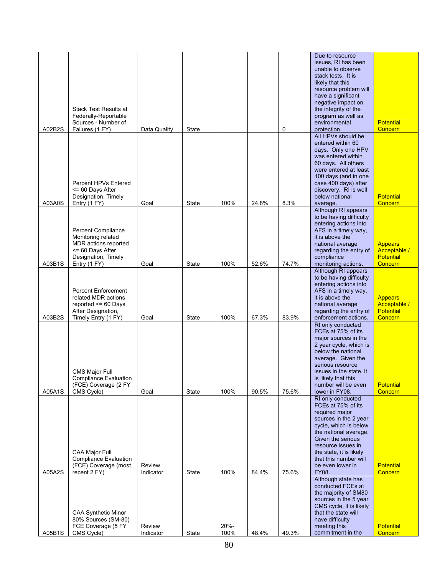|                  | <b>Stack Test Results at</b>                                                                                              |                             |                |              |                |                | Due to resource<br>issues, RI has been<br>unable to observe<br>stack tests. It is<br>likely that this<br>resource problem will<br>have a significant<br>negative impact on<br>the integrity of the                                                                                        |                                                               |
|------------------|---------------------------------------------------------------------------------------------------------------------------|-----------------------------|----------------|--------------|----------------|----------------|-------------------------------------------------------------------------------------------------------------------------------------------------------------------------------------------------------------------------------------------------------------------------------------------|---------------------------------------------------------------|
| A02B2S           | Federally-Reportable<br>Sources - Number of<br>Failures (1 FY)                                                            | Data Quality                | State          |              |                | 0              | program as well as<br>environmental<br>protection.                                                                                                                                                                                                                                        | <b>Potential</b><br>Concern                                   |
|                  | Percent HPVs Entered<br><= 60 Days After<br>Designation, Timely                                                           |                             |                |              |                |                | All HPVs should be<br>entered within 60<br>days. Only one HPV<br>was entered within<br>60 days. All others<br>were entered at least<br>100 days (and in one<br>case 400 days) after<br>discovery. RI is well<br>below national                                                            | <b>Potential</b>                                              |
| A03A0S           | Entry (1 FY)<br><b>Percent Compliance</b><br>Monitoring related<br>MDR actions reported<br><= 60 Days After               | Goal                        | State          | 100%         | 24.8%          | 8.3%           | average.<br>Although RI appears<br>to be having difficulty<br>entering actions into<br>AFS in a timely way,<br>it is above the<br>national average<br>regarding the entry of                                                                                                              | Concern<br><b>Appears</b><br>Acceptable /                     |
| A03B1S           | Designation, Timely<br>Entry (1 FY)                                                                                       | Goal                        | State          | 100%         | 52.6%          | 74.7%          | compliance<br>monitoring actions.<br>Although RI appears                                                                                                                                                                                                                                  | <b>Potential</b><br>Concern                                   |
| A03B2S           | <b>Percent Enforcement</b><br>related MDR actions<br>reported $\leq$ 60 Days<br>After Designation,<br>Timely Entry (1 FY) | Goal                        | <b>State</b>   | 100%         | 67.3%          | 83.9%          | to be having difficulty<br>entering actions into<br>AFS in a timely way,<br>it is above the<br>national average<br>regarding the entry of<br>enforcement actions.                                                                                                                         | <b>Appears</b><br>Acceptable /<br><b>Potential</b><br>Concern |
|                  | CMS Major Full<br><b>Compliance Evaluation</b><br>(FCE) Coverage (2 FY                                                    |                             |                |              |                |                | RI only conducted<br>FCEs at 75% of its<br>major sources in the<br>2 year cycle, which is<br>below the national<br>average. Given the<br>serious resource<br>issues in the state, it<br>is likely that this<br>number will be even                                                        | <b>Potential</b>                                              |
| A05A1S<br>A05A2S | CMS Cycle)<br><b>CAA Major Full</b><br><b>Compliance Evaluation</b><br>(FCE) Coverage (most<br>recent 2 FY)               | Goal<br>Review<br>Indicator | State          | 100%<br>100% | 90.5%<br>84.4% | 75.6%<br>75.6% | lower in FY08.<br>RI only conducted<br>FCEs at 75% of its<br>required major<br>sources in the 2 year<br>cycle, which is below<br>the national average.<br>Given the serious<br>resource issues in<br>the state, it is likely<br>that this number will<br>be even lower in<br><b>FY08.</b> | Concern<br><b>Potential</b><br>Concern                        |
| A05B1S           | <b>CAA Synthetic Minor</b><br>80% Sources (SM-80)<br>FCE Coverage (5 FY<br>CMS Cycle)                                     | Review<br>Indicator         | State<br>State | 20%-<br>100% | 48.4%          | 49.3%          | Although state has<br>conducted FCEs at<br>the majority of SM80<br>sources in the 5 year<br>CMS cycle, it is likely<br>that the state will<br>have difficulty<br>meeting this<br>commitment in the                                                                                        | <b>Potential</b><br><b>Concern</b>                            |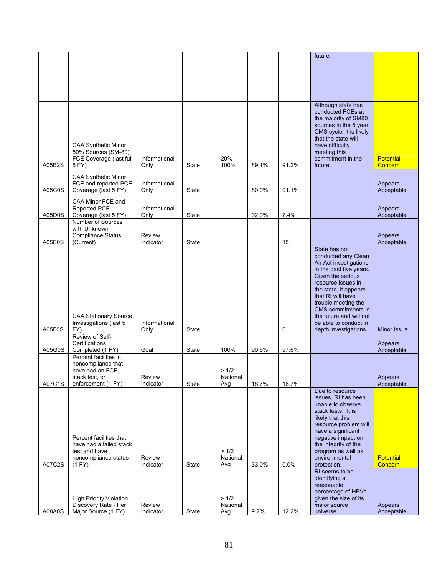|        |                                                        |                       |              |                   |       |       | future.                                        |                       |
|--------|--------------------------------------------------------|-----------------------|--------------|-------------------|-------|-------|------------------------------------------------|-----------------------|
|        |                                                        |                       |              |                   |       |       |                                                |                       |
|        |                                                        |                       |              |                   |       |       |                                                |                       |
|        |                                                        |                       |              |                   |       |       |                                                |                       |
|        |                                                        |                       |              |                   |       |       |                                                |                       |
|        |                                                        |                       |              |                   |       |       |                                                |                       |
|        |                                                        |                       |              |                   |       |       | Although state has                             |                       |
|        |                                                        |                       |              |                   |       |       | conducted FCEs at<br>the majority of SM80      |                       |
|        |                                                        |                       |              |                   |       |       | sources in the 5 year                          |                       |
|        |                                                        |                       |              |                   |       |       | CMS cycle, it is likely<br>that the state will |                       |
|        | CAA Synthetic Minor                                    |                       |              |                   |       |       | have difficulty                                |                       |
|        | 80% Sources (SM-80)                                    |                       |              |                   |       |       | meeting this                                   |                       |
|        | FCE Coverage (last full                                | Informational         |              | 20%-              |       |       | commitment in the                              | <b>Potential</b>      |
| A05B2S | 5 FY)                                                  | Only                  | <b>State</b> | 100%              | 89.1% | 91.2% | future.                                        | Concern               |
|        | <b>CAA Synthetic Minor</b>                             |                       |              |                   |       |       |                                                |                       |
| A05C0S | FCE and reported PCE<br>Coverage (last 5 FY)           | Informational<br>Only | State        |                   | 80.0% | 91.1% |                                                | Appears<br>Acceptable |
|        |                                                        |                       |              |                   |       |       |                                                |                       |
|        | CAA Minor FCE and<br><b>Reported PCE</b>               | Informational         |              |                   |       |       |                                                | Appears               |
| A05D0S | Coverage (last 5 FY)                                   | Only                  | State        |                   | 32.0% | 7.4%  |                                                | Acceptable            |
|        | Number of Sources                                      |                       |              |                   |       |       |                                                |                       |
|        | with Unknown<br><b>Compliance Status</b>               | Review                |              |                   |       |       |                                                | Appears               |
| A05E0S | (Current)                                              | Indicator             | State        |                   |       | 15    |                                                | Acceptable            |
|        |                                                        |                       |              |                   |       |       | State has not                                  |                       |
|        |                                                        |                       |              |                   |       |       | conducted any Clean<br>Air Act investigations  |                       |
|        |                                                        |                       |              |                   |       |       | in the past five years.                        |                       |
|        |                                                        |                       |              |                   |       |       | Given the serious                              |                       |
|        |                                                        |                       |              |                   |       |       | resource issues in                             |                       |
|        |                                                        |                       |              |                   |       |       | the state, it appears<br>that RI will have     |                       |
|        |                                                        |                       |              |                   |       |       | trouble meeting the                            |                       |
|        | <b>CAA Stationary Source</b>                           |                       |              |                   |       |       | CMS commitments in<br>the future and will not  |                       |
|        | Investigations (last 5                                 | Informational         |              |                   |       |       | be able to conduct in                          |                       |
| A05F0S | FY)                                                    | Only                  | <b>State</b> |                   |       | 0     | depth investigations.                          | <b>Minor Issue</b>    |
|        | Review of Self-<br>Certifications                      |                       |              |                   |       |       |                                                | Appears               |
| A05G0S | Completed (1 FY)                                       | Goal                  | State        | 100%              | 90.6% | 97.6% |                                                | Acceptable            |
|        | Percent facilities in                                  |                       |              |                   |       |       |                                                |                       |
|        | noncompliance that<br>have had an FCE,                 |                       |              | >1/2              |       |       |                                                |                       |
|        | stack test, or                                         | Review                |              | National          |       |       |                                                | Appears               |
| A07C1S | enforcement (1 FY)                                     | Indicator             | State        | Avg               | 18.7% | 16.7% |                                                | Acceptable            |
|        |                                                        |                       |              |                   |       |       | Due to resource<br>issues, RI has been         |                       |
|        |                                                        |                       |              |                   |       |       | unable to observe                              |                       |
|        |                                                        |                       |              |                   |       |       | stack tests. It is                             |                       |
|        |                                                        |                       |              |                   |       |       | likely that this                               |                       |
|        |                                                        |                       |              |                   |       |       | resource problem will<br>have a significant    |                       |
|        | Percent facilities that                                |                       |              |                   |       |       | negative impact on                             |                       |
|        | have had a failed stack<br>test and have               |                       |              | >1/2              |       |       | the integrity of the<br>program as well as     |                       |
|        | noncompliance status                                   | Review                |              | National          |       |       | environmental                                  | <b>Potential</b>      |
| A07C2S | (1 FY)                                                 | Indicator             | State        | Avg               | 33.0% | 0.0%  | protection.                                    | Concern               |
|        |                                                        |                       |              |                   |       |       | RI seems to be                                 |                       |
|        |                                                        |                       |              |                   |       |       | identifying a<br>reasonable                    |                       |
|        |                                                        |                       |              |                   |       |       | percentage of HPVs                             |                       |
|        | <b>High Priority Violation</b><br>Discovery Rate - Per | Review                |              | > 1/2<br>National |       |       | given the size of its<br>major source          |                       |
| A08A0S | Major Source (1 FY)                                    | Indicator             | State        | Avg               | 9.2%  | 12.2% | universe.                                      | Appears<br>Acceptable |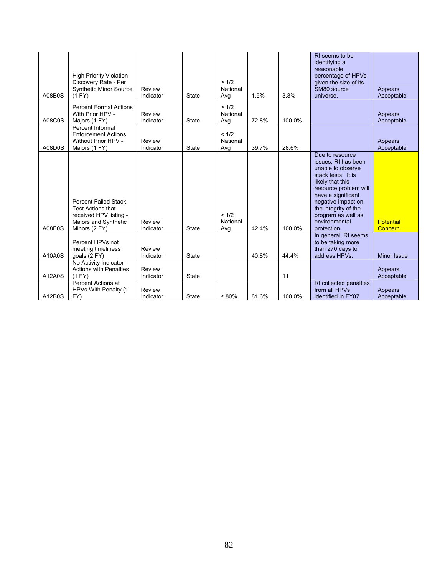| A08B0S | <b>High Priority Violation</b><br>Discovery Rate - Per<br><b>Synthetic Minor Source</b><br>(1 FY)                          | Review<br>Indicator | State        | >1/2<br>National<br>Avg  | 1.5%  | 3.8%   | RI seems to be<br>identifying a<br>reasonable<br>percentage of HPVs<br>given the size of its<br>SM80 source<br>universe.                                                                                                                                 | Appears<br>Acceptable       |
|--------|----------------------------------------------------------------------------------------------------------------------------|---------------------|--------------|--------------------------|-------|--------|----------------------------------------------------------------------------------------------------------------------------------------------------------------------------------------------------------------------------------------------------------|-----------------------------|
| A08C0S | <b>Percent Formal Actions</b><br>With Prior HPV -<br>Majors (1 FY)                                                         | Review<br>Indicator | <b>State</b> | > 1/2<br>National<br>Avg | 72.8% | 100.0% |                                                                                                                                                                                                                                                          | Appears<br>Acceptable       |
| A08D0S | Percent Informal<br><b>Enforcement Actions</b><br>Without Prior HPV -<br>Majors (1 FY)                                     | Review<br>Indicator | <b>State</b> | < 1/2<br>National<br>Avg | 39.7% | 28.6%  |                                                                                                                                                                                                                                                          | Appears<br>Acceptable       |
| A08E0S | <b>Percent Failed Stack</b><br><b>Test Actions that</b><br>received HPV listing -<br>Majors and Synthetic<br>Minors (2 FY) | Review<br>Indicator | <b>State</b> | >1/2<br>National<br>Avg  | 42.4% | 100.0% | Due to resource<br>issues, RI has been<br>unable to observe<br>stack tests. It is<br>likely that this<br>resource problem will<br>have a significant<br>negative impact on<br>the integrity of the<br>program as well as<br>environmental<br>protection. | <b>Potential</b><br>Concern |
| A10A0S | Percent HPVs not<br>meeting timeliness<br>qoals (2 FY)                                                                     | Review<br>Indicator | State        |                          | 40.8% | 44.4%  | In general, RI seems<br>to be taking more<br>than 270 days to<br>address HPVs.                                                                                                                                                                           | <b>Minor Issue</b>          |
| A12A0S | No Activity Indicator -<br><b>Actions with Penalties</b><br>(1 FY)                                                         | Review<br>Indicator | State        |                          |       | 11     |                                                                                                                                                                                                                                                          | Appears<br>Acceptable       |
| A12B0S | Percent Actions at<br>HPVs With Penalty (1<br>FY)                                                                          | Review<br>Indicator | State        | $\geq 80\%$              | 81.6% | 100.0% | RI collected penalties<br>from all HPVs<br>identified in FY07                                                                                                                                                                                            | Appears<br>Acceptable       |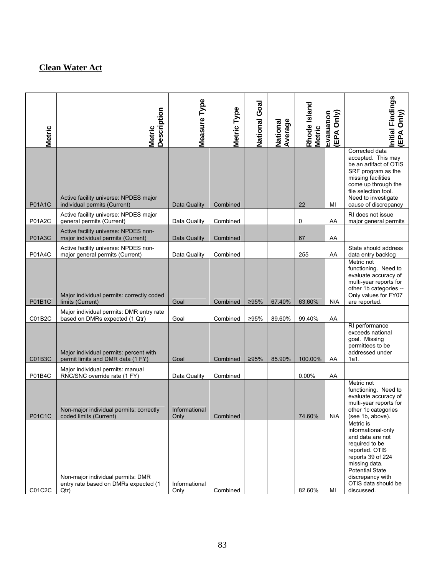## **Clean Water Act**

| <b>Metric</b> | <b>Description</b><br><b>Metric</b>                                               | Measure Type          | Metric Type | National Goal | Average<br>National | Rhode Island<br><b>Metric</b> | (EPA Only)<br>Evaluation | Initial Findings<br>(EPA Only)                                                                                                                                                                                   |
|---------------|-----------------------------------------------------------------------------------|-----------------------|-------------|---------------|---------------------|-------------------------------|--------------------------|------------------------------------------------------------------------------------------------------------------------------------------------------------------------------------------------------------------|
| <b>P01A1C</b> | Active facility universe: NPDES major<br>individual permits (Current)             | Data Quality          | Combined    |               |                     | 22                            | MI                       | Corrected data<br>accepted. This may<br>be an artifact of OTIS<br>SRF program as the<br>missing facilities<br>come up through the<br>file selection tool.<br>Need to investigate<br>cause of discrepancy         |
| <b>P01A2C</b> | Active facility universe: NPDES major<br>general permits (Current)                | Data Quality          | Combined    |               |                     | 0                             | AA                       | RI does not issue<br>major general permits                                                                                                                                                                       |
| <b>P01A3C</b> | Active facility universe: NPDES non-<br>major individual permits (Current)        | Data Quality          | Combined    |               |                     | 67                            | AA                       |                                                                                                                                                                                                                  |
| P01A4C        | Active facility universe: NPDES non-<br>major general permits (Current)           | Data Quality          | Combined    |               |                     | 255                           | AA                       | State should address<br>data entry backlog<br>Metric not<br>functioning. Need to                                                                                                                                 |
| <b>P01B1C</b> | Major individual permits: correctly coded<br>limits (Current)                     | Goal                  | Combined    | 295%          | 67.40%              | 63.60%                        | N/A                      | evaluate accuracy of<br>multi-year reports for<br>other 1b categories --<br>Only values for FY07<br>are reported.                                                                                                |
| C01B2C        | Major individual permits: DMR entry rate<br>based on DMRs expected (1 Qtr)        | Goal                  | Combined    | ≥95%          | 89.60%              | 99.40%                        | AA                       |                                                                                                                                                                                                                  |
| C01B3C        | Major individual permits: percent with<br>permit limits and DMR data (1 FY)       | Goal                  | Combined    | 295%          | 85.90%              | 100.00%                       | AA                       | RI performance<br>exceeds national<br>goal. Missing<br>permittees to be<br>addressed under<br>1a1.                                                                                                               |
| P01B4C        | Major individual permits: manual<br>RNC/SNC override rate (1 FY)                  | Data Quality          | Combined    |               |                     | 0.00%                         | AA                       |                                                                                                                                                                                                                  |
| P01C1C        | Non-major individual permits: correctly<br>coded limits (Current)                 | Informational<br>Only | Combined    |               |                     | 74.60%                        | N/A                      | Metric not<br>functioning. Need to<br>evaluate accuracy of<br>multi-year reports for<br>other 1c categories<br>(see 1b, above).                                                                                  |
| C01C2C        | Non-major individual permits: DMR<br>entry rate based on DMRs expected (1<br>Qtr) | Informational<br>Only | Combined    |               |                     | 82.60%                        | MI                       | Metric is<br>informational-only<br>and data are not<br>required to be<br>reported. OTIS<br>reports 39 of 224<br>missing data.<br><b>Potential State</b><br>discrepancy with<br>OTIS data should be<br>discussed. |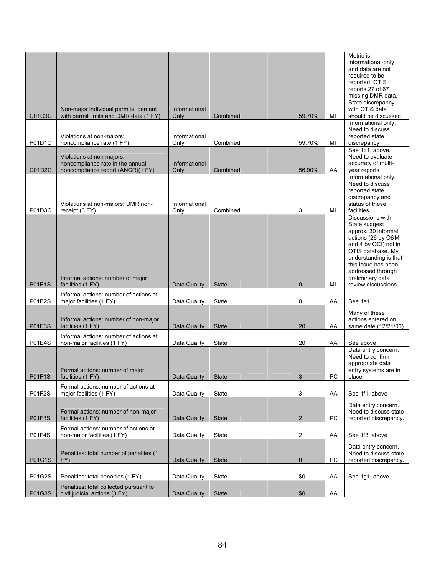| C01C3C        | Non-major individual permits: percent<br>with permit limits and DMR data (1 FY)                    | Informational<br>Only | Combined     | 59.70%                    | MI | Metric is<br>informational-only<br>and data are not<br>required to be<br>reported. OTIS<br>reports 27 of 67<br>missing DMR data.<br>State discrepancy<br>with OTIS data<br>should be discussed.                                             |
|---------------|----------------------------------------------------------------------------------------------------|-----------------------|--------------|---------------------------|----|---------------------------------------------------------------------------------------------------------------------------------------------------------------------------------------------------------------------------------------------|
| P01D1C        | Violations at non-majors:<br>noncompliance rate (1 FY)                                             | Informational<br>Only | Combined     | 59.70%                    | MI | Informational only.<br>Need to discuss<br>reported state<br>discrepancy                                                                                                                                                                     |
| C01D2C        | Violations at non-majors:<br>noncompliance rate in the annual<br>noncompliance report (ANCR)(1 FY) | Informational<br>Only | Combined     | 56.90%                    | AA | See 1d1, above.<br>Need to evaluate<br>accuracy of multi-<br>year reports                                                                                                                                                                   |
| P01D3C        | Violations at non-majors: DMR non-<br>receipt (3 FY)                                               | Informational<br>Only | Combined     | 3                         | MI | Informational only.<br>Need to discuss<br>reported state<br>discrepancy and<br>status of these<br>facilities                                                                                                                                |
| <b>P01E1S</b> | Informal actions: number of major<br>facilities (1 FY)                                             | Data Quality          | <b>State</b> | $\mathbf{0}$              | MI | Discussions with<br>State suggest<br>approx. 30 informal<br>actions (26 by O&M<br>and 4 by OCI) not in<br>OTIS database. My<br>understanding is that<br>this issue has been<br>addressed through<br>preliminary data<br>review discussions. |
| <b>P01E2S</b> | Informal actions: number of actions at<br>major facilities (1 FY)                                  | Data Quality          | State        | 0                         | AA | See 1e1                                                                                                                                                                                                                                     |
| <b>P01E3S</b> | Informal actions: number of non-major<br>facilities (1 FY)                                         | Data Quality          | <b>State</b> | 20                        | AA | Many of these<br>actions entered on<br>same date (12/21/06)                                                                                                                                                                                 |
| <b>P01E4S</b> | Informal actions: number of actions at<br>non-major facilities (1 FY)                              | Data Quality          | State        | 20                        | AA | See above                                                                                                                                                                                                                                   |
| <b>P01F1S</b> | Formal actions: number of major<br>facilities (1 FY)                                               | Data Quality          | State        | $\ensuremath{\mathsf{3}}$ | PC | Data entry concern.<br>Need to confirm<br>appropriate data<br>entry systems are in<br>place.                                                                                                                                                |
| <b>P01F2S</b> | Formal actions: number of actions at<br>major facilities (1 FY)                                    | Data Quality          | State        | 3                         | AA | See 1f1, above                                                                                                                                                                                                                              |
| <b>P01F3S</b> | Formal actions: number of non-major<br>facilities (1 FY)                                           | Data Quality          | <b>State</b> | $\overline{2}$            | PC | Data entry concern.<br>Need to discuss state<br>reported discrepancy.                                                                                                                                                                       |
| <b>P01F4S</b> | Formal actions: number of actions at<br>non-major facilities (1 FY)                                | Data Quality          | State        | $\overline{c}$            | AA | See 1f3, above                                                                                                                                                                                                                              |
| P01G1S        | Penalties: total number of penalties (1<br>FY)                                                     | Data Quality          | <b>State</b> | $\mathbf 0$               | PC | Data entry concern.<br>Need to discuss state<br>reported discrepancy.                                                                                                                                                                       |
| P01G2S        | Penalties: total penalties (1 FY)                                                                  | Data Quality          | State        | \$0                       | AA | See 1g1, above                                                                                                                                                                                                                              |
| P01G3S        | Penalties: total collected pursuant to<br>civil judicial actions (3 FY)                            | Data Quality          | <b>State</b> | \$0                       | AA |                                                                                                                                                                                                                                             |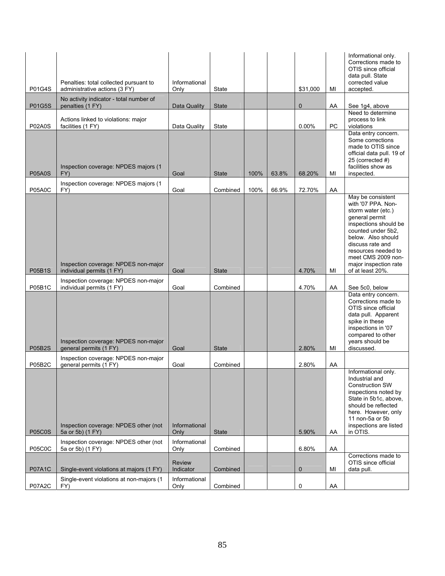| P01G4S                         | Penalties: total collected pursuant to<br>administrative actions (3 FY)      | Informational<br>Only        | State                    |      |       | \$31,000        | MI       | Informational only.<br>Corrections made to<br>OTIS since official<br>data pull. State<br>corrected value<br>accepted.                                                                                                                                              |
|--------------------------------|------------------------------------------------------------------------------|------------------------------|--------------------------|------|-------|-----------------|----------|--------------------------------------------------------------------------------------------------------------------------------------------------------------------------------------------------------------------------------------------------------------------|
|                                | No activity indicator - total number of                                      |                              |                          |      |       |                 |          |                                                                                                                                                                                                                                                                    |
| <b>P01G5S</b><br><b>P02A0S</b> | penalties (1 FY)<br>Actions linked to violations: major<br>facilities (1 FY) | Data Quality<br>Data Quality | <b>State</b><br>State    |      |       | 0<br>0.00%      | AA<br>PC | See 1g4, above<br>Need to determine<br>process to link<br>violations                                                                                                                                                                                               |
| <b>P05A0S</b>                  | Inspection coverage: NPDES majors (1<br>FY)                                  | Goal                         | <b>State</b>             | 100% | 63.8% | 68.20%          | MI       | Data entry concern.<br>Some corrections<br>made to OTIS since<br>official data pull. 19 of<br>25 (corrected #)<br>facilities show as<br>inspected.                                                                                                                 |
|                                | Inspection coverage: NPDES majors (1                                         |                              |                          |      |       |                 |          |                                                                                                                                                                                                                                                                    |
| <b>P05A0C</b><br><b>P05B1S</b> | FY)<br>Inspection coverage: NPDES non-major<br>individual permits (1 FY)     | Goal<br>Goal                 | Combined<br><b>State</b> | 100% | 66.9% | 72.70%<br>4.70% | AA<br>MI | May be consistent<br>with '07 PPA. Non-<br>storm water (etc.)<br>general permit<br>inspections should be<br>counted under 5b2.<br>below. Also should<br>discuss rate and<br>resources needed to<br>meet CMS 2009 non-<br>major inspection rate<br>of at least 20%. |
| P05B1C                         | Inspection coverage: NPDES non-major<br>individual permits (1 FY)            | Goal                         | Combined                 |      |       | 4.70%           | AA       | See 5c0, below                                                                                                                                                                                                                                                     |
| <b>P05B2S</b>                  | Inspection coverage: NPDES non-major<br>general permits (1 FY)               | Goal                         | <b>State</b>             |      |       | 2.80%           | MI       | Data entry concern.<br>Corrections made to<br>OTIS since official<br>data pull. Apparent<br>spike in these<br>inspections in '07<br>compared to other<br>years should be<br>discussed.                                                                             |
| <b>P05B2C</b>                  | Inspection coverage: NPDES non-major<br>general permits (1 FY)               | Goal                         | Combined                 |      |       | 2.80%           | AA       |                                                                                                                                                                                                                                                                    |
|                                | Inspection coverage: NPDES other (not<br>5a or 5b) (1 FY)                    | Informational                |                          |      |       |                 |          | Informational only.<br>Industrial and<br><b>Construction SW</b><br>inspections noted by<br>State in 5b1c, above,<br>should be reflected<br>here. However, only<br>11 non-5a or 5b<br>inspections are listed<br>in OTIS.                                            |
| <b>P05C0S</b>                  | Inspection coverage: NPDES other (not                                        | Only<br>Informational        | <b>State</b>             |      |       | 5.90%           | AA       |                                                                                                                                                                                                                                                                    |
| <b>P05C0C</b>                  | 5a or 5b) (1 FY)                                                             | Only                         | Combined                 |      |       | 6.80%           | AA       | Corrections made to                                                                                                                                                                                                                                                |
| <b>P07A1C</b>                  | Single-event violations at majors (1 FY)                                     | <b>Review</b><br>Indicator   | Combined                 |      |       | 0               | MI       | OTIS since official<br>data pull.                                                                                                                                                                                                                                  |
| <b>P07A2C</b>                  | Single-event violations at non-majors (1<br>FY)                              | Informational<br>Only        | Combined                 |      |       | 0               | AA       |                                                                                                                                                                                                                                                                    |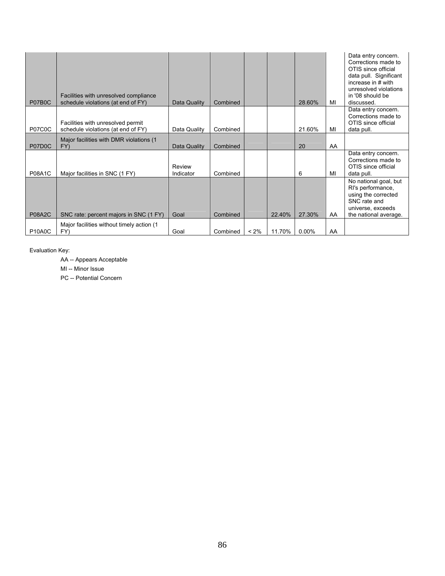| P07B0C        | Facilities with unresolved compliance<br>schedule violations (at end of FY) | Data Quality        | Combined |         |        | 28.60%   | MI | Data entry concern.<br>Corrections made to<br>OTIS since official<br>data pull. Significant<br>increase in # with<br>unresolved violations<br>in '08 should be<br>discussed. |
|---------------|-----------------------------------------------------------------------------|---------------------|----------|---------|--------|----------|----|------------------------------------------------------------------------------------------------------------------------------------------------------------------------------|
|               | Facilities with unresolved permit                                           |                     |          |         |        |          |    | Data entry concern.<br>Corrections made to<br>OTIS since official                                                                                                            |
| <b>P07C0C</b> | schedule violations (at end of FY)                                          | Data Quality        | Combined |         |        | 21.60%   | MI | data pull.                                                                                                                                                                   |
| P07D0C        | Major facilities with DMR violations (1)<br>FY)                             | Data Quality        | Combined |         |        | 20       | AA |                                                                                                                                                                              |
| <b>P08A1C</b> | Major facilities in SNC (1 FY)                                              | Review<br>Indicator | Combined |         |        | 6        | MI | Data entry concern.<br>Corrections made to<br>OTIS since official<br>data pull.                                                                                              |
| <b>P08A2C</b> | SNC rate: percent majors in SNC (1 FY)                                      | Goal                | Combined |         | 22.40% | 27.30%   | AA | No national goal, but<br>RI's performance,<br>using the corrected<br>SNC rate and<br>universe, exceeds<br>the national average.                                              |
|               | Major facilities without timely action (1)                                  |                     |          |         |        |          |    |                                                                                                                                                                              |
| <b>P10A0C</b> | FY)                                                                         | Goal                | Combined | $< 2\%$ | 11.70% | $0.00\%$ | AA |                                                                                                                                                                              |

Evaluation Key:

AA -- Appears Acceptable

MI -- Minor Issue

PC -- Potential Concern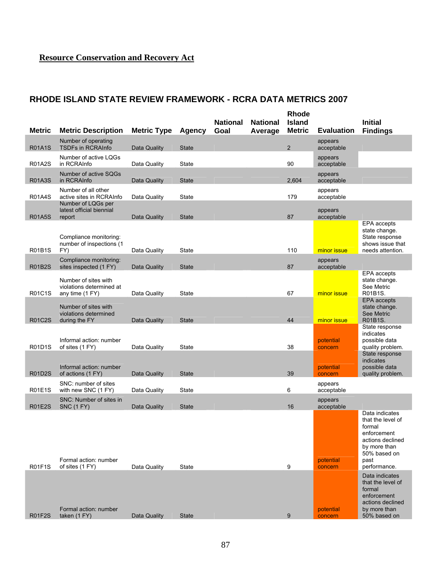### **RHODE ISLAND STATE REVIEW FRAMEWORK - RCRA DATA METRICS 2007**

|               |                                                                |                    |               |                 |                 | <b>Rhode</b>   |                       |                                                                                                                                                            |
|---------------|----------------------------------------------------------------|--------------------|---------------|-----------------|-----------------|----------------|-----------------------|------------------------------------------------------------------------------------------------------------------------------------------------------------|
|               |                                                                |                    |               | <b>National</b> | <b>National</b> | <b>Island</b>  |                       | <b>Initial</b>                                                                                                                                             |
| <b>Metric</b> | <b>Metric Description</b>                                      | <b>Metric Type</b> | <b>Agency</b> | Goal            | Average         | <b>Metric</b>  | <b>Evaluation</b>     | <b>Findings</b>                                                                                                                                            |
| <b>R01A1S</b> | Number of operating<br><b>TSDFs in RCRAInfo</b>                | Data Quality       | <b>State</b>  |                 |                 | $\overline{2}$ | appears<br>acceptable |                                                                                                                                                            |
| <b>R01A2S</b> | Number of active LOGs<br>in RCRAInfo                           | Data Quality       | State         |                 |                 | 90             | appears<br>acceptable |                                                                                                                                                            |
|               | Number of active SQGs                                          |                    |               |                 |                 |                | appears               |                                                                                                                                                            |
| <b>R01A3S</b> | in RCRAInfo                                                    | Data Quality       | <b>State</b>  |                 |                 | 2,604          | acceptable            |                                                                                                                                                            |
| <b>R01A4S</b> | Number of all other<br>active sites in RCRAInfo                | Data Quality       | State         |                 |                 | 179            | appears<br>acceptable |                                                                                                                                                            |
|               | Number of LQGs per<br>latest official biennial                 |                    |               |                 |                 |                | appears               |                                                                                                                                                            |
| <b>R01A5S</b> | report                                                         | Data Quality       | <b>State</b>  |                 |                 | 87             | acceptable            |                                                                                                                                                            |
|               | Compliance monitoring:<br>number of inspections (1             |                    |               |                 |                 |                |                       | EPA accepts<br>state change.<br>State response<br>shows issue that                                                                                         |
| <b>R01B1S</b> | FY)                                                            | Data Quality       | State         |                 |                 | 110            | minor issue           | needs attention.                                                                                                                                           |
| <b>R01B2S</b> | Compliance monitoring:<br>sites inspected (1 FY)               | Data Quality       | <b>State</b>  |                 |                 | 87             | appears<br>acceptable |                                                                                                                                                            |
|               | Number of sites with<br>violations determined at               |                    |               |                 |                 |                |                       | EPA accepts<br>state change.<br>See Metric                                                                                                                 |
| R01C1S        | any time (1 FY)                                                | Data Quality       | State         |                 |                 | 67             | minor issue           | R01B1S.<br>EPA accepts                                                                                                                                     |
| <b>R01C2S</b> | Number of sites with<br>violations determined<br>during the FY | Data Quality       | <b>State</b>  |                 |                 | 44             | minor issue           | state change.<br>See Metric<br>R01B1S.                                                                                                                     |
|               |                                                                |                    |               |                 |                 |                |                       | State response                                                                                                                                             |
| <b>R01D1S</b> | Informal action: number<br>of sites (1 FY)                     | Data Quality       | State         |                 |                 | 38             | potential<br>concern  | indicates<br>possible data<br>quality problem.                                                                                                             |
|               |                                                                |                    |               |                 |                 |                |                       | State response                                                                                                                                             |
| <b>R01D2S</b> | Informal action: number<br>of actions (1 FY)                   | Data Quality       | <b>State</b>  |                 |                 | 39             | potential<br>concern  | indicates<br>possible data<br>quality problem.                                                                                                             |
|               | SNC: number of sites                                           |                    |               |                 |                 |                | appears               |                                                                                                                                                            |
| <b>R01E1S</b> | with new SNC (1 FY)                                            | Data Quality       | State         |                 |                 | 6              | acceptable            |                                                                                                                                                            |
| <b>R01E2S</b> | SNC: Number of sites in<br><b>SNC (1 FY)</b>                   | Data Quality       | <b>State</b>  |                 |                 | 16             | appears<br>acceptable |                                                                                                                                                            |
| <b>R01F1S</b> | Formal action: number<br>of sites (1 FY)                       | Data Quality       | State         |                 |                 | 9              | potential<br>concern  | Data indicates<br>that the level of<br>formal<br>enforcement<br>actions declined<br>by more than<br>50% based on<br>past<br>performance.<br>Data indicates |
| <b>R01F2S</b> | Formal action: number<br>taken (1 FY)                          | Data Quality       | <b>State</b>  |                 |                 | 9              | potential<br>concern  | that the level of<br>formal<br>enforcement<br>actions declined<br>by more than<br>50% based on                                                             |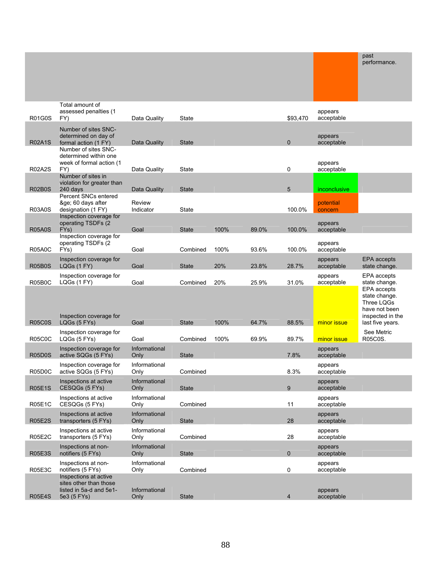|               |                                                                       |                       |              |      |       |                |                       | past<br>performance.                                                                                |
|---------------|-----------------------------------------------------------------------|-----------------------|--------------|------|-------|----------------|-----------------------|-----------------------------------------------------------------------------------------------------|
|               |                                                                       |                       |              |      |       |                |                       |                                                                                                     |
| <b>R01G0S</b> | Total amount of<br>assessed penalties (1)<br>FY)                      | Data Quality          | State        |      |       | \$93,470       | appears<br>acceptable |                                                                                                     |
|               | Number of sites SNC-<br>determined on day of                          |                       |              |      |       |                | appears               |                                                                                                     |
| <b>R02A1S</b> | formal action (1 FY)<br>Number of sites SNC-<br>determined within one | Data Quality          | <b>State</b> |      |       | $\mathbf 0$    | acceptable            |                                                                                                     |
| <b>R02A2S</b> | week of formal action (1<br>FY)                                       | Data Quality          | State        |      |       | 0              | appears<br>acceptable |                                                                                                     |
| R02B0S        | Number of sites in<br>violation for greater than<br>240 days          | Data Quality          | <b>State</b> |      |       | 5              | <i>inconclusive</i>   |                                                                                                     |
|               | Percent SNCs entered<br>≥ 60 days after                               | Review                |              |      |       |                | potential             |                                                                                                     |
| <b>R03A0S</b> | designation (1 FY)<br>Inspection coverage for                         | Indicator             | State        |      |       | 100.0%         | concern               |                                                                                                     |
| <b>R05A0S</b> | operating TSDFs (2)<br>FY <sub>s</sub> )                              | Goal                  | <b>State</b> | 100% | 89.0% | 100.0%         | appears<br>acceptable |                                                                                                     |
| <b>R05A0C</b> | Inspection coverage for<br>operating TSDFs (2<br>FYs)                 | Goal                  | Combined     | 100% | 93.6% | 100.0%         | appears<br>acceptable |                                                                                                     |
| <b>R05B0S</b> | Inspection coverage for<br>LQGs (1 FY)                                | Goal                  | <b>State</b> | 20%  | 23.8% | 28.7%          | appears<br>acceptable | <b>EPA</b> accepts<br>state change.                                                                 |
| R05B0C        | Inspection coverage for<br>LQGs (1 FY)                                | Goal                  | Combined     | 20%  | 25.9% | 31.0%          | appears<br>acceptable | EPA accepts<br>state change.                                                                        |
| <b>R05C0S</b> | Inspection coverage for<br>LQGs (5 FYs)                               | Goal                  | <b>State</b> | 100% | 64.7% | 88.5%          | minor issue           | EPA accepts<br>state change.<br>Three LQGs<br>have not been<br>inspected in the<br>last five years. |
| <b>R05C0C</b> | Inspection coverage for<br>LQGs (5 FYs)                               | Goal                  | Combined     | 100% | 69.9% | 89.7%          | minor issue           | See Metric<br>R05C0S.                                                                               |
| <b>R05D0S</b> | Inspection coverage for<br>active SQGs (5 FYs)                        | Informational<br>Only | <b>State</b> |      |       | 7.8%           | appears<br>acceptable |                                                                                                     |
| R05D0C        | Inspection coverage for<br>active SQGs (5 FYs)                        | Informational<br>Only | Combined     |      |       | 8.3%           | appears<br>acceptable |                                                                                                     |
| <b>R05E1S</b> | Inspections at active<br>CESQGs (5 FYs)                               | Informational<br>Only | <b>State</b> |      |       | 9              | appears<br>acceptable |                                                                                                     |
| <b>R05E1C</b> | Inspections at active<br>CESQGs (5 FYs)                               | Informational<br>Only | Combined     |      |       | 11             | appears<br>acceptable |                                                                                                     |
| <b>R05E2S</b> | Inspections at active<br>transporters (5 FYs)                         | Informational<br>Only | <b>State</b> |      |       | 28             | appears<br>acceptable |                                                                                                     |
| <b>R05E2C</b> | Inspections at active<br>transporters (5 FYs)                         | Informational<br>Only | Combined     |      |       | 28             | appears<br>acceptable |                                                                                                     |
| <b>R05E3S</b> | Inspections at non-<br>notifiers (5 FYs)                              | Informational<br>Only | <b>State</b> |      |       | $\mathbf 0$    | appears<br>acceptable |                                                                                                     |
| <b>R05E3C</b> | Inspections at non-<br>notifiers (5 FYs)<br>Inspections at active     | Informational<br>Only | Combined     |      |       | 0              | appears<br>acceptable |                                                                                                     |
| <b>R05E4S</b> | sites other than those<br>listed in 5a-d and 5e1-<br>5e3 (5 FYs)      | Informational<br>Only | <b>State</b> |      |       | $\overline{4}$ | appears<br>acceptable |                                                                                                     |

 $p_{\text{not}}$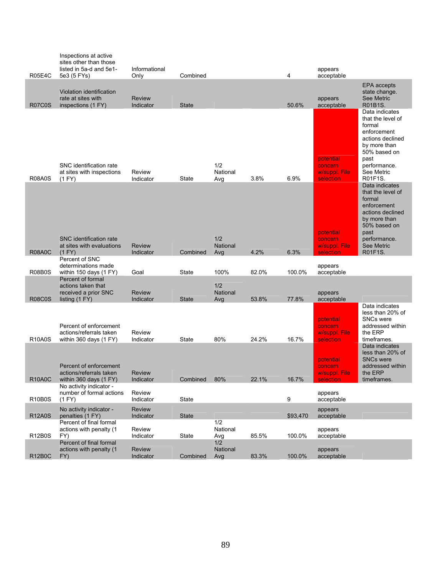| <b>R05E4C</b> | Inspections at active<br>sites other than those<br>listed in 5a-d and 5e1-<br>5e3 (5 FYs)                                          | Informational<br>Only                                     | Combined     |                               |       | 4        | appears<br>acceptable                                              |                                                                                                                                                                   |
|---------------|------------------------------------------------------------------------------------------------------------------------------------|-----------------------------------------------------------|--------------|-------------------------------|-------|----------|--------------------------------------------------------------------|-------------------------------------------------------------------------------------------------------------------------------------------------------------------|
| <b>R07C0S</b> | Violation identification<br>rate at sites with<br>inspections (1 FY)                                                               | <b>Review</b><br>Indicator                                | <b>State</b> |                               |       | 50.6%    | appears<br>acceptable                                              | <b>EPA</b> accepts<br>state change.<br><b>See Metric</b><br>R01B1S.                                                                                               |
| <b>R08A0S</b> | SNC identification rate<br>at sites with inspections<br>(1 FY)                                                                     | Review<br>Indicator                                       | State        | 1/2<br>National<br>Avg        | 3.8%  | 6.9%     | potential<br>concern<br>w/suppl. File<br>selection                 | Data indicates<br>that the level of<br>formal<br>enforcement<br>actions declined<br>by more than<br>50% based on<br>past<br>performance.<br>See Metric<br>R01F1S. |
| <b>R08A0C</b> | SNC identification rate<br>at sites with evaluations<br>(1 FY)                                                                     | <b>Review</b><br>Indicator                                | Combined     | 1/2<br><b>National</b><br>Avg | 4.2%  | 6.3%     | potential<br>concern<br>w/suppl. File<br>selection                 | Data indicates<br>that the level of<br>formal<br>enforcement<br>actions declined<br>by more than<br>50% based on<br>past<br>performance.<br>See Metric<br>R01F1S. |
| <b>R08B0S</b> | Percent of SNC<br>determinations made<br>within 150 days $(1 FY)$                                                                  | Goal                                                      | State        | 100%                          | 82.0% | 100.0%   | appears<br>acceptable                                              |                                                                                                                                                                   |
| <b>R08C0S</b> | Percent of formal<br>actions taken that<br>received a prior SNC<br>listing (1 FY)                                                  | <b>Review</b><br>Indicator                                | <b>State</b> | 1/2<br>National<br>Avg        | 53.8% | 77.8%    | appears<br>acceptable                                              |                                                                                                                                                                   |
| <b>R10A0S</b> | Percent of enforcement<br>actions/referrals taken<br>within 360 days (1 FY)                                                        | Review<br>Indicator                                       | State        | 80%                           | 24.2% | 16.7%    | potential<br>concern<br>w/suppl. File<br>selection                 | Data indicates<br>less than 20% of<br><b>SNCs were</b><br>addressed within<br>the ERP<br>timeframes.                                                              |
| <b>R10A0C</b> | Percent of enforcement<br>actions/referrals taken<br>within 360 days (1 FY)<br>No activity indicator -<br>number of formal actions | <b>Review</b><br><i><u><b>Indicator</b></u></i><br>Review | Combined     | 80%                           | 22.1% | 16.7%    | potential<br>concern<br>w/suppl. File<br><u>iection</u><br>appears | Data indicates<br>less than 20% of<br><b>SNCs were</b><br>addressed within<br>the ERP<br>timeframes.                                                              |
| <b>R10B0S</b> | (1 FY)                                                                                                                             | Indicator                                                 | State        |                               |       | 9        | acceptable                                                         |                                                                                                                                                                   |
| <b>R12A0S</b> | No activity indicator -<br>penalties (1 FY)                                                                                        | <b>Review</b><br>Indicator                                | <b>State</b> |                               |       | \$93,470 | appears<br>acceptable                                              |                                                                                                                                                                   |
| <b>R12B0S</b> | Percent of final formal<br>actions with penalty (1<br>FY)                                                                          | Review<br>Indicator                                       | State        | 1/2<br>National<br>Avg        | 85.5% | 100.0%   | appears<br>acceptable                                              |                                                                                                                                                                   |
| <b>R12B0C</b> | Percent of final formal<br>actions with penalty (1<br>FY)                                                                          | <b>Review</b><br>Indicator                                | Combined     | 1/2<br>National<br>Avg        | 83.3% | 100.0%   | appears<br>acceptable                                              |                                                                                                                                                                   |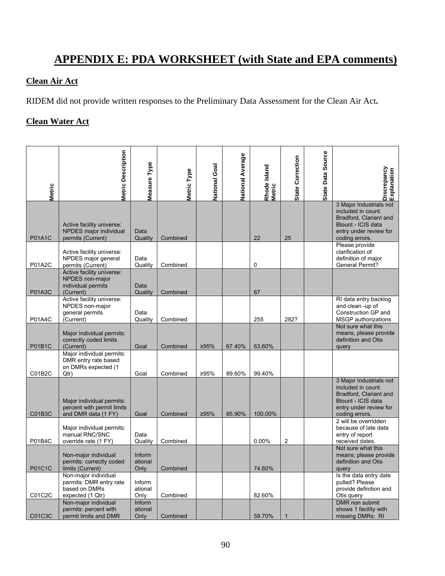# **APPENDIX E: PDA WORKSHEET (with State and EPA comments)**

#### **Clean Air Act**

RIDEM did not provide written responses to the Preliminary Data Assessment for the Clean Air Act**.** 

#### **Clean Water Act**

| <b>Metric</b> | <b>Metric Description</b>                                                            | Measure Type                     | Metric Type | National Goal | <b>National Average</b> | Rhode Island<br>Metric | <b>State Correction</b> | State Data Source | Discrepancy<br>Explanation                                                                                                                |
|---------------|--------------------------------------------------------------------------------------|----------------------------------|-------------|---------------|-------------------------|------------------------|-------------------------|-------------------|-------------------------------------------------------------------------------------------------------------------------------------------|
| <b>P01A1C</b> | Active facility universe:<br>NPDES major individual<br>permits (Current)             | Data<br>Quality                  | Combined    |               |                         | 22                     | 25                      |                   | 3 Major Industrials not<br>included in count.<br>Bradford, Clariant and<br>Blount - ICIS data<br>entry under review for<br>coding errors. |
| <b>P01A2C</b> | Active facility universe:<br>NPDES major general<br>permits (Current)                | Data<br>Quality                  | Combined    |               |                         | 0                      |                         |                   | Please provide<br>clarification of<br>definition of major<br><b>General Permit?</b>                                                       |
| <b>P01A3C</b> | Active facility universe:<br>NPDES non-major<br>individual permits<br>(Current)      | Data<br>Quality                  | Combined    |               |                         | 67                     |                         |                   |                                                                                                                                           |
| <b>P01A4C</b> | Active facility universe:<br>NPDES non-major<br>general permits<br>(Current)         | Data<br>Quality                  | Combined    |               |                         | 255                    | 282?                    |                   | RI data entry backlog<br>and clean -up of<br>Construction GP and<br><b>MSGP</b> authorizations                                            |
| <b>P01B1C</b> | Major individual permits:<br>correctly coded limits<br>(Current)                     | Goal                             | Combined    | 295%          | 67.40%                  | 63.60%                 |                         |                   | Not sure what this<br>means, please provide<br>definition and Otis<br>query                                                               |
| C01B2C        | Major individual permits:<br>DMR entry rate based<br>on DMRs expected (1<br>Qtr)     | Goal                             | Combined    | ≥95%          | 89.60%                  | 99.40%                 |                         |                   |                                                                                                                                           |
| C01B3C        | Major individual permits:<br>percent with permit limits<br>and DMR data (1 FY)       | Goal                             | Combined    | >95%          | 85.90%                  | 100.00%                |                         |                   | 3 Major Industrials not<br>included in count.<br>Bradford, Clariant and<br>Blount - ICIS data<br>entry under review for<br>coding errors. |
| P01B4C        | Major individual permits:<br>manual RNC/SNC<br>override rate (1 FY)                  | Data<br>Quality                  | Combined    |               |                         | 0.00%                  | $\overline{\mathbf{c}}$ |                   | 2 will be overridden<br>because of late data<br>entry of report<br>received dates.                                                        |
| P01C1C        | Non-major individual<br>permits: correctly coded<br>limits (Current)                 | <b>Inform</b><br>ational<br>Only | Combined    |               |                         | 74.60%                 |                         |                   | Not sure what this<br>means; please provide<br>definition and Otis<br>query                                                               |
| C01C2C        | Non-major individual<br>permits: DMR entry rate<br>based on DMRs<br>expected (1 Qtr) | Inform<br>ational<br>Only        | Combined    |               |                         | 82.60%                 |                         |                   | Is the data entry date<br>pulled? Please<br>provide definition and<br>Otis query                                                          |
| C01C3C        | Non-major individual<br>permits: percent with<br>permit limits and DMR               | Inform<br>ational<br>Only        | Combined    |               |                         | 59.70%                 | $\mathbf{1}$            |                   | DMR non submit<br>shows 1 facility with<br>missing DMRs: RI                                                                               |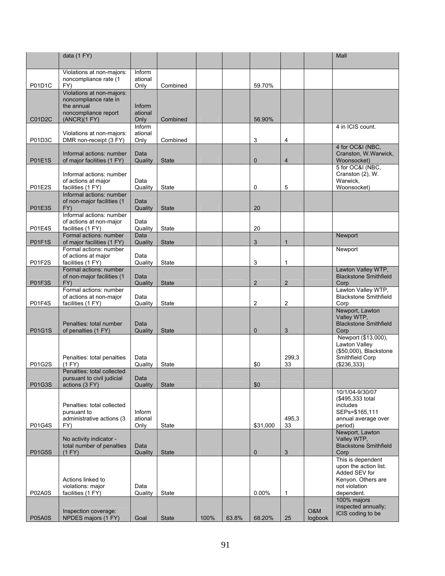|               | data (1 FY)                                                                                              |                           |              |      |       |                |                |                | Mall                                                                                                             |
|---------------|----------------------------------------------------------------------------------------------------------|---------------------------|--------------|------|-------|----------------|----------------|----------------|------------------------------------------------------------------------------------------------------------------|
| P01D1C        | Violations at non-majors:<br>noncompliance rate (1<br>FY)                                                | Inform<br>ational<br>Only | Combined     |      |       | 59.70%         |                |                |                                                                                                                  |
| C01D2C        | Violations at non-majors:<br>noncompliance rate in<br>the annual<br>noncompliance report<br>(ANCR)(1 FY) | Inform<br>ational<br>Only | Combined     |      |       | 56.90%         |                |                |                                                                                                                  |
| P01D3C        | Violations at non-majors:<br>DMR non-receipt (3 FY)                                                      | Inform<br>ational<br>Only | Combined     |      |       | 3              | 4              |                | 4 in ICIS count.                                                                                                 |
| <b>P01E1S</b> | Informal actions: number<br>of major facilities (1 FY)                                                   | Data<br>Quality           | <b>State</b> |      |       | $\mathbf 0$    | 4              |                | 4 for OC&I (NBC,<br>Cranston, W.Warwick,<br>Woonsocket)                                                          |
| <b>P01E2S</b> | Informal actions: number<br>of actions at major<br>facilities (1 FY)                                     | Data<br>Quality           | State        |      |       | 0              | 5              |                | 5 for OC&I (NBC,<br>Cranston (2), W.<br>Warwick,<br>Woonsocket)                                                  |
| <b>P01E3S</b> | Informal actions: number<br>of non-major facilities (1<br>FY)                                            | Data<br>Quality           | <b>State</b> |      |       | 20             |                |                |                                                                                                                  |
| <b>P01E4S</b> | Informal actions: number<br>of actions at non-major<br>facilities (1 FY)                                 | Data<br>Quality           | State        |      |       | 20             |                |                |                                                                                                                  |
| <b>P01F1S</b> | Formal actions: number<br>of major facilities (1 FY)<br>Formal actions: number                           | Data<br>Quality           | <b>State</b> |      |       | 3              | 1              |                | Newport<br>Newport                                                                                               |
| <b>P01F2S</b> | of actions at major<br>facilities (1 FY)<br>Formal actions: number                                       | Data<br>Quality           | State        |      |       | 3              | 1              |                | Lawton Valley WTP,                                                                                               |
| <b>P01F3S</b> | of non-major facilities (1<br>FY)                                                                        | Data<br>Quality           | <b>State</b> |      |       | $\overline{2}$ | $\overline{c}$ |                | <b>Blackstone Smithfield</b><br>Corp                                                                             |
| <b>P01F4S</b> | Formal actions: number<br>of actions at non-major<br>facilities (1 FY)                                   | Data<br>Quality           | <b>State</b> |      |       | $\overline{2}$ | 2              |                | Lawton Valley WTP,<br><b>Blackstone Smithfield</b><br>Corp                                                       |
| P01G1S        | Penalties: total number<br>of penalties (1 FY)                                                           | Data<br>Quality           | <b>State</b> |      |       | $\mathbf 0$    | 3              |                | Newport, Lawton<br>Valley WTP,<br><b>Blackstone Smithfield</b><br>Corp                                           |
| P01G2S        | Penalties: total penalties<br>(1 FY)                                                                     | Data<br>Quality           | <b>State</b> |      |       | \$0            | 299,3<br>33    |                | Newport (\$13,000),<br>Lawton Valley<br>(\$50,000), Blackstone<br>Smithfield Corp<br>( \$236, 333)               |
| P01G3S        | Penalties: total collected<br>pursuant to civil judicial<br>actions (3 FY)                               | Data<br>Quality           | <b>State</b> |      |       | \$0            |                |                |                                                                                                                  |
| P01G4S        | Penalties: total collected<br>pursuant to<br>administrative actions (3<br>FY)                            | Inform<br>ational<br>Only | State        |      |       | \$31,000       | 495,3<br>33    |                | 10/1/04-9/30/07<br>(\$495,333 total<br>includes<br>SEPs=\$165,111<br>annual average over<br>period)              |
| <b>P01G5S</b> | No activity indicator -<br>total number of penalties<br>(1 FY)                                           | Data<br>Quality           | <b>State</b> |      |       | $\pmb{0}$      | 3              |                | Newport, Lawton<br>Valley WTP,<br><b>Blackstone Smithfield</b><br>Corp                                           |
| <b>P02A0S</b> | Actions linked to<br>violations: major<br>facilities (1 FY)                                              | Data<br>Quality           | State        |      |       | 0.00%          | 1              |                | This is dependent<br>upon the action list.<br>Added SEV for<br>Kenyon. Others are<br>not violation<br>dependent. |
| <b>P05A0S</b> | Inspection coverage:<br>NPDES majors (1 FY)                                                              | Goal                      | <b>State</b> | 100% | 63.8% | 68.20%         | 25             | O&M<br>logbook | 100% majors<br>inspected annually;<br>ICIS coding to be                                                          |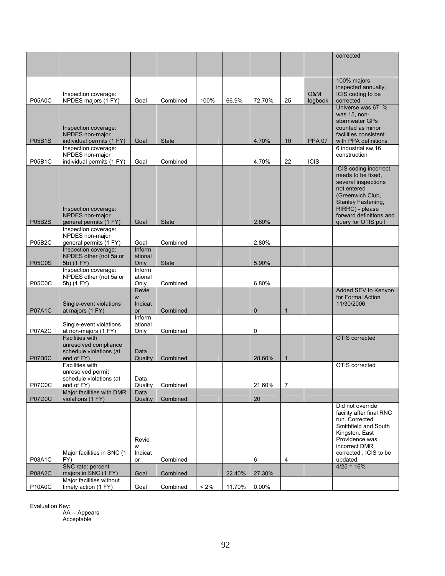| 100% majors<br>inspected annually;<br>O&M<br>ICIS coding to be<br>Inspection coverage:<br>NPDES majors (1 FY)<br>logbook<br>corrected<br><b>P05A0C</b><br>Goal<br>Combined<br>100%<br>66.9%<br>72.70%<br>25<br>Universe was 67, %<br>was 15, non-<br>stormwater GPs<br>counted as minor<br>Inspection coverage:<br>NPDES non-major<br>facilities consistent<br>individual permits (1 FY)<br>with PPA definitions<br><b>P05B1S</b><br>Goal<br><b>State</b><br>4.70%<br>10<br><b>PPA 07</b><br>Inspection coverage:<br>6 industrial sw, 16<br>NPDES non-major<br>construction<br>individual permits (1 FY)<br>22<br><b>ICIS</b><br><b>P05B1C</b><br>Goal<br>Combined<br>4.70%<br>ICIS coding incorrect,<br>needs to be fixed.<br>several inspections<br>not entered<br>(Greenwich Club,<br>Stanley Fastening,<br>RIRRC) - please<br>Inspection coverage:<br>NPDES non-major<br>forward definitions and<br><b>P05B2S</b><br>2.80%<br>general permits (1 FY)<br>Goal<br><b>State</b><br>query for OTIS pull<br>Inspection coverage:<br>NPDES non-major<br><b>P05B2C</b><br>general permits (1 FY)<br>Goal<br>Combined<br>2.80%<br>Inspection coverage:<br>Inform<br>NPDES other (not 5a or<br>ational<br>5b) (1 FY)<br><b>P05C0S</b><br>Only<br><b>State</b><br>5.90%<br>Inspection coverage:<br>Inform<br>NPDES other (not 5a or<br>ational<br><b>P05C0C</b><br>5b) (1 FY)<br>Only<br>Combined<br>6.80%<br>Revie<br>Added SEV to Kenyon<br>for Formal Action<br>W<br>Single-event violations<br>Indicat<br>11/30/2006<br><b>P07A1C</b><br>at majors (1 FY)<br>Combined<br>$\mathbf 0$<br>$\mathbf{1}$<br><b>or</b><br>Inform<br>Single-event violations<br>ational<br><b>P07A2C</b><br>at non-majors (1 FY)<br>Only<br>Combined<br>0<br><b>Facilities with</b><br><b>OTIS</b> corrected<br>unresolved compliance<br>schedule violations (at<br>Data<br>end of FY)<br>P07B0C<br>Quality<br>Combined<br>28.60%<br>$\mathbf{1}$<br>Facilities with<br>OTIS corrected<br>unresolved permit<br>schedule violations (at<br>Data<br>P07C0C<br>21.60%<br>7<br>Combined<br>end of FY)<br>Quality<br>Major facilities with DMR<br>Data<br>P07D0C<br>20<br>violations (1 FY)<br>Quality<br>Combined<br>Did not override<br>facility after final RNC<br>run. Corrected<br>Smithfield and South<br>Kingston. East<br>Providence was<br>Revie<br>incorrect DMR.<br>W<br>Major facilities in SNC (1<br>Indicat<br>corrected, ICIS to be<br>FY)<br><b>P08A1C</b><br>Combined<br>6<br>4<br>updated.<br>or<br>$4/25 = 16%$<br>SNC rate: percent<br><b>P08A2C</b><br>majors in SNC (1 FY)<br>22.40%<br>27.30%<br>Goal<br>Combined<br>Major facilities without<br>timely action (1 FY)<br>$< 2\%$<br>0.00%<br>P10A0C<br>Goal<br>Combined<br>11.70% |  |  |  |  | corrected |
|-----------------------------------------------------------------------------------------------------------------------------------------------------------------------------------------------------------------------------------------------------------------------------------------------------------------------------------------------------------------------------------------------------------------------------------------------------------------------------------------------------------------------------------------------------------------------------------------------------------------------------------------------------------------------------------------------------------------------------------------------------------------------------------------------------------------------------------------------------------------------------------------------------------------------------------------------------------------------------------------------------------------------------------------------------------------------------------------------------------------------------------------------------------------------------------------------------------------------------------------------------------------------------------------------------------------------------------------------------------------------------------------------------------------------------------------------------------------------------------------------------------------------------------------------------------------------------------------------------------------------------------------------------------------------------------------------------------------------------------------------------------------------------------------------------------------------------------------------------------------------------------------------------------------------------------------------------------------------------------------------------------------------------------------------------------------------------------------------------------------------------------------------------------------------------------------------------------------------------------------------------------------------------------------------------------------------------------------------------------------------------------------------------------------------------------------------------------------------------------------------------------------------------------------------------------------------------------------------------------------------------------------------------------------------------------------------------------------------------|--|--|--|--|-----------|
|                                                                                                                                                                                                                                                                                                                                                                                                                                                                                                                                                                                                                                                                                                                                                                                                                                                                                                                                                                                                                                                                                                                                                                                                                                                                                                                                                                                                                                                                                                                                                                                                                                                                                                                                                                                                                                                                                                                                                                                                                                                                                                                                                                                                                                                                                                                                                                                                                                                                                                                                                                                                                                                                                                                             |  |  |  |  |           |
|                                                                                                                                                                                                                                                                                                                                                                                                                                                                                                                                                                                                                                                                                                                                                                                                                                                                                                                                                                                                                                                                                                                                                                                                                                                                                                                                                                                                                                                                                                                                                                                                                                                                                                                                                                                                                                                                                                                                                                                                                                                                                                                                                                                                                                                                                                                                                                                                                                                                                                                                                                                                                                                                                                                             |  |  |  |  |           |
|                                                                                                                                                                                                                                                                                                                                                                                                                                                                                                                                                                                                                                                                                                                                                                                                                                                                                                                                                                                                                                                                                                                                                                                                                                                                                                                                                                                                                                                                                                                                                                                                                                                                                                                                                                                                                                                                                                                                                                                                                                                                                                                                                                                                                                                                                                                                                                                                                                                                                                                                                                                                                                                                                                                             |  |  |  |  |           |
|                                                                                                                                                                                                                                                                                                                                                                                                                                                                                                                                                                                                                                                                                                                                                                                                                                                                                                                                                                                                                                                                                                                                                                                                                                                                                                                                                                                                                                                                                                                                                                                                                                                                                                                                                                                                                                                                                                                                                                                                                                                                                                                                                                                                                                                                                                                                                                                                                                                                                                                                                                                                                                                                                                                             |  |  |  |  |           |
|                                                                                                                                                                                                                                                                                                                                                                                                                                                                                                                                                                                                                                                                                                                                                                                                                                                                                                                                                                                                                                                                                                                                                                                                                                                                                                                                                                                                                                                                                                                                                                                                                                                                                                                                                                                                                                                                                                                                                                                                                                                                                                                                                                                                                                                                                                                                                                                                                                                                                                                                                                                                                                                                                                                             |  |  |  |  |           |
|                                                                                                                                                                                                                                                                                                                                                                                                                                                                                                                                                                                                                                                                                                                                                                                                                                                                                                                                                                                                                                                                                                                                                                                                                                                                                                                                                                                                                                                                                                                                                                                                                                                                                                                                                                                                                                                                                                                                                                                                                                                                                                                                                                                                                                                                                                                                                                                                                                                                                                                                                                                                                                                                                                                             |  |  |  |  |           |
|                                                                                                                                                                                                                                                                                                                                                                                                                                                                                                                                                                                                                                                                                                                                                                                                                                                                                                                                                                                                                                                                                                                                                                                                                                                                                                                                                                                                                                                                                                                                                                                                                                                                                                                                                                                                                                                                                                                                                                                                                                                                                                                                                                                                                                                                                                                                                                                                                                                                                                                                                                                                                                                                                                                             |  |  |  |  |           |
|                                                                                                                                                                                                                                                                                                                                                                                                                                                                                                                                                                                                                                                                                                                                                                                                                                                                                                                                                                                                                                                                                                                                                                                                                                                                                                                                                                                                                                                                                                                                                                                                                                                                                                                                                                                                                                                                                                                                                                                                                                                                                                                                                                                                                                                                                                                                                                                                                                                                                                                                                                                                                                                                                                                             |  |  |  |  |           |
|                                                                                                                                                                                                                                                                                                                                                                                                                                                                                                                                                                                                                                                                                                                                                                                                                                                                                                                                                                                                                                                                                                                                                                                                                                                                                                                                                                                                                                                                                                                                                                                                                                                                                                                                                                                                                                                                                                                                                                                                                                                                                                                                                                                                                                                                                                                                                                                                                                                                                                                                                                                                                                                                                                                             |  |  |  |  |           |
|                                                                                                                                                                                                                                                                                                                                                                                                                                                                                                                                                                                                                                                                                                                                                                                                                                                                                                                                                                                                                                                                                                                                                                                                                                                                                                                                                                                                                                                                                                                                                                                                                                                                                                                                                                                                                                                                                                                                                                                                                                                                                                                                                                                                                                                                                                                                                                                                                                                                                                                                                                                                                                                                                                                             |  |  |  |  |           |
|                                                                                                                                                                                                                                                                                                                                                                                                                                                                                                                                                                                                                                                                                                                                                                                                                                                                                                                                                                                                                                                                                                                                                                                                                                                                                                                                                                                                                                                                                                                                                                                                                                                                                                                                                                                                                                                                                                                                                                                                                                                                                                                                                                                                                                                                                                                                                                                                                                                                                                                                                                                                                                                                                                                             |  |  |  |  |           |
|                                                                                                                                                                                                                                                                                                                                                                                                                                                                                                                                                                                                                                                                                                                                                                                                                                                                                                                                                                                                                                                                                                                                                                                                                                                                                                                                                                                                                                                                                                                                                                                                                                                                                                                                                                                                                                                                                                                                                                                                                                                                                                                                                                                                                                                                                                                                                                                                                                                                                                                                                                                                                                                                                                                             |  |  |  |  |           |
|                                                                                                                                                                                                                                                                                                                                                                                                                                                                                                                                                                                                                                                                                                                                                                                                                                                                                                                                                                                                                                                                                                                                                                                                                                                                                                                                                                                                                                                                                                                                                                                                                                                                                                                                                                                                                                                                                                                                                                                                                                                                                                                                                                                                                                                                                                                                                                                                                                                                                                                                                                                                                                                                                                                             |  |  |  |  |           |
|                                                                                                                                                                                                                                                                                                                                                                                                                                                                                                                                                                                                                                                                                                                                                                                                                                                                                                                                                                                                                                                                                                                                                                                                                                                                                                                                                                                                                                                                                                                                                                                                                                                                                                                                                                                                                                                                                                                                                                                                                                                                                                                                                                                                                                                                                                                                                                                                                                                                                                                                                                                                                                                                                                                             |  |  |  |  |           |
|                                                                                                                                                                                                                                                                                                                                                                                                                                                                                                                                                                                                                                                                                                                                                                                                                                                                                                                                                                                                                                                                                                                                                                                                                                                                                                                                                                                                                                                                                                                                                                                                                                                                                                                                                                                                                                                                                                                                                                                                                                                                                                                                                                                                                                                                                                                                                                                                                                                                                                                                                                                                                                                                                                                             |  |  |  |  |           |
|                                                                                                                                                                                                                                                                                                                                                                                                                                                                                                                                                                                                                                                                                                                                                                                                                                                                                                                                                                                                                                                                                                                                                                                                                                                                                                                                                                                                                                                                                                                                                                                                                                                                                                                                                                                                                                                                                                                                                                                                                                                                                                                                                                                                                                                                                                                                                                                                                                                                                                                                                                                                                                                                                                                             |  |  |  |  |           |
|                                                                                                                                                                                                                                                                                                                                                                                                                                                                                                                                                                                                                                                                                                                                                                                                                                                                                                                                                                                                                                                                                                                                                                                                                                                                                                                                                                                                                                                                                                                                                                                                                                                                                                                                                                                                                                                                                                                                                                                                                                                                                                                                                                                                                                                                                                                                                                                                                                                                                                                                                                                                                                                                                                                             |  |  |  |  |           |
|                                                                                                                                                                                                                                                                                                                                                                                                                                                                                                                                                                                                                                                                                                                                                                                                                                                                                                                                                                                                                                                                                                                                                                                                                                                                                                                                                                                                                                                                                                                                                                                                                                                                                                                                                                                                                                                                                                                                                                                                                                                                                                                                                                                                                                                                                                                                                                                                                                                                                                                                                                                                                                                                                                                             |  |  |  |  |           |
|                                                                                                                                                                                                                                                                                                                                                                                                                                                                                                                                                                                                                                                                                                                                                                                                                                                                                                                                                                                                                                                                                                                                                                                                                                                                                                                                                                                                                                                                                                                                                                                                                                                                                                                                                                                                                                                                                                                                                                                                                                                                                                                                                                                                                                                                                                                                                                                                                                                                                                                                                                                                                                                                                                                             |  |  |  |  |           |
|                                                                                                                                                                                                                                                                                                                                                                                                                                                                                                                                                                                                                                                                                                                                                                                                                                                                                                                                                                                                                                                                                                                                                                                                                                                                                                                                                                                                                                                                                                                                                                                                                                                                                                                                                                                                                                                                                                                                                                                                                                                                                                                                                                                                                                                                                                                                                                                                                                                                                                                                                                                                                                                                                                                             |  |  |  |  |           |
|                                                                                                                                                                                                                                                                                                                                                                                                                                                                                                                                                                                                                                                                                                                                                                                                                                                                                                                                                                                                                                                                                                                                                                                                                                                                                                                                                                                                                                                                                                                                                                                                                                                                                                                                                                                                                                                                                                                                                                                                                                                                                                                                                                                                                                                                                                                                                                                                                                                                                                                                                                                                                                                                                                                             |  |  |  |  |           |
|                                                                                                                                                                                                                                                                                                                                                                                                                                                                                                                                                                                                                                                                                                                                                                                                                                                                                                                                                                                                                                                                                                                                                                                                                                                                                                                                                                                                                                                                                                                                                                                                                                                                                                                                                                                                                                                                                                                                                                                                                                                                                                                                                                                                                                                                                                                                                                                                                                                                                                                                                                                                                                                                                                                             |  |  |  |  |           |
|                                                                                                                                                                                                                                                                                                                                                                                                                                                                                                                                                                                                                                                                                                                                                                                                                                                                                                                                                                                                                                                                                                                                                                                                                                                                                                                                                                                                                                                                                                                                                                                                                                                                                                                                                                                                                                                                                                                                                                                                                                                                                                                                                                                                                                                                                                                                                                                                                                                                                                                                                                                                                                                                                                                             |  |  |  |  |           |
|                                                                                                                                                                                                                                                                                                                                                                                                                                                                                                                                                                                                                                                                                                                                                                                                                                                                                                                                                                                                                                                                                                                                                                                                                                                                                                                                                                                                                                                                                                                                                                                                                                                                                                                                                                                                                                                                                                                                                                                                                                                                                                                                                                                                                                                                                                                                                                                                                                                                                                                                                                                                                                                                                                                             |  |  |  |  |           |
|                                                                                                                                                                                                                                                                                                                                                                                                                                                                                                                                                                                                                                                                                                                                                                                                                                                                                                                                                                                                                                                                                                                                                                                                                                                                                                                                                                                                                                                                                                                                                                                                                                                                                                                                                                                                                                                                                                                                                                                                                                                                                                                                                                                                                                                                                                                                                                                                                                                                                                                                                                                                                                                                                                                             |  |  |  |  |           |
|                                                                                                                                                                                                                                                                                                                                                                                                                                                                                                                                                                                                                                                                                                                                                                                                                                                                                                                                                                                                                                                                                                                                                                                                                                                                                                                                                                                                                                                                                                                                                                                                                                                                                                                                                                                                                                                                                                                                                                                                                                                                                                                                                                                                                                                                                                                                                                                                                                                                                                                                                                                                                                                                                                                             |  |  |  |  |           |
|                                                                                                                                                                                                                                                                                                                                                                                                                                                                                                                                                                                                                                                                                                                                                                                                                                                                                                                                                                                                                                                                                                                                                                                                                                                                                                                                                                                                                                                                                                                                                                                                                                                                                                                                                                                                                                                                                                                                                                                                                                                                                                                                                                                                                                                                                                                                                                                                                                                                                                                                                                                                                                                                                                                             |  |  |  |  |           |
|                                                                                                                                                                                                                                                                                                                                                                                                                                                                                                                                                                                                                                                                                                                                                                                                                                                                                                                                                                                                                                                                                                                                                                                                                                                                                                                                                                                                                                                                                                                                                                                                                                                                                                                                                                                                                                                                                                                                                                                                                                                                                                                                                                                                                                                                                                                                                                                                                                                                                                                                                                                                                                                                                                                             |  |  |  |  |           |
|                                                                                                                                                                                                                                                                                                                                                                                                                                                                                                                                                                                                                                                                                                                                                                                                                                                                                                                                                                                                                                                                                                                                                                                                                                                                                                                                                                                                                                                                                                                                                                                                                                                                                                                                                                                                                                                                                                                                                                                                                                                                                                                                                                                                                                                                                                                                                                                                                                                                                                                                                                                                                                                                                                                             |  |  |  |  |           |
|                                                                                                                                                                                                                                                                                                                                                                                                                                                                                                                                                                                                                                                                                                                                                                                                                                                                                                                                                                                                                                                                                                                                                                                                                                                                                                                                                                                                                                                                                                                                                                                                                                                                                                                                                                                                                                                                                                                                                                                                                                                                                                                                                                                                                                                                                                                                                                                                                                                                                                                                                                                                                                                                                                                             |  |  |  |  |           |
|                                                                                                                                                                                                                                                                                                                                                                                                                                                                                                                                                                                                                                                                                                                                                                                                                                                                                                                                                                                                                                                                                                                                                                                                                                                                                                                                                                                                                                                                                                                                                                                                                                                                                                                                                                                                                                                                                                                                                                                                                                                                                                                                                                                                                                                                                                                                                                                                                                                                                                                                                                                                                                                                                                                             |  |  |  |  |           |
|                                                                                                                                                                                                                                                                                                                                                                                                                                                                                                                                                                                                                                                                                                                                                                                                                                                                                                                                                                                                                                                                                                                                                                                                                                                                                                                                                                                                                                                                                                                                                                                                                                                                                                                                                                                                                                                                                                                                                                                                                                                                                                                                                                                                                                                                                                                                                                                                                                                                                                                                                                                                                                                                                                                             |  |  |  |  |           |
|                                                                                                                                                                                                                                                                                                                                                                                                                                                                                                                                                                                                                                                                                                                                                                                                                                                                                                                                                                                                                                                                                                                                                                                                                                                                                                                                                                                                                                                                                                                                                                                                                                                                                                                                                                                                                                                                                                                                                                                                                                                                                                                                                                                                                                                                                                                                                                                                                                                                                                                                                                                                                                                                                                                             |  |  |  |  |           |
|                                                                                                                                                                                                                                                                                                                                                                                                                                                                                                                                                                                                                                                                                                                                                                                                                                                                                                                                                                                                                                                                                                                                                                                                                                                                                                                                                                                                                                                                                                                                                                                                                                                                                                                                                                                                                                                                                                                                                                                                                                                                                                                                                                                                                                                                                                                                                                                                                                                                                                                                                                                                                                                                                                                             |  |  |  |  |           |
|                                                                                                                                                                                                                                                                                                                                                                                                                                                                                                                                                                                                                                                                                                                                                                                                                                                                                                                                                                                                                                                                                                                                                                                                                                                                                                                                                                                                                                                                                                                                                                                                                                                                                                                                                                                                                                                                                                                                                                                                                                                                                                                                                                                                                                                                                                                                                                                                                                                                                                                                                                                                                                                                                                                             |  |  |  |  |           |
|                                                                                                                                                                                                                                                                                                                                                                                                                                                                                                                                                                                                                                                                                                                                                                                                                                                                                                                                                                                                                                                                                                                                                                                                                                                                                                                                                                                                                                                                                                                                                                                                                                                                                                                                                                                                                                                                                                                                                                                                                                                                                                                                                                                                                                                                                                                                                                                                                                                                                                                                                                                                                                                                                                                             |  |  |  |  |           |
|                                                                                                                                                                                                                                                                                                                                                                                                                                                                                                                                                                                                                                                                                                                                                                                                                                                                                                                                                                                                                                                                                                                                                                                                                                                                                                                                                                                                                                                                                                                                                                                                                                                                                                                                                                                                                                                                                                                                                                                                                                                                                                                                                                                                                                                                                                                                                                                                                                                                                                                                                                                                                                                                                                                             |  |  |  |  |           |
|                                                                                                                                                                                                                                                                                                                                                                                                                                                                                                                                                                                                                                                                                                                                                                                                                                                                                                                                                                                                                                                                                                                                                                                                                                                                                                                                                                                                                                                                                                                                                                                                                                                                                                                                                                                                                                                                                                                                                                                                                                                                                                                                                                                                                                                                                                                                                                                                                                                                                                                                                                                                                                                                                                                             |  |  |  |  |           |
|                                                                                                                                                                                                                                                                                                                                                                                                                                                                                                                                                                                                                                                                                                                                                                                                                                                                                                                                                                                                                                                                                                                                                                                                                                                                                                                                                                                                                                                                                                                                                                                                                                                                                                                                                                                                                                                                                                                                                                                                                                                                                                                                                                                                                                                                                                                                                                                                                                                                                                                                                                                                                                                                                                                             |  |  |  |  |           |
|                                                                                                                                                                                                                                                                                                                                                                                                                                                                                                                                                                                                                                                                                                                                                                                                                                                                                                                                                                                                                                                                                                                                                                                                                                                                                                                                                                                                                                                                                                                                                                                                                                                                                                                                                                                                                                                                                                                                                                                                                                                                                                                                                                                                                                                                                                                                                                                                                                                                                                                                                                                                                                                                                                                             |  |  |  |  |           |
|                                                                                                                                                                                                                                                                                                                                                                                                                                                                                                                                                                                                                                                                                                                                                                                                                                                                                                                                                                                                                                                                                                                                                                                                                                                                                                                                                                                                                                                                                                                                                                                                                                                                                                                                                                                                                                                                                                                                                                                                                                                                                                                                                                                                                                                                                                                                                                                                                                                                                                                                                                                                                                                                                                                             |  |  |  |  |           |
|                                                                                                                                                                                                                                                                                                                                                                                                                                                                                                                                                                                                                                                                                                                                                                                                                                                                                                                                                                                                                                                                                                                                                                                                                                                                                                                                                                                                                                                                                                                                                                                                                                                                                                                                                                                                                                                                                                                                                                                                                                                                                                                                                                                                                                                                                                                                                                                                                                                                                                                                                                                                                                                                                                                             |  |  |  |  |           |
|                                                                                                                                                                                                                                                                                                                                                                                                                                                                                                                                                                                                                                                                                                                                                                                                                                                                                                                                                                                                                                                                                                                                                                                                                                                                                                                                                                                                                                                                                                                                                                                                                                                                                                                                                                                                                                                                                                                                                                                                                                                                                                                                                                                                                                                                                                                                                                                                                                                                                                                                                                                                                                                                                                                             |  |  |  |  |           |
|                                                                                                                                                                                                                                                                                                                                                                                                                                                                                                                                                                                                                                                                                                                                                                                                                                                                                                                                                                                                                                                                                                                                                                                                                                                                                                                                                                                                                                                                                                                                                                                                                                                                                                                                                                                                                                                                                                                                                                                                                                                                                                                                                                                                                                                                                                                                                                                                                                                                                                                                                                                                                                                                                                                             |  |  |  |  |           |
|                                                                                                                                                                                                                                                                                                                                                                                                                                                                                                                                                                                                                                                                                                                                                                                                                                                                                                                                                                                                                                                                                                                                                                                                                                                                                                                                                                                                                                                                                                                                                                                                                                                                                                                                                                                                                                                                                                                                                                                                                                                                                                                                                                                                                                                                                                                                                                                                                                                                                                                                                                                                                                                                                                                             |  |  |  |  |           |
|                                                                                                                                                                                                                                                                                                                                                                                                                                                                                                                                                                                                                                                                                                                                                                                                                                                                                                                                                                                                                                                                                                                                                                                                                                                                                                                                                                                                                                                                                                                                                                                                                                                                                                                                                                                                                                                                                                                                                                                                                                                                                                                                                                                                                                                                                                                                                                                                                                                                                                                                                                                                                                                                                                                             |  |  |  |  |           |
|                                                                                                                                                                                                                                                                                                                                                                                                                                                                                                                                                                                                                                                                                                                                                                                                                                                                                                                                                                                                                                                                                                                                                                                                                                                                                                                                                                                                                                                                                                                                                                                                                                                                                                                                                                                                                                                                                                                                                                                                                                                                                                                                                                                                                                                                                                                                                                                                                                                                                                                                                                                                                                                                                                                             |  |  |  |  |           |
|                                                                                                                                                                                                                                                                                                                                                                                                                                                                                                                                                                                                                                                                                                                                                                                                                                                                                                                                                                                                                                                                                                                                                                                                                                                                                                                                                                                                                                                                                                                                                                                                                                                                                                                                                                                                                                                                                                                                                                                                                                                                                                                                                                                                                                                                                                                                                                                                                                                                                                                                                                                                                                                                                                                             |  |  |  |  |           |

Evaluation Key:

AA -- Appears Acceptable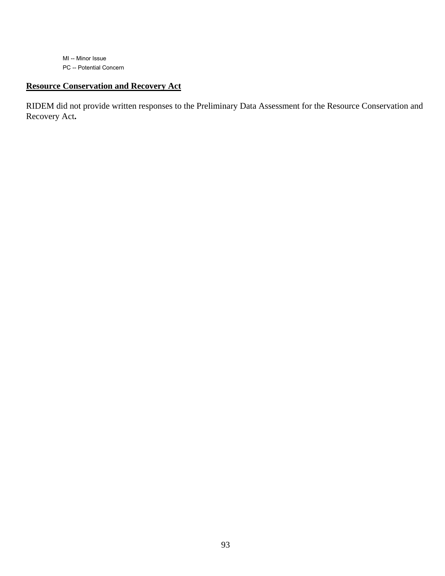MI -- Minor Issue PC -- Potential Concern

### **Resource Conservation and Recovery Act**

RIDEM did not provide written responses to the Preliminary Data Assessment for the Resource Conservation and Recovery Act**.**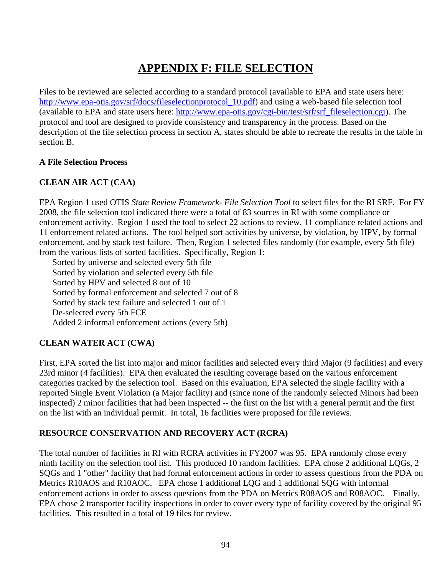# **APPENDIX F: FILE SELECTION**

Files to be reviewed are selected according to a standard protocol (available to EPA and state users here: [http://www.epa-otis.gov/srf/docs/fileselectionprotocol\\_10.pdf\)](http://www.epa-otis.gov/srf/docs/fileselectionprotocol_10.pdf) and using a web-based file selection tool (available to EPA and state users here: [http://www.epa-otis.gov/cgi-bin/test/srf/srf\\_fileselection.cgi\)](http://www.epa-otis.gov/cgi-bin/test/srf/srf_fileselection.cgi). The protocol and tool are designed to provide consistency and transparency in the process. Based on the description of the file selection process in section A, states should be able to recreate the results in the table in section B.

#### **A File Selection Process**

#### **CLEAN AIR ACT (CAA)**

EPA Region 1 used OTIS *State Review Framework- File Selection Tool* to select files for the RI SRF. For FY 2008, the file selection tool indicated there were a total of 83 sources in RI with some compliance or enforcement activity. Region 1 used the tool to select 22 actions to review, 11 compliance related actions and 11 enforcement related actions. The tool helped sort activities by universe, by violation, by HPV, by formal enforcement, and by stack test failure. Then, Region 1 selected files randomly (for example, every 5th file) from the various lists of sorted facilities. Specifically, Region 1:

 Sorted by universe and selected every 5th file Sorted by violation and selected every 5th file Sorted by HPV and selected 8 out of 10 Sorted by formal enforcement and selected 7 out of 8 Sorted by stack test failure and selected 1 out of 1 De-selected every 5th FCE Added 2 informal enforcement actions (every 5th)

#### **CLEAN WATER ACT (CWA)**

First, EPA sorted the list into major and minor facilities and selected every third Major (9 facilities) and every 23rd minor (4 facilities). EPA then evaluated the resulting coverage based on the various enforcement categories tracked by the selection tool. Based on this evaluation, EPA selected the single facility with a reported Single Event Violation (a Major facility) and (since none of the randomly selected Minors had been inspected) 2 minor facilities that had been inspected -- the first on the list with a general permit and the first on the list with an individual permit. In total, 16 facilities were proposed for file reviews.

#### **RESOURCE CONSERVATION AND RECOVERY ACT (RCRA)**

The total number of facilities in RI with RCRA activities in FY2007 was 95. EPA randomly chose every ninth facility on the selection tool list. This produced 10 random facilities. EPA chose 2 additional LQGs, 2 SQGs and 1 "other" facility that had formal enforcement actions in order to assess questions from the PDA on Metrics R10AOS and R10AOC. EPA chose 1 additional LQG and 1 additional SQG with informal enforcement actions in order to assess questions from the PDA on Metrics R08AOS and R08AOC. Finally, EPA chose 2 transporter facility inspections in order to cover every type of facility covered by the original 95 facilities. This resulted in a total of 19 files for review.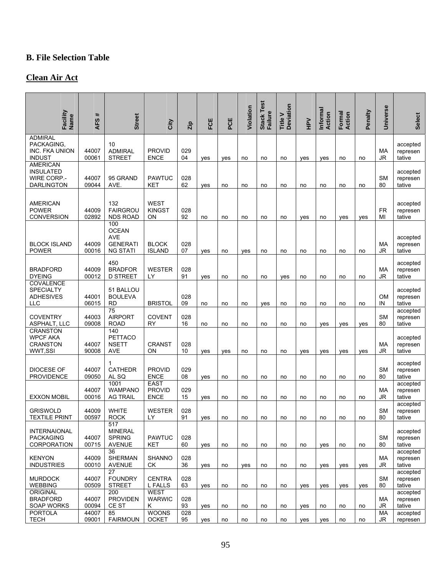## **B. File Selection Table**

### **Clean Air Act**

| Facility<br>Name <sup>1</sup>                                                  | AFS#                    | <b>Street</b>                                                           |                                             |                               | FCE | PCE | Violation | <b>Stack Test</b><br><b>Failure</b> | Title V<br>Deviation |             | Informal<br>Action | Formal<br>Action | Penalty | <b>Universe</b> | <b>Select</b>                              |
|--------------------------------------------------------------------------------|-------------------------|-------------------------------------------------------------------------|---------------------------------------------|-------------------------------|-----|-----|-----------|-------------------------------------|----------------------|-------------|--------------------|------------------|---------|-----------------|--------------------------------------------|
|                                                                                |                         |                                                                         | City                                        | Zip                           |     |     |           |                                     |                      | $rac{1}{2}$ |                    |                  |         |                 |                                            |
| <b>ADMIRAL</b><br>PACKAGING,<br>INC. FKA UNION<br><b>INDUST</b>                | 44007<br>00061          | 10<br><b>ADMIRAL</b><br><b>STREET</b>                                   | <b>PROVID</b><br><b>ENCE</b>                | 029<br>04                     | yes | yes | no        | no                                  | no                   | yes         | yes                | no               | no      | МA<br>JR        | accepted<br>represen<br>tative             |
| <b>AMERICAN</b><br><b>INSULATED</b><br><b>WIRE CORP.-</b><br><b>DARLINGTON</b> | 44007<br>09044          | 95 GRAND<br>AVE.                                                        | <b>PAWTUC</b><br>KET                        | 028<br>62                     | yes | no  | no        | no                                  | no                   | no          | no                 | no               | no      | <b>SM</b><br>80 | accepted<br>represen<br>tative             |
| <b>AMERICAN</b><br><b>POWER</b><br><b>CONVERSION</b>                           | 44009<br>02892          | 132<br><b>FAIRGROU</b><br><b>NDS ROAD</b>                               | <b>WEST</b><br><b>KINGST</b><br>ON          | 028<br>92                     | no  | no  | no        | no                                  | no                   | yes         | no                 | yes              | ves     | <b>FR</b><br>MI | accepted<br>represen<br>tative             |
| <b>BLOCK ISLAND</b><br><b>POWER</b>                                            | 44009<br>00016          | 100<br><b>OCEAN</b><br><b>AVE</b><br><b>GENERATI</b><br><b>NG STATI</b> | <b>BLOCK</b><br><b>ISLAND</b>               | 028<br>07                     | yes | no  | yes       | no                                  | no                   | no          | no                 | no               | no      | MA<br>JR        | accepted<br>represen<br>tative             |
| <b>BRADFORD</b><br><b>DYEING</b>                                               | 44009<br>00012          | 450<br><b>BRADFOR</b><br><b>D STREET</b>                                | <b>WESTER</b><br>LY                         | 028<br>91                     | yes | no  | no        | no                                  | yes                  | no          | no                 | no               | no      | МA<br>JR        | accepted<br>represen<br>tative             |
| <b>COVALENCE</b><br><b>SPECIALTY</b><br><b>ADHESIVES</b><br>LLC                | 44001<br>06015          | 51 BALLOU<br><b>BOULEVA</b><br><b>RD</b>                                | <b>BRISTOL</b>                              | 028<br>09                     | no  | no  | no        | yes                                 | no                   | no          | no                 | no               | no      | <b>OM</b><br>IN | accepted<br>represen<br>tative             |
| <b>COVENTRY</b><br>ASPHALT, LLC                                                | 44003<br>09008          | 75<br><b>AIRPORT</b><br><b>ROAD</b>                                     | <b>COVENT</b><br><b>RY</b>                  | 028<br>16                     | no  | no  | no        | no                                  | no                   | no          | yes                | yes              | yes     | <b>SM</b><br>80 | accepted<br>represen<br>tative             |
| <b>CRANSTON</b><br><b>WPCF AKA</b><br><b>CRANSTON</b><br>WWT,SSI               | 44007<br>90008          | 140<br>PETTACO<br><b>NSETT</b><br><b>AVE</b>                            | <b>CRANST</b><br>ON                         | 028<br>10                     | yes | yes | no        | no                                  | no                   | yes         | yes                | yes              | yes     | МA<br>JR        | accepted<br>represen<br>tative             |
| <b>DIOCESE OF</b><br><b>PROVIDENCE</b>                                         | 44007<br>09050          | 1<br><b>CATHEDR</b><br>AL SQ                                            | <b>PROVID</b><br><b>ENCE</b>                | 029<br>08                     | yes | no  | no        | no                                  | no                   | no          | no                 | no               | no      | <b>SM</b><br>80 | accepted<br>represen<br>tative             |
| <b>EXXON MOBIL</b>                                                             | 44007<br>00016          | 1001<br><b>WAMPANO</b><br><b>AG TRAIL</b>                               | <b>EAST</b><br><b>PROVID</b><br><b>ENCE</b> | 029<br>15                     | yes | no  | no        | no                                  | no                   | no          | no                 | no               | no      | МA<br>JR        | accepted<br>represen<br>tative             |
| <b>GRISWOLD</b><br><b>TEXTILE PRINT</b>                                        | 44009<br>00597          | <b>WHITE</b><br><b>ROCK</b>                                             | WESTER<br>LY                                | 028<br>91                     | yes | no  | no        | no                                  | no                   | no          | no                 | no               | no      | <b>SM</b><br>80 | accepted<br>represen<br>tative             |
| <b>INTERNAIONAL</b><br><b>PACKAGING</b><br><b>CORPORATION</b>                  | 44007<br>00715          | 517<br><b>MINERAL</b><br><b>SPRING</b><br><b>AVENUE</b>                 | <b>PAWTUC</b><br><b>KET</b>                 | 028<br>60                     | ves | no  | no        | no                                  | no                   | no          | yes                | no               | no      | <b>SM</b><br>80 | accepted<br>represen<br>tative             |
| <b>KENYON</b><br><b>INDUSTRIES</b>                                             | 44009<br>00010          | 36<br><b>SHERMAN</b><br><b>AVENUE</b>                                   | <b>SHANNO</b><br>СK                         | 028<br>36                     | yes | no  | yes       | no                                  | no                   | no          | yes                | yes              | ves     | МA<br>JR        | accepted<br>represen<br>tative             |
| <b>MURDOCK</b><br><b>WEBBING</b><br>ORIGINAL                                   | 44007<br>00509          | 27<br><b>FOUNDRY</b><br><b>STREET</b><br>200                            | <b>CENTRA</b><br>L FALLS<br><b>WEST</b>     | 028<br>63                     | yes | no  | no        | no                                  | no                   | yes         | yes                | yes              | yes     | <b>SM</b><br>80 | accepted<br>represen<br>tative<br>accepted |
| <b>BRADFORD</b><br><b>SOAP WORKS</b><br><b>PORTOLA</b>                         | 44007<br>00094<br>44007 | <b>PROVIDEN</b><br>CE ST<br>85                                          | <b>WARWIC</b><br>Κ<br><b>WOONS</b>          | 028<br>93<br>$\overline{028}$ | yes | no  | no        | no                                  | no                   | yes         | no                 | no               | no      | МA<br>JR<br>МA  | represen<br>tative<br>accepted             |
| <b>TECH</b>                                                                    | 09001                   | <b>FAIRMOUN</b>                                                         | <b>OCKET</b>                                | 95                            | yes | no  | no        | no                                  | no                   | yes         | yes                | no               | no      | JR              | represen                                   |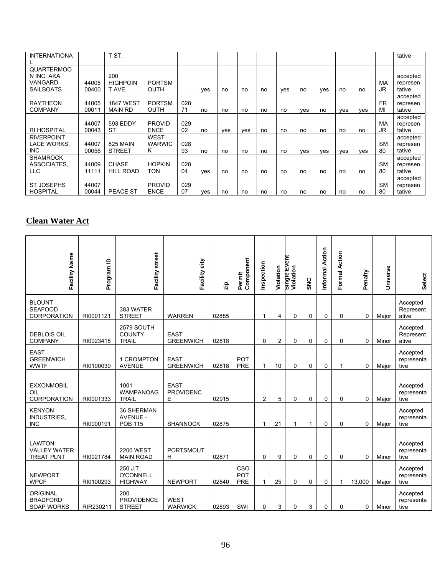| <b>INTERNATIONA</b>                                            |                | T ST.                              |                              |           |     |            |     |    |     |     |     |     |     |                 | tative                         |
|----------------------------------------------------------------|----------------|------------------------------------|------------------------------|-----------|-----|------------|-----|----|-----|-----|-----|-----|-----|-----------------|--------------------------------|
| <b>QUARTERMOO</b><br>N INC. AKA<br>VANGARD<br><b>SAILBOATS</b> | 44005<br>00400 | 200<br><b>HIGHPOIN</b><br>T AVE.   | <b>PORTSM</b><br><b>OUTH</b> |           | ves | no         | no  | no | ves | no  | ves | no  | no  | MA<br>JR        | accepted<br>represen<br>tative |
| <b>RAYTHEON</b><br><b>COMPANY</b>                              | 44005<br>00011 | <b>1847 WEST</b><br><b>MAIN RD</b> | <b>PORTSM</b><br><b>OUTH</b> | 028<br>71 | no  | no         | no  | no | no  | ves | no  | yes | ves | <b>FR</b><br>MI | accepted<br>represen<br>tative |
| <b>RI HOSPITAL</b>                                             | 44007<br>00043 | 593 EDDY<br>ST                     | <b>PROVID</b><br><b>ENCE</b> | 029<br>02 | no  | <b>ves</b> | ves | no | no  | no  | no  | no  | no  | MA<br>JR        | accepted<br>represen<br>tative |
| <b>RIVERPOINT</b><br>LACE WORKS,<br>INC.                       | 44007<br>00056 | 825 MAIN<br><b>STREET</b>          | WEST<br><b>WARWIC</b><br>ĸ   | 028<br>93 | no  | no         | no  | no | no  | ves | ves | ves | ves | <b>SM</b><br>80 | accepted<br>represen<br>tative |
| <b>SHAMROCK</b><br>ASSOCIATES,<br><b>LLC</b>                   | 44009<br>11111 | <b>CHASE</b><br><b>HILL ROAD</b>   | <b>HOPKIN</b><br><b>TON</b>  | 028<br>04 | ves | no         | no  | no | no  | no  | no  | no  | no  | <b>SM</b><br>80 | accepted<br>represen<br>tative |
| <b>ST JOSEPHS</b><br><b>HOSPITAL</b>                           | 44007<br>00044 | <b>PEACE ST</b>                    | <b>PROVID</b><br><b>ENCE</b> | 029<br>07 | ves | no         | no  | no | no  | no  | no  | no  | no  | <b>SM</b><br>80 | accepted<br>represen<br>tative |

### **Clean Water Act**

| Facility Name                                             | Program ID | Facility street                                 | Facility city                        | zip   | Component<br>Permit             | Inspection     | Violation      | Single Event<br>Violation | <b>SNC</b> | Informal Action | Formal Action | Penalty | Universe | <b>Select</b>                  |
|-----------------------------------------------------------|------------|-------------------------------------------------|--------------------------------------|-------|---------------------------------|----------------|----------------|---------------------------|------------|-----------------|---------------|---------|----------|--------------------------------|
| <b>BLOUNT</b><br><b>SEAFOOD</b><br><b>CORPORATION</b>     | RI0001121  | 383 WATER<br><b>STREET</b>                      | <b>WARREN</b>                        | 02885 |                                 | 1              | 4              | 0                         | 0          | 0               | 0             | 0       | Major    | Accepted<br>Represent<br>ative |
| <b>DEBLOIS OIL</b><br><b>COMPANY</b>                      | RI0023418  | 2579 SOUTH<br><b>COUNTY</b><br><b>TRAIL</b>     | <b>EAST</b><br><b>GREENWICH</b>      | 02818 |                                 | 0              | $\overline{2}$ | 0                         | 0          | 0               | 0             | 0       | Minor    | Accepted<br>Represent<br>ative |
| <b>EAST</b><br><b>GREENWICH</b><br><b>WWTF</b>            | RI0100030  | 1 CROMPTON<br><b>AVENUE</b>                     | <b>EAST</b><br><b>GREENWICH</b>      | 02818 | <b>POT</b><br><b>PRE</b>        | 1              | 10             | 0                         | 0          | 0               | 1             | 0       | Major    | Accepted<br>representa<br>tive |
| <b>EXXONMOBIL</b><br>OIL<br><b>CORPORATION</b>            | RI0001333  | 1001<br><b>WAMPANOAG</b><br><b>TRAIL</b>        | <b>EAST</b><br><b>PROVIDENC</b><br>E | 02915 |                                 | $\overline{2}$ | 5              | 0                         | 0          | 0               | 0             | 0       | Major    | Accepted<br>representa<br>tive |
| <b>KENYON</b><br>INDUSTRIES,<br><b>INC</b>                | RI0000191  | 36 SHERMAN<br><b>AVENUE -</b><br><b>POB 115</b> | <b>SHANNOCK</b>                      | 02875 |                                 | 1              | 21             | 1                         | 1          | 0               | 0             | 0       | Major    | Accepted<br>representa<br>tive |
| <b>LAWTON</b><br><b>VALLEY WATER</b><br><b>TREAT PLNT</b> | RI0021784  | <b>2200 WEST</b><br><b>MAIN ROAD</b>            | <b>PORTSMOUT</b><br>н                | 02871 |                                 | 0              | 9              | 0                         | 0          | $\mathbf 0$     | 0             | 0       | Minor    | Accepted<br>representa<br>tive |
| <b>NEWPORT</b><br><b>WPCF</b>                             | RI0100293  | 250 J.T.<br><b>O'CONNELL</b><br><b>HIGHWAY</b>  | <b>NEWPORT</b>                       | 02840 | CSO<br><b>POT</b><br><b>PRE</b> | 1              | 25             | 0                         | 0          | 0               | 1             | 13,000  | Major    | Accepted<br>representa<br>tive |
| <b>ORIGINAL</b><br><b>BRADFORD</b><br><b>SOAP WORKS</b>   | RIR230211  | 200<br><b>PROVIDENCE</b><br><b>STREET</b>       | <b>WEST</b><br><b>WARWICK</b>        | 02893 | SWI                             | 0              | 3              | 0                         | 3          | 0               | 0             | 0       | Minor    | Accepted<br>representa<br>tive |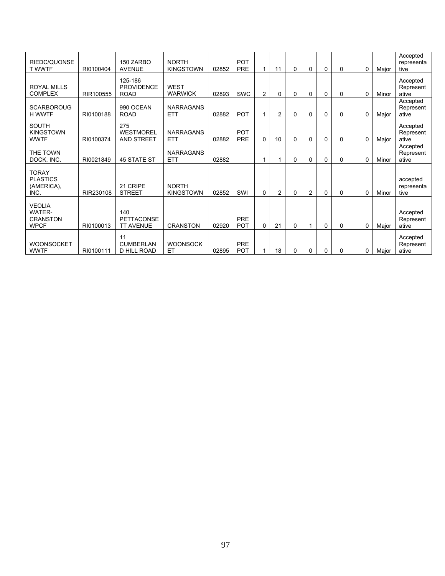| RIEDC/QUONSE<br><b>T WWTF</b>                                    | RI0100404 | 150 ZARBO<br><b>AVENUE</b>                   | <b>NORTH</b><br><b>KINGSTOWN</b> | 02852 | <b>POT</b><br>PRE        |                | 11 | 0        | 0              | $\mathbf 0$ | 0 | 0           | Major | Accepted<br>representa<br>tive |
|------------------------------------------------------------------|-----------|----------------------------------------------|----------------------------------|-------|--------------------------|----------------|----|----------|----------------|-------------|---|-------------|-------|--------------------------------|
| <b>ROYAL MILLS</b><br><b>COMPLEX</b>                             | RIR100555 | 125-186<br><b>PROVIDENCE</b><br><b>ROAD</b>  | <b>WEST</b><br><b>WARWICK</b>    | 02893 | <b>SWC</b>               | $\overline{c}$ | 0  | 0        | 0              | $\mathbf 0$ | 0 | $\Omega$    | Minor | Accepted<br>Represent<br>ative |
| <b>SCARBOROUG</b><br><b>H WWTF</b>                               | RI0100188 | 990 OCEAN<br><b>ROAD</b>                     | <b>NARRAGANS</b><br><b>ETT</b>   | 02882 | <b>POT</b>               |                | 2  | 0        | 0              | 0           | 0 | $\Omega$    | Major | Accepted<br>Represent<br>ative |
| <b>SOUTH</b><br><b>KINGSTOWN</b><br><b>WWTF</b>                  | RI0100374 | 275<br><b>WESTMOREL</b><br>AND STREET        | <b>NARRAGANS</b><br><b>ETT</b>   | 02882 | <b>POT</b><br>PRE        | 0              | 10 | 0        | 0              | $\mathbf 0$ | 0 | $\mathbf 0$ | Major | Accepted<br>Represent<br>ative |
| THE TOWN<br>DOCK, INC.                                           | RI0021849 | <b>45 STATE ST</b>                           | <b>NARRAGANS</b><br><b>ETT</b>   | 02882 |                          |                | 1  | $\Omega$ | 0              | $\Omega$    | 0 | $\Omega$    | Minor | Accepted<br>Represent<br>ative |
| <b>TORAY</b><br><b>PLASTICS</b><br>(AMERICA),<br>INC.            | RIR230108 | 21 CRIPE<br><b>STREET</b>                    | <b>NORTH</b><br><b>KINGSTOWN</b> | 02852 | SWI                      | $\Omega$       | 2  | 0        | $\overline{c}$ | $\Omega$    | 0 | $\Omega$    | Minor | accepted<br>representa<br>tive |
| <b>VEOLIA</b><br><b>WATER-</b><br><b>CRANSTON</b><br><b>WPCF</b> | RI0100013 | 140<br><b>PETTACONSE</b><br><b>TT AVENUE</b> | <b>CRANSTON</b>                  | 02920 | PRE<br><b>POT</b>        | 0              | 21 | 0        |                | $\Omega$    | 0 | $\Omega$    | Major | Accepted<br>Represent<br>ative |
| <b>WOONSOCKET</b><br><b>WWTF</b>                                 | RI0100111 | 11<br><b>CUMBERLAN</b><br>D HILL ROAD        | <b>WOONSOCK</b><br>ET            | 02895 | <b>PRE</b><br><b>POT</b> |                | 18 | 0        | 0              | 0           | 0 | $\Omega$    | Major | Accepted<br>Represent<br>ative |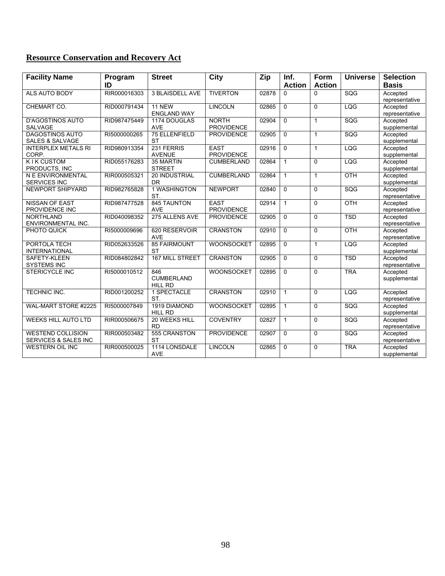| <b>Facility Name</b>                     | Program      | <b>Street</b>                      | <b>City</b>                            | Zip   | Inf.           | <b>Form</b>   | <b>Universe</b> | <b>Selection</b>           |
|------------------------------------------|--------------|------------------------------------|----------------------------------------|-------|----------------|---------------|-----------------|----------------------------|
|                                          | ID           |                                    |                                        |       | <b>Action</b>  | <b>Action</b> |                 | <b>Basis</b>               |
| ALS AUTO BODY                            | RIR000016303 | <b>3 BLAISDELL AVE</b>             | <b>TIVERTON</b>                        | 02878 | $\Omega$       | $\Omega$      | SQG             | Accepted                   |
|                                          |              |                                    |                                        |       |                |               |                 | representative             |
| CHEMART CO.                              | RID000791434 | 11 NEW                             | <b>LINCOLN</b>                         | 02865 | $\mathbf{0}$   | $\Omega$      | LQG             | Accepted                   |
|                                          |              | <b>ENGLAND WAY</b>                 |                                        |       |                |               |                 | representative             |
| <b>D'AGOSTINOS AUTO</b>                  | RID987475449 | 1174 DOUGLAS                       | <b>NORTH</b>                           | 02904 | $\overline{0}$ | $\mathbf{1}$  | SQG             | Accepted                   |
| <b>SALVAGE</b><br><b>DAGOSTINOS AUTO</b> | RI5000000265 | <b>AVE</b><br><b>75 ELLENFIELD</b> | <b>PROVIDENCE</b><br><b>PROVIDENCE</b> | 02905 | $\Omega$       | $\mathbf{1}$  | SQG             | supplemental<br>Accepted   |
| <b>SALES &amp; SALVAGE</b>               |              | <b>ST</b>                          |                                        |       |                |               |                 | supplemental               |
| <b>INTERPLEX METALS RI</b>               | RID980913354 | 231 FERRIS                         | <b>EAST</b>                            | 02916 | $\Omega$       | $\mathbf{1}$  | LQG             | Accepted                   |
| CORP.                                    |              | <b>AVENUE</b>                      | <b>PROVIDENCE</b>                      |       |                |               |                 | supplemental               |
| <b>KIK CUSTOM</b>                        | RID055176283 | 35 MARTIN                          | <b>CUMBERLAND</b>                      | 02864 | $\mathbf{1}$   | $\Omega$      | LQG             | Accepted                   |
| PRODUCTS, INC                            |              | <b>STREET</b>                      |                                        |       |                |               |                 | supplemental               |
| N E ENVIRONMENTAL                        | RIR000505321 | 20 INDUSTRIAL                      | CUMBERLAND                             | 02864 | $\mathbf{1}$   | $\mathbf{1}$  | OTH             | Accepted                   |
| <b>SERVICES INC</b>                      |              | <b>DR</b>                          |                                        |       |                |               |                 | supplemental               |
| NEWPORT SHIPYARD                         | RID982765828 | 1 WASHINGTON                       | <b>NEWPORT</b>                         | 02840 | $\overline{0}$ | $\Omega$      | SQG             | Accepted                   |
|                                          |              | ST.                                |                                        |       |                |               |                 | representative             |
| <b>NISSAN OF EAST</b>                    | RID987477528 | <b>845 TAUNTON</b>                 | <b>EAST</b>                            | 02914 | $\mathbf{1}$   | $\Omega$      | OTH             | Accepted                   |
| PROVIDENCE INC                           |              | <b>AVE</b>                         | <b>PROVIDENCE</b>                      |       |                |               |                 | representative             |
| <b>NORTHLAND</b>                         | RID040098352 | 275 ALLENS AVE                     | <b>PROVIDENCE</b>                      | 02905 | $\Omega$       | $\Omega$      | <b>TSD</b>      | Accepted                   |
| ENVIRONMENTAL INC.                       |              |                                    |                                        |       |                |               |                 | representative             |
| PHOTO QUICK                              | RI5000009696 | 620 RESERVOIR                      | <b>CRANSTON</b>                        | 02910 | $\Omega$       | $\Omega$      | OTH             | Accepted                   |
| PORTOLA TECH                             | RID052633526 | <b>AVE</b><br><b>85 FAIRMOUNT</b>  | WOONSOCKET                             | 02895 | $\Omega$       |               | LQG             | representative<br>Accepted |
| <b>INTERNATIONAL</b>                     |              | <b>ST</b>                          |                                        |       |                | $\mathbf{1}$  |                 | supplemental               |
| SAFETY-KLEEN                             | RID084802842 | <b>167 MILL STREET</b>             | <b>CRANSTON</b>                        | 02905 | $\Omega$       | $\Omega$      | <b>TSD</b>      | Accepted                   |
| <b>SYSTEMS INC</b>                       |              |                                    |                                        |       |                |               |                 | representative             |
| <b>STERICYCLE INC</b>                    | RI5000010512 | 846                                | <b>WOONSOCKET</b>                      | 02895 | $\Omega$       | $\Omega$      | <b>TRA</b>      | Accepted                   |
|                                          |              | <b>CUMBERLAND</b>                  |                                        |       |                |               |                 | supplemental               |
|                                          |              | <b>HILL RD</b>                     |                                        |       |                |               |                 |                            |
| <b>TECHNIC INC.</b>                      | RID001200252 | 1 SPECTACLE                        | <b>CRANSTON</b>                        | 02910 | $\mathbf{1}$   | $\Omega$      | LQG             | Accepted                   |
|                                          |              | ST.                                |                                        |       |                |               |                 | representative             |
| WAL-MART STORE #2225                     | RI5000007849 | 1919 DIAMOND                       | WOONSOCKET                             | 02895 | $\mathbf{1}$   | $\Omega$      | SQG             | Accepted                   |
|                                          |              | <b>HILL RD</b>                     |                                        |       |                |               |                 | supplemental               |
| <b>WEEKS HILL AUTO LTD</b>               | RIR000506675 | 20 WEEKS HILL                      | <b>COVENTRY</b>                        | 02827 | $\mathbf{1}$   | $\Omega$      | SQG             | Accepted                   |
|                                          |              | <b>RD</b>                          |                                        |       |                |               |                 | representative             |
| <b>WESTEND COLLISION</b>                 | RIR000503482 | 555 CRANSTON                       | <b>PROVIDENCE</b>                      | 02907 | $\Omega$       | $\Omega$      | SQG             | Accepted                   |
| SERVICES & SALES INC                     |              | <b>ST</b>                          |                                        |       |                |               |                 | representative             |
| <b>WESTERN OIL INC</b>                   | RIR000500025 | 1114 LONSDALE<br><b>AVE</b>        | <b>LINCOLN</b>                         | 02865 | $\Omega$       | $\Omega$      | <b>TRA</b>      | Accepted<br>supplemental   |
|                                          |              |                                    |                                        |       |                |               |                 |                            |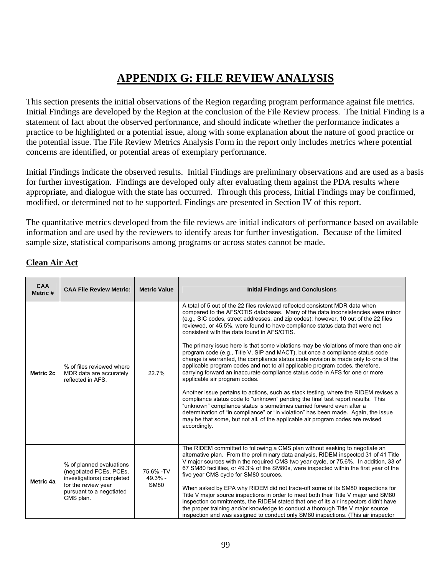# **APPENDIX G: FILE REVIEW ANALYSIS**

This section presents the initial observations of the Region regarding program performance against file metrics. Initial Findings are developed by the Region at the conclusion of the File Review process. The Initial Finding is a statement of fact about the observed performance, and should indicate whether the performance indicates a practice to be highlighted or a potential issue, along with some explanation about the nature of good practice or the potential issue. The File Review Metrics Analysis Form in the report only includes metrics where potential concerns are identified, or potential areas of exemplary performance.

Initial Findings indicate the observed results. Initial Findings are preliminary observations and are used as a basis for further investigation. Findings are developed only after evaluating them against the PDA results where appropriate, and dialogue with the state has occurred. Through this process, Initial Findings may be confirmed, modified, or determined not to be supported. Findings are presented in Section IV of this report.

The quantitative metrics developed from the file reviews are initial indicators of performance based on available information and are used by the reviewers to identify areas for further investigation. Because of the limited sample size, statistical comparisons among programs or across states cannot be made.

| <b>CAA</b><br>Metric # | <b>CAA File Review Metric:</b>                                                                                                                   | <b>Metric Value</b>                    | <b>Initial Findings and Conclusions</b>                                                                                                                                                                                                                                                                                                                                                                                                                                                                                                                                                                                                                                                                                                                                                                                                                                                                                                                                                                                                                                                                                                                                                                                                                                                           |
|------------------------|--------------------------------------------------------------------------------------------------------------------------------------------------|----------------------------------------|---------------------------------------------------------------------------------------------------------------------------------------------------------------------------------------------------------------------------------------------------------------------------------------------------------------------------------------------------------------------------------------------------------------------------------------------------------------------------------------------------------------------------------------------------------------------------------------------------------------------------------------------------------------------------------------------------------------------------------------------------------------------------------------------------------------------------------------------------------------------------------------------------------------------------------------------------------------------------------------------------------------------------------------------------------------------------------------------------------------------------------------------------------------------------------------------------------------------------------------------------------------------------------------------------|
| Metric 2c              | % of files reviewed where<br>MDR data are accurately<br>reflected in AFS.                                                                        | 22.7%                                  | A total of 5 out of the 22 files reviewed reflected consistent MDR data when<br>compared to the AFS/OTIS databases. Many of the data inconsistencies were minor<br>(e.g., SIC codes, street addresses, and zip codes); however, 10 out of the 22 files<br>reviewed, or 45.5%, were found to have compliance status data that were not<br>consistent with the data found in AFS/OTIS.<br>The primary issue here is that some violations may be violations of more than one air<br>program code (e.g., Title V, SIP and MACT), but once a compliance status code<br>change is warranted, the compliance status code revision is made only to one of the<br>applicable program codes and not to all applicable program codes, therefore,<br>carrying forward an inaccurate compliance status code in AFS for one or more<br>applicable air program codes.<br>Another issue pertains to actions, such as stack testing, where the RIDEM revises a<br>compliance status code to "unknown" pending the final test report results. This<br>"unknown" compliance status is sometimes carried forward even after a<br>determination of "in compliance" or "in violation" has been made. Again, the issue<br>may be that some, but not all, of the applicable air program codes are revised<br>accordingly. |
| Metric 4a              | % of planned evaluations<br>(negotiated FCEs, PCEs,<br>investigations) completed<br>for the review year<br>pursuant to a negotiated<br>CMS plan. | 75.6% - TV<br>$49.3% -$<br><b>SM80</b> | The RIDEM committed to following a CMS plan without seeking to negotiate an<br>alternative plan. From the preliminary data analysis, RIDEM inspected 31 of 41 Title<br>V major sources within the required CMS two year cycle, or 75.6%. In addition, 33 of<br>67 SM80 facilities, or 49.3% of the SM80s, were inspected within the first year of the<br>five year CMS cycle for SM80 sources.<br>When asked by EPA why RIDEM did not trade-off some of its SM80 inspections for<br>Title V major source inspections in order to meet both their Title V major and SM80<br>inspection commitments, the RIDEM stated that one of its air inspectors didn't have<br>the proper training and/or knowledge to conduct a thorough Title V major source<br>inspection and was assigned to conduct only SM80 inspections. (This air inspector                                                                                                                                                                                                                                                                                                                                                                                                                                                            |

#### **Clean Air Act**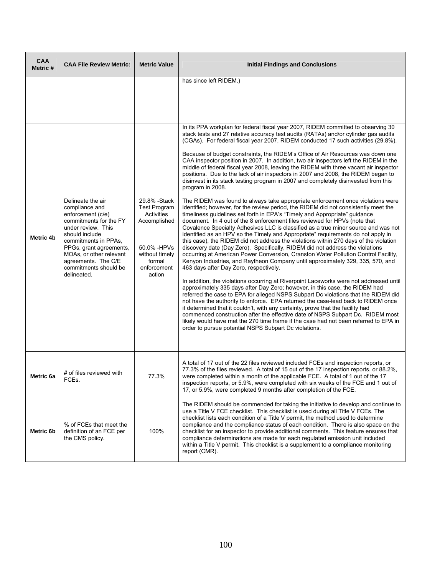| <b>CAA</b><br>Metric # | <b>CAA File Review Metric:</b>                                                                                                                                                                                                                                          | <b>Metric Value</b>                                                                                                                    | <b>Initial Findings and Conclusions</b>                                                                                                                                                                                                                                                                                                                                                                                                                                                                                                                                                                                                                                                                                                                                                                                                                                                                                                                                                                                                                                                                                                                                                                                                                                                                                                                                                                                                                                                                                                                                                                                                                                                                                                                                                                                                                                                                                                                                                                                                                                                                                                                                                                                                                                                                                                           |  |
|------------------------|-------------------------------------------------------------------------------------------------------------------------------------------------------------------------------------------------------------------------------------------------------------------------|----------------------------------------------------------------------------------------------------------------------------------------|---------------------------------------------------------------------------------------------------------------------------------------------------------------------------------------------------------------------------------------------------------------------------------------------------------------------------------------------------------------------------------------------------------------------------------------------------------------------------------------------------------------------------------------------------------------------------------------------------------------------------------------------------------------------------------------------------------------------------------------------------------------------------------------------------------------------------------------------------------------------------------------------------------------------------------------------------------------------------------------------------------------------------------------------------------------------------------------------------------------------------------------------------------------------------------------------------------------------------------------------------------------------------------------------------------------------------------------------------------------------------------------------------------------------------------------------------------------------------------------------------------------------------------------------------------------------------------------------------------------------------------------------------------------------------------------------------------------------------------------------------------------------------------------------------------------------------------------------------------------------------------------------------------------------------------------------------------------------------------------------------------------------------------------------------------------------------------------------------------------------------------------------------------------------------------------------------------------------------------------------------------------------------------------------------------------------------------------------------|--|
| Metric 4b              | Delineate the air<br>compliance and<br>enforcement (c/e)<br>commitments for the FY<br>under review. This<br>should include<br>commitments in PPAs,<br>PPGs, grant agreements,<br>MOAs, or other relevant<br>agreements. The C/E<br>commitments should be<br>delineated. | 29.8% - Stack<br><b>Test Program</b><br>Activities<br>Accomplished<br>50.0% -HPVs<br>without timely<br>formal<br>enforcement<br>action | has since left RIDEM.)<br>In its PPA workplan for federal fiscal year 2007, RIDEM committed to observing 30<br>stack tests and 27 relative accuracy test audits (RATAs) and/or cylinder gas audits<br>(CGAs). For federal fiscal year 2007, RIDEM conducted 17 such activities (29.8%).<br>Because of budget constraints, the RIDEM's Office of Air Resources was down one<br>CAA inspector position in 2007. In addition, two air inspectors left the RIDEM in the<br>middle of federal fiscal year 2008, leaving the RIDEM with three vacant air inspector<br>positions. Due to the lack of air inspectors in 2007 and 2008, the RIDEM began to<br>disinvest in its stack testing program in 2007 and completely disinvested from this<br>program in 2008.<br>The RIDEM was found to always take appropriate enforcement once violations were<br>identified; however, for the review period, the RIDEM did not consistently meet the<br>timeliness quidelines set forth in EPA's "Timely and Appropriate" quidance<br>document. In 4 out of the 8 enforcement files reviewed for HPVs (note that<br>Covalence Specialty Adhesives LLC is classified as a true minor source and was not<br>identified as an HPV so the Timely and Appropriate" requirements do not apply in<br>this case), the RIDEM did not address the violations within 270 days of the violation<br>discovery date (Day Zero). Specifically, RIDEM did not address the violations<br>occurring at American Power Conversion, Cranston Water Pollution Control Facility,<br>Kenyon Industries, and Raytheon Company until approximately 329, 335, 570, and<br>463 days after Day Zero, respectively.<br>In addition, the violations occurring at Riverpoint Laceworks were not addressed until<br>approximately 335 days after Day Zero; however, in this case, the RIDEM had<br>referred the case to EPA for alleged NSPS Subpart Dc violations that the RIDEM did<br>not have the authority to enforce. EPA returned the case-lead back to RIDEM once<br>it determined that it couldn't, with any certainty, prove that the facility had<br>commenced construction after the effective date of NSPS Subpart Dc. RIDEM most<br>likely would have met the 270 time frame if the case had not been referred to EPA in<br>order to pursue potential NSPS Subpart Dc violations. |  |
| Metric 6a              | # of files reviewed with<br>FCEs.                                                                                                                                                                                                                                       | 77.3%                                                                                                                                  | A total of 17 out of the 22 files reviewed included FCEs and inspection reports, or<br>77.3% of the files reviewed. A total of 15 out of the 17 inspection reports, or 88.2%,<br>were completed within a month of the applicable FCE. A total of 1 out of the 17<br>inspection reports, or 5.9%, were completed with six weeks of the FCE and 1 out of<br>17, or 5.9%, were completed 9 months after completion of the FCE.                                                                                                                                                                                                                                                                                                                                                                                                                                                                                                                                                                                                                                                                                                                                                                                                                                                                                                                                                                                                                                                                                                                                                                                                                                                                                                                                                                                                                                                                                                                                                                                                                                                                                                                                                                                                                                                                                                                       |  |
| Metric 6b              | % of FCEs that meet the<br>definition of an FCE per<br>the CMS policy.                                                                                                                                                                                                  | 100%                                                                                                                                   | The RIDEM should be commended for taking the initiative to develop and continue to<br>use a Title V FCE checklist. This checklist is used during all Title V FCEs. The<br>checklist lists each condition of a Title V permit, the method used to determine<br>compliance and the compliance status of each condition. There is also space on the<br>checklist for an inspector to provide additional comments. This feature ensures that<br>compliance determinations are made for each requlated emission unit included<br>within a Title V permit. This checklist is a supplement to a compliance monitoring<br>report (CMR).                                                                                                                                                                                                                                                                                                                                                                                                                                                                                                                                                                                                                                                                                                                                                                                                                                                                                                                                                                                                                                                                                                                                                                                                                                                                                                                                                                                                                                                                                                                                                                                                                                                                                                                   |  |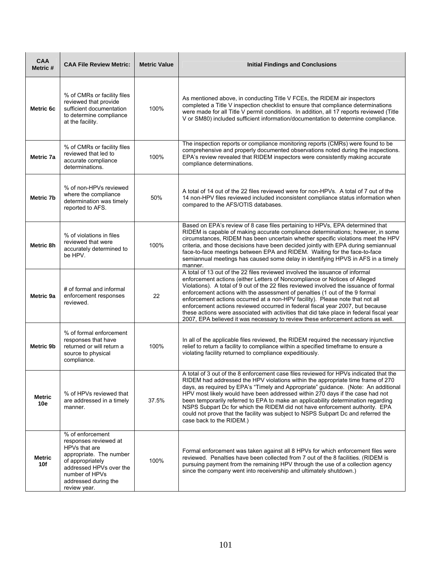| <b>CAA</b><br>Metric # | <b>CAA File Review Metric:</b>                                                                                                                                                                 | <b>Metric Value</b> | <b>Initial Findings and Conclusions</b>                                                                                                                                                                                                                                                                                                                                                                                                                                                                                                                                                                                                                                                |  |
|------------------------|------------------------------------------------------------------------------------------------------------------------------------------------------------------------------------------------|---------------------|----------------------------------------------------------------------------------------------------------------------------------------------------------------------------------------------------------------------------------------------------------------------------------------------------------------------------------------------------------------------------------------------------------------------------------------------------------------------------------------------------------------------------------------------------------------------------------------------------------------------------------------------------------------------------------------|--|
| Metric 6c              | % of CMRs or facility files<br>reviewed that provide<br>sufficient documentation<br>to determine compliance<br>at the facility.                                                                | 100%                | As mentioned above, in conducting Title V FCEs, the RIDEM air inspectors<br>completed a Title V inspection checklist to ensure that compliance determinations<br>were made for all Title V permit conditions. In addition, all 17 reports reviewed (Title<br>V or SM80) included sufficient information/documentation to determine compliance.                                                                                                                                                                                                                                                                                                                                         |  |
| Metric 7a              | % of CMRs or facility files<br>reviewed that led to<br>accurate compliance<br>determinations.                                                                                                  | 100%                | The inspection reports or compliance monitoring reports (CMRs) were found to be<br>comprehensive and properly documented observations noted during the inspections.<br>EPA's review revealed that RIDEM inspectors were consistently making accurate<br>compliance determinations.                                                                                                                                                                                                                                                                                                                                                                                                     |  |
| Metric 7b              | % of non-HPVs reviewed<br>where the compliance<br>determination was timely<br>reported to AFS.                                                                                                 | 50%                 | A total of 14 out of the 22 files reviewed were for non-HPVs. A total of 7 out of the<br>14 non-HPV files reviewed included inconsistent compliance status information when<br>compared to the AFS/OTIS databases.                                                                                                                                                                                                                                                                                                                                                                                                                                                                     |  |
| Metric 8h              | % of violations in files<br>reviewed that were<br>accurately determined to<br>be HPV.                                                                                                          | 100%                | Based on EPA's review of 8 case files pertaining to HPVs, EPA determined that<br>RIDEM is capable of making accurate compliance determinations; however, in some<br>circumstances, RIDEM has been uncertain whether specific violations meet the HPV<br>criteria, and those decisions have been decided jointly with EPA during semiannual<br>face-to-face meetings between EPA and RIDEM. Waiting for the face-to-face<br>semiannual meetings has caused some delay in identifying HPVS in AFS in a timely<br>manner.                                                                                                                                                                 |  |
| Metric 9a              | # of formal and informal<br>enforcement responses<br>reviewed.                                                                                                                                 | 22                  | A total of 13 out of the 22 files reviewed involved the issuance of informal<br>enforcement actions (either Letters of Noncompliance or Notices of Alleged<br>Violations). A total of 9 out of the 22 files reviewed involved the issuance of formal<br>enforcement actions with the assessment of penalties (1 out of the 9 formal<br>enforcement actions occurred at a non-HPV facility). Please note that not all<br>enforcement actions reviewed occurred in federal fiscal year 2007, but because<br>these actions were associated with activities that did take place in federal fiscal year<br>2007, EPA believed it was necessary to review these enforcement actions as well. |  |
| Metric 9b              | % of formal enforcement<br>responses that have<br>returned or will return a<br>source to physical<br>compliance.                                                                               | 100%                | In all of the applicable files reviewed, the RIDEM required the necessary injunctive<br>relief to return a facility to compliance within a specified timeframe to ensure a<br>violating facility returned to compliance expeditiously.                                                                                                                                                                                                                                                                                                                                                                                                                                                 |  |
| <b>Metric</b><br>10e   | % of HPVs reviewed that<br>are addressed in a timely<br>manner.                                                                                                                                | 37.5%               | A total of 3 out of the 8 enforcement case files reviewed for HPVs indicated that the<br>RIDEM had addressed the HPV violations within the appropriate time frame of 270<br>days, as required by EPA's "Timely and Appropriate" guidance. (Note: An additional<br>HPV most likely would have been addressed within 270 days if the case had not<br>been temporarily referred to EPA to make an applicability determination regarding<br>NSPS Subpart Dc for which the RIDEM did not have enforcement authority. EPA<br>could not prove that the facility was subject to NSPS Subpart Dc and referred the<br>case back to the RIDEM.)                                                   |  |
| <b>Metric</b><br>10f   | % of enforcement<br>responses reviewed at<br>HPVs that are<br>appropriate. The number<br>of appropriately<br>addressed HPVs over the<br>number of HPVs<br>addressed during the<br>review year. | 100%                | Formal enforcement was taken against all 8 HPVs for which enforcement files were<br>reviewed. Penalties have been collected from 7 out of the 8 facilities. (RIDEM is<br>pursuing payment from the remaining HPV through the use of a collection agency<br>since the company went into receivership and ultimately shutdown.)                                                                                                                                                                                                                                                                                                                                                          |  |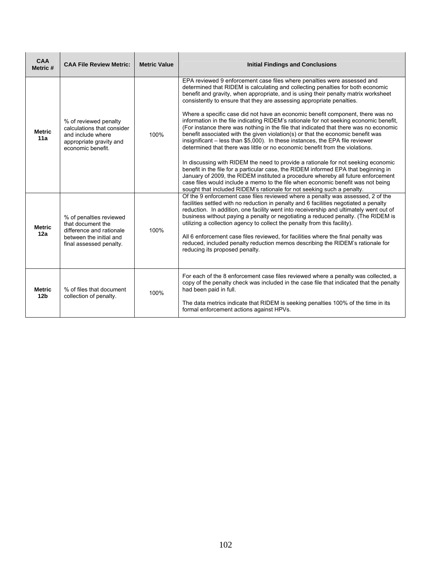| <b>CAA</b><br>Metric #           | <b>CAA File Review Metric:</b>                                                                                                 | <b>Metric Value</b> | <b>Initial Findings and Conclusions</b>                                                                                                                                                                                                                                                                                                                                                                                                                                                                                                                                                                                                                                                                                                                                                                                                                                                                                                                                                                                                                                                                                                                                                                                                                                         |
|----------------------------------|--------------------------------------------------------------------------------------------------------------------------------|---------------------|---------------------------------------------------------------------------------------------------------------------------------------------------------------------------------------------------------------------------------------------------------------------------------------------------------------------------------------------------------------------------------------------------------------------------------------------------------------------------------------------------------------------------------------------------------------------------------------------------------------------------------------------------------------------------------------------------------------------------------------------------------------------------------------------------------------------------------------------------------------------------------------------------------------------------------------------------------------------------------------------------------------------------------------------------------------------------------------------------------------------------------------------------------------------------------------------------------------------------------------------------------------------------------|
| <b>Metric</b><br>11a             | % of reviewed penalty<br>calculations that consider<br>and include where<br>appropriate gravity and<br>economic benefit.       | 100%                | EPA reviewed 9 enforcement case files where penalties were assessed and<br>determined that RIDEM is calculating and collecting penalties for both economic<br>benefit and gravity, when appropriate, and is using their penalty matrix worksheet<br>consistently to ensure that they are assessing appropriate penalties.<br>Where a specific case did not have an economic benefit component, there was no<br>information in the file indicating RIDEM's rationale for not seeking economic benefit,<br>(For instance there was nothing in the file that indicated that there was no economic<br>benefit associated with the given violation(s) or that the economic benefit was<br>insignificant – less than \$5,000). In these instances, the EPA file reviewer<br>determined that there was little or no economic benefit from the violations.<br>In discussing with RIDEM the need to provide a rationale for not seeking economic<br>benefit in the file for a particular case, the RIDEM informed EPA that beginning in<br>January of 2009, the RIDEM instituted a procedure whereby all future enforcement<br>case files would include a memo to the file when economic benefit was not being<br>sought that included RIDEM's rationale for not seeking such a penalty. |
| <b>Metric</b><br>12a             | % of penalties reviewed<br>that document the<br>difference and rationale<br>between the initial and<br>final assessed penalty. | 100%                | Of the 9 enforcement case files reviewed where a penalty was assessed, 2 of the<br>facilities settled with no reduction in penalty and 6 facilities negotiated a penalty<br>reduction. In addition, one facility went into receivership and ultimately went out of<br>business without paying a penalty or negotiating a reduced penalty. (The RIDEM is<br>utilizing a collection agency to collect the penalty from this facility).<br>All 6 enforcement case files reviewed, for facilities where the final penalty was<br>reduced, included penalty reduction memos describing the RIDEM's rationale for<br>reducing its proposed penalty.                                                                                                                                                                                                                                                                                                                                                                                                                                                                                                                                                                                                                                   |
| <b>Metric</b><br>12 <sub>b</sub> | % of files that document<br>collection of penalty.                                                                             | 100%                | For each of the 8 enforcement case files reviewed where a penalty was collected, a<br>copy of the penalty check was included in the case file that indicated that the penalty<br>had been paid in full.<br>The data metrics indicate that RIDEM is seeking penalties 100% of the time in its<br>formal enforcement actions against HPVs.                                                                                                                                                                                                                                                                                                                                                                                                                                                                                                                                                                                                                                                                                                                                                                                                                                                                                                                                        |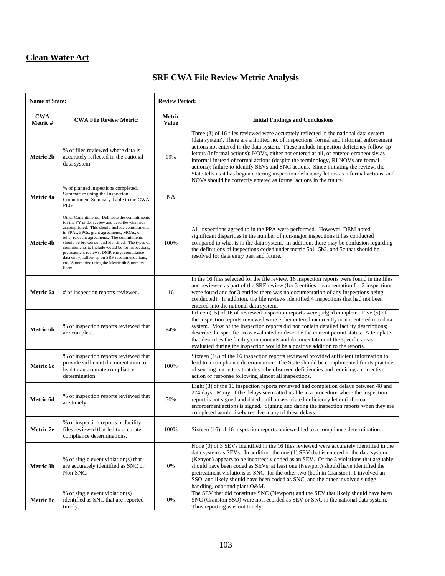## **Clean Water Act**

# **SRF CWA File Review Metric Analysis**

| <b>Name of State:</b> |                                                                                                                                                                                                                                                                                                                                                                                                                                                                                                           | <b>Review Period:</b>  |                                                                                                                                                                                                                                                                                                                                                                                                                                                                                                                                                                                                                                                                                                                  |  |  |
|-----------------------|-----------------------------------------------------------------------------------------------------------------------------------------------------------------------------------------------------------------------------------------------------------------------------------------------------------------------------------------------------------------------------------------------------------------------------------------------------------------------------------------------------------|------------------------|------------------------------------------------------------------------------------------------------------------------------------------------------------------------------------------------------------------------------------------------------------------------------------------------------------------------------------------------------------------------------------------------------------------------------------------------------------------------------------------------------------------------------------------------------------------------------------------------------------------------------------------------------------------------------------------------------------------|--|--|
| <b>CWA</b><br>Metric# | <b>CWA File Review Metric:</b>                                                                                                                                                                                                                                                                                                                                                                                                                                                                            | Metric<br><b>Value</b> | <b>Initial Findings and Conclusions</b>                                                                                                                                                                                                                                                                                                                                                                                                                                                                                                                                                                                                                                                                          |  |  |
| Metric 2b             | % of files reviewed where data is<br>accurately reflected in the national<br>data system.                                                                                                                                                                                                                                                                                                                                                                                                                 | 19%                    | Three (3) of 16 files reviewed were accurately reflected in the national data system<br>(data system). There are a limited no. of inspections, formal and informal enforcement<br>actions not entered in the data system. These include inspection deficiency follow-up<br>letters (informal actions); NOVs, either not entered at all, or entered erroneously as<br>informal instead of formal actions (despite the terminology, RI NOVs are formal<br>actions); failure to identify SEVs and SNC actions. Since initiating the review, the<br>State tells us it has begun entering inspection deficiency letters as informal actions, and<br>NOVs should be correctly entered as formal actions in the future. |  |  |
| Metric 4a             | % of planned inspections completed.<br>Summarize using the Inspection<br>Commitment Summary Table in the CWA<br>PLG.                                                                                                                                                                                                                                                                                                                                                                                      | NA                     |                                                                                                                                                                                                                                                                                                                                                                                                                                                                                                                                                                                                                                                                                                                  |  |  |
| Metric 4b             | Other Commitments. Delineate the commitments<br>for the FY under review and describe what was<br>accomplished. This should include commitments<br>in PPAs, PPGs, grant agreements, MOAs, or<br>other relevant agreements. The commitments<br>should be broken out and identified. The types of<br>commitments to include would be for inspections,<br>pretreatment reviews, DMR entry, compliance<br>data entry, follow-up on SRF recommendations,<br>etc. Summarize using the Metric 4b Summary<br>Form. | 100%                   | All inspections agreed to in the PPA were performed. However, DEM noted<br>significant disparities in the number of non-major inspections it has conducted<br>compared to what is in the data system. In addition, there may be confusion regarding<br>the definitions of inspections coded under metric 5b1, 5b2, and 5c that should be<br>resolved for data entry past and future.                                                                                                                                                                                                                                                                                                                             |  |  |
| Metric 6a             | # of inspection reports reviewed.                                                                                                                                                                                                                                                                                                                                                                                                                                                                         | 16                     | In the 16 files selected for the file review, 16 inspection reports were found in the files<br>and reviewed as part of the SRF review (for 3 entities documentation for 2 inspections<br>were found and for 3 entities there was no documentation of any inspections being<br>conducted). In addition, the file reviews identified 4 inspections that had not been<br>entered into the national data system.                                                                                                                                                                                                                                                                                                     |  |  |
| Metric 6b             | % of inspection reports reviewed that<br>are complete.                                                                                                                                                                                                                                                                                                                                                                                                                                                    | 94%                    | Fifteen (15) of 16 of reviewed inspection reports were judged complete. Five (5) of<br>the inspection reports reviewed were either entered incorrectly or not entered into data<br>system. Most of the Inspection reports did not contain detailed facility descriptions;<br>describe the specific areas evaluated or describe the current permit status. A template<br>that describes the facility components and documentation of the specific areas<br>evaluated during the inspection would be a positive addition to the reports.                                                                                                                                                                           |  |  |
| Metric 6c             | % of inspection reports reviewed that<br>provide sufficient documentation to<br>lead to an accurate compliance<br>determination.                                                                                                                                                                                                                                                                                                                                                                          | 100%                   | Sixteen (16) of the 16 inspection reports reviewed provided sufficient information to<br>lead to a compliance determination. The State should be complimented for its practice<br>of sending out letters that describe observed deficiencies and requiring a corrective<br>action or response following almost all inspections.                                                                                                                                                                                                                                                                                                                                                                                  |  |  |
| Metric 6d             | % of inspection reports reviewed that<br>are timely.                                                                                                                                                                                                                                                                                                                                                                                                                                                      | 50%                    | Eight (8) of the 16 inspection reports reviewed had completion delays between 48 and<br>274 days. Many of the delays seem attributable to a procedure where the inspection<br>report is not signed and dated until an associated deficiency letter (informal<br>enforcement action) is signed. Signing and dating the inspection reports when they are<br>completed would likely resolve many of these delays.                                                                                                                                                                                                                                                                                                   |  |  |
| Metric 7e             | % of inspection reports or facility<br>files reviewed that led to accurate<br>compliance determinations.                                                                                                                                                                                                                                                                                                                                                                                                  | 100%                   | Sixteen (16) of 16 inspection reports reviewed led to a compliance determination.                                                                                                                                                                                                                                                                                                                                                                                                                                                                                                                                                                                                                                |  |  |
| Metric 8b             | % of single event violation(s) that<br>are accurately identified as SNC or<br>Non-SNC.                                                                                                                                                                                                                                                                                                                                                                                                                    | 0%                     | None (0) of 3 SEVs identified in the 16 files reviewed were accurately identified in the<br>data system as SEVs. In addition, the one (1) SEV that is entered in the data system<br>(Kenyon) appears to be incorrectly coded as an SEV. Of the 3 violations that arguably<br>should have been coded as SEVs, at least one (Newport) should have identified the<br>pretreatment violations as SNC; for the other two (both in Cranston), 1 involved an<br>SSO, and likely should have been coded as SNC, and the other involved sludge<br>handling, odor and plant O&M.                                                                                                                                           |  |  |
| Metric 8c             | % of single event violation(s)<br>identified as SNC that are reported<br>timely.                                                                                                                                                                                                                                                                                                                                                                                                                          | $0\%$                  | The SEV that did constitute SNC (Newport) and the SEV that likely should have been<br>SNC (Cranston SSO) were not recorded as SEV or SNC in the national data system.<br>Thus reporting was not timely.                                                                                                                                                                                                                                                                                                                                                                                                                                                                                                          |  |  |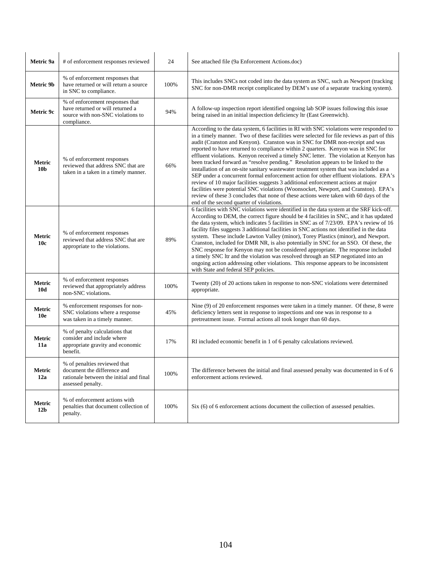| Metric 9a                        | # of enforcement responses reviewed                                                                                         | 24   | See attached file (9a Enforcement Actions.doc)                                                                                                                                                                                                                                                                                                                                                                                                                                                                                                                                                                                                                                                                                                                                                                                                                                                                                                                                                                                            |
|----------------------------------|-----------------------------------------------------------------------------------------------------------------------------|------|-------------------------------------------------------------------------------------------------------------------------------------------------------------------------------------------------------------------------------------------------------------------------------------------------------------------------------------------------------------------------------------------------------------------------------------------------------------------------------------------------------------------------------------------------------------------------------------------------------------------------------------------------------------------------------------------------------------------------------------------------------------------------------------------------------------------------------------------------------------------------------------------------------------------------------------------------------------------------------------------------------------------------------------------|
| Metric 9b                        | % of enforcement responses that<br>have returned or will return a source<br>in SNC to compliance.                           | 100% | This includes SNCs not coded into the data system as SNC, such as Newport (tracking<br>SNC for non-DMR receipt complicated by DEM's use of a separate tracking system).                                                                                                                                                                                                                                                                                                                                                                                                                                                                                                                                                                                                                                                                                                                                                                                                                                                                   |
| Metric 9c                        | % of enforcement responses that<br>have returned or will returned a<br>source with non-SNC violations to<br>compliance.     | 94%  | A follow-up inspection report identified ongoing lab SOP issues following this issue<br>being raised in an initial inspection deficiency ltr (East Greenwich).                                                                                                                                                                                                                                                                                                                                                                                                                                                                                                                                                                                                                                                                                                                                                                                                                                                                            |
| <b>Metric</b><br>10 <sub>b</sub> | % of enforcement responses<br>reviewed that address SNC that are<br>taken in a taken in a timely manner.                    | 66%  | According to the data system, 6 facilities in RI with SNC violations were responded to<br>in a timely manner. Two of these facilities were selected for file reviews as part of this<br>audit (Cranston and Kenyon). Cranston was in SNC for DMR non-receipt and was<br>reported to have returned to compliance within 2 quarters. Kenyon was in SNC for<br>effluent violations. Kenyon received a timely SNC letter. The violation at Kenyon has<br>been tracked forward as "resolve pending." Resolution appears to be linked to the<br>installation of an on-site sanitary wastewater treatment system that was included as a<br>SEP under a concurrent formal enforcement action for other effluent violations. EPA's<br>review of 10 major facilities suggests 3 additional enforcement actions at major<br>facilities were potential SNC violations (Woonsocket, Newport, and Cranston). EPA's<br>review of these 3 concludes that none of these actions were taken with 60 days of the<br>end of the second quarter of violations. |
| Metric<br>10 <sub>c</sub>        | % of enforcement responses<br>reviewed that address SNC that are<br>appropriate to the violations.                          | 89%  | 6 facilities with SNC violations were identified in the data system at the SRF kick-off.<br>According to DEM, the correct figure should be 4 facilities in SNC, and it has updated<br>the data system, which indicates 5 facilities in SNC as of 7/23/09. EPA's review of 16<br>facility files suggests 3 additional facilities in SNC actions not identified in the data<br>system. These include Lawton Valley (minor), Torey Plastics (minor), and Newport.<br>Cranston, included for DMR NR, is also potentially in SNC for an SSO. Of these, the<br>SNC response for Kenyon may not be considered appropriate. The response included<br>a timely SNC ltr and the violation was resolved through an SEP negotiated into an<br>ongoing action addressing other violations. This response appears to be inconsistent<br>with State and federal SEP policies.                                                                                                                                                                            |
| Metric<br>10d                    | % of enforcement responses<br>reviewed that appropriately address<br>non-SNC violations.                                    | 100% | Twenty (20) of 20 actions taken in response to non-SNC violations were determined<br>appropriate.                                                                                                                                                                                                                                                                                                                                                                                                                                                                                                                                                                                                                                                                                                                                                                                                                                                                                                                                         |
| Metric<br>10 <sub>e</sub>        | % enforcement responses for non-<br>SNC violations where a response<br>was taken in a timely manner.                        | 45%  | Nine (9) of 20 enforcement responses were taken in a timely manner. Of these, 8 were<br>deficiency letters sent in response to inspections and one was in response to a<br>pretreatment issue. Formal actions all took longer than 60 days.                                                                                                                                                                                                                                                                                                                                                                                                                                                                                                                                                                                                                                                                                                                                                                                               |
| Metric<br>11a                    | % of penalty calculations that<br>consider and include where<br>appropriate gravity and economic<br>benefit.                | 17%  | RI included economic benefit in 1 of 6 penalty calculations reviewed.                                                                                                                                                                                                                                                                                                                                                                                                                                                                                                                                                                                                                                                                                                                                                                                                                                                                                                                                                                     |
| Metric<br>12a                    | % of penalties reviewed that<br>document the difference and<br>rationale between the initial and final<br>assessed penalty. | 100% | The difference between the initial and final assessed penalty was documented in 6 of 6<br>enforcement actions reviewed.                                                                                                                                                                                                                                                                                                                                                                                                                                                                                                                                                                                                                                                                                                                                                                                                                                                                                                                   |
| Metric<br>12 <sub>b</sub>        | % of enforcement actions with<br>penalties that document collection of<br>penalty.                                          | 100% | Six (6) of 6 enforcement actions document the collection of assessed penalties.                                                                                                                                                                                                                                                                                                                                                                                                                                                                                                                                                                                                                                                                                                                                                                                                                                                                                                                                                           |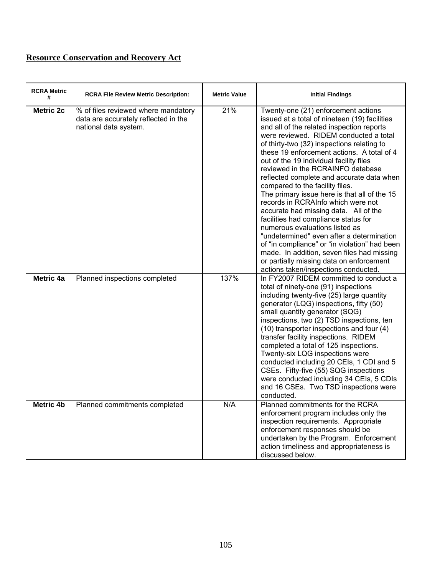| <b>RCRA Metric</b><br># | <b>RCRA File Review Metric Description:</b>                                                          | <b>Metric Value</b> | <b>Initial Findings</b>                                                                                                                                                                                                                                                                                                                                                                                                                                                                                                                                                                                                                                                                                                                                                                                                                                                          |
|-------------------------|------------------------------------------------------------------------------------------------------|---------------------|----------------------------------------------------------------------------------------------------------------------------------------------------------------------------------------------------------------------------------------------------------------------------------------------------------------------------------------------------------------------------------------------------------------------------------------------------------------------------------------------------------------------------------------------------------------------------------------------------------------------------------------------------------------------------------------------------------------------------------------------------------------------------------------------------------------------------------------------------------------------------------|
| <b>Metric 2c</b>        | % of files reviewed where mandatory<br>data are accurately reflected in the<br>national data system. | 21%                 | Twenty-one (21) enforcement actions<br>issued at a total of nineteen (19) facilities<br>and all of the related inspection reports<br>were reviewed. RIDEM conducted a total<br>of thirty-two (32) inspections relating to<br>these 19 enforcement actions. A total of 4<br>out of the 19 individual facility files<br>reviewed in the RCRAINFO database<br>reflected complete and accurate data when<br>compared to the facility files.<br>The primary issue here is that all of the 15<br>records in RCRAInfo which were not<br>accurate had missing data. All of the<br>facilities had compliance status for<br>numerous evaluations listed as<br>"undetermined" even after a determination<br>of "in compliance" or "in violation" had been<br>made. In addition, seven files had missing<br>or partially missing data on enforcement<br>actions taken/inspections conducted. |
| Metric 4a               | Planned inspections completed                                                                        | 137%                | In FY2007 RIDEM committed to conduct a<br>total of ninety-one (91) inspections<br>including twenty-five (25) large quantity<br>generator (LQG) inspections, fifty (50)<br>small quantity generator (SQG)<br>inspections, two (2) TSD inspections, ten<br>(10) transporter inspections and four (4)<br>transfer facility inspections. RIDEM<br>completed a total of 125 inspections.<br>Twenty-six LQG inspections were<br>conducted including 20 CEIs, 1 CDI and 5<br>CSEs. Fifty-five (55) SQG inspections<br>were conducted including 34 CEIs, 5 CDIs<br>and 16 CSEs. Two TSD inspections were<br>conducted.                                                                                                                                                                                                                                                                   |
| <b>Metric 4b</b>        | Planned commitments completed                                                                        | N/A                 | Planned commitments for the RCRA<br>enforcement program includes only the<br>inspection requirements. Appropriate<br>enforcement responses should be<br>undertaken by the Program. Enforcement<br>action timeliness and appropriateness is<br>discussed below.                                                                                                                                                                                                                                                                                                                                                                                                                                                                                                                                                                                                                   |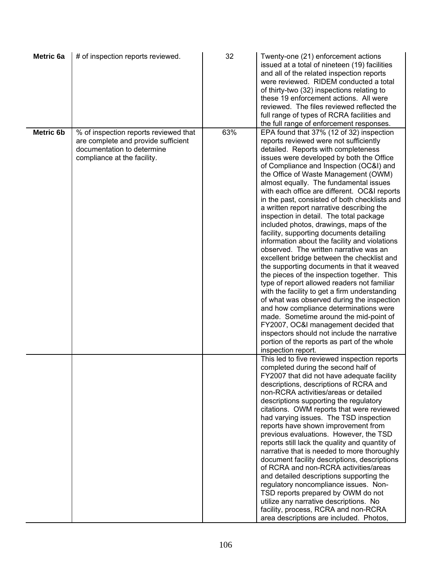| Metric 6a        | # of inspection reports reviewed.                                                                                                         | 32  | Twenty-one (21) enforcement actions<br>issued at a total of nineteen (19) facilities<br>and all of the related inspection reports<br>were reviewed. RIDEM conducted a total<br>of thirty-two (32) inspections relating to<br>these 19 enforcement actions. All were<br>reviewed. The files reviewed reflected the<br>full range of types of RCRA facilities and<br>the full range of enforcement responses.                                                                                                                                                                                                                                                                                                                                                                                                                                                                                                                                                                                                                                                                                                                                                                                                           |
|------------------|-------------------------------------------------------------------------------------------------------------------------------------------|-----|-----------------------------------------------------------------------------------------------------------------------------------------------------------------------------------------------------------------------------------------------------------------------------------------------------------------------------------------------------------------------------------------------------------------------------------------------------------------------------------------------------------------------------------------------------------------------------------------------------------------------------------------------------------------------------------------------------------------------------------------------------------------------------------------------------------------------------------------------------------------------------------------------------------------------------------------------------------------------------------------------------------------------------------------------------------------------------------------------------------------------------------------------------------------------------------------------------------------------|
| <b>Metric 6b</b> | % of inspection reports reviewed that<br>are complete and provide sufficient<br>documentation to determine<br>compliance at the facility. | 63% | EPA found that 37% (12 of 32) inspection<br>reports reviewed were not sufficiently<br>detailed. Reports with completeness<br>issues were developed by both the Office<br>of Compliance and Inspection (OC&I) and<br>the Office of Waste Management (OWM)<br>almost equally. The fundamental issues<br>with each office are different. OC&I reports<br>in the past, consisted of both checklists and<br>a written report narrative describing the<br>inspection in detail. The total package<br>included photos, drawings, maps of the<br>facility, supporting documents detailing<br>information about the facility and violations<br>observed. The written narrative was an<br>excellent bridge between the checklist and<br>the supporting documents in that it weaved<br>the pieces of the inspection together. This<br>type of report allowed readers not familiar<br>with the facility to get a firm understanding<br>of what was observed during the inspection<br>and how compliance determinations were<br>made. Sometime around the mid-point of<br>FY2007, OC&I management decided that<br>inspectors should not include the narrative<br>portion of the reports as part of the whole<br>inspection report. |
|                  |                                                                                                                                           |     | This led to five reviewed inspection reports<br>completed during the second half of<br>FY2007 that did not have adequate facility<br>descriptions, descriptions of RCRA and<br>non-RCRA activities/areas or detailed<br>descriptions supporting the regulatory<br>citations. OWM reports that were reviewed<br>had varying issues. The TSD inspection<br>reports have shown improvement from<br>previous evaluations. However, the TSD<br>reports still lack the quality and quantity of<br>narrative that is needed to more thoroughly<br>document facility descriptions, descriptions<br>of RCRA and non-RCRA activities/areas<br>and detailed descriptions supporting the<br>regulatory noncompliance issues. Non-<br>TSD reports prepared by OWM do not<br>utilize any narrative descriptions. No<br>facility, process, RCRA and non-RCRA<br>area descriptions are included. Photos,                                                                                                                                                                                                                                                                                                                              |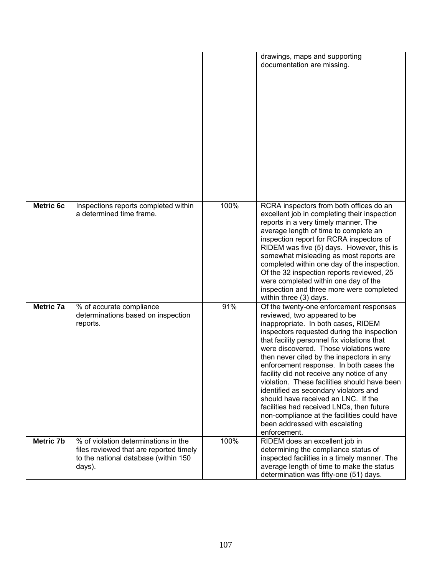|                  |                                                                                                                                    |      | drawings, maps and supporting<br>documentation are missing.                                                                                                                                                                                                                                                                                                                                                                                                                                                                                                                                                                                                               |
|------------------|------------------------------------------------------------------------------------------------------------------------------------|------|---------------------------------------------------------------------------------------------------------------------------------------------------------------------------------------------------------------------------------------------------------------------------------------------------------------------------------------------------------------------------------------------------------------------------------------------------------------------------------------------------------------------------------------------------------------------------------------------------------------------------------------------------------------------------|
| <b>Metric 6c</b> | Inspections reports completed within<br>a determined time frame.                                                                   | 100% | RCRA inspectors from both offices do an<br>excellent job in completing their inspection<br>reports in a very timely manner. The<br>average length of time to complete an<br>inspection report for RCRA inspectors of<br>RIDEM was five (5) days. However, this is<br>somewhat misleading as most reports are<br>completed within one day of the inspection.<br>Of the 32 inspection reports reviewed, 25<br>were completed within one day of the<br>inspection and three more were completed<br>within three (3) days.                                                                                                                                                    |
| Metric 7a        | % of accurate compliance<br>determinations based on inspection<br>reports.                                                         | 91%  | Of the twenty-one enforcement responses<br>reviewed, two appeared to be<br>inappropriate. In both cases, RIDEM<br>inspectors requested during the inspection<br>that facility personnel fix violations that<br>were discovered. Those violations were<br>then never cited by the inspectors in any<br>enforcement response. In both cases the<br>facility did not receive any notice of any<br>violation. These facilities should have been<br>identified as secondary violators and<br>should have received an LNC. If the<br>facilities had received LNCs, then future<br>non-compliance at the facilities could have<br>been addressed with escalating<br>enforcement. |
| <b>Metric 7b</b> | % of violation determinations in the<br>files reviewed that are reported timely<br>to the national database (within 150)<br>days). | 100% | RIDEM does an excellent job in<br>determining the compliance status of<br>inspected facilities in a timely manner. The<br>average length of time to make the status<br>determination was fifty-one (51) days.                                                                                                                                                                                                                                                                                                                                                                                                                                                             |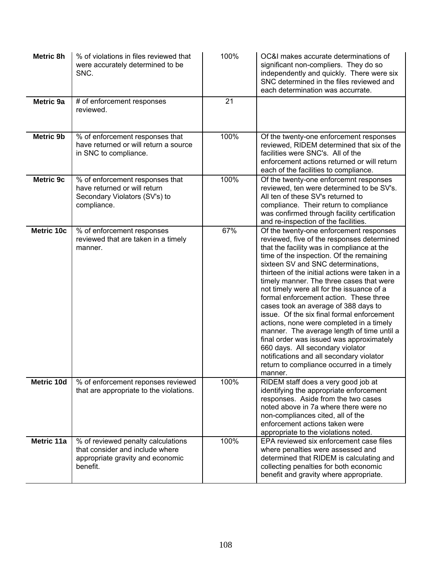| Metric 8h         | % of violations in files reviewed that<br>were accurately determined to be<br>SNC.                                    | 100% | OC&I makes accurate determinations of<br>significant non-compliers. They do so<br>independently and quickly. There were six<br>SNC determined in the files reviewed and<br>each determination was accurrate.                                                                                                                                                                                                                                                                                                                                                                                                                                                                                                                                                                    |
|-------------------|-----------------------------------------------------------------------------------------------------------------------|------|---------------------------------------------------------------------------------------------------------------------------------------------------------------------------------------------------------------------------------------------------------------------------------------------------------------------------------------------------------------------------------------------------------------------------------------------------------------------------------------------------------------------------------------------------------------------------------------------------------------------------------------------------------------------------------------------------------------------------------------------------------------------------------|
| Metric 9a         | # of enforcement responses<br>reviewed.                                                                               | 21   |                                                                                                                                                                                                                                                                                                                                                                                                                                                                                                                                                                                                                                                                                                                                                                                 |
| Metric 9b         | % of enforcement responses that<br>have returned or will return a source<br>in SNC to compliance.                     | 100% | Of the twenty-one enforcement responses<br>reviewed, RIDEM determined that six of the<br>facilities were SNC's. All of the<br>enforcement actions returned or will return<br>each of the facilities to compliance.                                                                                                                                                                                                                                                                                                                                                                                                                                                                                                                                                              |
| <b>Metric 9c</b>  | % of enforcement responses that<br>have returned or will return<br>Secondary Violators (SV's) to<br>compliance.       | 100% | Of the twenty-one enforcemnt responses<br>reviewed, ten were determined to be SV's.<br>All ten of these SV's returned to<br>compliance. Their return to compliance<br>was confirmed through facility certification<br>and re-inspection of the facilities.                                                                                                                                                                                                                                                                                                                                                                                                                                                                                                                      |
| <b>Metric 10c</b> | % of enforcement responses<br>reviewed that are taken in a timely<br>manner.                                          | 67%  | Of the twenty-one enforcement responses<br>reviewed, five of the responses determined<br>that the facility was in compliance at the<br>time of the inspection. Of the remaining<br>sixteen SV and SNC determinations,<br>thirteen of the initial actions were taken in a<br>timely manner. The three cases that were<br>not timely were all for the issuance of a<br>formal enforcement action. These three<br>cases took an average of 388 days to<br>issue. Of the six final formal enforcement<br>actions, none were completed in a timely<br>manner. The average length of time until a<br>final order was issued was approximately<br>660 days. All secondary violator<br>notifications and all secondary violator<br>return to compliance occurred in a timely<br>manner. |
| Metric 10d        | % of enforcement reponses reviewed<br>that are appropriate to the violations.                                         | 100% | RIDEM staff does a very good job at<br>identifying the appropriate enforcement<br>responses. Aside from the two cases<br>noted above in 7a where there were no<br>non-compliances cited, all of the<br>enforcement actions taken were<br>appropriate to the violations noted.                                                                                                                                                                                                                                                                                                                                                                                                                                                                                                   |
| Metric 11a        | % of reviewed penalty calculations<br>that consider and include where<br>appropriate gravity and economic<br>benefit. | 100% | EPA reviewed six enforcement case files<br>where penalties were assessed and<br>determined that RIDEM is calculating and<br>collecting penalties for both economic<br>benefit and gravity where appropriate.                                                                                                                                                                                                                                                                                                                                                                                                                                                                                                                                                                    |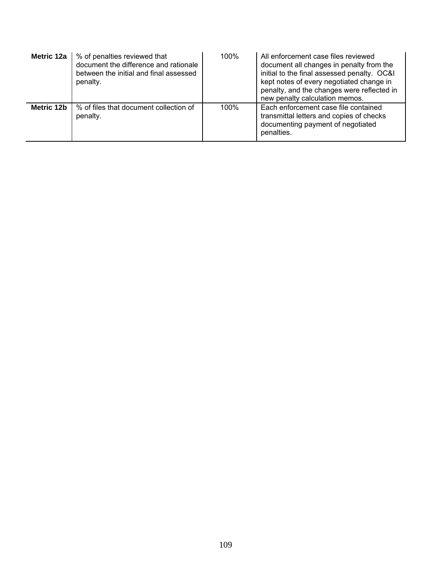| Metric 12a | % of penalties reviewed that<br>document the difference and rationale<br>between the initial and final assessed<br>penalty. | 100% | All enforcement case files reviewed<br>document all changes in penalty from the<br>initial to the final assessed penalty. OC&I<br>kept notes of every negotiated change in<br>penalty, and the changes were reflected in<br>new penalty calculation memos. |
|------------|-----------------------------------------------------------------------------------------------------------------------------|------|------------------------------------------------------------------------------------------------------------------------------------------------------------------------------------------------------------------------------------------------------------|
| Metric 12b | % of files that document collection of<br>penalty.                                                                          | 100% | Each enforcement case file contained<br>transmittal letters and copies of checks<br>documenting payment of negotiated<br>penalties.                                                                                                                        |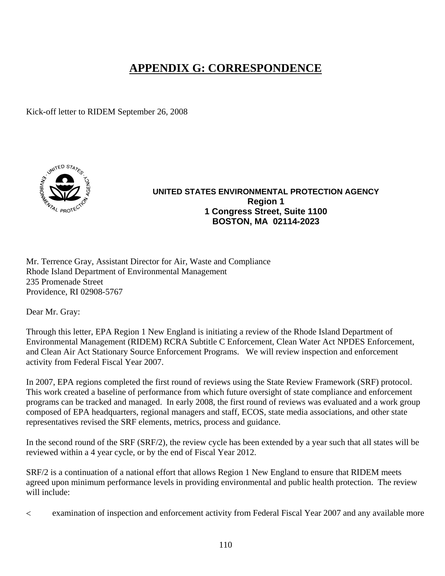## **APPENDIX G: CORRESPONDENCE**

Kick-off letter to RIDEM September 26, 2008



## **UNITED STATES ENVIRONMENTAL PROTECTION AGENCY Region 1 1 Congress Street, Suite 1100 BOSTON, MA 02114-2023**

Mr. Terrence Gray, Assistant Director for Air, Waste and Compliance Rhode Island Department of Environmental Management 235 Promenade Street Providence, RI 02908-5767

Dear Mr. Gray:

Through this letter, EPA Region 1 New England is initiating a review of the Rhode Island Department of Environmental Management (RIDEM) RCRA Subtitle C Enforcement, Clean Water Act NPDES Enforcement, and Clean Air Act Stationary Source Enforcement Programs. We will review inspection and enforcement activity from Federal Fiscal Year 2007.

In 2007, EPA regions completed the first round of reviews using the State Review Framework (SRF) protocol. This work created a baseline of performance from which future oversight of state compliance and enforcement programs can be tracked and managed. In early 2008, the first round of reviews was evaluated and a work group composed of EPA headquarters, regional managers and staff, ECOS, state media associations, and other state representatives revised the SRF elements, metrics, process and guidance.

In the second round of the SRF (SRF/2), the review cycle has been extended by a year such that all states will be reviewed within a 4 year cycle, or by the end of Fiscal Year 2012.

SRF/2 is a continuation of a national effort that allows Region 1 New England to ensure that RIDEM meets agreed upon minimum performance levels in providing environmental and public health protection. The review will include:

< examination of inspection and enforcement activity from Federal Fiscal Year 2007 and any available more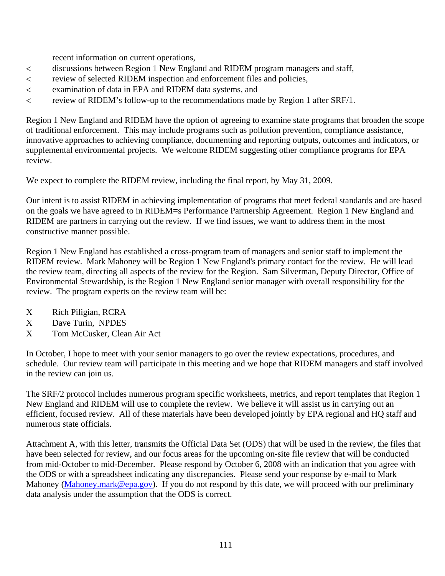recent information on current operations,

- < discussions between Region 1 New England and RIDEM program managers and staff,
- < review of selected RIDEM inspection and enforcement files and policies,
- < examination of data in EPA and RIDEM data systems, and
- < review of RIDEM's follow-up to the recommendations made by Region 1 after SRF/1.

Region 1 New England and RIDEM have the option of agreeing to examine state programs that broaden the scope of traditional enforcement. This may include programs such as pollution prevention, compliance assistance, innovative approaches to achieving compliance, documenting and reporting outputs, outcomes and indicators, or supplemental environmental projects. We welcome RIDEM suggesting other compliance programs for EPA review.

We expect to complete the RIDEM review, including the final report, by May 31, 2009.

Our intent is to assist RIDEM in achieving implementation of programs that meet federal standards and are based on the goals we have agreed to in RIDEM=s Performance Partnership Agreement. Region 1 New England and RIDEM are partners in carrying out the review. If we find issues, we want to address them in the most constructive manner possible.

Region 1 New England has established a cross-program team of managers and senior staff to implement the RIDEM review. Mark Mahoney will be Region 1 New England's primary contact for the review. He will lead the review team, directing all aspects of the review for the Region. Sam Silverman, Deputy Director, Office of Environmental Stewardship, is the Region 1 New England senior manager with overall responsibility for the review. The program experts on the review team will be:

- Χ Rich Piligian, RCRA
- Χ Dave Turin, NPDES
- Χ Tom McCusker, Clean Air Act

In October, I hope to meet with your senior managers to go over the review expectations, procedures, and schedule. Our review team will participate in this meeting and we hope that RIDEM managers and staff involved in the review can join us.

The SRF/2 protocol includes numerous program specific worksheets, metrics, and report templates that Region 1 New England and RIDEM will use to complete the review. We believe it will assist us in carrying out an efficient, focused review. All of these materials have been developed jointly by EPA regional and HQ staff and numerous state officials.

Attachment A, with this letter, transmits the Official Data Set (ODS) that will be used in the review, the files that have been selected for review, and our focus areas for the upcoming on-site file review that will be conducted from mid-October to mid-December. Please respond by October 6, 2008 with an indication that you agree with the ODS or with a spreadsheet indicating any discrepancies. Please send your response by e-mail to Mark Mahoney [\(Mahoney.mark@epa.gov](mailto:Mahoney.mark@epa.gov)). If you do not respond by this date, we will proceed with our preliminary data analysis under the assumption that the ODS is correct.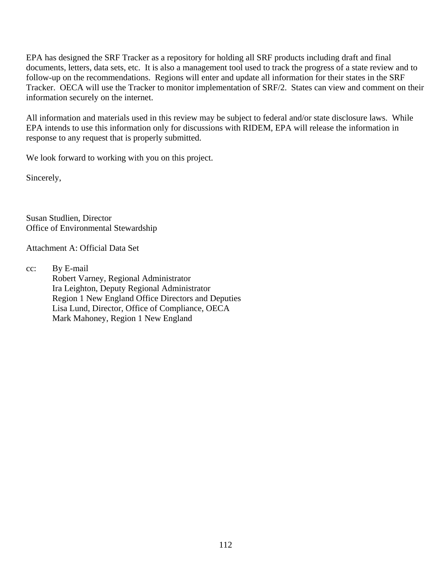EPA has designed the SRF Tracker as a repository for holding all SRF products including draft and final documents, letters, data sets, etc. It is also a management tool used to track the progress of a state review and to follow-up on the recommendations. Regions will enter and update all information for their states in the SRF Tracker. OECA will use the Tracker to monitor implementation of SRF/2. States can view and comment on their information securely on the internet.

All information and materials used in this review may be subject to federal and/or state disclosure laws. While EPA intends to use this information only for discussions with RIDEM, EPA will release the information in response to any request that is properly submitted.

We look forward to working with you on this project.

Sincerely,

Susan Studlien, Director Office of Environmental Stewardship

Attachment A: Official Data Set

cc: By E-mail Robert Varney, Regional Administrator Ira Leighton, Deputy Regional Administrator Region 1 New England Office Directors and Deputies Lisa Lund, Director, Office of Compliance, OECA Mark Mahoney, Region 1 New England